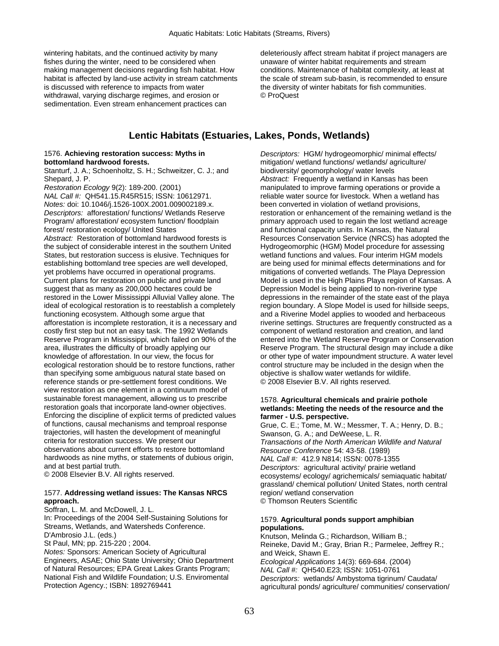wintering habitats, and the continued activity by many deleteriously affect stream habitat if project managers are fishes during the winter, need to be considered when unaware of winter habitat requirements and stream making management decisions regarding fish habitat. How conditions. Maintenance of habitat complexity, at least at habitat is affected by land-use activity in stream catchments the scale of stream sub-basin, is recommended habitat is affected by land-use activity in stream catchments is discussed with reference to impacts from water the diversity of winter habitats for fish communities. withdrawal, varying discharge regimes, and erosion or  $\heartsuit$  ProQuest sedimentation. Even stream enhancement practices can

### **Lentic Habitats (Estuaries, Lakes, Ponds, Wetlands)**

Stanturf, J. A.; Schoenholtz, S. H.; Schweitzer, C. J.; and biodiversity/ geomorphology/ water levels

*NAL Call #:* QH541.15.R45R515; ISSN: 10612971. reliable water source for livestock. When a wetland has *Notes:* doi: 10.1046/j.1526-100X.2001.009002189.x. been converted in violation of wetland provisions, Program/ afforestation/ ecosystem function/ floodplain primary approach used to regain the lost wetland acreage forest/ restoration ecology/ United States and functional capacity units. In Kansas, the Natural Abstract: Restoration of bottomland hardwood forests is Resources Conservation Service (NRCS) has adopted the the subject of considerable interest in the southern United<br>States, but restoration success is elusive. Techniques for wetland functions and values. Four interim HGM models establishing bottomland tree species are well developed, are being used for minimal effects determinations and for yet problems have occurred in operational programs. mitigations of converted wetlands. The Playa Depression suggest that as many as 200,000 hectares could be Depression Model is being applied to non-riverine type restored in the Lower Mississippi Alluvial Valley alone. The depressions in the remainder of the state east of the playa ideal of ecological restoration is to reestablish a completely region boundary. A Slope Model is used for hillside seeps, functioning ecosystem. Although some argue that and a Riverine Model applies to wooded and herbaceous costly first step but not an easy task. The 1992 Wetlands component of wetland restoration and creation, and land ecological restoration should be to restore functions, rather control structure may be included in the design when the than specifying some ambiguous natural state based on objective is shallow water wetlands for wildlife. reference stands or pre-settlement forest conditions. We © 2008 Elsevier B.V. All rights reserved. view restoration as one element in a continuum model of sustainable forest management, allowing us to prescribe 1578. Agricultural chemicals and prairie pothole restoration goals that incorporate land-owner objectives. Enforcing the discipline of explicit terms of predicted values **farmer - U.S. perspective.**<br>
of functions, causal mechanisms and temproal response Grue C. F · Tome M. W · N trajectories, will hasten the development of meaningful Swanson, G. A.; and DeWeese, L. R.<br>
criteria for restoration success. We present our Transactions of the North American V observations about current efforts to restore bottomland *Resource Conference* 54: 43-58. (1989) hardwoods as nine myths, or statements of dubious origin, and at best partial truth.

### 1577. **Addressing wetland issues: The Kansas NRCS** region/ wetland conservation **approach.** © Thomson Reuters Scientific

Soffran, L. M. and McDowell, J. L. In: Proceedings of the 2004 Self-Sustaining Solutions for 1579. **Agricultural ponds support amphibian**  Streams, Wetlands, and Watersheds Conference. **populations.**<br>D'Ambrosio J.L. (eds.) **propulations** Knutson. Meli

*Notes:* Sponsors: American Society of Agricultural and Weick, Shawn E. Engineers, ASAE; Ohio State University; Ohio Department *Ecological Applications* 14(3): 669-684. (2004) of Natural Resources; EPA Great Lakes Grants Program; *NAL Call #:* QH540.E23; ISSN: 1051-0761 National Fish and Wildlife Foundation; U.S. Enviromental *Descriptors:* wetlands/ Ambystoma tigrinum/ Caudata/

1576. **Achieving restoration success: Myths in** *Descriptors:* HGM/ hydrogeomorphic/ minimal effects/ **bottomland hardwood forests. and in the set of the mitigation** mitigation/ wetland functions/ wetlands/ agriculture/ Shepard, J. P.<br> **Shepard, J. P.** *Abstract:* Frequently a wetland in Kansas has been<br> **Restoration Ecology 9(2): 189-200. (2001)** manipulated to improve farming operations or provide *Restoration Ecology* 9(2): 189-200. (2001) manipulated to improve farming operations or provide a *Descriptors:* afforestation/ functions/ Wetlands Reserve restoration or enhancement of the remaining wetland is the wetland functions and values. Four interim HGM models Current plans for restoration on public and private land Model is used in the High Plains Playa region of Kansas. A afforestation is incomplete restoration, it is a necessary and riverine settings. Structures are frequently constructed as a Reserve Program in Mississippi, which failed on 90% of the entered into the Wetland Reserve Program or Conservation area, illustrates the difficulty of broadly applying our Reserve Program. The structural design may include a dike knowledge of afforestation. In our view, the focus for or other type of water impoundment structure. A water level

## wetlands: Meeting the needs of the resource and the

Grue, C. E.; Tome, M. W.; Messmer, T. A.; Henry, D. B.; **Transactions of the North American Wildlife and Natural** and at best partial truth. *Descriptors:* agricultural activity/ prairie wetland ecosystems/ecology/ agrichemicals/ semiaquatic habitat/ grassland/ chemical pollution/ United States, north central

D'Ambrosio J.L. (eds.) Knutson, Melinda G.; Richardson, William B.; Reineke, David M.; Gray, Brian R.; Parmelee, Jeffrey R.; agricultural ponds/ agriculture/ communities/ conservation/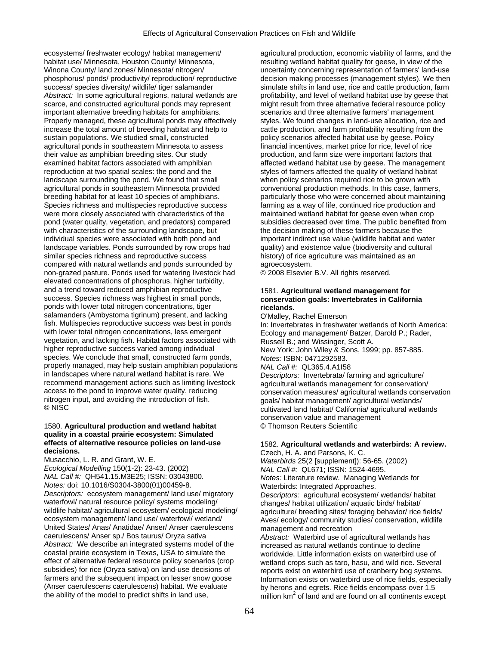ecosystems/ freshwater ecology/ habitat management/ agricultural production, economic viability of farms, and the habitat use/ Minnesota, Houston County/ Minnesota, resulting wetland habitat quality for geese, in view of the Winona County/ land zones/ Minnesota/ nitrogen/ uncertainty concerning representation of farmers' land-use phosphorus/ ponds/ productivity/ reproduction/ reproductive decision making processes (management styles). We then success/ species diversity/ wildlife/ tiger salamander simulate shifts in land use, rice and cattle production, farm *Abstract:* In some agricultural regions, natural wetlands are profitability, and level of wetland habitat use by geese that scarce, and constructed agricultural ponds may represent might result from three alternative federal resource policy important alternative breeding habitats for amphibians. Scenarios and three alternative farmers' management Properly managed, these agricultural ponds may effectively styles. We found changes in land-use allocation, rice and increase the total amount of breeding habitat and help to cattle production, and farm profitability resulting from the sustain populations. We studied small, constructed policy scenarios affected habitat use by geese. Policy agricultural ponds in southeastern Minnesota to assess financial incentives, market price for rice, level of rice their value as amphibian breeding sites. Our study production, and farm size were important factors that examined habitat factors associated with amphibian affected wetland habitat use by geese. The management reproduction at two spatial scales: the pond and the styles of farmers affected the quality of wetland habitat landscape surrounding the pond. We found that small when policy scenarios required rice to be grown with agricultural ponds in southeastern Minnesota provided conventional production methods. In this case, farmers, breeding habitat for at least 10 species of amphibians. particularly those who were concerned about maintaining Species richness and multispecies reproductive success farming as a way of life, continued rice production and were more closely associated with characteristics of the maintained wetland habitat for geese even when crop pond (water quality, vegetation, and predators) compared subsidies decreased over time. The public benefited from with characteristics of the surrounding landscape, but the decision making of these farmers because the individual species were associated with both pond and important indirect use value (wildlife habitat and water landscape variables. Ponds surrounded by row crops had quality) and existence value (biodiversity and cultural similar species richness and reproductive success history) of rice agriculture was maintained as an compared with natural wetlands and ponds surrounded by agroecosystem. non-grazed pasture. Ponds used for watering livestock had © 2008 Elsevier B.V. All rights reserved. elevated concentrations of phosphorus, higher turbidity, and a trend toward reduced amphibian reproductive 1581. Agricultural wetland management for success. Species richness was highest in small ponds, **conservation goals: Invertebrates in California** ponds with lower total nitrogen concentrations, tiger **ricelands.** salamanders (Ambystoma tigrinum) present, and lacking or O'Malley, Rachel Emerson<br>
fish. Multispecies reproductive success was best in ponds In: Invertebrates in freshwa fish. Multispecies reproductive success was best in ponds In: Invertebrates in freshwater wetlands of North America:<br>
With lower total nitrogen concentrations, less emergent<br>
Fology and management/ Batzer, Darold P · Rader vegetation, and lacking fish. Habitat factors associated with Russell B.; and Wissinger, Scott A.<br>higher reproductive success varied among individual New York: John Wiley & Sons. 199 species. We conclude that small, constructed farm ponds, *Notes:* ISBN: 0471292583.<br>
properly managed, may help sustain amphibian populations *NAL Call #:* QL365.4.A1l58 properly managed, may help sustain amphibian populations in landscapes where natural wetland habitat is rare. We *Descriptors:* Invertebrata/ farming and agriculture/ recommend management actions such as limiting livestock agricultural wetlands management for conservation/<br>access to the pond to improve water quality, reducing conservation measures/ agricultural wetlands conservation access to the pond to improve water quality, reducing conservation measures/ agricultural wetlands conservation<br>nitrogen input, and avoiding the introduction of fish. a coals/ habitat management/ agricultural wetlands/ nitrogen input, and avoiding the introduction of fish. goals/ habitat management/ agricultural wetlands/<br>CNISC entitivated land habitat/ California/ agricultural wetla

### 1580. **Agricultural production and wetland habitat** © Thomson Reuters Scientific **quality in a coastal prairie ecosystem: Simulated effects of alternative resource policies on land-use** 1582. **Agricultural wetlands and waterbirds: A review.**

*Ecological Modelling* 150(1-2): 23-43. (2002) *NAL Call #:* QL671; ISSN: 1524-4695. *Notes:* doi: 10.1016/S0304-3800(01)00459-8. Waterbirds: Integrated Approaches. *Descriptors:* ecosystem management/ land use/ migratory *Descriptors:* agricultural ecosystem/ wetlands/ habitat waterfowl/ natural resource policy/ systems modeling/ changes/ habitat utilization/ aquatic birds/ habitat/<br>wildlife habitat/ agricultural ecosystem/ ecological modeling/ agriculture/ breeding sites/ foraging behavior/ ric wildlife habitat/ agricultural ecosystem/ ecological modeling/ agriculture/ breeding sites/ foraging behavior/ rice fields/<br>ecosystem management/ land use/ waterfowl/ wetland/ aves/ ecology/ community studies/ conservation United States/ Anas/ Anatidae/ Anser/ Anser caerulescens management and recreation caerulescens/ Anser sp./ Bos taurus/ Oryza sativa *Abstract:* Waterbird use of a Abstract: We describe an integrated systems model of the increased as natural wetlands continue to decline coastal prairie ecosystem in Texas, USA to simulate the worldwide. Little information exists on waterbird use of effect of alternative federal resource policy scenarios (crop wetland crops such as taro, hasu, and wild rice. Several subsidies) for rice (Oryza sativa) on land-use decisions of reports exist on waterbird use of cranberry bog systems.<br>
farmers and the subsequent impact on lesser snow goose linformation exists on waterbird use of rice fiel farmers and the subsequent impact on lesser snow goose Information exists on waterbird use of rice fields, especially<br>(Anser caerulescens caerulescens) habitat. We evaluate by herons and egrets. Rice fields encompass over the ability of the model to predict shifts in land use,

Ecology and management/ Batzer, Darold P.; Rader, New York: John Wiley & Sons, 1999; pp. 857-885. cultivated land habitat/ California/ agricultural wetlands conservation value and management

**decisions.** Czech, H. A. and Parsons, K. C. Waterbirds 25(2 [supplement]): 56-65. (2002) *Notes: Literature review. Managing Wetlands for* Aves/ ecology/ community studies/ conservation, wildlife Abstract: Waterbird use of agricultural wetlands has by herons and egrets. Rice fields encompass over 1.5 million  $km<sup>2</sup>$  of land and are found on all continents except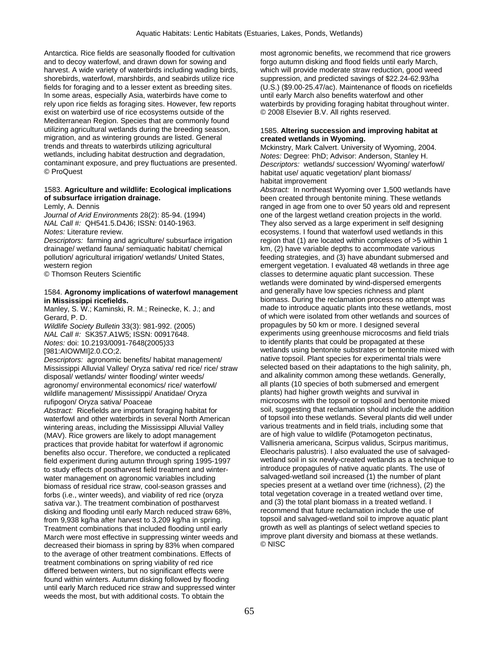Antarctica. Rice fields are seasonally flooded for cultivation most agronomic benefits, we recommend that rice growers and to decoy waterfowl, and drawn down for sowing and forgo autumn disking and flood fields until early March, harvest. A wide variety of waterbirds including wading birds, which will provide moderate straw reduction, good weed<br>shorebirds, waterfowl, marshbirds, and seabirds utilize rice suppression, and predicted savings of \$22.24 shorebirds, waterfowl, marshbirds, and seabirds utilize rice fields for foraging and to a lesser extent as breeding sites. (U.S.) (\$9.00-25.47/ac). Maintenance of floods on ricefields In some areas, especially Asia, waterbirds have come to until early March also benefits waterfowl and other rely upon rice fields as foraging sites. However, few reports waterbirds by providing foraging habitat throughout winter.<br>
exist on waterbird use of rice ecosystems outside of the  $\odot$  2008 Elsevier B.V. All rights reserv exist on waterbird use of rice ecosystems outside of the Mediterranean Region. Species that are commonly found utilizing agricultural wetlands during the breeding season, 1585. **Altering succession and improving habitat at**  migration, and as wintering grounds are listed. General **created wetlands in Wyoming.**<br> **created wetlands in Wyoming.**<br> **Calvert Univers** trends and threats to waterbirds utilizing agricultural Mckinstry, Mark Calvert. University of Wyoming, 2004.<br>
wetlands, including habitat destruction and degradation, Mores: Degree: PhD: Advisor: Anderson, Stanley H. wetlands, including habitat destruction and degradation, *Notes: Degree: PhD; Advisor: Anderson, Stanley H.*<br>Contaminant exposure, and prey fluctuations are presented. *Descriptors: wetlands/ succession/ Wyoming/ water* contaminant exposure, and prey fluctuations are presented. *Descriptors:* wetlands/ succession/ Wyoming/ waterfowl/

### 1583. **Agriculture and wildlife: Ecological implications** *Abstract:* In northeast Wyoming over 1,500 wetlands have **of subsurface irrigation drainage. been** created through bentonite mining. These wetlands

*Descriptors:* farming and agriculture/ subsurface irrigation region that (1) are located within complexes of >5 within 1 drainage/ wetland fauna/ semiaquatic habitat/ chemical km, (2) have variable depths to accommodate various<br>
pollution/ agricultural irrigation/ wetlands/ United States, feeding strategies, and (3) have abundant submersed

## 1584. Agronomy implications of waterfowl management

Manley, S. W.; Kaminski, R. M.; Reinecke, K. J.; and

*Descriptors:* agronomic benefits/ habitat management/ native topsoil. Plant species for experimental trials were Mississippi Alluvial Valley/ Oryza sativa/ red rice/ rice/ straw disposal/ wetlands/ winter flooding/ winter weeds/ and alkalinity common among these wetlands. Generally,<br>agronomy/ environmental economics/ rice/ waterfowl/ all plants (10 species of both submersed and emergent agronomy/ environmental economics/ rice/ waterfowl/ all plants (10 species of both submersed and eme<br>wildlife management/ Mississippi/ Anatidae/ Oryza plants) had higher growth weights and survival in wildlife management/ Mississippi/ Anatidae/ Oryza rufipogon/ Oryza sativa/ Poaceae microcosms with the topsoil or topsoil and bentonite mixed

waterfowl and other waterbirds in several North American of topsoil into these wetlands. Several plants did well und<br>wintering areas, including the Mississippi Alluvial Valley various treatments and in field trials, includ wintering areas, including the Mississippi Alluvial Valley various treatments and in field trials, including some t<br>(MAV), Rice growers are likely to adopt management are of high value to wildlife (Potamogeton pectinatus, (MAV). Rice growers are likely to adopt management are of high value to wildlife (Potamogeton pectinatus,<br>
practices that provide habitat for waterfowl if agronomic Vallisneria americana, Scirpus validus, Scirpus maritimus practices that provide habitat for waterfowl if agronomic Vallisneria americana, Scirpus validus, Scirpus maritimus,<br>
benefits also occur. Therefore, we conducted a replicated Eleocharis palustris). I also evaluated the us field experiment during autumn through spring 1995-1997 to study effects of postharvest field treatment and winter- introduce propagules of native aquatic plants. The use of<br>water management on agronomic variables including<br>salvaged-wetland soil increased (1) the number of plan water management on agronomic variables including biomass of residual rice straw, cool-season grasses and species present at a wetland over time (richness), (2) the<br>forbs (i.e. winter weeds) and viability of red rice (oryza total vegetation coverage in a treated wetland o forbs (i.e., winter weeds), and viability of red rice (oryza total vegetation coverage in a treated wetland over tim<br>sativa var.), The treatment combination of postharvest and (3) the total plant biomass in a treated wetla sativa var.). The treatment combination of postharvest and (3) the total plant biomass in a treated wetland. I<br>disking and flooding until early March reduced straw 68% ecommend that future reclamation include the use of disking and flooding until early March reduced straw 68%,<br>from 9.938 kg/ba after harvest to 3.209 kg/ba in spring topsoil and salvaged-wetland soil to improve aquatic plant from 9,938 kg/ha after harvest to 3,209 kg/ha in spring. topsoil and salvaged-wetland soil to improve aquatic pla<br>Treatment combinations that included flooding until early growth as well as plantings of select wetland spec Treatment combinations that included flooding until early growth as well as plantings of select wetland species to<br>March were most effective in suppressing winter weeds and improve plant diversity and biomass at these wetl March were most effective in suppressing winter weeds and improve<br>decreased their biomass in spring by 83% when compared. © NISC decreased their biomass in spring by 83% when compared to the average of other treatment combinations. Effects of treatment combinations on spring viability of red rice differed between winters, but no significant effects were found within winters. Autumn disking followed by flooding until early March reduced rice straw and suppressed winter weeds the most, but with additional costs. To obtain the

habitat use/ aquatic vegetation/ plant biomass/ habitat improvement

Lemly, A. Dennis ranged in age from one to over 50 years old and represent *Journal of Arid Environments* 28(2): 85-94. (1994) one of the largest wetland creation projects in the world. *NAL Call #:* QH541.5.D4J6; ISSN: 0140-1963. They also served as a large experiment in self designing *Notes:* Literature review. ecosystems. I found that waterfowl used wetlands in this feeding strategies, and (3) have abundant submersed and western region emergent vegetation. I evaluated 48 wetlands in three age © Thomson Reuters Scientific classes to determine aquatic plant succession. These wetlands were dominated by wind-dispersed emergents<br>and generally have low species richness and plant **in Mississippi ricefields. biomass.** During the reclamation process no attempt was<br>Manley S. W.: Kaminski, R. M.: Reinecke, K. J.: and **made to introduce aquatic plants into these wetlands**, most Gerard, P. D. of which were isolated from other wetlands and sources of *Wildlife Society Bulletin* 33(3): 981-992. (2005) propagules by 50 km or more. I designed several *NAL Call #:* SK357.A1W5; ISSN: 00917648. experiments using greenhouse microcosms and field trials *Notes:* doi: 10.2193/0091-7648(2005)33 to identify plants that could be propagated at these [981:AIOWMI]2.0.CO;2.<br>Descriptors: agronomic benefits/habitat management/ native topsoil. Plant species for experimental trials were *Abstract:* Ricefields are important foraging habitat for soil, suggesting that reclamation should include the addition waterfowl and other waterbirds in several North American of topsoil into these wetlands. Several plant benefits also occur. Therefore, we conducted a replicated Eleocharis palustris). I also evaluated the use of salvaged-<br>
field experiment during autumn through spring 1995-1997 wetland soil in six newly-created wetlands as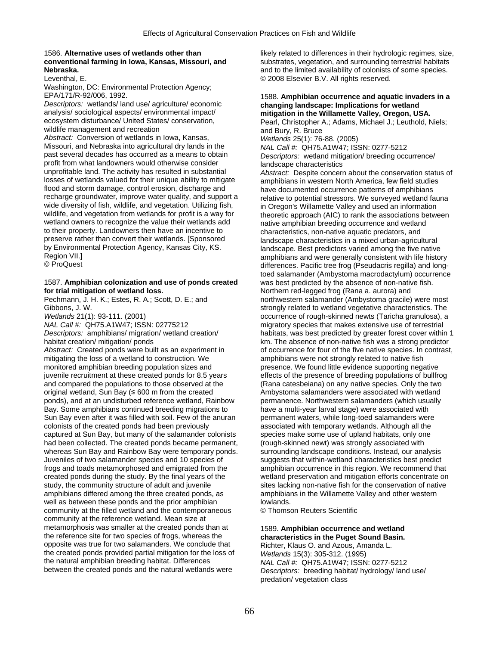Washington, DC: Environmental Protection Agency;<br>EPA/171/R-92/006, 1992.

*Descriptors:* wetlands/ land use/ agriculture/ economic **changing landscape: Implications for wetland**  analysis/ sociological aspects/ environmental impact/ **mitigation in the Willamette Valley, Oregon, USA.**<br> **Pearl Christopher A: Adams Michael Li Leuthold National Pearl Christopher A: Adams Michael Li Leuthold National** wildlife management and recreation and survey and Bury, R. Bruce

*Abstract:* Conversion of wetlands in Iowa, Kansas, *Wetlands* 25(1): 76-88. (2005) Missouri, and Nebraska into agricultural dry lands in the *NAL Call #:* QH75.A1W47; ISSN: 0277-5212<br>Descriptors: wetland mitigation/ breeding occ profit from what landowners would otherwise consider a landscape characteristics<br>unprofitable land. The activity has resulted in substantial a abstract: Despite concerned losses of wetlands valued for their unique ability to mitigate amphibians in western North America, few field studies flood and storm damage, control erosion, discharge and have documented occurrence patterns of amphibians recharge groundwater, improve water quality, and support a<br>wide diversity of fish, wildlife, and vegetation. Utilizing fish, in Oregon's Willamette Valley and used an information wide diversity of fish, wildlife, and vegetation. Utilizing fish, in Oregon's Willamette Valley and used an information<br>wildlife, and vegetation from wetlands for profit is a way for subsecretic approach (AIC) to rank the wildlife, and vegetation from wetlands for profit is a way for theoretic approach (AIC) to rank the associations between<br>wetland owners to recognize the value their wetlands add<br>native amphibian breeding occurrence and wet wetland owners to recognize the value their wetlands add native amphibian breeding occurrence and wetland<br>to their property, Landowners then have an incentive to characteristics, non-native aquatic predators, and to their property. Landowners then have an incentive to characteristics, non-native aquatic predators, and<br>preserve rather than convert their wetlands. [Sponsored and scape characteristics in a mixed urban-agricul preserve rather than convert their wetlands. [Sponsored landscape characteristics in a mixed urban-agricultural<br>Landscape, Best predictors varied among the five native by Environmental Protection Agency, Kansas City, KS. landscape. Best predictors varied among the five native<br>Region VII.] amobibians and were generally consistent with life histor

## 1587. Amphibian colonization and use of ponds created **for trial mitigation of wettand loss.**

Bay. Some amphibians continued breeding migrations to have a multi-year larval stage) were associated with captured at Sun Bay, but many of the salamander colonists species make some use of upland habitats, only one had been collected. The created ponds became permanent, (rough-skinned newt) was strongly associated with had been collected. The created ponds became permanent, amphibians differed among the three created ponds, as well as between these ponds and the prior amphibian lowlands.<br>
community at the filled wetland and the contemporaneous 
© Thomson Reuters Scientific community at the filled wetland and the contemporaneous community at the reference wetland. Mean size at metamorphosis was smaller at the created ponds than at 1589. **Amphibian occurrence and wetland** 

opposite was true for two salamanders. We conclude that Richter, Klaus O. and Azous, Amanda L. the created ponds provided partial mitigation for the loss of *Wetlands* 15(3): 305-312. (1995) the natural amphibian breeding habitat. Differences<br>between the created ponds and the natural wetlands were

1586. **Alternative uses of wetlands other than** likely related to differences in their hydrologic regimes, size, **conventional farming in Iowa, Kansas, Missouri, and substrates, vegetation, and surrounding terrestrial habitats**<br>**Nebraska.** and to the limited availability of colonists of some species. **Nebraska. and to the limited availability of colonists of some species. Leventhal. E. and the limited availability of colonists of some species. Colonists** of some species. Leventhal. E.  $©$  2008 Elsevier B.V. All rights reserved.

## 1588. Amphibian occurrence and aquatic invaders in a

Pearl, Christopher A.; Adams, Michael J.; Leuthold, Niels;

Descriptors: wetland mitigation/ breeding occurrence/

Abstract: Despite concern about the conservation status of Region VII.]<br>
© ProQuest Consider the matter of the differences and were generally consistent with life history<br>
differences Pacific tree frog (Pseudacris regilla) and longdifferences. Pacific tree frog (Pseudacris regilla) and longtoed salamander (Ambystoma macrodactylum) occurrence was best predicted by the absence of non-native fish. **for trial mitigation of wetland loss. Northern red-legged frog (Rana a. aurora) and Pechmann, J. H. K.; Estes, R. A.; Scott, D. E.; and northwestern salamander (Ambystoma gracile)** northwestern salamander (Ambystoma gracile) were most Gibbons, J. W. Strongly related to wetland vegetative characteristics. The Strongly related to wetland vegetative characteristics. The Vetlands 21(1): 93-111. (2001) occurrence of rough-skinned newts (Taricha granulosa), a *NAL Call #:* QH75.A1W47; ISSN: 02775212 migratory species that makes extensive use of terrestrial *Descriptors:* amphibians/ migration/ wetland creation/ habitats, was best predicted by greater forest cover within 1 habitat creation/ mitigation/ ponds<br>
Abstract: Created ponds were built as an experiment in experiment of occurrence for four of the five native species. In contrast *Abstract:* Created ponds were built as an experiment in of occurrence for four of the five native species. In contrast, mitigating the loss of a wetland to construction. We amphibians were not strongly related to native f amphibians were not strongly related to native fish monitored amphibian breeding population sizes and presence. We found little evidence supporting negative juvenile recruitment at these created ponds for 8.5 years effects of the presence of breeding populations of bullfrog and compared the populations to those observed at the (Rana catesbeiana) on any native species. Only the two original wetland, Sun Bay  $( \leq 600 \text{ m from the created})$  Ambystoma salamanders were associated with wetland ponds), and at an undisturbed reference wetland, Rainbow permanence. Northwestern salamanders (which usually Sun Bay even after it was filled with soil. Few of the anuran permanent waters, while long-toed salamanders were colonists of the created ponds had been previously associated with temporary wetlands. Although all the associated with temporary wetlands. Although all the whereas Sun Bay and Rainbow Bay were temporary ponds. surrounding landscape conditions. Instead, our analysis Juveniles of two salamander species and 10 species of suggests that within-wetland characteristics best predict frogs and toads metamorphosed and emigrated from the amphibian occurrence in this region. We recommend that amphibian occurrence in this region. We recommend that created ponds during the study. By the final years of the wetland preservation and mitigation efforts concentrate on study, the community structure of adult and juvenile sites lacking non-native fish for the conservation of native amphibians in the Willamette Valley and other western

## the reference site for two species of frogs, whereas the **characteristics in the Puget Sound Basin.**

**Descriptors: breeding habitat/ hydrology/ land use/** predation/ vegetation class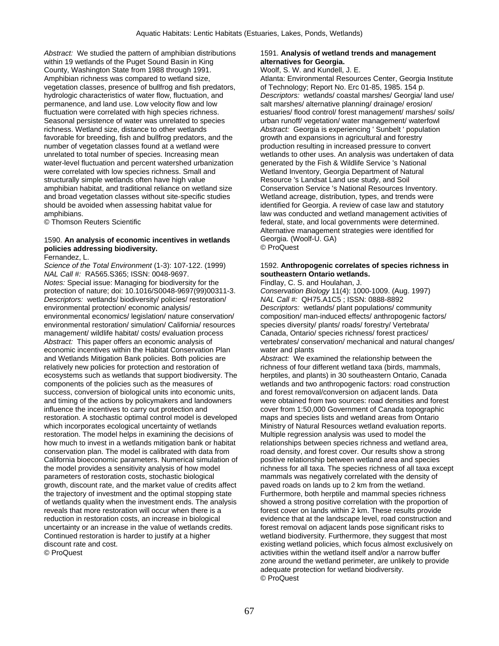*Abstract:* We studied the pattern of amphibian distributions 1591. **Analysis of wetland trends and management**  within 19 wetlands of the Puget Sound Basin in King **alternatives for Georgia.** County, Washington State from 1988 through 1991. Woolf, S. W. and Kundell, J. E.<br>Amphibian richness was compared to wetland size, Atlanta: Environmental Resourd vegetation classes, presence of bullfrog and fish predators, of Technology; Report No. Erc 01-85, 1985. 154 p. permanence, and land use. Low velocity flow and low fluctuation were correlated with high species richness. Seasonal persistence of water was unrelated to species richness. Wetland size, distance to other wetlands *Abstract:* Georgia is experiencing ' Sunbelt ' population favorable for breeding, fish and bullfrog predators, and the growth and expansions in agricultural and forestry number of vegetation classes found at a wetland were production resulting in increased pressure to convert water-level fluctuation and percent watershed urbanization generated by the Fish & Wildlife Service 's National were correlated with low species richness. Small and Wetland Inventory, Georgia Department of Natural structurally simple wetlands often have high value Resource 's Landsat Land use study, and Soil<br>
amphibian habitat, and traditional reliance on wetland size Conservation Service 's National Resources Inventory. amphibian habitat, and traditional reliance on wetland size and broad vegetation classes without site-specific studies should be avoided when assessing habitat value for intertainment identified for Georgia. A review of case law and statutory amphibians. law was conducted and wetland management activities of

### 1590. **An analysis of economic incentives in wetlands** Georgia. (Woolf-U. GA)<br> **policies addressing biodiversity.** © ProQuest policies addressing biodiversity.

Fernandez, L.<br>Science of the Total Environment (1-3): 107-122. (1999) *NAL Call #:* RA565.S365; ISSN: 0048-9697. **southeastern Ontario wetland**<br>*Notes:* Special issue: Managing for biodiversity for the Findlay, C. S. and Houlahan, J. *Notes:* Special issue: Managing for biodiversity for the Findlay, C. S. and Houlahan, J.<br>protection of nature; doi: 10.1016/S0048-9697(99)00311-3. Conservation Biology 11(4): 1000-1009. (Aug. 1997) protection of nature; doi: 10.1016/S0048-9697(99)00311-3. *Descriptors:* wetlands/ biodiversity/ policies/ restoration/ *NAL Call #:* QH75.A1C5 ; ISSN: 0888-8892 environmental protection/ economic analysis/ *Descriptors:* wetlands/ plant populations/ community environmental economics/ legislation/ nature conservation/ composition/ man-induced effects/ anthropogenic factors/ environmental restoration/ simulation/ California/ resources species diversity/ plants/ roads/ forestry/ Vertebrata/ management/ wildlife habitat/ costs/ evaluation process Canada, Ontario/ species richness/ forest practices/ *Abstract:* This paper offers an economic analysis of vertebrates/ conservation/ mechanical and natural changes/ economic incentives within the Habitat Conservation Plan vater and plants economic incentives within the Habitat Conservation Plan water and plants<br>
and Wetlands Mitigation Bank policies. Both policies are *Abstract:* We examined the relationship between the and Wetlands Mitigation Bank policies. Both policies are relatively new policies for protection and restoration of richness of four different wetland taxa (birds, mammals, ecosystems such as wetlands that support biodiversity. The herptiles, and plants) in 30 southeastern Ontario, Canada components of the policies such as the measures of wetlands and two anthropogenic factors: road construction success, conversion of biological units into economic units, and forest removal/conversion on adjacent lands. Data and timing of the actions by policymakers and landowners were obtained from two sources: road densities and forest influence the incentives to carry out protection and cover from 1:50,000 Government of Canada topographic restoration. A stochastic optimal control model is developed maps and species lists and wetland areas from Ontario which incorporates ecological uncertainty of wetlands Ministry of Natural Resources wetland evaluation reports. restoration. The model helps in examining the decisions of Multiple regression analysis was used to model the how much to invest in a wetlands mitigation bank or habitat relationships between species richness and wetland area, conservation plan. The model is calibrated with data from road density, and forest cover. Our results show a strong California bioeconomic parameters. Numerical simulation of positive relationship between wetland area and species the model provides a sensitivity analysis of how model richness for all taxa. The species richness of all taxa except parameters of restoration costs, stochastic biological mammals was negatively correlated with the density of growth, discount rate, and the market value of credits affect paved roads on lands up to 2 km from the wetland.<br>
the traiectory of investment and the optimal stopping state Furthermore, both herptile and mammal species ric the trajectory of investment and the optimal stopping state of wetlands quality when the investment ends. The analysis of wetlands quality when the investment ends. The analysis showed a strong positive correlation with the proportion of reveals that more restoration will occur when there is a strong forest cover on lands within 2 km. Thes reduction in restoration costs, an increase in biological evidence that at the landscape level, road construction and uncertainty or an increase in the value of wetlands credits. forest removal on adjacent lands pose significant risks to Continued restoration is harder to justify at a higher wetland biodiversity. Furthermore, they suggest that most discount rate and cost. existing wetland policies, which focus almost exclusively on

Atlanta: Environmental Resources Center, Georgia Institute hydrologic characteristics of water flow, fluctuation, and *Descriptors:* wetlands/ coastal marshes/ Georgia/ land use/<br>
permanence, and land use. Low velocity flow and low salt marshes/ alternative planning/ drainage/ ero estuaries/ flood control/ forest management/ marshes/ soils/<br>urban runoff/ vegetation/ water management/ waterfowl unrelated to total number of species. Increasing mean wetlands to other uses. An analysis was undertaken of data Wetland acreage, distribution, types, and trends were © Thomson Reuters Scientific federal, state, and local governments were determined. Alternative management strategies were identified for

## *Science of the Total Environment* (1-3): 107-122. (1999) 1592. **Anthropogenic correlates of species richness in**

forest cover on lands within 2 km. These results provide © ProQuest activities within the wetland itself and/or a narrow buffer zone around the wetland perimeter, are unlikely to provide adequate protection for wetland biodiversity. © ProQuest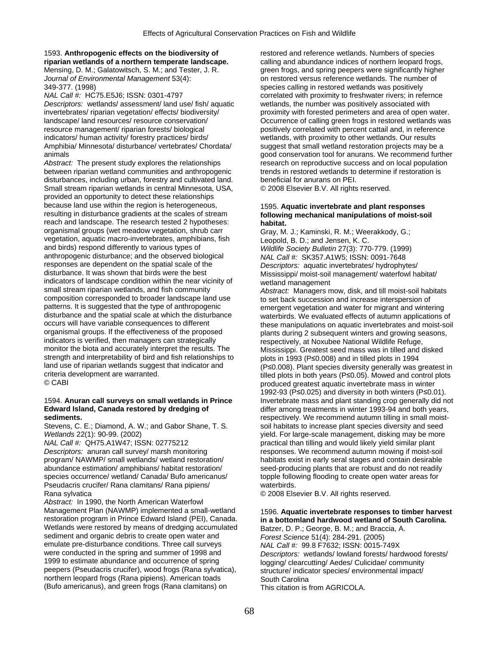1593. **Anthropogenic effects on the biodiversity of** restored and reference wetlands. Numbers of species **riparian wetlands of a northern temperate landscape.** calling and abundance indices of northern leopard frogs, *Journal of Environmental Management* 53(4): on restored versus reference wetlands. The number of 349-377. (1998) species calling in restored wetlands was positively

*Descriptors:* wetlands/ assessment/ land use/ fish/ aquatic wetlands, the number was positively associated with invertebrates/ riparian vegetation/ effects/ biodiversity/ proximity with forested perimeters and area of ope resource management/ riparian forests/ biological positively correlated with percent cattail and, in reference indicators/ human activity/ forestry practices/ birds/ wetlands, with proximity to other wetlands. Our results Amphibia/ Minnesota/ disturbance/ vertebrates/ Chordata/ suggest that small wetland restoration projects may be a

*Abstract:* The present study explores the relationships research on reproductive success and on local population between riparian wetland communities and anthropogenic trends in restored wetlands to determine if restoration is disturbances, including urban, forestry and cultivated land. beneficial for anurans on PEI.<br>Small stream riparian wetlands in central Minnesota, USA,  $\circ$  2008 Elsevier B.V. All rights reserved. Small stream riparian wetlands in central Minnesota, USA, provided an opportunity to detect these relationships because land use within the region is heterogeneous, 1595. Aquatic invertebrate and plant responses<br>
resulting in disturbance gradients at the scales of stream<br>
following mechanical manipulations of moist-sc reach and landscape. The research tested 2 hypotheses: **habitat.**  organismal groups (wet meadow vegetation, shrub carr Gray, M. J.; Kaminski, R. M.; Weerakkody, G.; vegetation, aquatic macro-invertebrates, amphibians, fish Leopold, B. D.; and Jensen, K. C.<br>and birds) respond differently to various types of Wildlife Society Bulletin 27(3): 770 anthropogenic disturbance; and the observed biological responses are dependent on the spatial scale of the responses are dependent on the spatial scale of the *Descriptors:* aquatic invertebrates/ hydrophytes/ indicators of landscape condition within the near vicinity of wetland management<br>small stream riparian wetlands, and fish community and management and managers m composition corresponded to broader landscape land use to set back succession and increase interspersion of patterns. It is suggested that the type of anthropogenic emergent vegetation and water for migrant and winter patterns. It is suggested that the type of anthropogenic emergent vegetation and water for migrant and wintering<br>disturbance and the spatial scale at which the disturbance waterbirds. We evaluated effects of autumn applica disturbance and the spatial scale at which the disturbance waterbirds. We evaluated effects of autumn applications of<br>occurs will have variable consequences to different burning these manipulations on aquatic invertebrates organismal groups. If the effectiveness of the proposed plants during 2 subsequent winters and growing seasons,<br>
indicators is verified, then managers can strategically<br>
respectively at Noxubee National Wildlife Refuge indicators is verified, then managers can strategically respectively, at Noxubee National Wildlife Refuge,<br>monitor the biota and accurately interpret the results. The Mississippi Greatest seed mass was in tilled and o monitor the biota and accurately interpret the results. The Mississippi. Greatest seed mass was in tilled and disked<br>strength and interpretability of bird and fish relationships to blots in 1993 (P≤0.008) and in tilled plo strength and interpretability of bird and fish relationships to plots in 1993 (P≤0.008) and in tilled plots in 1994<br>Iand use of riparian wetlands suggest that indicator and (P≤0.008). Plant species diversity generally was criteria development are warranted. the second of tilled plots in both years (P≤0.05). Mowed and control plots<br>© CABI

*Descriptors:* anuran call survey/ marsh monitoring responses. We recommend autumn mowing if moist-soil program/ NAWMP/ small wetlands/ wetland restoration/ habitats exist in early seral stages and contain desirable abundance estimation/ amphibians/ habitat restoration/ seed-producing plants that are robust and do not readily species occurrence/ wetland/ Canada/ Bufo americanus/ topple following flooding to create open water areas for Pseudacris crucifer/ Rana clamitans/ Rana pipiens/ waterbirds. Rana sylvatica © 2008 Elsevier B.V. All rights reserved.

*Abstract:* In 1990, the North American Waterfowl Management Plan (NAWMP) implemented a small-wetland and the sequatic invertebrate responses to timber harvest i<br>The storation program in Prince Edward Island (PEI), Canada. **and in a bottomland hardwood wetland of South Ca** Wetlands were restored by means of dredging accumulated Batzer, D. P.; George, B. M.; and Braccia, A. sediment and organic debris to create open water and *Forest Science* 51(4): 284-291. (2005) emulate pre-disturbance conditions. Three call surveys *NAL Call #:*  99.8 F7632; ISSN: 0015-749X<br>were conducted in the spring and summer of 1998 and *Descriptors:* wetlands/ lowland forests/ hard 1999 to estimate abundance and occurrence of spring logging/ clearcutting/ Aedes/ Culicidae/ community peepers (Pseudacris crucifer), wood frogs (Rana sylvatica), structure/ indicator species/ environmental impact/ northern leopard frogs (Rana pipiens). American toads South Carolina (Bufo americanus), and green frogs (Rana clamitans) on This citation is from AGRICOLA.

Mensing, D. M.; Galatowitsch, S. M.; and Tester, J. R. green frogs, and spring peepers were significantly higher *NAL Call #:* HC75.E5J6; ISSN: 0301-4797 correlated with proximity to freshwater rivers; in refernce invertebrates/ riparian vegetation/ effects/ biodiversity/ proximity with forested perimeters and area of open water.<br>
landscape/ land resources/ resource conservation/ Cocurrence of calling green frogs in restored wetland Occurrence of calling green frogs in restored wetlands was animals good conservation tool for anurans. We recommend further

## following mechanical manipulations of moist-soil

Wildlife Society Bulletin 27(3): 770-779. (1999)<br>NAL Call #: SK357.A1W5; ISSN: 0091-7648 Mississippi/ moist-soil management/ waterfowl habitat/

Abstract: Managers mow, disk, and till moist-soil habitats occurs will have variable consequences to different entity these manipulations on aquatic invertebrates and moist-soil<br>organismal groups. If the effectiveness of the proposed hands during 2 subsequent winters and growing s land use of riparian wetlands suggest that indicator and (P≤0.008). Plant species diversity generally was greatest in<br>criteria development are warranted. produced greatest aquatic invertebrate mass in winter 1992-93 (P≤0.025) and diversity in both winters (P≤0.01). 1594. **Anuran call surveys on small wetlands in Prince** Invertebrate mass and plant standing crop generally did not **Edward Island, Canada restored by dredging of differ among treatments in winter 1993-94 and both years, sediments.**<br>
Stevens, C. E.; Diamond, A. W.; and Gabor Shane, T. S. Soil habitats to increase plant species diversity and seed soil habitats to increase plant species diversity and seed *Wetlands* 22(1): 90-99. (2002) yield. For large-scale management, disking may be more *NAL Call #:* QH75.A1W47; ISSN: 02775212 practical than tilling and would likely yield similar plant

# in a bottomland hardwood wetland of South Carolina. Descriptors: wetlands/ lowland forests/ hardwood forests/

68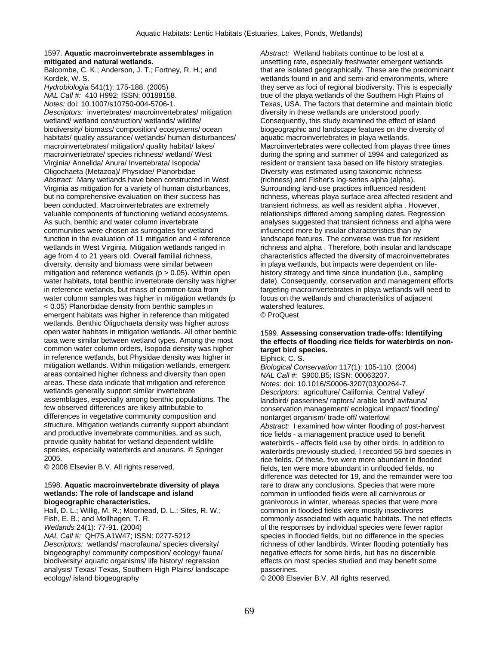## 1597. **Aquatic macroinvertebrate assemblages in** *Abstract:* Wetland habitats continue to be lost at a

Kordek, W. S. wetlands found in arid and semi-arid environments, where *Hydrobiologia* 541(1): 175-188. (2005) they serve as foci of regional biodiversity. This is especially naturally<br>
NAL Call #: 410 H992: ISSN: 00188158. This is especially true of the playa wetlands of the Southern High Pl *NAL Call #:* 410 H992; ISSN: 00188158. true of the playa wetlands of the Southern High Plains of Notes: doi: 10.1007/s10750-004-5706-1. *Descriptors:* invertebrates/ macroinvertebrates/ mitigation wetland/ wetland construction/ wetlands/ wildlife/ biodiversity/ biomass/ composition/ ecosystems/ ocean biogeographic and landscape features on the diversity of habitats/ quality assurance/ wetlands/ human disturbances/ aquatic macroinvertebrates in playa wetlands. macroinvertebrates/ mitigation/ quality habitat/ lakes/ Macroinvertebrates were collected from playas three times<br>macroinvertebrate/ species richness/ wetland/ West during the spring and summer of 1994 and categorized as Virginia/ Annelida/ Anura/ Invertebrata/ Isopoda/ resident or transient taxa based on life history strategies.<br>Oligochaeta (Metazoa)/ Physidae/ Planorbidae research politiciary politiciary was estimated using taxonomic ric *Abstract:* Many wetlands have been constructed in West (richness) and Fisher's log-series alpha (alpha).<br>Virginia as mitigation for a variety of human disturbances, Surrounding land-use practices influenced resident Virginia as mitigation for a variety of human disturbances, but no comprehensive evaluation on their success has been conducted. Macroinvertebrates are extremely externally transient richness, as well as resident alpha. However, valuable components of functioning wetland ecosystems. The relationships differed among sampling dates. Regression As such, benthic and water column invertebrate analyses suggested that transient richness and alpha were communities were chosen as surrogates for wetland influenced more by insular characteristics than by function in the evaluation of 11 mitigation and 4 reference landscape features. The converse was true for resident wetlands in West Virginia. Mitigation wetlands ranged in richness and alpha . Therefore, both insular and landscape age from 4 to 21 years old. Overall familial richness, characteristics affected the diversity of macroinvertebrates diversity, density and biomass were similar between in playa wetlands, but impacts were dependent on lifemitigation and reference wetlands (p > 0.05). Within open history strategy and time since inundation (i.e., sampling in reference wetlands, but mass of common taxa from targeting macroinvertebrates in playa wetlands will need to<br>water column samples was higher in mitigation wetlands (p focus on the wetlands and characteristics of adjacen water column samples was higher in mitigation wetlands (p < 0.05) Planorbidae density from benthic samples in watershed features.<br>
emergent habitats was higher in reference than mitigated © ProQuest emergent habitats was higher in reference than mitigated wetlands. Benthic Oligochaeta density was higher across open water habitats in mitigation wetlands. All other benthic open water habitats in mitigation wetlands. All other benthic 1599. **Assessing conservation trade-offs: Identifying**  common water column orders, Isopoda density was higher **target bird species.** in reference wetlands, but Physidae density was higher in Elphick, C. S.<br>mitigation wetlands. Within mitigation wetlands, emergent Biological Conservation 117(1): 105-110. (2004) mitigation wetlands. Within mitigation wetlands, emergent areas contained higher richness and diversity than open *NAL Call #:* S900.B5; ISSN: 00063207.<br>areas. These data indicate that mitigation and reference *Notes: doi: 10.1016/S0006-3207(03)002* areas. These data indicate that mitigation and reference *Notes:* doi: 10.1016/S0006-3207(03)00264-7. assemblages, especially among benthic populations. The landbird/ passerines/ raptors/ arable land/ avifauna/<br>few observed differences are likely attributable to conservation management/ ecological impact/ flood differences in vegetative community composition and nontarget organism/ trade-off/ waterfowl<br>structure. Mitigation wetlands currently support abundant Abstract: Lexamined how winter flooding structure. Mitigation wetlands currently support abundant *Abstract:* I examined how winter flooding of post-harvest and productive invertebrate communities, and as such, example ince fields - a management practice used to benefit<br>provide quality habitat for wetland dependent wildlife waterbirds - affects field use by other birds. In add provide quality habitat for wetland dependent wildlife waterbirds - affects field use by other birds. In addition to<br>species, especially waterbirds and anurans. © Springer waterbirds previously studied I recorded 56 bird s

## **wetlands: The role of landscape and island common in unflooded fields were all carnivorous or <b>biogeographic characteristics.**<br> **biogeographic characteristics. common** a pranivorous in winter. whereas species that wer

Hall, D. L.; Willig, M. R.; Moorhead, D. L.; Sites, R. W.;

biogeography/ community composition/ ecology/ fauna/ negative effects for some birds, but has no discernible<br>biodiversity/ aquatic organisms/ life history/ regression effects on most species studied and may benefit some analysis/ Texas/ Texas, Southern High Plains/ landscape passerines.<br>ecology/ island biogeography  $\heartsuit$  2008 Else

**mitigated and natural wetlands.** unsettling rate, especially freshwater emergent wetlands Balcombe, C. K.; Anderson, J. T.; Fortney, R. H.; and that are isolated geographically. These are the predominant Texas, USA. The factors that determine and maintain biotic<br>diversity in these wetlands are understood poorly. Consequently, this study examined the effect of island during the spring and summer of 1994 and categorized as Diversity was estimated using taxonomic richness richness, whereas playa surface area affected resident and water habitats, total benthic invertebrate density was higher date). Consequently, conservation and management efforts

## the effects of flooding rice fields for waterbirds on non-

Descriptors: agriculture/ California, Central Valley/ conservation management/ ecological impact/ flooding/ species, especially waterbirds and anurans. © Springer waterbirds previously studied, I recorded 56 bird species in<br>2005.<br>Communismed rice fields. Of these five were more abundant in flooded 2005. rice fields. Of these, five were more abundant in flooded fields, ten were more abundant in unflooded fields, no difference was detected for 19, and the remainder were too 1598. **Aquatic macroinvertebrate diversity of playa** rare to draw any conclusions. Species that were more granivorous in winter, whereas species that were more common in flooded fields were mostly insectivores Fish, E. B.; and Mollhagen, T. R. commonly associated with aquatic habitats. The net effects *Wetlands* 24(1): 77-91. (2004)<br>
MAL Call #: QH75.A1W47; ISSN: 0277-5212<br>
Species in flooded fields, but no difference in the species species in flooded fields, but no difference in the species *Descriptors:* wetlands/ macrofauna/ species diversity/ richness of other landbirds. Winter flooding potentially has effects on most species studied and may benefit some

 $@$  2008 Elsevier B.V. All rights reserved.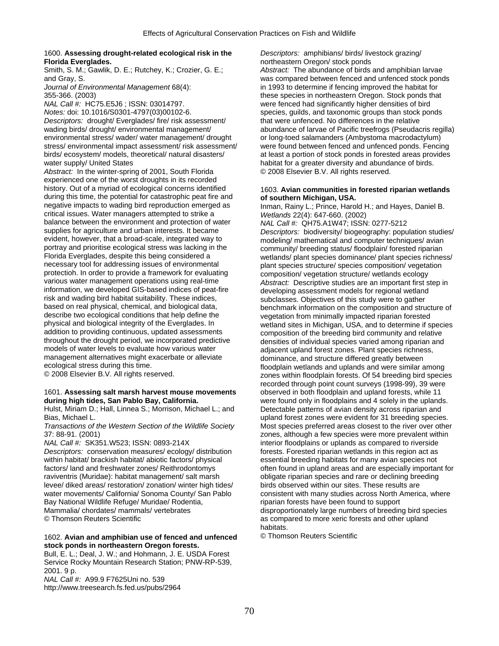### 1600. **Assessing drought-related ecological risk in the** *Descriptors:* amphibians/ birds/ livestock grazing/ **Florida Everglades.** northeastern Oregon/ stock ponds

*Descriptors: drought/ Everglades/ fire/ risk assessment/* environmental stress/ wader/ water management/ drought or long-toed salamanders (Ambystoma macrodactylum) stress/ environmental impact assessment/ risk assessment/ were found between fenced and unfenced ponds. Fencing birds/ ecosystem/ models, theoretical/ natural disasters/ at least a portion of stock ponds in forested areas provides

*Abstract:* In the winter-spring of 2001, South Florida experienced one of the worst droughts in its recorded<br>history. Out of a myriad of ecological concerns identified during this time, the potential for catastrophic peat fire and **of southern Michigan, USA.**<br>
negative impacts to wading bird reproduction emerged as **the impact of the contract of the manufacture** contract to wading bird r critical issues. Water managers attempted to strike a *Wetlands* 22(4): 647-660. (2002) balance between the environment and protection of water *NAL Call #:* QH75.A1W47; ISSN: 0277-5212<br>supplies for agriculture and urban interests. It became *Descriptors: biodiversity/ biogeography: pop* evident, however, that a broad-scale, integrated way to modeling/ mathematical and computer techniques/ avian<br>portray and prioritise ecological stress was lacking in the community/ breeding status/ floodplain/ forested rip portray and prioritise ecological stress was lacking in the community/ breeding status/ floodplain/ forested riparian<br>Florida Everglades, despite this being considered a wetlands/ plant species dominance/ plant species ric necessary tool for addressing issues of environmental plant species structure/ species composition/ vegetation<br>protection. In order to provide a framework for evaluating composition/ vegetation structure/ wetlands ecology protectioh. In order to provide a framework for evaluating composition/ vegetation structure/ wetlands ecology<br>various water management operations using real-time *Abstract:* Descriptive studies are an important first s information, we developed GIS-based indices of peat-fire risk and wading bird habitat suitability. These indices, subclasses. Objectives of this study were to gather<br>based on real physical, chemical, and biological data, benchmark information on the composition and stru describe two ecological conditions that help define the vegetation from minimally impacted riparian forested<br>physical and biological integrity of the Everglades. In vertland sites in Michigan, USA, and to determine if s addition to providing continuous, updated assessments composition of the breeding bird community and relative<br>throughout the drought period, we incorporated predictive densities of individual species varied among riparian throughout the drought period, we incorporated predictive densities of individual species varied among riparian and<br>models of water levels to evaluate how various water and adjacent upland forest zones. Plant species richn models of water levels to evaluate how various water example adjacent upland forest zones. Plant species richness,<br>management alternatives might exacerbate or alleviate dominance, and structure differed greatly between management alternatives might exacerbate or alleviate dominance, and structure differed greatly between<br>ecological stress during this time.<br>floodplain wetlands and uplands and were similar a

## **during high tides, San Pablo Bay, California.** were found only in floodplains and 4 solely in the uplands.

Hulst, Miriam D.; Hall, Linnea S.; Morrison, Michael L.; and Detectable patterns of avian density across riparian and Bias, Michael L. upland forest zones were evident for 31 breeding species.

37: 88-91. (2001) zones, although a few species were more prevalent within

*Descriptors:* conservation measures/ ecology/ distribution forests. Forested riparian wetlands in this region act as within habitat/ brackish habitat/ abiotic factors/ physical essential breeding habitats for many avian species not<br>
factors/ land and freshwater zones/ Reithrodontomys often found in upland areas and are especially importa raviventris (Muridae): habitat management/ salt marsh obligate riparian species and rare or declining breeding levee/ diked areas/ restoration/ zonation/ winter high tides/ birds observed within our sites. These results are<br>water movements/ California/ Sonoma County/ San Pablo consistent with many studies across North Americ Bay National Wildlife Refuge/ Muridae/ Rodentia, Mammalia/ chordates/ mammals/ vertebrates © Thomson Reuters Scientific as compared to more xeric forests and other upland

### 1602. **Avian and amphibian use of fenced and unfenced** © Thomson Reuters Scientific **stock ponds in northeastern Oregon forests.**

Bull, E. L.; Deal, J. W.; and Hohmann, J. E. USDA Forest Service Rocky Mountain Research Station; PNW-RP-539, 2001. 9 p.

*NAL Call #:* A99.9 F7625Uni no. 539

http://www.treesearch.fs.fed.us/pubs/2964

Smith, S. M.; Gawlik, D. E.; Rutchey, K.; Crozier, G. E.; *Abstract:* The abundance of birds and amphibian larvae was compared between fenced and unfenced stock ponds *Journal of Environmental Management* 68(4): in 1993 to determine if fencing improved the habitat for 355-366. (2003)<br>
MAL Call #: HC75.E5J6 ; ISSN: 03014797.<br>
Were fenced had significantly higher densities of bird *NAL Call #:* HC75.E5J6 ; ISSN: 03014797. were fenced had significantly higher densities of bird species, guilds, and taxonomic groups than stock ponds<br>that were unfenced. No differences in the relative wading birds/ drought/ environmental management/ abundance of larvae of Pacific treefrogs (Pseudacris regilla) water supply/ United States habitat for a greater diversity and abundance of birds.<br>Abstract: In the winter-spring of 2001, South Florida © 2008 Elsevier B.V. All rights reserved.

### 1603. Avian communities in forested riparian wetlands

Inman, Rainy L.; Prince, Harold H.; and Hayes, Daniel B. supplies for agriculture and urban interests. It became *Descriptors:* biodiversity/ biogeography: population studies/ Florida Everglades, despite this being considered a wetlands/ plant species dominance/ plant species richness/<br>necessary tool for addressing issues of environmental plant species structure/ species composition/ vegetation Abstract: Descriptive studies are an important first step in developing assessment models for regional wetland based on real physical, chemical, and biological data, benchmark information on the composition and structure of describe two ecological conditions that help define the vegetation from minimally impacted riparian forested physical and biological integrity of the Everglades. In wetland sites in Michigan, USA, and to determine if species addition to providing continuous, updated assessments composition of the breeding bird community and relat ecological stress during this time.<br>© 2008 Elsevier B.V. All rights reserved. Floodplain wetlands and uplands and were similar among<br>Flood D. This media on the special and we are among the section of the special website of zones within floodplain forests. Of 54 breeding bird species recorded through point count surveys (1998-99), 39 were 1601. **Assessing salt marsh harvest mouse movements** observed in both floodplain and upland forests, while 11 *Transactions of the Western Section of the Wildlife Society* Most species preferred areas closest to the river over other *NAL Call #:* SK351.W523; ISSN: 0893-214X interior floodplains or uplands as compared to riverside often found in upland areas and are especially important for consistent with many studies across North America, where riparian forests have been found to support disproportionately large numbers of breeding bird species habitats.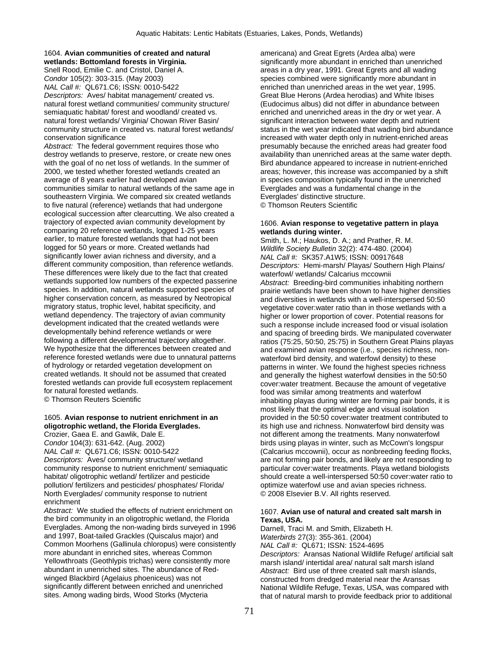1604. **Avian communities of created and natural** americana) and Great Egrets (Ardea alba) were **wetlands: Bottomland forests in Virginia.** significantly more abundant in enriched than unenriched Snell Rood, Emilie C. and Cristol, Daniel A. **Arror Cristol, and a areas in a dry year**, 1991. Great Egrets and all wading *Condor* 105(2): 303-315. (May 2003) species combined were significantly more abundant in *NAL Call #:* QL671.C6; ISSN: 0010-5422 enriched than unenriched areas in the wet year, 1995. *Descriptors:* Aves/ habitat management/ created vs. Great Blue Herons (Ardea herodias) and White Ibises natural forest wetland communities/ community structure/ (Eudocimus albus) did not differ in abundance between semiaquatic habitat/ forest and woodland/ created vs. enriched and unenriched areas in the dry or wet year. A<br>
natural forest wetlands/ Virginia/ Chowan River Basin/ significant interaction between water depth and nutrient conservation significance increased with water depth only in nutrient-enriched areas Abstract: The federal government requires those who presumably because the enriched areas had greater food with the goal of no net loss of wetlands. In the summer of Bird abundance appeared to increase in nutrient-enriched 2000, we tested whether forested wetlands created an areas; however, this increase was accompanied by a shift average of 8 years earlier had developed avian in species composition typically found in the unenriched communities similar to natural wetlands of the same age in Everglades and was a fundamental change in the

southeastern Virginia. We compared six created wetlands Everglades' distinctive structure. to five natural (reference) wetlands that had undergone © Thomson Reuters Scientific ecological succession after clearcutting. We also created a trajectory of expected avian community development by 1606. **Avian response to vegetative pattern in playa**  comparing 20 reference wetlands, logged 1-25 years **wetlands during winter.**  earlier, to mature forested wetlands that had not been Smith, L. M.; Haukos, D. A.; and Prather, R. M. logged for 50 years or more. Created wetlands had *Wildlife Society Bulletin* 32(2): 474-480. (2004) significantly lower avian richness and diversity, and a *NAL Call #:* **SK357.A1W5; ISSN: 00917648**<br>different community composition, than reference wetlands. *Descriptors: Hemi-marsh/ Playas/ Southern* These differences were likely due to the fact that created waterfowl/ wetlands/ Calcarius mccownii<br>wetlands supported low numbers of the expected passerine *Abstract:* Breeding-bird communities inh wetlands supported low numbers of the expected passerine *Abstract:* Breeding-bird communities inhabiting northern<br>species. In addition, natural wetlands supported species of prairie wetlands have been shown to have higher higher conservation concern, as measured by Neotropical and diversities in wetlands with a well-interspersed 50:50<br>migratory status, trophic level, habitat specificity, and vegetative cover water ratio than in those wetlan migratory status, trophic level, habitat specificity, and vegetative cover:water ratio than in those wetlands with a<br>wetland dependency. The trajectory of avian community big big happen or lower proportion of cover. Potent wetland dependency. The trajectory of avian community higher or lower proportion of cover. Potential reasons for<br>development indicated that the created wetlands were such a response include increased food or visual isolati development indicated that the created wetlands were such a response include increased food or visual isolation<br>developmentally behind reference wetlands or were and spacing of breeding birds. We manipulated coverwate developmentally behind reference wetlands or were and spacing of breeding birds. We manipulated coverwater<br>following a different developmental trajectory altogether.<br>ratios (75:25, 50:50, 25:75) in Southern Great Plains pl We hypothesize that the differences between created and and examined avian response (i.e., species richness, non-<br>The reference forested wetlands were due to unnatural patterns waterfowl bird density and waterfowl density) reference forested wetlands were due to unnatural patterns waterfowl bird density, and waterfowl density) to these<br>of hydrology or retarded vegetation development on patterns in winter. We found the highest species richne of hydrology or retarded vegetation development on patterns in winter. We found the highest species richness<br>Created wetlands. It should not be assumed that created and generally the highest waterfowl densities in the 50:5 created wetlands. It should not be assumed that created and generally the highest waterfowl densities in the 50:50<br>
forested wetlands can provide full ecosystem replacement<br>
cover water treatment. Because the amount of veg forested wetlands can provide full ecosystem replacement cover:water treatment. Because the amount of vegetative<br>food was similar among treatments and waterfowl

pollution/ fertilizers and pesticides/ phosphates/ Florida/ optimize waterfowl use and avian species richness. North Everglades/ community response to nutrient  $\heartsuit$  2008 Elsevier B.V. All rights reserved. enrichment

*Abstract:* We studied the effects of nutrient enrichment on 1607. **Avian use of natural and created salt marsh in**  the bird community in an oligotrophic wetland, the Florida<br>**Everglades. Among the non-wading birds surveyed in 1996** Darnell, Traci M. and Smith, Elizabeth H. Everglades. Among the non-wading birds surveyed in 1996 and 1997, Boat-tailed Grackles (Quiscalus major) and *Waterbirds* 27(3): 355-361. (2004) Common Moorhens (Gallinula chloropus) were consistently *NAL Call #:* QL671; ISSN: 1524-4695 Yellowthroats (Geothlypis trichas) were consistently more marsh island/ intertidal area/ natural salt marsh island<br>abundant in unenriched sites. The abundance of Red-<br>Abstract: Bird use of three created salt marsh islands. abundant in unenriched sites. The abundance of Red- *Abstract:* Bird use of three created salt marsh islands, winged Blackbird (Agelaius phoeniceus) was not example on the constructed from dredged material near the Aransas<br>Significantly different between enriched and unenriched example and Mational Wildlife Refuge, Texas, USA, was significantly different between enriched and unenriched National Wildlife Refuge, Texas, USA, was compared with<br>Sites. Among wading birds, Wood Storks (Mycteria https://www.that.of natural marsh to provide feedback prior t

significant interaction between water depth and nutrient community structure in created vs. natural forest wetlands/ status in the wet year indicated that wading bird abundance destroy wetlands to preserve, restore, or create new ones availability than unenriched areas at the same water depth.

Descriptors: Hemi-marsh/ Playas/ Southern High Plains/ prairie wetlands have been shown to have higher densities following a different developmental trajectory altogether. ratios (75:25, 50:50, 25:75) in Southern Great Plains playas<br>We hypothesize that the differences between created and rate and examined avian response (i.e., specie for natural forested wetlands.<br>© Thomson Reuters Scientific in the state of the similar among treatments and waterfowl<br>inhabiting playes during winter are forming pair bo inhabiting playas during winter are forming pair bonds, it is most likely that the optimal edge and visual isolation 1605. **Avian response to nutrient enrichment in an** provided in the 50:50 cover:water treatment contributed to **oligotrophic wetland, the Florida Everglades.** its high use and richness. Nonwaterfowl bird density was Crozier, Gaea E. and Gawlik, Dale E. not have not different among the treatments. Many nonwaterfowl *Condor* 104(3): 631-642. (Aug. 2002) birds using playas in winter, such as McCown's longspur *NAL Call #:* QL671.C6; ISSN: 0010-5422 (Calcarius mccownii), occur as nonbreeding feeding flocks, *Descriptors:* Aves/ community structure/ wetland are not forming pair bonds, and likely are not responding to community response to nutrient enrichment/ semiaquatic particular cover:water treatments. Playa wetland biologists habitat/ oligotrophic wetland/ fertilizer and pesticide should create a well-interspersed 50:50 cover:water ratio to

Descriptors: Aransas National Wildlife Refuge/ artificial salt that of natural marsh to provide feedback prior to additional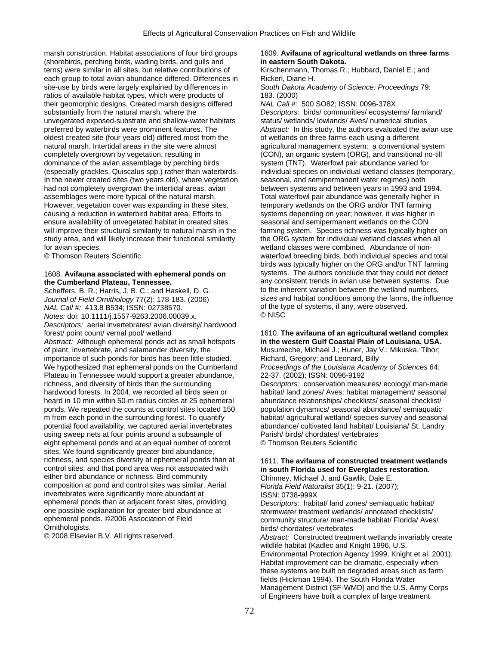marsh construction. Habitat associations of four bird groups 1609. **Avifauna of agricultural wetlands on three farms**  (shorebirds, perching birds, wading birds, and gulls and **in eastern South Dakota.**  terns) were similar in all sites, but relative contributions of Kirschenmann, Thomas R.; Hubbard, Daniel E.; and each group to total avian abundance differed. Differences in Rickerl, Diane H. site-use by birds were largely explained by differences in *South Dakota Academy of Science: Proceedings* 79: ratios of available habitat types, which were products of 183. (2000) their geomorphic designs. Created marsh designs differed *NAL Call #:* 500 SO82; ISSN: 0096-378X substantially from the natural marsh, where the *Descriptors:* birds/ communities/ ecosystems/ farmland/ unvegetated exposed-substrate and shallow-water habitats status/ wetlands/ lowlands/ Aves/ numerical studies unvegetated exposed-substrate and shallow-water habitats preferred by waterbirds were prominent features. The *Abstract:* In this study, the authors evaluated the avian use oldest created site (four years old) differed most from the of wetlands on three farms each using a different natural marsh. Intertidal areas in the site were almost agricultural management system: a conventional system completely overgrown by vegetation, resulting in (CON), an organic system (ORG), and transitional no-till dominance of the avian assemblage by perching birds system (TNT). Waterfowl pair abundance varied for (especially grackles, Quiscalus spp.) rather than waterbirds. individual species on individual wetland classes (temporary, In the newer created sites (two years old), where vegetation seasonal, and semipermanent water regimes) both had not completely overgrown the intertidal areas, avian between systems and between years in 1993 and 1994.<br>
assemblages were more typical of the natural marsh. Total waterfowl pair abundance was generally higher in assemblages were more typical of the natural marsh. Total waterfowl pair abundance was generally higher<br>However, vegetation cover was expanding in these sites, the remporary wetlands on the ORG and/or TNT farming However, vegetation cover was expanding in these sites, causing a reduction in waterbird habitat area. Efforts to systems depending on year; however, it was higher in ensure availability of unvegetated habitat in created sites seasonal and semipermanent wetlands on the CON will improve their structural similarity to natural marsh in the farming system. Species richness was typically higher on study area, and will likely increase their functional similarity the ORG system for individual wetland classes when all for avian species. wetland classes were combined. Abundance of non-

Scheffers, B. R.; Harris, J. B. C.; and Haskell, D. G. Journal of Field Ornithology 77(2): 178-183. (2006) sizes and habitat conditions among the farms, the influence *NAL Call #:* 413.8 B534; ISSN: 02738570. of the type of systems, if any, were observed.<br>Notes: doi: 10.1111/i 1557-9263.2006.00039.x © NISC *Notes:* doi: 10.1111/j.1557-9263.2006.00039.x. *Descriptors:* aerial invertebrates/ avian diversity/ hardwood forest/ point count/ vernal pool/ wetland 1610. **The avifauna of an agricultural wetland complex**  *Abstract:* Although ephemeral ponds act as small hotspots **in the western Gulf Coastal Plain of Louisiana, USA.**  of plant, invertebrate, and salamander diversity, the Musumeche, Michael J.; Huner, Jay V.; Mikuska, Tibor;<br>
importance of such ponds for birds has been little studied. Richard, Gregory; and Leonard, Billy importance of such ponds for birds has been little studied. We hypothesized that ephemeral ponds on the Cumberland *Proceedings of the Louisiana Academy of Sciences* 64: Plateau in Tennessee would support a greater abundance, 22-37. (2002); ISSN: 0096-9192 richness, and diversity of birds than the surrounding *Descriptors:* conservation measures/ ecology/ man-made hardwood forests. In 2004, we recorded all birds seen or habitat/ land zones/ Aves: habitat management/ seasonal heard in 10 min within 50-m radius circles at 25 ephemeral abundance relationships/ checklists/ seasonal checklist/ ponds. We repeated the counts at control sites located 150 population dynamics/ seasonal abundance/ semiaquatic m from each pond in the surrounding forest. To quantify habitat/ agricultural wetland/ species survey and seasonal potential food availability, we captured aerial invertebrates abundance/ cultivated land habitat/ Louisiana/ St. Landry using sweep nets at four points around a subsample of Parish/ birds/ chordates/ vertebrates eight ephemeral ponds and at an equal number of control © Thomson Reuters Scientific sites. We found significantly greater bird abundance, richness, and species diversity at ephemeral ponds than at 1611. **The avifauna of constructed treatment wetlands** control sites, and that pond area was not associated with **in south Florida used for Everglades restoration** either bird abundance or richness. Bird community Chimney, Michael J. and Gawlik, Dale E. composition at pond and control sites was similar. Aerial *Florida Field Naturalist* 35(1): 9-21. (2007); invertebrates were significantly more abundant at ISSN: 0738-999X<br>ephemeral ponds than at adjacent forest sites, providing *Descriptors:* habit ephemeral ponds than at adjacent forest sites, providing *Descriptors:* habitat/ land zones/ semiaquatic habitat/ one possible explanation for greater bird abundance at stormwater treatment wetlands/ annotated checklists/<br>ephemeral ponds. ©2006 Association of Field community structure/ man-made habitat/ Florida/ Aves ephemeral ponds. ©2006 Association of Field community structure/ man-made habitat/ Florida/ Aves/<br>Crnithologists. community structure/ vertebrates/ vertebrates

Ornithologists.<br>
© 2008 Elsevier B.V. All rights reserved.<br>
Abstract: Constructed treatm

© Thomson Reuters Scientific waterfowl breeding birds, both individual species and total birds was typically higher on the ORG and/or TNT farming 1608. **Avifauna associated with ephemeral ponds on** systems. The authors conclude that they could not detect any consistent trends in avian use between systems. Due to the inherent variation between the wetland numbers,

## in south Florida used for Everglades restoration.

Abstract: Constructed treatment wetlands invariably create wildlife habitat (Kadlec and Knight 1996, U.S. Environmental Protection Agency 1999, Knight et al. 2001). Habitat improvement can be dramatic, especially when these systems are built on degraded areas such as farm fields (Hickman 1994). The South Florida Water Management District (SF-WMD) and the U.S. Army Corps of Engineers have built a complex of large treatment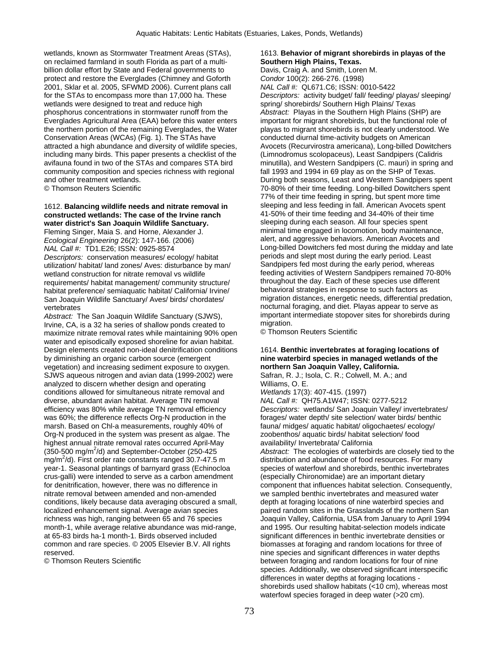wetlands, known as Stormwater Treatment Areas (STAs), 1613. **Behavior of migrant shorebirds in playas of the** on reclaimed farmland in south Florida as part of a multi- **Southern High Plains, Texas.**  billion dollar effort by State and Federal governments to Davis, Craig A. and Smith, Loren M. protect and restore the Everglades (Chimney and Goforth *Condor* 100(2): 266-276. (1998) 2001, Sklar et al. 2005, SFWMD 2006). Current plans call *NAL Call #:* QL671.C6; ISSN: 0010-5422 for the STAs to encompass more than 17,000 ha. These *Descriptors:* activity budget/ fall/ feeding/ playas/ sleeping/ wetlands were designed to treat and reduce high spring/ shorebirds/ Southern High Plains/ Texas<br>
phosphorus concentrations in stormwater runoff from the *Abstract:* Playas in the Southern High Plains (SHP) are phosphorus concentrations in stormwater runoff from the *Abstract:* Playas in the Southern High Plains (SHP) are Everglades Agricultural Area (EAA) before this water enters the northern portion of the remaining Everglades, the Water playas to migrant shorebirds is not clearly understood. We Conservation Areas (WCAs) (Fig. 1). The STAs have conducted diurnal time-activity budgets on American attracted a high abundance and diversity of wildlife species, Avocets (Recurvirostra americana), Long-billed Dowitchers including many birds. This paper presents a checklist of the (Limnodromus scolopaceus), Least Sandpipers (Calidris avifauna found in two of the STAs and compares STA bird minutilla), and Western Sandpipers (C. mauri) in spring and community composition and species richness with regional fall 1993 and 1994 in 69 play as on the SHP of Texas.

## **constructed wetlands: The case of the Irvine ranch** 41-50% of their time feeding and 34-40% of their time

Fleming Singer, Maia S. and Horne, Alexander J. *Ecological Engineering* 26(2): 147-166. (2006) alert, and aggressive behaviors. American Avocets and *Descriptors:* conservation measures/ ecology/ habitat periods and slept most during the early period. Least utilization/ habitat/ land zones/ Aves: disturbance by man/ Sandpipers fed most during the early period, whereas utilization/ habitat/ land zones/ Aves: disturbance by man/ requirements/ habitat management/ community structure/ throughout the day. Each of these species use different<br>habitat preference/ semiaguatic habitat/ California/ Irvine/ behavioral strategies in response to such factors habitat preference/ semiaquatic habitat/ California/ Irvine/ vertebrates **nocturnal foraging, and diet. Playas appear to serve as** nocturnal foraging, and diet. Playas appear to serve as

Irvine, CA, is a 32 ha series of shallow ponds created to migration.<br>maximize nitrate removal rates while maintaining 90% open <sup>©</sup> Thomson Reuters Scientific maximize nitrate removal rates while maintaining 90% open water and episodically exposed shoreline for avian habitat. Design elements created non-ideal denitrification conditions 1614. **Benthic invertebrates at foraging locations of**  by diminishing an organic carbon source (emergent **nine waterbird species in managed wetlands of the**  vegetation) and increasing sediment exposure to oxygen. **northern San Joaquin Valley, California.**  SJWS aqueous nitrogen and avian data (1999-2002) were Safran, R. J.; Isola, C. R.; Colwell, M. A.; and analyzed to discern whether design and operating Williams, O. E.<br>
conditions allowed for simultaneous nitrate removal and Wetlands 17(3): 407-415. (1997) conditions allowed for simultaneous nitrate removal and diverse, abundant avian habitat. Average TIN removal *NAL Call #:* QH75.A1W47; ISSN: 0277-5212 efficiency was 80% while average TN removal efficiency *Descriptors:* wetlands/ San Joaquin Valley/ invertebrates/ was 60%; the difference reflects Org-N production in the forages/ water depth/ site selection/ water birds/ benthic marsh. Based on Chl-a measurements, roughly 40% of fauna/ midges/ aquatic habitat/ oligochaetes/ ecology/ Org-N produced in the system was present as algae. The zoobenthos/ aquatic birds/ habitat selection/ food highest annual nitrate removal rates occurred April-May availability/ Invertebrata/ California  $(350-500 \text{ mg/m}^2/d)$  and September-October (250-425) mg/m<sup>2</sup>/d). First order rate constants ranged 30.7-47.5 m year-1. Seasonal plantings of barnyard grass (Echinocloa species of waterfowl and shorebirds, benthic invertebrates crus-galli) were intended to serve as a carbon amendment (especially Chironomidae) are an important dietary for denitrification, however, there was no difference in component that influences habitat selection. Consequently, nitrate removal between amended and non-amended we sampled benthic invertebrates and measured water conditions, likely because data averaging obscured a small, depth at foraging locations of nine waterbird species and<br>localized enhancement signal. Average avian species paired random sites in the Grasslands of the norther localized enhancement signal. Average avian species richness was high, ranging between 65 and 76 species Joaquin Valley, California, USA from January to April 1994 month-1, while average relative abundance was mid-range, and 1995. Our resulting habitat-selection models indicate at 65-83 birds ha-1 month-1. Birds observed included significant differences in benthic invertebrate densities or common and rare species. © 2005 Elsevier B.V. All rights biomasses at foraging and random locations for three of

and other treatment wetlands.<br>
© Thomson Reuters Scientific 
and During both seasons, Least and Western Sandpipers spent

To-80% of their time feeding. Long-billed Dowitchers spent

C Thomson Reuters Scientific 70-80% of their time feeding. Long-billed Dowitchers spent 77% of their time feeding in spring, but spent more time 1612. **Balancing wildlife needs and nitrate removal in** sleeping and less feeding in fall. American Avocets spent **water district's San Joaquin Wildlife Sanctuary.** Sleeping during each season. All four species spent vertical transmitted and Horne Alexander I<br>Fleming Singer, Maia S, and Horne, Alexander I, example a minimal time engag *NAL Call #:* TD1.E26; ISSN: 0925-8574 <br>*Descriptors:* conservation measures/ ecology/ habitat periods and slept most during the early period. Least wetland construction for nitrate removal vs wildlife feeding activities of Western Sandpipers remained 70-80%<br>
requirements/ habitat management/ community structure/ throughout the day. Each of these species use different San Joaquin Wildlife Sanctuary/ Aves/ birds/ chordates/ migration distances, energetic needs, differential predation, *Abstract:* The San Joaquin Wildlife Sanctuary (SJWS), important intermediate stopover sites for shorebirds during<br>Irvine CA is a 32 ha series of shallow ponds created to migration.

Abstract: The ecologies of waterbirds are closely tied to the distribution and abundance of food resources. For many reserved.<br> **Exercise 2** of the species and significant differences in water depths<br> **Exercise 2** of the species and significant differences in water depths<br> **Exercise 2** of the species and significant differences in water between foraging and random locations for four of nine species. Additionally, we observed significant interspecific differences in water depths at foraging locations shorebirds used shallow habitats (<10 cm), whereas most waterfowl species foraged in deep water (>20 cm).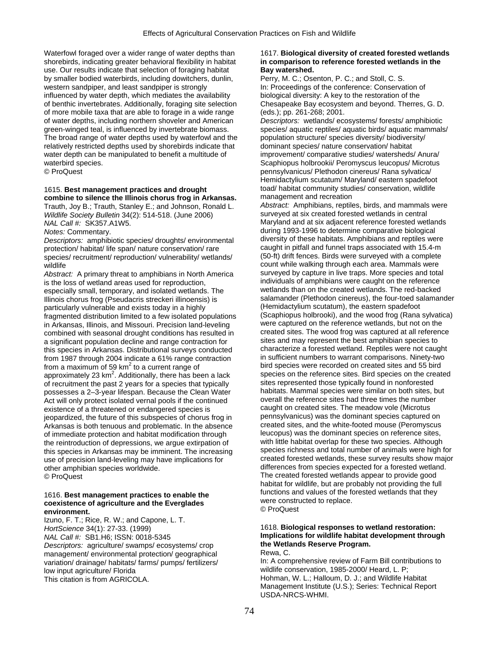Waterfowl foraged over a wider range of water depths than 1617. **Biological diversity of created forested wetlands**  shorebirds, indicating greater behavioral flexibility in habitat **in comparison to reference forested wetlands in the**  use. Our results indicate that selection of foraging habitat **Bay watershed.**<br>
by smaller bodied waterbirds, including dowitchers, dunlin, Perry, M. C.; Osenton, P. C.; and Stoll, C. S. by smaller bodied waterbirds, including dowitchers, dunlin, western sandpiper, and least sandpiper is strongly In: Proceedings of the conference: Conservation of influenced by water depth, which mediates the availability biological diversity: A key to the restoration of the<br>of benthic invertebrates. Additionally, foraging site selection Chesapeake Bay ecosystem and beyond. Therres, of benthic invertebrates. Additionally, foraging site selection Chesapeake Bay ecosystem of more mobile taxa that are able to forage in a wide range (eds.); pp. 261-268; 2001. of more mobile taxa that are able to forage in a wide range of water depths, including northern shoveler and American green-winged teal, is influenced by invertebrate biomass. species/ aquatic reptiles/ aquatic birds/ aquatic mammals/ The broad range of water depths used by waterfowl and the population structure/ species diversity/ biodiversity/ relatively restricted depths used by shorebirds indicate that dominant species/ nature conservation/ habitat water depth can be manipulated to benefit a multitude of improvement/ comparative studies/ watersheds/ Anura/ waterbird species. The second species of the scape of the Scaphiopus holbrookii/ Peromyscus leucopus/ Microtus

## **combine to silence the Illinois chorus frog in Arkansas.** The management and recreation<br>Trauth, Joy B.: Trauth, Stanley E.: and Johnson, Ronald L. Abstract: Amphibians, reptiles, birds, and mammals were

*Wildlife Society Bulletin* 34(2): 514-518. (June 2006)

*Descriptors:* amphibiotic species/ droughts/ environmental diversity of these habitats. Amphibians and reptiles were<br>protection/ habitat/ life span/ nature conservation/ rare caught in pitfall and funnel traps associated protection/ habitat/ life span/ nature conservation/ rare caught in pitfall and funnel traps associated with 15.4-m<br>species/ recruitment/ reproduction/ vulnerability/ wetlands/ (50-ft) drift fences. Birds were surveyed wit species/ recruitment/ reproduction/ vulnerability/ wetlands/

*Abstract: A primary threat to amphibians in North America* is the loss of wetland areas used for reproduction,<br>especially small, temporary, and isolated wetlands. The wetlands than on the created wetlands. The red-backed especially small, temporary, and isolated wetlands. The fragmented distribution limited to a few isolated populations (Scaphiopus holbrooki), and the wood frog (Rana sylvation in Arkansas, Illinois, and Missouri, Precision land-leveling were captured on the reference wetlands, in Arkansas, Illinois, and Missouri. Precision land-leveling combined with seasonal drought conditions has resulted in created sites. The wood frog was captured at all reference<br>a significant population decline and range contraction for sites and may represent the best amphibian spe a significant population decline and range contraction for sites and may represent the best amphibian species to<br>this species in Arkansas, Distributional surveys conducted characterize a forested wetland. Reptiles were not this species in Arkansas. Distributional surveys conducted characterize a forested wetland. Reptiles were not caught<br>from 1987 through 2004 indicate a 61% range contraction in sufficient numbers to warrant comparisons. Nin from 1987 through 2004 indicate a 61% range contraction from a maximum of 59  $km<sup>2</sup>$  to a current range of approximately 23  $km^2$ . Additionally, there has been a lack of recruitment the past 2 years for a species that typically sites represented those typically found in nonforested<br>possesses a 2–3-year lifespan. Because the Clean Water habitats. Mammal species were similar on both sites possesses a 2–3-year lifespan. Because the Clean Water habitats. Mammal species were similar on both sites, but<br>Act will only protect isolated vernal pools if the continued overall the reference sites had three times the n Act will only protect isolated vernal pools if the continued overall the reference sites had three times the numbe<br>existence of a threatened or endangered species is caught on created sites. The meadow vole (Microtus existence of a threatened or endangered species is eaught on created sites. The meadow vole (Microtus<br>
ieopardized, the future of this subspecies of chorus frog in pennsylvanicus) was the dominant species captured on jeopardized, the future of this subspecies of chorus frog in pennsylvanicus) was the dominant species captured on<br>Arkansas is both tenuous and problematic, In the absence created sites, and the white-footed mouse (Peromysc Arkansas is both tenuous and problematic. In the absence created sites, and the white-footed mouse (Peromyscus<br>of immediate protection and babitat modification through leucopus) was the dominant species on reference sites of immediate protection and habitat modification through leucopus) was the dominant species on reference sites,<br>the reintroduction of depressions, we argue extirpation of with little habitat overlap for these two species. use of precision land-leveling may have implications for other amphibian species worldwide. differences from species expected for a forested wetland. © ProQuest The created forested wetlands appear to provide good

Izuno, F. T.; Rice, R. W.; and Capone, L. T. *Descriptors:* agriculture/ swamps/ ecosystems/ crop **the Wetlands and Archands Reserve Program** Rewa, C. management/ environmental protection/ geographical Rewa, C.<br>Natiation/ drainage/ habitats/ farms/ pumps/ fertilizers/ The Rewa, C. Comprehensive review of Farm Bill contributions to variation/ drainage/ habitats/ farms/ pumps/ fertilizers/ low input agriculture/ Florida wildlife conservation, 1985-2000/ Heard, L. P;

Descriptors: wetlands/ ecosystems/ forests/ amphibiotic © ProQuest pennsylvanicus/ Plethodon cinereus/ Rana sylvatica/ Hemidactylium scutatum/ Maryland/ eastern spadefoot 1615. **Best management practices and drought** toad/ habitat community studies/ conservation, wildlife

Trauth, Joy B.; Trauth, Stanley E.; and Johnson, Ronald L. *Abstract:* Amphibians, reptiles, birds, and mammals were *NAL Call #:* SK357.A1W5. *Notes:* Commentary.<br>*Descriptors: amphibiotic species/ droughts/ environmental diversity of these habitats. Amphibians and reptiles were* wildlife<br>Abstract: A primary threat to amphibians in North America surveyed by capture in live traps. More species and total Illinois chorus frog (Pseudacris streckeri illinoensis) is salamander (Plethodon cinereus), the four-toed salamander<br>
narticularly vulnerable and exists today in a highly (Hemidactylium scutatum), the eastern spadefoot particularly vulnerable and exists today in a highly (Hemidactylium scutatum), the eastern spadefoot<br>
fragmented distribution limited to a few isolated populations (Scaphiopus holbrooki), and the wood frog (Rana sylvatica) bird species were recorded on created sites and 55 bird species on the reference sites. Bird species on the created<br>sites represented those typically found in nonforested the reintroduction of depressions, we argue extirpation of with little habitat overlap for these two species. Although<br>this species in Arkansas may be imminent. The increasing species richness and total number of animals w this species in Arkansas may be imminent. The increasing species richness and total number of animals were high for<br>use of precision land-leveling may have implications for serreted forested wetlands, these survey results habitat for wildlife, but are probably not providing the full Functions and values of the forested wetlands that they<br> **coexistence of agriculture and the Everglades coexistence of agriculture and the Everglades**<br>
© ProQuest **environment.** 

### *HortScience* 34(1): 27-33. (1999) 1618. **Biological responses to wetland restoration:**  *NAL Call #:* SB1.H6; ISSN: 0018-5345 **Implications for wildlife habitat development through**

This citation is from AGRICOLA.<br>This citation is from AGRICOLA. Management Institute (U.S.); Series: Technical Report USDA-NRCS-WHMI.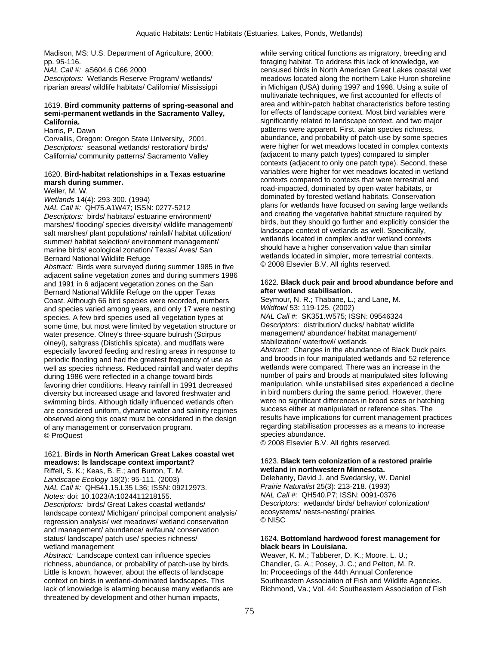Madison, MS: U.S. Department of Agriculture, 2000; while serving critical functions as migratory, breeding and

## semi-permanent wetlands in the Sacramento Valley,

California/ community patterns/ Sacramento Valley

## marsh during summer.<br> **marsh during summer.**<br> **contexts compared to contexts that were terrestrial and**

marshes/ flooding/ species diversity/ wildlife management/ birds, but they should go further and explicitly considered relations of the birds, but they should go further and explicitly considered relations of the street of salt marshes/ plant populations/ rainfall/ habitat utilization/ landscape context of wetlands as well. Specifically,<br>summer/ habitat selection/ environment management/ wetlands located in complex and/or wetland contexts summer/ habitat selection/ environment management/ marine birds/ ecological zonation/ Texas/ Aves/ San should have a higher conservation value than similar<br>Remard National Wildlife Refune Bernard National Wildlife Refuge **Observer Contexts. Bernard National Wildlife Refuge Context Context**<br>Abstract: Birds were surveyed during summer 1985 in five <sup>©</sup> 2008 Elsevier B.V. All rights reserved.

adjacent saline vegetation zones and during summers 1986 and 1991 in 6 adjacent vegetation zones on the San 1622. **Black duck pair and brood abundance before and**<br>Bernard National Wildlife Refuge on the upper Texas **after wetland stabilisation.** Bernard National Wildlife Refuge on the upper Texas **after wetland stabilisation.**  Coast. Although 66 bird species were recorded, numbers Seymour, N. R.; Thabane, L.<br>Sexter and species varied among years and only 17 were nesting Wildfowl 53: 119-125. (2002) and species varied among years, and only 17 were nesting *Wildfowl* 53: 119-125. (2002) species. A few bird species used all vegetation types at *NAL Call #:* SK351.W575; ISSN: 09546324 some time, but most were limited by vegetation structure or *Descriptors:* distribution/ ducks/ habitat/ wildlife water presence. Olney's three-square bulrush (Scirpus management/ abundance/ habita<br>
olneyi), saltgrass (Distichlis spicata), and mudflats were stabilization/ waterfowl/ wetlands olneyi), saltgrass (Distichlis spicata), and mudflats were stabilization/ waterfowl/ wetlands<br>especially favored feeding and resting areas in response to *Abstract:* Changes in the abundance of Black Duck pairs especially favored feeding and resting areas in response to *Abstract:* Changes in the abundance of Black Duck pairs periodic flooding and had the greatest frequency of use as and broods in four manipulated wetlands and 52 references<br>well as species richness. Reduced rainfall and water depths wetlands were compared. There was an increase well as species richness. Reduced rainfall and water depths during 1986 were reflected in a change toward birds number of pairs and broods at manipulated sites following<br>
favoring drier conditions Heavy rainfall in 1991 decreased manipulation, while unstabilised sites experienced a favoring drier conditions. Heavy rainfall in 1991 decreased manipulation, while unstabilised sites experienced a decl<br>diversity but increased usage and favored freshwater and in bird numbers during the same period. However diversity but increased usage and favored freshwater and in bird numbers during the same period. However, there<br>swimming birds. Although tidally influenced wetlands often were no significant differences in brood sizes or h swimming birds. Although tidally influenced wetlands often were no significant differences in brood sizes or hatch<br>are considered uniform, dynamic water and salinity regimes success either at manipulated or reference sites are considered uniform, dynamic water and salinity regimes success either at manipulated or reference sites. The<br>observed along this coast must be considered in the design results have implications for current management p observed along this coast must be considered in the design of any management or conservation program.<br>
© ProQuest<br>
© ProQuest

## 1621. **Birds in North American Great Lakes coastal wet**

Riffell, S. K.; Keas, B. E.; and Burton, T. M. **wetland in northwestern Minnesota.**  *Landscape Ecology* 18(2): 95-111. (2003) Delehanty, David J. and Svedarsky, W. Daniel *NAL Call #:* QH541.15.L35 L36; ISSN: 09212973. *Prairie Naturalist* 25(3): 213-218. (1993) *Notes: doi: 10.1023/A:1024411218155. Descriptors:* birds/ Great Lakes coastal wetlands/ *Descriptors:* wetlands/ birds/ behavior/ colonization/ landscape context/ Michigan/ principal component analysis/ ecosyste<br>regression analysis/ wet meadows/ wetland conservation © NISC

regression analysis/ wet meadows/ wetland conservation and management/ abundance/ avifauna/ conservation status/ landscape/ patch use/ species richness/ 1624. **Bottomland hardwood forest management for**  wetland management **black bears in Louisiana.**

*Abstract:* Landscape context can influence species Weaver, K. M.; Tabberer, D. K.; Moore, L. U.; richness, abundance, or probability of patch-use by birds. Chandler, G. A.; Posey, J. C.; and Pelton, M. R. Little is known, however, about the effects of landscape In: Proceedings of the 44th Annual Conference context on birds in wetland-dominated landscapes. This Southeastern Association of Fish and Wildlife Agencies. lack of knowledge is alarming because many wetlands are Richmond, Va.; Vol. 44: Southeastern Association of Fish threatened by development and other human impacts,

pp. 95-116. foraging habitat. To address this lack of knowledge, we *NAL Call #:* aS604.6 C66 2000 censused birds in North American Great Lakes coastal wet *Descriptors:* Wetlands Reserve Program/ wetlands/ meadows located along the northern Lake Huron shoreline riparian areas/ wildlife habitats/ California/ Mississippi in Michigan (USA) during 1997 and 1998. Using a suite of multivariate techniques, we first accounted for effects of 1619. **Bird community patterns of spring-seasonal and** area and within-patch habitat characteristics before testing **California.**<br> **California.**<br> **California.**<br> **California.**<br> **California.**<br> **California.**<br> **CALIFORNIA ARTICALIST AND PERIOR PARTICALIST AND PARTICAL PROPERTIES.**<br> **CALIFORNIA ARTICAL PROPERTIA ARTICAL PROPERTIAL PROPERTIES** patterns were apparent. First, avian species richness,<br>abundance, and probability of patch-use by some species Corvallis, Oregon: Oregon State University, 2001. abundance, and probability of patch-use by some species<br>Descriptors: seasonal wetlands/ restoration/ birds/ were higher for wet meadows located in complex contexts *Descriptors:* seasonal wetlands/ restoration/ birds/ were higher for wet meadows located in complex contexts of<br>California/ community patterns/ Sacramento Valley (adjacent to many patch types) compared to simpler contexts (adjacent to only one patch type). Second, these variables were higher for wet meadows located in wetland 1620. **Bird-habitat relationships in a Texas estuarine**  marsh daring summer.<br>Weller, M. W. road-impacted, dominated by open water habitats, or<br>Wellends 14/4): 293-300 (1994) Wetlands 14(4): 293-300. (1994)<br>
MAL Call #: QH75.A1W47; ISSN: 0277-5212<br>
Descriptors: birds/ habitats/ estuarine environment/<br>
marches/ flooding/ species diversity/ wildlife management/<br>
marches/ flooding/ species diversi

species abundance.

© 2008 Elsevier B.V. All rights reserved.

## **meadows: Is landscape context important?** 1623. Black tern colonization of a restored prairie<br>Riffell S. K.: Keas B. F.: and Burton T. M. **Werelland in northwestern Minnesota**.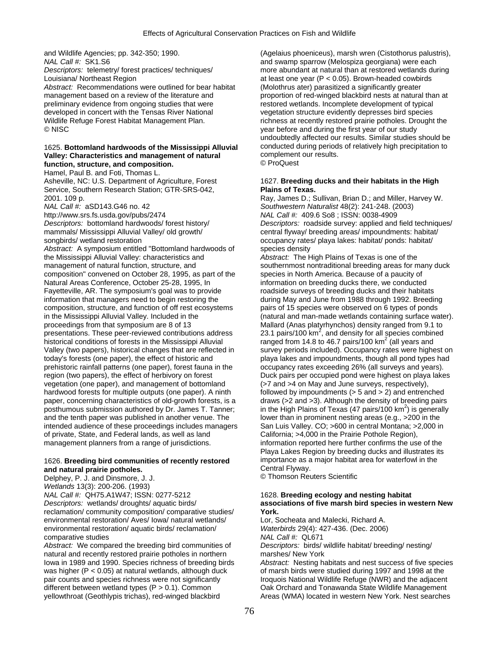*Abstract:* Recommendations were outlined for bear habitat (Molothrus ater) parasitized a significantly greater management based on a review of the literature and proportion of red-winged blackbird nests at natural than at preliminary evidence from ongoing studies that were restored wetlands. Incomplete development of typical<br>developed in concert with the Tensas River National vegetation structure evidently depresses bird species developed in concert with the Tensas River National vegetation structure evidently depresses bird species<br>
Wildlife Refuge Forest Habitat Management Plan.<br>
Wildlife Refuge Forest Habitat Management Plan.<br>
Wildlife Refuge F © NISC year before and during the first year of our study

### 1625. **Bottomland hardwoods of the Mississippi Alluvial** conducted during periods of relatively high precipitation to **Valley: Characteristics and management of natural** *complement*<br> **function** structure and composition **only the Structure** function, structure, and composition.

Hamel, Paul B. and Foti, Thomas L.

Service, Southern Research Station; GTR-SRS-042, **Plains of Texas.** 

http://www.srs.fs.usda.gov/pubs/2474 *NAL Call #:* 409.6 So8 ; ISSN: 0038-4909

Abstract: A symposium entitled "Bottomland hardwoods of species density the Mississippi Alluvial Valley: characteristics and *Abstract:* The High Plains of Texas is one of the management of natural function, structure, and southernmost nontraditional breeding areas for many duck composition" convened on October 28, 1995, as part of the species in North America. Because of a paucity of Natural Areas Conference, October 25-28, 1995, In information on breeding ducks there, we conducted Fayetteville, AR. The symposium's goal was to provide information that managers need to begin restoring the during May and June from 1988 through 1992. Breeding composition, structure, and function of off rest ecosystems pairs of 15 species were observed on 6 types of ponds in the Mississippi Alluvial Valley. Included in the (natural and man-made wetlands containing surface water). proceedings from that symposium are 8 of 13 Mallard (Anas platyrhynchos) density ranged from 9.1 to presentations. These peer-reviewed contributions address historical conditions of forests in the Mississippi Alluvial Valley (two papers), historical changes that are reflected in survey periods included). Occupancy rates were highest on today's forests (one paper), the effect of historic and playa lakes and impoundments, though all pond types had<br>prehistoric rainfall patterns (one paper), forest fauna in the occupancy rates exceeding 26% (all surveys and prehistoric rainfall patterns (one paper), forest fauna in the region (two papers), the effect of herbivory on forest Duck pairs per occupied pond were highest on playa lakes vegetation (one paper), and management of bottomland (>7 and >4 on May and June surveys, respectively), hardwood forests for multiple outputs (one paper). A ninth followed by impoundments (> 5 and > 2) and entrenched paper, concerning characteristics of old-growth forests, is a draws (>2 and >3). Although the density of breeding pairs posthumous submission authored by Dr. James T. Tanner; and the tenth paper was published in another venue. The lower than in prominent nesting areas (e.g., >200 in the intended audience of these proceedings includes managers San Luis Valley. CO; >600 in central Montana; >2,000 in of private, State, and Federal lands, as well as land California; >4,000 in the Prairie Pothole Region), management planners from a range of jurisdictions. information reported here further confirms the use of the

### 1626. **Breeding bird communities of recently restored** importance as a major habitat area for waterfowl in the **and natural prairie potholes.**

Delphey, P. J. and Dinsmore, J. J. © Thomson Reuters Scientific *Wetlands* 13(3): 200-206. (1993) *NAL Call #:* QH75.A1W47; ISSN: 0277-5212 1628. **Breeding ecology and nesting habitat**  reclamation/ community composition/ comparative studies/ **York.**  environmental restoration/ Aves/ Iowa/ natural wetlands/ Lor, Socheata and Malecki, Richard A.<br>
environmental restoration/ aquatic birds/ reclamation/ Waterbirds 29(4): 427-436. (Dec. 2006) environmental restoration/ aquatic birds/ reclamation/ comparative studies *NAL Call #:* QL671

*Abstract:* We compared the breeding bird communities of *Descriptors:* birds/ wildlife habitat/ breeding/ nesting/ natural and recently restored prairie potholes in northern marshes/ New York Iowa in 1989 and 1990. Species richness of breeding birds *Abstract:* Nesting habitats and nest success of five species was higher ( $P < 0.05$ ) at natural wetlands, although duck of marsh birds were studied during 1997 and 1998 at the pair counts and species richness were not significantly **Iroquois National Wildlife Refuge (NWR)** and the adjacent different between wetland types (P > 0.1). Common Oak Orchard and Tonawanda State Wildlife Management yellowthroat (Geothlypis trichas), red-winged blackbird Areas (WMA) located in western New York. Nest searches

and Wildlife Agencies; pp. 342-350; 1990. (Agelaius phoeniceus), marsh wren (Cistothorus palustris), *NAL Call #:* SK1.S6 **but and swamp sparrow (Melospiza georgiana) were each** and swamp sparrow (Melospiza georgiana) were each *Descriptors:* telemetry/ forest practices/ techniques/ more abundant at natural than at restored wetlands during Louisiana/ Northeast Region at least one year (P < 0.05). Brown-headed cowbirds richness at recently restored prairie potholes. Drought the undoubtedly affected our results. Similar studies should be

## Asheville, NC: U.S. Department of Agriculture, Forest 1627. **Breeding ducks and their habitats in the High**

2001. 109 p. Ray, James D.; Sullivan, Brian D.; and Miller, Harvey W. *NAL Call #:* aSD143.G46 no. 42 *Southwestern Naturalist* 48(2): 241-248. (2003) *Descriptors:* bottomland hardwoods/ forest history/ *Descriptors:* roadside survey: applied and field techniques/ mammals/ Mississippi Alluvial Valley/ old growth/ central flyway/ breeding areas/ impoundments: habitat/ songbirds/ wetland restoration occupancy rates/ playa lakes: habitat/ ponds: habitat/

information on breeding ducks there, we conducted<br>roadside surveys of breeding ducks and their habitats 23.1 pairs/100  $km^2$ , and density for all species combined ranged from 14.8 to 46.7 pairs/100  $km^2$  (all years and in the High Plains of Texas (47 pairs/100  $km^2$ ) is generally Playa Lakes Region by breeding ducks and illustrates its Central Flyway.

## *Descriptors:* wetlands/ droughts/ aquatic birds/ **associations of five marsh bird species in western New**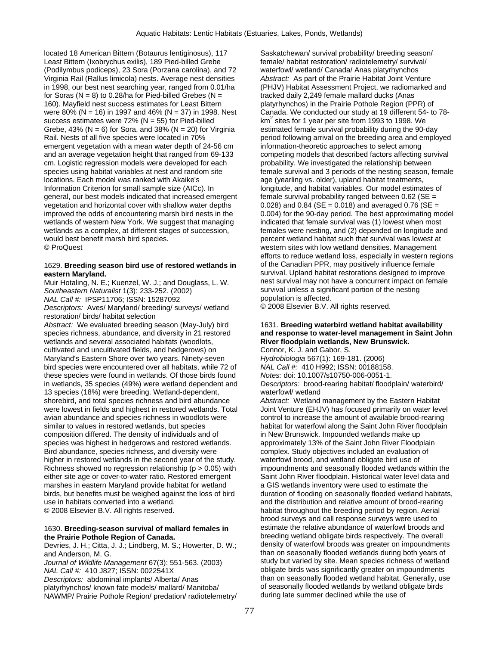located 18 American Bittern (Botaurus lentiginosus), 117 Saskatchewan/ survival probability/ breeding season/ Least Bittern (Ixobrychus exilis), 189 Pied-billed Grebe female/ habitat restoration/ radiotelemetry/ survival/ (Podilymbus podiceps), 23 Sora (Porzana carolina), and 72 waterfowl/ wetland/ Canada/ Anas platyrhynchos<br>Virginia Rail (Rallus limicola) nests. Average nest densities Abstract: As part of the Prairie Habitat Joint Venture Virginia Rail (Rallus limicola) nests. Average nest densities in 1998, our best nest searching year, ranged from 0.01/ha (PHJV) Habitat Assessment Project, we radiomarked and for Soras (N = 8) to 0.28/ha for Pied-billed Grebes (N = tracked daily 2,249 female mallard ducks (Anas 160). Mayfield nest success estimates for Least Bittern platyrhynchos) in the Prairie Pothole Region (PPR) of were 80% (N = 16) in 1997 and 46% (N = 37) in 1998. Nest Canada. We conducted our study at 19 different 54- to 78success estimates were  $72%$  (N = 55) for Pied-billed Grebe,  $43\%$  (N = 6) for Sora, and 38% (N = 20) for Virginia estimated female survival probability during the 90-day Rail. Nests of all five species were located in 70% period following arrival on the breeding area and employed emergent vegetation with a mean water depth of 24-56 cm information-theoretic approaches to select among and an average vegetation height that ranged from 69-133 competing models that described factors affecting survival cm. Logistic regression models were developed for each probability. We investigated the relationship between species using habitat variables at nest and random site female survival and 3 periods of the nesting season, female locations. Each model was ranked with Akaike's age (yearling vs. older), upland habitat treatments, Information Criterion for small sample size (AICc). In longitude, and habitat variables. Our model estimates of general, our best models indicated that increased emergent female survival probability ranged between 0.62 (SE vegetation and horizontal cover with shallow water depths improved the odds of encountering marsh bird nests in the 0.004) for the 90-day period. The best approximating model wetlands of western New York. We suggest that managing indicated that female survival was (1) lowest when most wetlands as a complex, at different stages of succession, females were nesting, and (2) depended on longitude and would best benefit marsh bird species. percent wetland habitat such that survival was lowest at

Muir Hotaling, N. E.; Kuenzel, W. J.; and Douglass, L. W. nest survival may not have a concurrent impact on Southeastern Naturalist 1(3): 233-252. (2002) *Southeastern Naturalist* 1(3): 233-252. (2002) survival unless a significant portion of the nesting portion of the n<br>NAL Call #: IPSP11706: ISSN: 15287092 *NAL Call #:* IPSP11706; ISSN: 15287092 population is affected. *Descriptors: Aves/ Maryland/ breeding/ surveys/ wetland* restoration/ birds/ habitat selection

*Abstract:* We evaluated breeding season (May-July) bird 1631. **Breeding waterbird wetland habitat availability**  species richness, abundance, and diversity in 21 restored **and response to water-level management in Saint John**  wetlands and several associated habitats (woodlots, **River floodplain wetlands, New Brunswick.**  cultivated and uncultivated fields, and hedgerows) on Connor, K. J. and Gabor, S. Maryland's Eastern Shore over two years. Ninety-seven *Hydrobiologia* 567(1): 169-181. (2006) bird species were encountered over all habitats, while 72 of *NAL Call #:* 410 H992; ISSN: 00188158. these species were found in wetlands. Of those birds found *Notes:* doi: 10.1007/s10750-006-0051-1. in wetlands, 35 species (49%) were wetland dependent and *Descriptors:* brood-rearing habitat/ floodplain/ waterbird/ 13 species (18%) were breeding. Wetland-dependent, waterfowl/ wetland shorebird, and total species richness and bird abundance *Abstract:* Wetland management by the Eastern Habitat were lowest in fields and highest in restored wetlands. Total Joint Venture (EHJV) has focused primarily on water level avian abundance and species richness in woodlots were control to increase the amount of available brood-rearing similar to values in restored wetlands, but species habitat for waterfowl along the Saint John River floodplain composition differed. The density of individuals and of in New Brunswick. Impounded wetlands make up species was highest in hedgerows and restored wetlands. approximately 13% of the Saint John River Floodplain Bird abundance, species richness, and diversity were complex. Study objectives included an evaluation of higher in restored wetlands in the second year of the study. waterfowl brood, and wetland obligate bird use of Richness showed no regression relationship ( $p > 0.05$ ) with impoundments and seasonally flooded wetlands within the either site age or cover-to-water ratio. Restored emergent Saint John River floodplain. Historical water level data and marshes in eastern Maryland provide habitat for wetland a GIS wetlands inventory were used to estimate the birds, but benefits must be weighed against the loss of bird duration of flooding on seasonally flooded wetland habitats, use in habitats converted into a wetland.  $\blacksquare$  and the distribution and relative amount of brood-rearing © 2008 Elsevier B.V. All rights reserved. habitat throughout the breeding period by region. Aerial

Devries, J. H.; Citta, J. J.; Lindberg, M. S.; Howerter, D. W.; and Anderson, M. G.<br>
Journal of Wildlife Management 67(3): 551-563. (2003) Than on seasonally flooded wetlands during both years of *Journal of Wildlife Management* 67(3): 551-563. (2003) *NAL Call #:* 410 J827; ISSN: 0022541X obligate birds was significantly greater on impoundments Descriptors: abdominal implants/ Alberta/ Anas than on seasonally flooded wetland habitat. Generally, use<br>
platyrhynchos/ known fate models/ mallard/ Manitoba/ of seasonally flooded wetlands by wetland obligate birds platyrhynchos/ known fate models/ mallard/ Manitoba/ of seasonally flooded wetlands by wetland ob<br>NAWMP/ Prairie Pothole Region/ predation/ radiotelemetry/ during late summer declined while the use of NAWMP/ Prairie Pothole Region/ predation/ radiotelemetry/

 $km<sup>2</sup>$  sites for 1 year per site from 1993 to 1998. We female survival probability ranged between 0.62 (SE =  $0.028$ ) and 0.84 (SE =  $0.018$ ) and averaged 0.76 (SE = © ProQuest western sites with low wetland densities. Management efforts to reduce wetland loss, especially in western regions 1629. **Breeding season bird use of restored wetlands in** of the Canadian PPR, may positively influence female **eastern Maryland.**<br>
Muir Hotaling, N. F.: Kuenzel, W. J.: and Douglass, L. W. **F. A. St. A. St. A. St. A. St. A. St. A. St. A. St. A**<br>
Muir Hotaling, N. F.: Kuenzel, W. J.: and Douglass, L. W. **Rest survival may not have** 

brood surveys and call response surveys were used to 1630. **Breeding-season survival of mallard females in** estimate the relative abundance of waterfowl broods and **the Prairie Pothole Region of Canada.** breeding wetland obligate birds respectively. The overall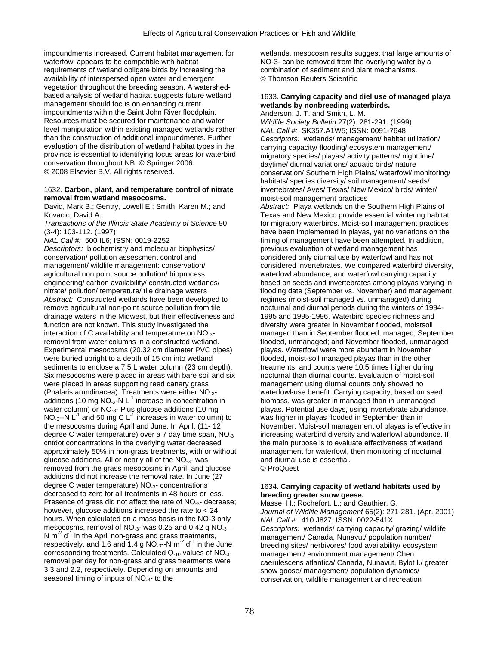impoundments increased. Current habitat management for wetlands, mesocosm results suggest that large amounts of waterfowl appears to be compatible with habitat NO-3- can be removed from the overlying water by a requirements of wetland obligate birds by increasing the combination of sediment and plant mechanisms.<br>availability of interspersed open water and emergent © Thomson Reuters Scientific availability of interspersed open water and emergent vegetation throughout the breeding season. A watershedbased analysis of wetland habitat suggests future wetland 1633. **Carrying capacity and diel use of managed playa**  management should focus on enhancing current **wetlands by nonbreeding waterbirds.** impoundments within the Saint John River floodplain. Anderson, J. T. and Smith, L. M.<br>Resources must be secured for maintenance and water *Mildlife Society Bulletin 27(2)* level manipulation within existing managed wetlands rather *NAL Call #:* SK357.A1W5; ISSN: 0091-7648 than the construction of additional impoundments. Further *Descriptors:* wetlands/ management/ habitat utilization/<br>evaluation of the distribution of wetland habitat types in the carrying capacity/ flooding/ ecosystem mana evaluation of the distribution of wetland habitat types in the carrying capacity/ flooding/ ecosystem management/<br>province is essential to identifying focus areas for waterbird migratory species/ playas/ activity patterns/ province is essential to identifying focus areas for waterbird migratory species/ playas/ activity patterns/ nighttime/<br>
conservation throughout NB. © Springer 2006.<br>
daytime/ diurnal variations/ aquatic birds/ nature conservation throughout NB. © Springer 2006. daytime/ diurnal variations/ aquatic birds/ nature<br>© 2008 Elsevier B.V. All rights reserved. example the conservation/ Southern High Plains/ waterfowl/ n

### **removal from wetland mesocosms. now all management practices** moist-soil management practices

David, Mark B.; Gentry, Lowell E.; Smith, Karen M.; and *Abstract:* Playa wetlands on the Southern High Plains of

*Descriptors:* biochemistry and molecular biophysics/ previous evaluation of wetland management has conservation/ pollution assessment control and metal considered only diurnal use by waterfowl and has agricultural non point source pollution/ bioprocess waterfowl abundance, and waterfowl carrying capacity<br>
engineering/ carbon availability/ constructed wetlands/<br>
based on seeds and invertebrates among playas varying *Abstract: Constructed wetlands have been developed to* remove agricultural non-point source pollution from tile nocturnal and diurnal periods during the winters of 1994 drainage waters in the Midwest, but their effectiveness and 1995 and 1995-1996. Waterbird species richness and function are not known. This study investigated the diversity were greater in November flooded, moistsoil removal from water columns in a constructed wetland. **Figure 1** flooded, unmanaged; and November flooded, unmanaged Experimental mesocosms (20.32 cm diameter PVC pipes) playas. Waterfowl were more abundant in November<br>were buried upright to a depth of 15 cm into wetland flooded, moist-soil managed playas than in the other sediments to enclose a 7.5 L water column (23 cm depth). Six mesocosms were placed in areas with bare soil and six nocturnal than diurnal counts. Evaluation of moist-soil were placed in areas supporting reed canary grass management using diurnal counts only showed no (Phalaris arundinacea). Treatments were either  $NO_{3}$ - waterfowl-use benefit. Carrying capacity, based on seed additions (10 mg NO<sub>3</sub>-N L<sup>-1</sup> increase in concentration in the biomass, was greater in managed than in unmana additions (10 mg NO.<sub>3</sub>-N L<sup>-1</sup> increase in concentration in biomass, was greater in managed than in unmanaged<br>water column) or NO.<sub>3</sub>- Plus glucose additions (10 mg playas. Potential use days, using invertebrate abundance water column) or NO<sub>-3</sub>- Plus glucose additions (10 mg playas. Potential use days, using invertebrate abundance, NO<sub>-3</sub>--N L<sup>-1</sup> and 50 mg C L<sup>-1</sup> increases in water column) to was higher in playas flooded in September than in the mesocosms during April and June. In April, (11- 12 November. Moist-soil management of playas is effective in degree C water temperature) over a 7 day time span,  $NO_{-3}$  increasing waterbird diversity and waterfowl abundance. If cntdot concentrations in the overlying water decreased the main purpose is to evaluate effectiveness o approximately 50% in non-grass treatments, with or without management for waterfowl, then monitoring of nocturnal glucose additions. All or nearly all of the  $NO_{3}$ - was and diurnal use is essential.<br>
removed from the grass mesocosms in April, and glucose  $\bullet$  ProQuest removed from the grass mesocosms in April, and glucose additions did not increase the removal rate. In June (27 degree C water temperature) NO-3- concentrations 1634. **Carrying capacity of wetland habitats used by**  decreased to zero for all treatments in 48 hours or less. **breeding greater snow geese.**  Presence of grass did not affect the rate of NO<sub>-3</sub>- decrease; Masse, H.; Rochefort, L.; and Gauthier, G.<br>however, glucose additions increased the rate to < 24 *Journal of Wildlife Management* 65(2): 271 hours. When calculated on a mass basis in the NO-3 only mesocosms, removal of NO<sub>-3</sub>- was 0.25 and 0.42 g NO<sub>-3</sub>mesocosms, removal of NO<sub>-3</sub>- was 0.25 and 0.42 g NO<sub>-3</sub>--<br>N m<sup>-2</sup> d<sup>-1</sup> in the April non-grass and grass treatments, management Canada, Nunavut/ population number/ respectively, and 1.6 and 1.4 g NO<sub>-3</sub>--N m<sup>-2</sup> d<sup>-1</sup> in the June breeding sites/ herbivores/ food availability/ ecosystem corresponding treatments. Calculated Q<sub>-10</sub> values of NO<sub>-3</sub>- management/ environment management/ Chen<br>removal per day for non-grass and grass treatments were caerulescens atlantica/ Canada. Nunavut. Bylot 3.3 and 2.2, respectively. Depending on amounts and snow goose/ management/ population dynamics/<br>seasonal timing of inputs of NO<sub>3</sub>- to the conservation wildlife management and recreation

Wildlife Society Bulletin 27(2): 281-291. (1999) conservation/ Southern High Plains/ waterfowl/ monitoring/ habitats/ species diversity/ soil management/ seeds/ 1632. **Carbon, plant, and temperature control of nitrate** invertebrates/ Aves/ Texas/ New Mexico/ birds/ winter/

Kovacic, David A. Texas and New Mexico provide essential wintering habitat *Transactions of the Illinois State Academy of Science* 90 for migratory waterbirds. Moist-soil management practices (3-4): 103-112. (1997)<br>
MAL Call #: 500 IL6; ISSN: 0019-2252 **have been implemented in playas**, yet no variations on the<br>
timing of management have been attempted. In addition, timing of management have been attempted. In addition, considered only diurnal use by waterfowl and has not management/ wildlife management: conservation/ considered invertebrates. We compared waterbird diversity, negricultural non point source pollution/ bioprocess we waterfowl abundance, and waterfowl carrying capacity engineering/ carbon availability/ constructed wetlands/ based on seeds and invertebrates among playas varying in<br>
nitrate/ pollution/ temperature/ tile drainage waters flooding date (September vs. November) and management flooding date (September vs. November) and management regimes (moist-soil managed vs. unmanaged) during interaction of C availability and temperature on NO-3- managed than in September flooded, managed; September flooded, moist-soil managed playas than in the other<br>treatments, and counts were 10.5 times higher during the main purpose is to evaluate effectiveness of wetland

Journal of Wildlife Management 65(2): 271-281. (Apr. 2001)<br>NAL Call #: 410 J827; ISSN: 0022-541X management/ Canada, Nunavut/ population number/ caerulescens atlantica/ Canada, Nunavut, Bylot I./ greater conservation, wildlife management and recreation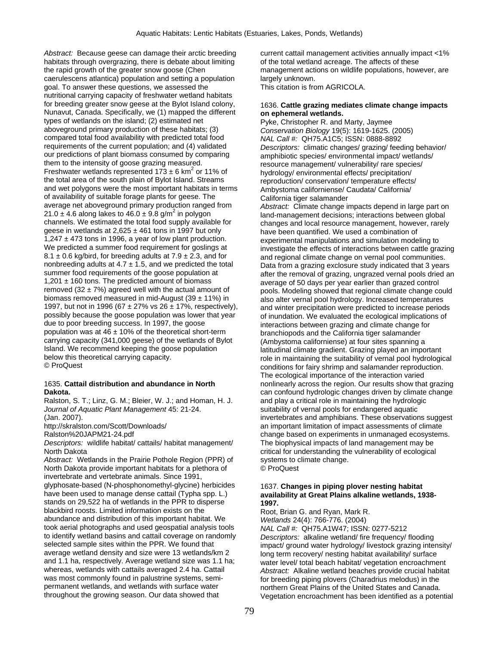Abstract: Because geese can damage their arctic breeding current cattail management activities annually impact <1% habitats through overgrazing, there is debate about limiting of the total wetland acreage. The affects of these the rapid growth of the greater snow goose (Chen management actions on wildlife populations, however, are caerulescens atlantica) population and setting a population largely unknown. goal. To answer these questions, we assessed the This citation is from AGRICOLA. nutritional carrying capacity of freshwater wetland habitats for breeding greater snow geese at the Bylot Island colony, 1636. **Cattle grazing mediates climate change impacts**  Nunavut, Canada. Specifically, we (1) mapped the different **on ephemeral wetlands.**  types of wetlands on the island; (2) estimated net Pyke, Christopher R. and Marty, Jaymee<br>aboveground primary production of these habitats; (3) Conservation Biology 19(5): 1619-1625 compared total food availability with predicted total food *NAL Call #:* QH75.A1C5; ISSN: 0888-8892 requirements of the current population; and (4) validated *Descriptors:* climatic changes/ grazing/ feeding behavior/ our predictions of plant biomass consumed by comparing amphibiotic species/ environmental impact/ wetlands/<br>them to the intensity of goose grazing measured.<br>resource management/ vulnerability/ rare species/ Freshwater wetlands represented  $173 \pm 6$  km<sup>2</sup> or 11% of the total area of the south plain of Bylot Island. Streams reproduction/ conservation/ temperature effects/ and wet polygons were the most important habitats in terms Ambystoma californiense/ Caudata/ California/ of availability of suitable forage plants for geese. The California tiger salamander<br>average net aboveground primary production ranged from *Abstract:* Climate change in 21.0  $\pm$  4.6 along lakes to 46.0  $\pm$  9.8 g/m<sup>2</sup> in polygon  $21.0 \pm 4.6$  along lakes to  $46.0 \pm 9.8$  g/m<sup>2</sup> in polygon and algorithmanagement decisions; interactions between global channels. We estimated the total food supply available for channels and local resource management ho geese in wetlands at 2,625 ± 461 tons in 1997 but only have been quantified. We used a combination of  $1,247 \pm 473$  tons in 1996, a year of low plant production. experimental manipulations and simulation modeling to experimental manipulations and simulation modeling to experiment for goslings at  $\frac{1}{2}$  investigate the  $8.1 \pm 0.6$  kg/bird, for breeding adults at 7.9  $\pm$  2.3, and for and regional climate change on vernal pool communities.<br>
nonbreeding adults at 4.7  $\pm$  1.5, and we predicted the total Data from a grazing exclosure study nonbreeding adults at 4.7 ± 1.5, and we predicted the total Data from a grazing exclosure study indicated that 3 years<br>Summer food requirements of the goose population at after the removal of grazing ungrazed vernal pools summer food requirements of the goose population at after the removal of grazing, ungrazed vernal pools dried an<br>1,201 ± 160 tons. The predicted amount of biomass are average of 50 days per vear earlier than grazed control 1,201  $\pm$  160 tons. The predicted amount of biomass average of 50 days per year earlier than grazed control<br>1.201  $\pm$  160 tons. The predicted amount of a represent to that regional climate change control removed (32  $\pm$  7%) agreed well with the actual amount of pools. Modeling showed that regional climate change could<br>biomass removed measured in mid-August (39  $\pm$  11%) in also alter vernal pool hydrology. Increased temp biomass removed measured in mid-August (39 ± 11%) in also alter vernal pool hydrology. Increased temperatures<br>1997, but not in 1996 (67 ± 27% vs 26 ± 17%, respectively), and winter precipitation were predicted to increase 1997, but not in 1996 (67  $\pm$  27% vs 26  $\pm$  17%, respectively), and winter precipitation were predicted to increase periods possibly because the goose population was lower that year of inundation. We evaluated the ecolo possibly because the goose population was lower that year of inundation. We evaluated the ecological implications of<br>due to poor breeding success. In 1997, the goose interactions between grazing and climate change for population was at 46 ± 10% of the theoretical short-term branchiopods and the California tiger salamander carrying capacity (341,000 geese) of the wetlands of Bylot (Ambystoma californiense) at four sites spanning a<br>Island. We recommend keeping the goose population and alatitudinal climate gradient Grazing played an import Island. We recommend keeping the goose population latitudinal climate gradient. Grazing played an important<br>In the suitability of vernal pool bydrologic below this theoretical carrying capacity.<br>
© ProQuest
conditions for fairy shrimp and salamander reproduction
© ProQuest

Ralston, S. T.; Linz, G. M.; Bleier, W. J.; and Homan, H. J. and play a critical role in maintaining the hydrologic *Journal of Aquatic Plant Management* 45: 21-24. suitability of vernal pools for endangered aquatic

*Descriptors:* wildlife habitat/ cattails/ habitat management/ The biophysical impacts of land management may be North Dakota critical for understanding the vulnerability of ecological

Abstract: Wetlands in the Prairie Pothole Region (PPR) of systems to climate change. North Dakota provide important habitats for a plethora of © ProQuest invertebrate and vertebrate animals. Since 1991, glyphosate-based (N-phosphonomethyl-glycine) herbicides 1637. **Changes in piping plover nesting habitat**  have been used to manage dense cattail (Typha spp. L.) **availability at Great Plains alkaline wetlands, 1938** stands on 29,522 ha of wetlands in the PPR to disperse **1997.**  blackbird roosts. Limited information exists on the Root, Brian G. and Ryan, Mark R. abundance and distribution of this important habitat. We *Wetlands* 24(4): 766-776. (2004) took aerial photographs and used geospatial analysis tools *NAL Call #:* QH75.A1W47; ISSN: 0277-5212 to identify wetland basins and cattail coverage on randomly *Descriptors:* alkaline wetland/ fire frequency/ flooding selected sample sites within the PPR. We found that intered impact/ ground water hydrology/ livestock grazing intensity/<br>impact/ ground water hydrology/ livestock grazing intensity/ average wetter availability/ surface and 1.1 ha, respectively. Average wetland size was 1.1 ha; water level/ total beach habitat/ vegetation encroachment<br>whereas, wetlands with cattails averaged 2.4 ha. Cattail *Abstract: Alkaline wetland beaches provide cruc* whereas, wetlands with cattails averaged 2.4 ha. Cattail *Abstract:* Alkaline wetland beaches provide crucial habitat<br>was most commonly found in palustrine systems, semi-<br>for breeding piping piping ployers (Charadrius melo was most commonly found in palustrine systems, semi-<br>
permanent wetlands, and wetlands with surface water<br>
northern Great Plains of the United States and Canada. permanent wetlands, and wetlands with surface water northern Great Plains of the United States and Canada.<br>19 beta throughout the growing season. Our data showed that Vegetation encroachment has been identified as a poter

Conservation Biology 19(5): 1619-1625. (2005) resource management/ vulnerability/ rare species/ hydrology/ environmental effects/ precipitation/

Abstract: Climate change impacts depend in large part on changes and local resource management, however, rarely investigate the effects of interactions between cattle grazing interactions between grazing and climate change for conditions for fairy shrimp and salamander reproduction. The ecological importance of the interaction varied 1635. **Cattail distribution and abundance in North** nonlinearly across the region. Our results show that grazing **Dakota. Can confound hydrologic changes driven by climate changes driven by climate change** (Jan. 2007). **invertebrates and amphibians. These observations suggest** http://skralston.com/Scott/Downloads/ an important limitation of impact assessments of climate Ralston%20JAPM21-24.pdf change based on experiments in unmanaged ecosystems.

long term recovery/ nesting habitat availability/ surface Vegetation encroachment has been identified as a potential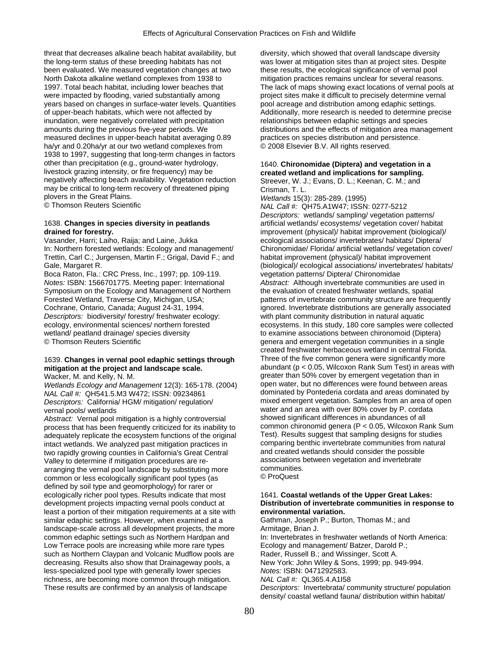threat that decreases alkaline beach habitat availability, but diversity, which showed that overall landscape diversity the long-term status of these breeding habitats has not was lower at mitigation sites than at project sites. Despite been evaluated. We measured vegetation changes at two these results, the ecological significance of vernal pool<br>North Dakota alkaline wetland complexes from 1938 to mitigation practices remains unclear for several reason 1997. Total beach habitat, including lower beaches that The lack of maps showing exact locations of vernal pools at were impacted by flooding, varied substantially among project sites make it difficult to precisely determine vernal years based on changes in surface-water levels. Quantities pool acreage and distribution among edaphic settings.<br>
of upper-beach habitats, which were not affected by and additionally, more research is needed to determine p inundation, were negatively correlated with precipitation amounts during the previous five-year periods. We distributions and the effects of mitigation area management measured declines in upper-beach habitat averaging 0.89 practices on species distribution and persistence. ha/yr and 0.20ha/yr at our two wetland complexes from  $\heartsuit$  2008 Elsevier B.V. All rights reserved. 1938 to 1997, suggesting that long-term changes in factors other than precipitation (e.g., ground-water hydrology, 1640. **Chironomidae (Diptera) and vegetation in a** livestock grazing intensity, or fire frequency) may be **created wetland and implications for sampling.** negatively affecting beach availability. Vegetation reduction Streever, W. J.; Evans, D. L.; Keenan, C. M.; and may be critical to long-term recovery of threatened piping Crisman, T. L.<br>plovers in the Great Plains. Wetlands 1503 plovers in the Great Plains. *Wetlands* 15(3): 285-289. (1995)

Vasander, Harri; Laiho, Raija; and Laine, Jukka ecological associations/ invertebrates/ habitats/ Diptera/ Trettin, Carl C.; Jurgensen, Martin F.; Grigal, David F.; and habitat improvement (physical)/ habitat improvement

Boca Raton, Fla.: CRC Press, Inc., 1997; pp. 109-119. vegetation patterns/ Diptera/ Chironomidae *Notes:* ISBN: 1566701775. Meeting paper: International *Abstract:* Although invertebrate communities are used in Symposium on the Ecology and Management of Northern *Descriptors:* biodiversity/ forestry/ freshwater ecology: with plant community distribution in natural aquatic wetland/ peatland drainage/ species diversity to examine associations between chironomoid (Diptera) © Thomson Reuters Scientific entity and the series of the genera and emergent vegetation communities in a single

## 1639. Changes in vernal pool edaphic settings through

*Wetlands Ecology and Management* 12(3): 165-178. (2004) *NAL Call #:* QH541.5.M3 W472; ISSN: 09234861 dominated by Pontederia cordata and areas dominated by

process that has been frequently criticized for its inability to common chironomid genera (P < 0.05, Wilcoxon Rank S<br>adequately replicate the ecosystem functions of the original Test). Results suggest that sampling designs adequately replicate the ecosystem functions of the original Test). Results suggest that sampling designs for studies<br>intact wetlands. We analyzed past mitigation practices in comparing benthic invertebrate communities fro intact wetlands. We analyzed past mitigation practices in comparing benthic invertebrate communities from n<br>two rapidly growing counties in California's Great Central and created wetlands should consider the possible two rapidly growing counties in California's Great Central and created wetlands should consider the possible<br>Valley to determine if mitigation procedures are re-<br>associations between vegetation and invertebrate Valley to determine if mitigation procedures are re-<br>arranging the vernal pool landscape by substituting more communities. arranging the vernal pool landscape by substituting more communities.<br>
common or less ecologically significant pool types (as  $\circ$  ProQuest common or less ecologically significant pool types (as defined by soil type and geomorphology) for rarer or ecologically richer pool types. Results indicate that most 1641. **Coastal wetlands of the Upper Great Lakes:**  development projects impacting vernal pools conduct at **Distribution of invertebrate communities in response to**  least a portion of their mitigation requirements at a site with **environmental variation.**  similar edaphic settings. However, when examined at a landscape-scale across all development projects, the more Armitage, Brian J. common edaphic settings such as Northern Hardpan and In: Invertebrates in freshwater wetlands of North America: Low Terrace pools are increasing while more rare types Ecology and management/ Batzer, Darold P.; such as Northern Claypan and Volcanic Mudflow pools are Rader, Russell B.; and Wissinger, Scott A. decreasing. Results also show that Drainageway pools, a New York: John Wiley & Sons, 1999; pp. 949-994. less-specialized pool type with generally lower species *Notes:* ISBN: 0471292583. richness, are becoming more common through mitigation. *NAL Call #:* QL365.4.A1I58 These results are confirmed by an analysis of landscape *Descriptors:* Invertebrata/ community structure/ population

mitigation practices remains unclear for several reasons. Additionally, more research is needed to determine precise<br>relationships between edaphic settings and species

# created wetland and implications for sampling.

© Thomson Reuters Scientific *NAL Call #:* QH75.A1W47; ISSN: 0277-5212 *Descriptors:* wetlands/ sampling/ vegetation patterns/ 1638. **Changes in species diversity in peatlands** artificial wetlands/ ecosystems/ vegetation cover/ habitat **drained for forestry. improvement (physical)/ habitat improvement (biological)/** In: Northern forested wetlands: Ecology and management/ Chironomidae/ Florida/ artificial wetlands/ vegetation cover/ Gale, Margaret R. (biological)/ ecological associations/ invertebrates/ habitats/ Forested Wetland, Traverse City, Michigan, USA; example atterns of invertebrate community structure are frequently Cochrane, Ontario, Canada; August 24-31, 1994. ignored. Invertebrate distributions are generally associated ecology, environmental sciences/ northern forested ecosystems. In this study, 180 core samples were collected created freshwater herbaceous wetland in central Florida. **mitigation at the project and landscape scale. abundant (p < 0.05, Wilcoxon Rank Sum Test) in areas with** Wacker, M. and Kelly, N. M.<br>Wetlands Ecology and Management 12(3): 165-178 (2004) open water, but no differences were found between areas *Descriptors:* California/ HGM/ mitigation/ regulation/ mixed emergent vegetation. Samples from an area of open vernal pools/ wetlands<br>Abstract: Vernal pool mitigation is a highly controversial showed significant differences in abundances of all *Abstract: Vernal pool mitigation is a highly controversial* showed significant differences in abundances of all<br>process that has been frequently criticized for its inability to common chironomid genera (P < 0.05, Wilcoxon

density/ coastal wetland fauna/ distribution within habitat/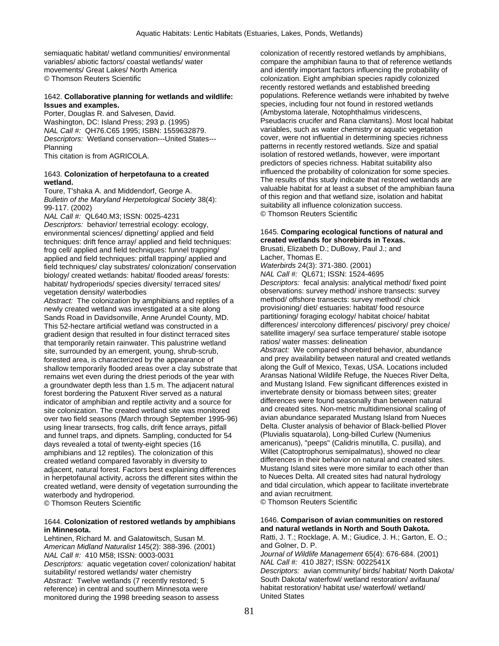semiaquatic habitat/ wetland communities/ environmental colonization of recently restored wetlands by amphibians, © Thomson Reuters Scientific colonization. Eight amphibian species rapidly colonized

## **Issues and examples. Section 2.1 Section 2.1 Section** Species, including four not found in restored wetlands

*Descriptors: Wetland conservation---United States---*<br>Planning

*Descriptors:* behavior/ terrestrial ecology: ecology, environmental sciences/ dipnetting/ applied and field 1645. **Comparing ecological functions of natural and** <br> **created wetlands for shorebirds in Texas.**<br> **created wetlands for shorebirds in Texas.** techniques: drift fence array/ applied and field techniques: **created wetlands for shorebirds in Texas**<br>**frog cell/ applied and field techniques:** funnel trapping/ **bluesed** Brusati, Elizabeth D.; DuBowy, Paul J.; and frog cell/ applied and field techniques: funnel trapping/ Brusati, Elizabeth D.; Dubbow, Papping, Paul J.; Dub<br>Sapplied and field techniques: pitfall trapping/ applied and Lacher, Thomas E. applied and field techniques: pitfall trapping/ applied and Lacher, Thomas E.<br>
field techniques/ clay substrates/ colonization/ conservation Waterbirds 24(3): 371-380. (2001) field techniques/ clay substrates/ colonization/ conservation *Waterbirds* 24(3): 371-380. (2001) biology/ created wetlands: habitat/ flooded areas/ forests: habitat/ hydroperiods/ species diversity/ terraced sites/ *Descriptors:* fecal analysis: analytical method/ fixed point

Abstract: The colonization by amphibians and reptiles of a method/ offshore transects: survey method/ chick<br>newly created wetland was investigated at a site along provisioning/ diet/ estuaries: habitat/ food resource newly created wetland was investigated at a site along entitioning and provisioning diet/ estuaries: habitat/ food resource<br>Sands Road in Davidsonville, Anne Arundel County, MD entitioning foraging ecology habitat choice h Sands Road in Davidsonville, Anne Arundel County, MD. exact partitioning/ foraging ecology/ habitat choice/ habitat<br>This 52-hectare artificial wetland was constructed in a exact differences/ intercolony differences/ pisciv This 52-hectare artificial wetland was constructed in a differences/ intercolony differences/ piscivory/ prey choice<br>
gradient design that resulted in four distinct terraced sites satellite imagery/ sea surface temperature gradient design that resulted in four distinct terraced sites satellite imagery/ sea surface tem<br>that temporarily retain rainwater. This palustrine wetland ratios/ water masses: delineation that temporarily retain rainwater. This palustrine wetland ratios/ water masses: delineation<br>site, surrounded by an emergent, young, shrub-scrub. Abstract: We compared shorebird behavior, abundance site, surrounded by an emergent, young, shrub-scrub, *Abstract:* We compared shorebird behavior, abundance forested area, is characterized by the appearance of and prey availability between natural and created wetlands<br>shallow temporarily flooded areas over a clay substrate that along the Gulf of Mexico, Texas, USA. Locations i shallow temporarily flooded areas over a clay substrate that along the Gulf of Mexico, Texas, USA. Locations included<br>Framains wet even during the driest periods of the year with Aransas National Wildlife Refuge, the Nuece remains wet even during the driest periods of the year with Aransas National Wildlife Refuge, the Nueces River Delta,<br>A groundwater depth less than 1.5 m. The adjacent patural and Mustang Island. Few significant difference a groundwater depth less than 1.5 m. The adjacent natural and Mustang Island. Few significant differences existed<br>forest bordering the Patuxent River served as a patural invertebrate density or biomass between sites; great forest bordering the Patuxent River served as a natural invertebrate density or biomass between sites; greater<br>indicator of amphibian and reptile activity and a source for differences were found seasonally than between nat indicator of amphibian and reptile activity and a source for differences were found seasonally than between natural<br>site colonization. The created wetland site was monitored and created sites. Non-metric multidimensional s site colonization. The created wetland site was monitored and created sites. Non-metric multidimensional scaling of<br>over two field seasons (March through September 1995-96) avian abundance separated Mustang Island from Nue over two field seasons (March through September 1995-96) avian abundance separated Mustang Island from Nueces<br>using linear transects, frog calls, drift fence arrays, pitfall Belta, Cluster analysis of behavior of Black-bel using linear transects, frog calls, drift fence arrays, pitfall Delta. Cluster analysis of behavior of Black-bellied Plover and dipnets. Sampling. conducted for 54 (Pluvialis squatarola), Long-billed Curlew (Numenius and funnel traps, and dipnets. Sampling, conducted for 54 (Pluvialis squatarola), Long-billed Curlew (Numenius<br>days revealed a total of twenty-eight species (16 minutiles americanus), "peeps" (Calidris minutilla, C. pusill days revealed a total of twenty-eight species (16 americanus), "peeps" (Calidris minutilla, C. pusilla), and<br>amphibians and 12 reptiles). The colonization of this Willet (Catoptrophorus semipalmatus), showed no clear amphibians and 12 reptiles). The colonization of this created wetland compared favorably in diversity to differences in their behavior on natural and created sites.<br>
adiacent, natural forest, Factors best explaining differences Mustang Island sites were more similar to each o adjacent, natural forest. Factors best explaining differences Mustang Island sites were more similar to each other than<br>in herpetofaunal activity, across the different sites within the to Nueces Delta. All created sites ha in herpetofaunal activity, across the different sites within the created wetland, were density of vegetation surrounding the and tidal circulation, which appear to facilitate invertebrate waterbody and hydroperiod. and avian recruitment. © Thomson Reuters Scientific © Thomson Reuters Scientific

## **in Minnesota. and natural wetlands in North and South Dakota.**

*American Midland Naturalist* 145(2): 388-396. (2001) *NAL Call #:* 410 M58; ISSN: 0003-0031 *Journal of Wildlife Management* 65(4): 676-684. (2001) *Descriptors:* aquatic vegetation cover/ colonization/ habitat *Abstract:* Twelve wetlands (7 recently restored; 5 South Dakota/ waterfowl/ wetland restoration/ avifaunal/ reference) in central and southern Minnesota were habitat restoration/ habitat use/ waterfowl/ wetland/ reference) in central and southern Minnesota were habitat restoration of the 1998 habitat restoration was example the monitored during the 1998 habitat use of assessed the United States monitored during the 1998 breeding season to assess

variables/ abiotic factors/ coastal wetlands/ water compare the amphibian fauna to that of reference wetlands movements/ Great Lakes/ North America and identify important factors influencing the probability of recently restored wetlands and established breeding 1642. **Collaborative planning for wetlands and wildlife:** populations. Reference wetlands were inhabited by twelve Porter, Douglas R. and Salvesen, David. (Ambystoma laterale, Notophthalmus viridescens, Washington, DC: Island Press; 293 p. (1995) Pseudacris crucifer and Rana clamitans). Most local habitat<br>
NAL Call #: OH76 C65 1995; ISBN: 1559632879 variables, such as water chemistry or aquatic vegetation *NAL Call #:* QH76.C65 1995; ISBN: 1559632879.<br>Descriptors: Wetland conservation---United States--- cover, were not influential in determining species richness patterns in recently restored wetlands. Size and spatial This citation is from AGRICOLA. including the state of restored wetlands, however, were important predictors of species richness. Habitat suitability also influenced the probability of colonization for some species. 1643. **Colonization of herpetofauna to a created**  The results of this study indicate that restored wetlands are<br> **Wetland.**<br>
The results of this study indicate that restored wetlands are<br>
Toure Tishaka A and Middendorf George A<br>
The results of this study indicate that res Toure, T'shaka A. and Middendorf, George A.<br>
Bulletin of the Maryland Herpetological Society 38(4):<br>
99-117. (2002)<br>
NAL Call #: QL640.M3; ISSN: 0025-4231<br>
MAL Call #: QL640.M3; ISSN: 0025-4231<br>
MAL Call #: QL640.M3; ISSN:

vegetation density/ waterbodies<br>Abstract: The colonization by amphibians and reptiles of a method/ offshore transects: survey method/ chick

## 1644. **Colonization of restored wetlands by amphibians** 1646. **Comparison of avian communities on restored**

Lehtinen, Richard M. and Galatowitsch, Susan M. Ratti, J. T.; Rocklage, A. M.; Giudice, J. H.; Garton, E. O.;<br>American Midland Naturalist 145(2): 388-396 (2001) and Golner. D. P.

suitability/ restored wetlands/ water chemistry *Descriptors:* avian community/ birds/ habitat/ North Dakota/<br>Abstract: Twelve wetlands (7 recently restored: 5 South Dakota/ waterfowl/ wetland restoration/ avifauna/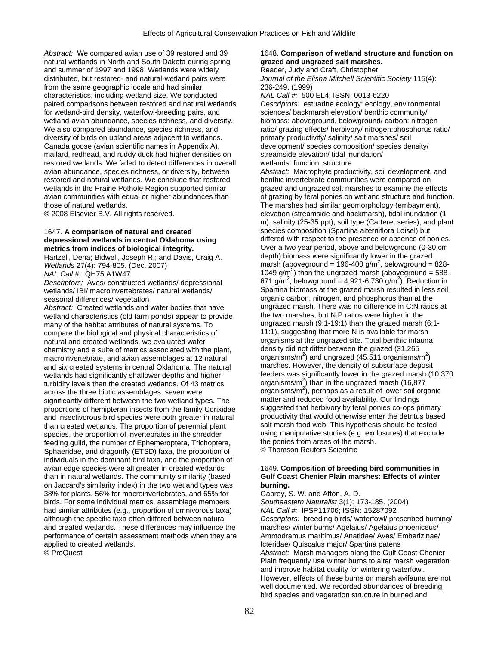*Abstract:* We compared avian use of 39 restored and 39 1648. **Comparison of wetland structure and function on**  natural wetlands in North and South Dakota during spring **grazed and ungrazed salt marshes.**  and summer of 1997 and 1998. Wetlands were widely Reader, Judy and Craft, Christopher distributed, but restored- and natural-wetland pairs were *Journal of the Elisha Mitchell Scientific Society* 115(4): from the same geographic locale and had similar 236-249. (1999) characteristics, including wetland size. We conducted *NAL Call #:* 500 EL4; ISSN: 0013-6220 paired comparisons between restored and natural wetlands *Descriptors:* estuarine ecology: ecology, environmental for wetland-bird density, waterfowl-breeding pairs, and sciences/ backmarsh elevation/ benthic community/ wetland-avian abundance, species richness, and diversity. biomass: aboveground, belowground/ carbon: nitrogen We also compared abundance, species richness, and ratio/ grazing effects/ herbivory/ nitrogen:phosphorus ratio/ diversity of birds on upland areas adjacent to wetlands. primary productivity/ salinity/ salt marshes/ soil Canada goose (avian scientific names in Appendix A), development/ species composition/ species density/ mallard, redhead, and ruddy duck had higher densities on streamside elevation/ tidal inundation/ restored wetlands. We failed to detect differences in overall wetlands: function, structure avian abundance, species richness, or diversity, between *Abstract:* Macrophyte productivity, soil development, and restored and natural wetlands. We conclude that restored benthic invertebrate communities were compared on wetlands in the Prairie Pothole Region supported similar grazed and ungrazed salt marshes to examine the effects<br>avian communities with equal or higher abundances than of grazing by feral ponies on wetland structure and fu those of natural wetlands. The marshes had similar geomorphology (embayment),

Hartzell, Dena; Bidwell, Joseph R.; and Davis, Craig A. Wetlands 27(4): 794-805. (Dec. 2007)

*Descriptors: Aves/ constructed wetlands/ depressional* 

Abstract: Created wetlands and water bodies that have ungrazed marsh. There was no difference in C:N ratios were<br>wetland characteristics (old farm ponds) appear to provide the two marshes, but N:P ratios were higher in the wetland characteristics (old farm ponds) appear to provide many of the habitat attributes of natural systems. To ungrazed marsh (9:1-19:1) than the grazed marsh (6:1-<br>compare the biological and physical characteristics of 11:1), suggesting that more N is available for marsh compare the biological and physical characteristics of 11:1), suggesting that more N is available for marsh<br>
natural and created wetlands, we evaluated water organisms at the ungrazed site. Total benthic infauna natural and created wetlands, we evaluated water organisms at the ungrazed site. Total benthic infaunation organisms at the ungrazed site. Total benthic infaunation organisms at the ungrazed site. Total benthic infaunation chemistry and a suite of metrics associated with the plant, density did not differ between the grazed (31,265  $\text{macro}$  macroinvertebrate, and avian assemblages at 12 natural organisms/m<sup>2</sup>) and ungrazed (45,511 organisms/m macroinvertebrate, and avian assemblages at 12 natural organisms/m<sup>2</sup>) and ungrazed (45,511 organisms/m<sup>2</sup>)<br>and six created systems in central Oklahoma. The natural marshes. However, the density of subsurface deposit and six created systems in central Oklahoma. The natural turbidity levels than the created wetlands. Of 43 metrics across the three biotic assemblages, seven were  $\frac{1}{2}$  organisms/m<sup>2</sup>), perhaps as a result of lower soil organic significantly different between the two wetland types. The matter and reduced food availability. Our findings proportions of hemipteran insects from the family Corixidae suggested that herbivory by feral ponies co-ops primary<br>and insectivorous bird species were both greater in patural productivity that would otherwise enter the de and insectivorous bird species were both greater in natural productivity that would otherwise enter the detritus base<br>than created wetlands. The proportion of perennial plant salt marsh food web. This hypothesis should be than created wetlands. The proportion of perennial plant salt marsh food web. This hypothesis should be tested<br>species the proportion of invertebrates in the shredder subing manipulative studies (e.g. exclosures) that excl species, the proportion of invertebrates in the shredder using manipulative studies (e.g. exc<br>
feeding quild, the number of Ephemeroptera, Trichoptera, the ponies from areas of the marsh. feeding guild, the number of Ephemeroptera, Trichoptera, the ponies from areas of the m<br>Sphaeridae, and dragonfly (ETSD) taxa, the proportion of Commission Reuters Scientific Sphaeridae, and dragonfly (ETSD) taxa, the proportion of individuals in the dominant bird taxa, and the proportion of avian edge species were all greater in created wetlands 1649. **Composition of breeding bird communities in**  than in natural wetlands. The community similarity (based **Gulf Coast Chenier Plain marshes: Effects of winter**  on Jaccard's similarity index) in the two wetland types was **burning.**  38% for plants, 56% for macroinvertebrates, and 65% for Gabrey, S. W. and Afton, A. D. birds. For some individual metrics, assemblage members *Southeastern Naturalist* 3(1): 173-185. (2004) had similar attributes (e.g., proportion of omnivorous taxa) although the specific taxa often differed between natural *Descriptors:* breeding birds/ waterfowl/ prescribed burning/ and created wetlands. These differences may influence the marshes/ winter burns/ Agelaius/ Agelaius phoeniceus/ performance of certain assessment methods when they are Ammodramus maritimus/ Anatidae/ Aves/ Emberizinae/ applied to created wetlands. Icteridae/ Quiscalus major/ Spartina patens

of grazing by feral ponies on wetland structure and function. © 2008 Elsevier B.V. All rights reserved. elevation (streamside and backmarsh), tidal inundation (1 m), salinity (25-35 ppt), soil type (Carteret series), and plant 1647. **A comparison of natural and created** species composition (Spartina alterniflora Loisel) but **depressional wetlands in central Oklahoma using** differed with respect to the presence or absence of ponies. **metrics from indices of biological integrity. Concept of the State of the State of the U.** Over a two year period, above and belowground (0-30 cm depth) biomass were significantly lower in the grazed Hartzell. Dena: Bid marsh (aboveground = 196-400 g/m<sup>2</sup>, belowground = 828-*NAL Call #:* QH75.A1W47 **and the field of the set of the set of the field of the ungrazed marsh (aboveground = 588-<br>Descriptors: Aves/ constructed wetlands/ depressional 671 g/m<sup>2</sup>; belowground = 4,921-6,730 g/m<sup>2</sup>). Redu** 1049 g/m<sup>2</sup>) than the ungrazed marsh (aboveground = 588wetlands/ IBI/ macroinvertebrates/ natural wetlands/ Spartina biomass at the grazed marsh resulted in less soil<br>seasonal differences/ vegetation<br>seasonal differences/ vegetation organic carbon, nitrogen, and phosphorus than at the ungrazed marsh. There was no difference in C:N ratios at wetlands had significantly shallower depths and higher feeders was significantly lower in the grazed marsh (10,370 turbidity levels than the created wetlands Of 43 metrics  $(16.877)$  than in the ungrazed marsh (16,877

© ProQuest *Abstract:* Marsh managers along the Gulf Coast Chenier Plain frequently use winter burns to alter marsh vegetation and improve habitat quality for wintering waterfowl. However, effects of these burns on marsh avifauna are not well documented. We recorded abundances of breeding bird species and vegetation structure in burned and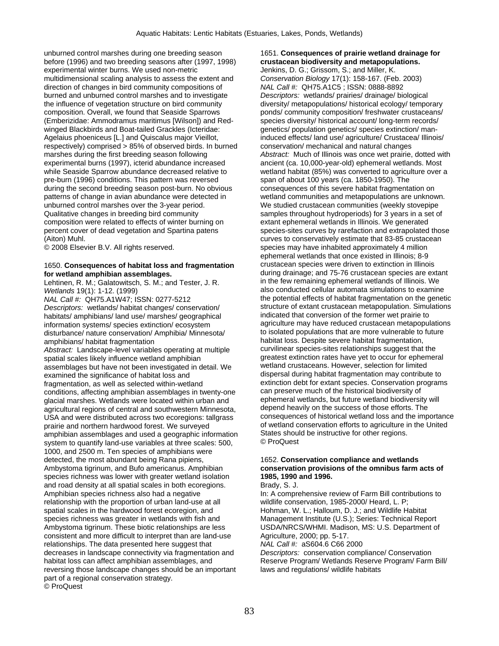unburned control marshes during one breeding season 1651. **Consequences of prairie wetland drainage for**  before (1996) and two breeding seasons after (1997, 1998) **crustacean biodiversity and metapopulations.**  experimental winter burns. We used non-metric Jenkins, D. G.; Grissom, S.; and Miller, K.<br>multidimensional scaling analysis to assess the extent and Conservation Biology 17(1): 158-167. (Feb. 2003) multidimensional scaling analysis to assess the extent and *Conservation Biology* 17(1): 158-167. (Feb. 2<br>direction of changes in bird community compositions of *NAL Call #:* QH75.A1C5; ISSN: 0888-8892 direction of changes in bird community compositions of burned and unburned control marshes and to investigate *Descriptors:* wetlands/ prairies/ drainage/ biological the influence of vegetation structure on bird community diversity/ metapopulations/ historical ecology/ temporary<br>composition. Overall, we found that Seaside Sparrows ponds/ community composition/ freshwater crustaceans/ (Emberizidae: Ammodramus maritimus [Wilson]) and Redwinged Blackbirds and Boat-tailed Grackles (Icteridae: genetics/ population genetics/ species extinction/ man-Agelaius phoeniceus [L.] and Quiscalus major Vieillot, induced effects/ land use/ agriculture/ Crustacea/ Illinois/ respectively) comprised > 85% of observed birds. In burned conservation/ mechanical and natural changes marshes during the first breeding season following *Abstract:* Much of Illinois was once wet prairie, dotted with experimental burns (1997), icterid abundance increased ancient (ca. 10,000-year-old) ephemeral wetlands. Most while Seaside Sparrow abundance decreased relative to wetland habitat (85%) was converted to agriculture over a pre-burn (1996) conditions. This pattern was reversed span of about 100 years (ca. 1850-1950). The during the second breeding season post-burn. No obvious consequences of this severe habitat fragmentation on during the second breeding season post-burn. No obvious patterns of change in avian abundance were detected in unburned control marshes over the 3-year period. We studied crustacean communities (weekly stovepipe Qualitative changes in breeding bird community samples throughout hydroperiods) for 3 years in a set of composition were related to effects of winter burning on extant ephemeral wetlands in Illinois. We generated percent cover of dead vegetation and Spartina patens species-sites curves by rarefaction and extrapolated those (Aiton) Muhl. curves to conservatively estimate that 83-85 crustacean

## 1650. **Consequences of habitat loss and fragmentation** crustacean species were driven to extinction in Illinois

Lehtinen, R. M.; Galatowitsch, S. M.; and Tester, J. R. Wetlands 19(1): 1-12. (1999)

*Descriptors:* wetlands/ habitat changes/ conservation/ structure of extant crustacean metapopulation. Simulation<br>habitats/ amphibians/ land use/ marshes/ geographical indicated that conversion of the former wet prairie to habitats/ amphibians/ land use/ marshes/ geographical disturbance/ nature conservation/ Amphibia/ Minnesota/ amphibians/ habitat fragmentation

spatial scales likely influence wetland amphibian greatest extinction rates have yet to occur for ephen<br>assemblages but have not been investigated in detail. We wetland crustaceans. However, selection for limited assemblages but have not been investigated in detail. We examined the significance of habitat loss and dispersal during habitat fragmentation may contribute to fragmentation, as well as selected within-wetland extinction debt for extant species. Conservation programs<br>conditions. affecting amphibian assemblages in twenty-one can preserve much of the historical biodiversity of conditions, affecting amphibian assemblages in twenty-one can preserve much of the historical biodiversity of<br>
dlacial marshes. Wetlands were located within urban and ephemeral wetlands, but future wetland biodiversity wil glacial marshes. Wetlands were located within urban and ephemeral wetlands, but future wetland biodiversity glacial entity in the success of those efforts. The USA and were distributed across two ecoregions: tallgrass prairie and northern hardwood forest. We surveyed of wetland conservation efforts to agriculture in the United<br>amphibian assemblages and used a geographic information States should be instructive for other regions. amphibian assemblages and used a geographic information States should be instructive for our system to quantify for other regions. system to quantify land-use variables at three scales: 500, 1000, and 2500 m. Ten species of amphibians were detected, the most abundant being Rana pipiens, 1652. **Conservation compliance and wetlands**  Ambystoma tigrinum, and Bufo americanus. Amphibian **conservation provisions of the omnibus farm acts of**  species richness was lower with greater wetland isolation **1985, 1990 and 1996.**  and road density at all spatial scales in both ecoregions. Brady, S. J.<br>Amphibian species richness also had a negative limic A compre relationship with the proportion of urban land-use at all spatial scales in the hardwood forest ecoregion, and species richness was greater in wetlands with fish and Management Institute (U.S.); Series: Technical Report Ambystoma tigrinum. These biotic relationships are less USDA/NRCS/WHMI. Madison, MS: U.S. Department of consistent and more difficult to interpret than are land-use Agriculture, 2000; pp. 5-17. relationships. The data presented here suggest that *NAL Call #:* aS604.6 C66 2000 decreases in landscape connectivity via fragmentation and *Descriptors:* conservation compliance/ Conservation reversing those landscape changes should be an important part of a regional conservation strategy. © ProQuest

ponds/ community composition/ freshwater crustaceans/<br>species diversity/ historical account/ long-term records/ wetland communities and metapopulations are unknown. © 2008 Elsevier B.V. All rights reserved. species may have inhabited approximately 4 million ephemeral wetlands that once existed in Illinois; 8-9 during drainage; and 75-76 crustacean species are extant in the few remaining ephemeral wetlands of Illinois. We *Wetlands* 19(1): 1-12. (1999)<br>
Mat. Call #: QH75.A1W47; ISSN: 0277-5212<br> **ALL Call #: QH75.A1W47; ISSN: 0277-5212** the potential effects of habitat fragmentation on the genetic<br>structure of extant crustacean metapopulation. Simulations information systems/ species extinction/ ecosystem agriculture may have reduced crustacean metapopulations<br>disturbance/ nature conservation/ Amphibia/ Minnesota/ to isolated populations that are more vulnerable to future *Abstract:* Landscape-level variables operating at multiple curvilinear species-sites relationships suggest that the<br>spatial scales likely influence wetland amphibian greatest extinction rates have yet to occur for ephemer agricultural regions of central and southwestern Minnesota, depend heavily on the success of those efforts. The<br>LISA and were distributed across two ecoregions: tallorass consequences of historical wetland loss and the imp habitat loss. Despite severe habitat fragmentation,

In: A comprehensive review of Farm Bill contributions to wildlife conservation. 1985-2000/ Heard. L. P: Hohman, W. L.; Halloum, D. J.; and Wildlife Habitat

Reserve Program/ Wetlands Reserve Program/ Farm Bill/<br>laws and regulations/ wildlife habitats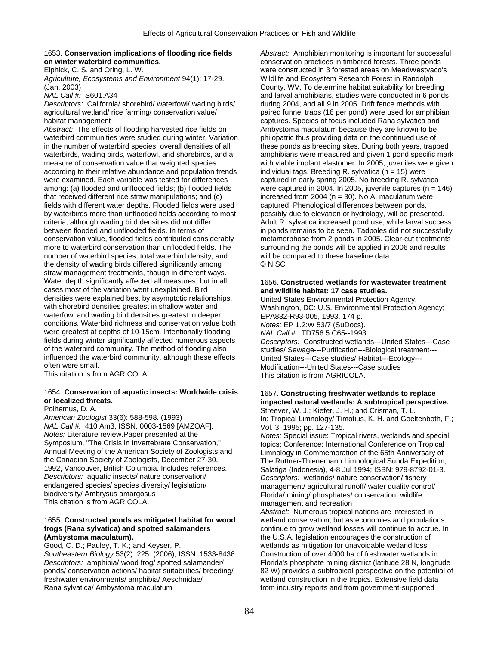### 1653. **Conservation implications of flooding rice fields** *Abstract:* Amphibian monitoring is important for successful **on winter waterbird communities.** conservation practices in timbered forests. Three ponds

*Descriptors: California/ shorebird/ waterfowl/ wading birds/ agricultural wetland/ rice farming/ conservation value/* habitat management **captures.** Species of focus included Rana sylvatica and

Abstract: The effects of flooding harvested rice fields on Ambystoma maculatum because they are known to be waterbird communities were studied during winter. Variation philopatric thus providing data on the continued use of in the number of waterbird species, overall densities of all these ponds as breeding sites. During both years, trapped according to their relative abundance and population trends individual tags. Breeding R. sylvatica ( $n = 15$ ) were were examined. Each variable was tested for differences captured in early spring 2005. No breeding R. sylvatica<br>among: (a) flooded and unflooded fields; (b) flooded fields were captured in 2004. In 2005, juvenile captures that received different rice straw manipulations; and (c) increased from 2004 (n = 30). No A. maculatum were fields with different water depths. Flooded fields were used captured. Phenological differences between ponds, fields with different water depths. Flooded fields were used by waterbirds more than unflooded fields according to most possibly due to elevation or hydrology, will be presented. criteria, although wading bird densities did not differ Adult R. sylvatica increased pond use, while larval success between flooded and unflooded fields. In terms of in ponds remains to be seen. Tadpoles did not successfully conservation value, flooded fields contributed considerably metamorphose from 2 ponds in 2005. Clear-cut treatments more to waterbird conservation than unflooded fields. The surrounding the ponds will be applied in 2006 and results number of waterbird species, total waterbird density, and will be compared to these baseline data. the density of wading birds differed significantly among © NISC straw management treatments, though in different ways. Water depth significantly affected all measures, but in all 1656. **Constructed wetlands for wastewater treatment** cases most of the variation went unexplained. Bird **and wildlife habitat: 17 case studies.** cases most of the variation went unexplained. Bird densities were explained best by asymptotic relationships, <br>with shorebird densities greatest in shallow water and Washington DC: U.S. Environmental Protection waterfowl and wading bird densities greatest in deeper EPA832-R93-005, 1993. 174 p.<br>conditions. Waterbird richness and conservation value both Motes: EP 1.2:W 53/7 (SuDocs). conditions. Waterbird richness and conservation value both were greatest at depths of 10-15cm. Intentionally flooding *NAL Call #:* TD756.5.C65--1993<br>
fields during winter significantly affected numerous aspects *Descriptors:* Constructed wetlang fields during winter significantly affected numerous aspects *Descriptors:* Constructed wetlands---United States---Case of the waterbird community. The method of flooding also studies/ Sewage---Purification---Biological treatment---<br>influenced the waterbird community, although these effects United States---Case studies/ Habitat---Fcology--influenced the waterbird community, although these effects United States---Case studies/ Habitat---Ecology---<br>Modification--- I Inited States---Case studies

## 1654. **Conservation of aquatic insects: Worldwide crisis** 1657. **Constructing freshwater wetlands to replace**

*NAL Call #:* 410 Am3; ISSN: 0003-1569 [AMZOAF]. Vol. 3, 1995; pp. 127-135.<br> *Notes:* Literature review.Paper presented at the *Notes: Special issue: Trop Notes:* Literature review.Paper presented at the *Notes:* Special issue: Tropical rivers, wetlands and special *Symposium*, "The Crisis in Invertebrate Conservation," topics: Conference: International Conference on Tropic Symposium, "The Crisis in Invertebrate Conservation," exercision topics; Conference: International Conference on Tropical<br>Annual Meeting of the American Society of Zoologists and exercision of the annemoration of the 65th Annual Meeting of the American Society of Zoologists and Limnology in Commemoration of the 65th Anniversary of<br>the Canadian Society of Zoologists, December 27-30, The Ruttner-Thienemann Limnological Sunda Expedition the Canadian Society of Zoologists, December 27-30, The Ruttner-Thienemann Limnological Sunda Expedition,<br>1992, Vancouver, British Columbia, Includes references. Salatiga (Indonesia), 4-8, Jul 1994; ISBN; 979-8792-01 1992, Vancouver, British Columbia. Includes references. Salatiga (Indonesia), 4-8 Jul 1994; ISBN: 979-8792-01-3.<br>Descriptors: aquatic insects/ nature conservation/ Descriptors: wetlands/ nature conservation/ fishery *Descriptors:* aquatic insects/ nature conservation/ *Descriptors:* wetlands/ nature conservation/ fishery endangered species/ species diversity/ legislation/ management/ agricultural runoff/ water quality control/<br>biodiversity/ Ambrysus amargosus<br>Florida/ mining/ phosphates/ conservation wildlife This citation is from AGRICOLA. management and recreation

### 1655. **Constructed ponds as mitigated habitat for wood** wetland conservation, but as economies and populations **(Ambystoma maculatum).** the U.S.A. legislation encourages the construction of

Good, C. D.; Pauley, T. K.; and Keyser, P. wetlands as mitigation for unavoidable wetland loss. *Southeastern Biology* 53(2): 225. (2006); ISSN: 1533-8436 Construction of over 4000 ha of freshwater wetlands in *Descriptors:* amphibia/ wood frog/ spotted salamander/ Florida's phosphate mining district (latitude 28 N, longitude freshwater environments/ amphibia/ Aeschnidae/ wetland construction in the tropics. Extensive field data Rana sylvatica/ Ambystoma maculatum from industry reports and from government-supported

Elphick, C. S. and Oring, L. W. were constructed in 3 forested areas on MeadWestvaco's *Agriculture, Ecosystems and Environment* 94(1): 17-29. Wildlife and Ecosystem Research Forest in Randolph (Jan. 2003) County, WV. To determine habitat suitability for breeding *NAL Call #:* S601.A34 **but and Sepannia and Sepannia** and larval amphibians, studies were conducted in 6 ponds<br>Descriptors: California/ shorebird/ waterfowl/ wading birds/ during 2004, and all 9 in 2005. Drift fence metho paired funnel traps (16 per pond) were used for amphibian waterbirds, wading birds, waterfowl, and shorebirds, and a amphibians were measured and given 1 pond specific mark<br>measure of conservation value that weighted species with viable implant elastomer. In 2005, juveniles were with viable implant elastomer. In 2005, juveniles were given were captured in 2004. In 2005, juvenile captures ( $n = 146$ ) increased from 2004 ( $n = 30$ ). No A. maculatum were

Washington, DC: U.S. Environmental Protection Agency; often were small.<br>
This citation is from AGRICOLA.<br>
This citation is from AGRICOLA This citation is from AGRICOLA This citation is from AGRICOLA.

## **or localized threats.** impacted natural wetlands: A subtropical perspective.<br>Polhemus, D. A. (Polhemus, D. A. et al. 1999) Streever W. J. Kiefer, J. H. and Crisman, T. I

Polhemus, D. A.<br>American Zoologist 33(6): 588-598. (1993) Streever, W. J.; Kiefer, J. H.; and Crisman, T. L.<br>In: Tropical Limnology/Timotius, K. H. and Goel *In: Tropical Limnology/ Timotius, K. H. and Goeltenboth, F.;* 

Florida/ mining/ phosphates/ conservation, wildlife

*Abstract:* Numerous tropical nations are interested in frogottinue to grow wetland losses will continue to accrue. In ponds/ conservation actions/ habitat suitabilities/ breeding/ 82 W) provides a subtropical perspective on the potential of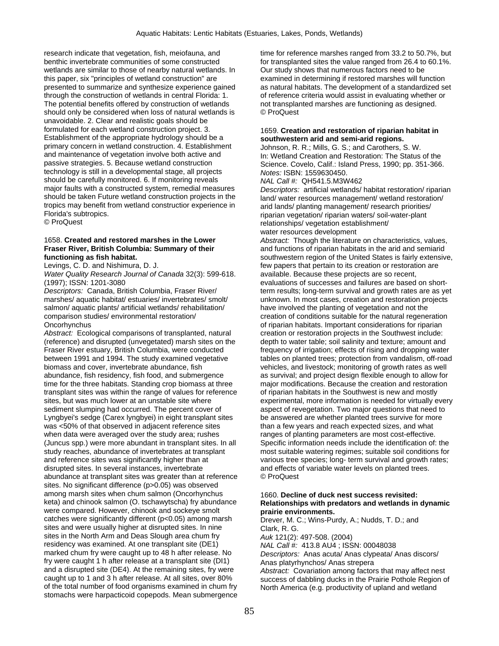research indicate that vegetation, fish, meiofauna, and time for reference marshes ranged from 33.2 to 50.7%, but benthic invertebrate communities of some constructed for transplanted sites the value ranged from 26.4 to 60.1%. wetlands are similar to those of nearby natural wetlands. In Our study shows that numerous factors need to be this paper, six "principles of wetland construction" are examined in determining if restored marshes will function presented to summarize and synthesize experience gained as natural habitats. The development of a standardized set through the construction of wetlands in central Florida: 1. of reference criteria would assist in evaluating whether or The potential benefits offered by construction of wetlands not transplanted marshes are functioning as designed.<br>
should only be considered when loss of natural wetlands is © ProQuest should only be considered when loss of natural wetlands is unavoidable. 2. Clear and realistic goals should be formulated for each wetland construction project. 3. 1659. **Creation and restoration of riparian habitat in**  Establishment of the appropriate hydrology should be a **southwestern arid and semi-arid regions.**<br>
primary concern in wetland construction. 4. Establishment and conservative services on R R · Mills G S · and Carothers S primary concern in wetland construction. 4. Establishment Johnson, R. R.; Mills, G. S.; and Carothers, S. W.<br>and maintenance of vegetation involve both active and In: Wetland Creation and Restoration: The Status and maintenance of vegetation involve both active and In: Wetland Creation and Restoration: The Status of the<br>
passive strategies. 5. Because wetland construction Science Covelo Calif : Island Press. 1990: pp. 351-366 technology is still in a developmental stage, all projects *Notes:* ISBN: 1559630450. should be carefully monitored. 6. If monitoring reveals *NAL Call #:* QH541.5.M3W462<br>major faults with a constructed system, remedial measures *Descriptors:* artificial wetlands/ major faults with a constructed system, remedial measures *Descriptors:* artificial wetlands/ habitat restoration/ riparian<br>
should be taken Future wetland construction projects in the land/ water resources management/ wet tropics may benefit from wetland constructior experience in arid lands/ planting management/ research priorities/<br>Florida's subtropics. riparian vegetation/ riparian waters/ soil-water-plant

## 1658. **Created and restored marshes in the Lower** *Abstract:* Though the literature on characteristics, values,

*Water Quality Research Journal of Canada* 32(3): 599-618. available. Because these projects are so recent,

salmon/ aquatic plants/ artificial wetlands/ rehabilitation/ have involved the planting of vegetation and not the

*Abstract:* Ecological comparisons of transplanted, natural creation or restoration projects in the Southwest include: (reference) and disrupted (unvegetated) marsh sites on the depth to water table; soil salinity and texture; amount and Fraser River estuary, British Columbia, were conducted frequency of irrigation; effects of rising and dropping water between 1991 and 1994. The study examined vegetative tables on planted trees; protection from vandalism, off-road biomass and cover, invertebrate abundance, fish vehicles, and livestock; monitoring of growth rates as well abundance, fish residency, fish food, and submergence as survival; and project design flexible enough to allow for time for the three habitats. Standing crop biomass at three major modifications. Because the creation and restoration transplant sites was within the range of values for reference of riparian habitats in the Southwest is new and mostly sites, but was much lower at an unstable site where experimental, more information is needed for virtually every sediment slumping had occurred. The percent cover of aspect of revegetation. Two major questions that need to Lyngbyei's sedge (Carex lyngbyei) in eight transplant sites be answered are whether planted trees survive for more was <50% of that observed in adjacent reference sites than a few years and reach expected sizes, and what when data were averaged over the study area; rushes ranges of planting parameters are most cost-effective. (Juncus spp.) were more abundant in transplant sites. In all Specific information needs include the identification of: the study reaches, abundance of invertebrates at transplant most suitable watering regimes; suitable soil conditions for and reference sites was significantly higher than at various tree species; long- term survival and growth rates;<br>disrupted sites. In several instances, invertebrate and effects of variable water levels on planted trees. abundance at transplant sites was greater than at reference © ProQuest sites. No significant difference (p>0.05) was observed among marsh sites when chum salmon (Oncorhynchus 1660. **Decline of duck nest success revisited: and chinook salmon (O. tschawytscha)** fry abundance **Relationships with predators and wetlands in** were compared. However, chinook and sockeye smolt **prairie environments.**<br>
catches were significantly different (p<0.05) among marsh **prever M.C. Wins-Pu** sites and were usually higher at disrupted sites. In nine Clark, R. G.<br>sites in the North Arm and Deas Slough area chum fry *Auk* 121(2): 497-508. (2004) sites in the North Arm and Deas Slough area chum fry residency was examined. At one transplant site (DE1) *NAL Call #:* 413.8 AU4 ; ISSN: 00048038<br>marked chum fry were caught up to 48 h after release. No *Descriptors:* Anas acuta/ Anas clypeata/ A fry were caught 1 h after release at a transplant site (DI1) Anas platyrhynchos/ Anas strepera<br>and a disrupted site (DE4). At the remaining sites, fry were *Abstract:* Covariation among factor and a disrupted site (DE4). At the remaining sites, fry were *Abstract:* Covariation among factors that may affect nest caught up to 1 and 3 h after release. At all sites, over 80% success of dabbling ducks in the Prairie Pothole Region of of the total number of food organisms examined in chum fry North America (e.g. productivity of upland stomachs were harpacticoid copepods. Mean submergence

Science, Covelo, Calif.: Island Press, 1990; pp. 351-366.

land/ water resources management/ wetland restoration/ Florida's subtropics.<br>© ProQuest riparian vegetation/ riparian waters/ soil-water-plant<br>relationships/ vegetation establishment/ relationships/ vegetation establishment/ water resources development

**Fraser River, British Columbia: Summary of their** and functions of riparian habitats in the arid and semiarid **functioning as fish habitat.** Southwestern region of the United States is fairly extensive, Levings, C. D. and Nishimura, D. J. few papers that pertain to its creation or restoration are (1997); ISSN: 1201-3080 evaluations of successes and failures are based on short-<br>
Descriptors: Canada, British Columbia, Fraser River/ term results; long-term survival and growth rates are as ye *term results: long-term survival and growth rates are as yet* marshes/ aquatic habitat/ estuaries/ invertebrates/ smolt/ unknown. In most cases, creation and restoration projects comparison studies/ environmental restoration/ creation of conditions suitable for the natural regeneration Oncorhynchus of riparian habitats. Important considerations for riparian and effects of variable water levels on planted trees.

## **Relationships with predators and wetlands in dynamic**

Drever, M. C.; Wins-Purdy, A.; Nudds, T. D.; and Descriptors: Anas acuta/ Anas clypeata/ Anas discors/ North America (e.g. productivity of upland and wetland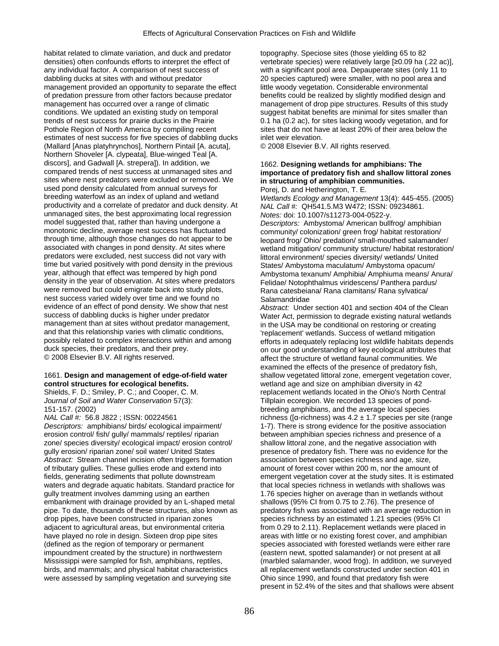habitat related to climate variation, and duck and predator topography. Speciose sites (those yielding 65 to 82 densities) often confounds efforts to interpret the effect of vertebrate species) were relatively large [≥0.09 ha (.22 ac)], any individual factor. A comparison of nest success of with a significant pool area. Depauperate sites (only 11 to dabbling ducks at sites with and without predator 20 species captured) were smaller, with no pool area and management provided an opportunity to separate the effect little woody vegetation. Considerable environmental of predation pressure from other factors because predator benefits could be realized by slightly modified design and management has occurred over a range of climatic management of drop pipe structures. Results of this study<br>conditions. We updated an existing study on temporal suggest habitat benefits are minimal for sites smaller than conditions. We updated an existing study on temporal suggest habitat benefits are minimal for sites smaller than<br>trends of nest success for prairie ducks in the Prairie 0.1 ha (0.2 ac), for sites lacking woody vegetation, Pothole Region of North America by compiling recent sites that do not have at least 20% of their area below the estimates of nest success for five species of dabbling ducks inlet weir elevation. (Mallard [Anas platyhrynchos], Northern Pintail [A. acuta], © 2008 Elsevier B.V. All rights reserved. Northern Shoveler [A. clypeata], Blue-winged Teal [A. discors], and Gadwall [A. strepera]). In addition, we 1662. **Designing wetlands for amphibians: The**  sites where nest predators were excluded or removed. We **in structuring of amphibian communities.**  used pond density calculated from annual surveys for Porej, D. and Hetherington, T. E.<br>breeding waterfowl as an index of upland and wetland Wetlands Ecology and Managem productivity and a correlate of predator and duck density. At *NAL Call #:* QH541.5.M3 W472; ISSN: 09234861. unmanaged sites, the best approximating local regression *Notes:* doi: 10.1007/s11273-004-0522-y. model suggested that, rather than having undergone a *Descriptors:* Ambystoma/ American bullfrog/ amphibian<br>monotonic decline, average nest success has fluctuated community/ colonization/ green frog/ babitat restoration/ monotonic decline, average nest success has fluctuated community/ colonization/ green frog/ habitat restoration/<br>through time, although those changes do not appear to be leopard frog/ Ohio/ predation/ small-mouthed salaman through time, although those changes do not appear to be leopard frog/ Ohio/ predation/ small-mouthed salamander/<br>associated with changes in pond density. At sites where wetland mitigation/ community structure/ habitat res associated with changes in pond density. At sites where wetland mitigation/ community structure/ habitat restoration/<br>predators were excluded, nest success did not vary with littoral environment/ species diversity/ wetland predators were excluded, nest success did not vary with littoral environment/ species diversity/ wetlands/ United<br>time but varied positively with pond density in the previous States/ Ambystoma maculatum/ Ambystoma opacum/ time but varied positively with pond density in the previous States/ Ambystoma maculatum/ Ambystoma opacum/<br>States/ Ambystoma next ambustoma texanum/ Amphibia/ Amphiuma means/ A year, although that effect was tempered by high pond and positional texanum/ Amphibia/ Amphiuma means/ Anura/<br>density in the year of observation. At sites where predators Felidae/ Notophthalmus viridescens/ Panthera pardus density in the year of observation. At sites where predators Felidae/ Notophthalmus viridescens/ Panthera pardus/<br>were removed but could emigrate back into study plots, Rana catesbeiana/ Rana clamitans/ Rana sylvatica/ nest success varied widely over time and we found no Salamandridae<br>evidence of an effect of pond density. We show that nest Abstract: Unde evidence of an effect of pond density. We show that nest *Abstract:* Under section 401 and section 404 of the Clean management than at sites without predator management, in the USA may be conditional on restoring or creating<br>and that this relationship varies with climatic conditions.<br>The lacement wetlands. Success of wetland mitigation and that this relationship varies with climatic conditions, "The replacement' wetlands. Success of wetland mitigation<br>The possibly related to complex interactions within and among efforts in adequately replacing lost wildl possibly related to complex interactions within and among efforts in adequately replacing lost wildlife habitats depends<br>duck species, their predators, and their prey. duck species, their predators, and their prey.<br>© 2008 Elsevier B.V. All rights reserved. exercise that the structure of wetland faunal communities. We

## **control structures for ecological benefits.** wetland age and size on amphibian diversity in 42

*Descriptors:* amphibians/ birds/ ecological impairment/ 1-7). There is strong evidence for the positive association erosion control/ fish/ gully/ mammals/ reptiles/ riparian between amphibian species richness and presence of a zone/ species diversity/ ecological impact/ erosion control/ shallow littoral zone, and the negative association with gully erosion/ riparian zone/ soil water/ United States presence of predatory fish. There was no evidence for the *Abstract:* Stream channel incision often triggers formation association between species richness and age, size, of tributary gullies. These gullies erode and extend into amount of forest cover within 200 m, nor the amount of waters and degrade aquatic habitats. Standard practice for that local species richness in wetlands with shallows was gully treatment involves damming using an earthen 1.76 species higher on average than in wetlands without embankment with drainage provided by an L-shaped metal shallows (95% CI from 0.75 to 2.76). The presence of presence of presence of presence of presence of presence of presence of presence of presence reduction in pipe. To date, thousands of these structures, also known as drop pipes, have been constructed in riparian zones species richness by an estimated 1.21 species (95% CI adjacent to agricultural areas, but environmental criteria from 0.29 to 2.11). Replacement wetlands were placed in have played no role in design. Sixteen drop pipe sites areas with little or no existing forest cover, and amphibian (defined as the region of temporary or permanent species associated with forested wetlands were either rare impoundment created by the structure) in northwestern (eastern newt, spotted salamander) or not present at all Mississippi were sampled for fish, amphibians, reptiles, (marbled salamander, wood frog). In addition, we surveyed birds, and mammals; and physical habitat characteristics all replacement wetlands constructed under section 401 in<br>were assessed by sampling vegetation and surveying site Ohio since 1990, and found that predatory fish were were assessed by sampling vegetation and surveying site

0.1 ha (0.2 ac), for sites lacking woody vegetation, and for

## importance of predatory fish and shallow littoral zones

breeding waterfawl and *Management* 13(4): 445-455. (2005)

Rana catesbeiana/ Rana clamitans/ Rana sylvatica/

Water Act, permission to degrade existing natural wetlands affect the structure of wetland faunal communities. We examined the effects of the presence of predatory fish, 1661. **Design and management of edge-of-field water** shallow vegetated littoral zone, emergent vegetation cover, Shields, F. D.; Smiley, P. C.; and Cooper, C. M. replacement wetlands located in the Ohio's North Central *Journal of Soil and Water Conservation* 57(3): Tillplain ecoregion. We recorded 13 species of pond-151-157. (2002) breeding amphibians, and the average local species *NAL Call #:* 56.8 J822 ; ISSN: 00224561 richness ([α-richness) was 4.2 ± 1.7 species per site (range fields, generating sediments that pollute downstream emergent vegetation cover at the study sites. It is estimated present in 52.4% of the sites and that shallows were absent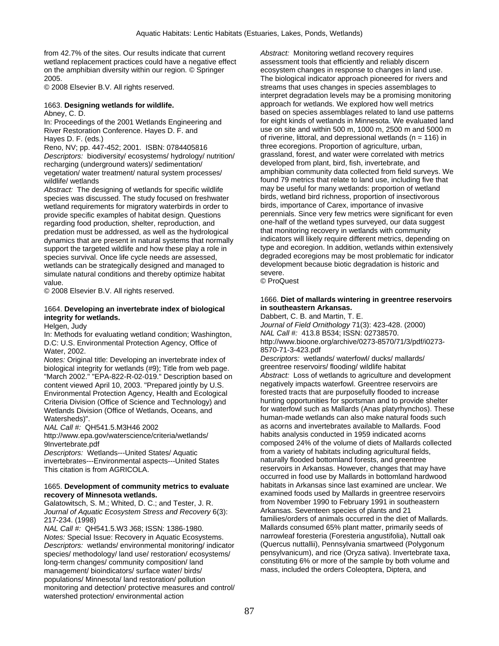from 42.7% of the sites. Our results indicate that current *Abstract:* Monitoring wetland recovery requires wetland replacement practices could have a negative effect assessment tools that efficiently and reliably discern on the amphibian diversity within our region. © Springer ecosystem changes in response to changes in land use. 2005. The biological indicator approach pioneered for rivers and

In: Proceedings of the 2001 Wetlands Engineering and

Reno, NV; pp. 447-452; 2001. ISBN: 0784405816 three ecoregions. Proportion of agriculture, urban,<br>Descriptors: biodiversity/ecosystems/bydrology/putrition/ arassland. forest. and water were correlated with metrics *Descriptors:* biodiversity/ ecosystems/ hydrology/ nutrition/ grassland, forest, and water were correlated with i<br>recharging (underground waters)/ sedimentation/ developed from plant, bird, fish, invertebrate, and recharging (underground waters)/ sedimentation/

Abstract: The designing of wetlands for specific wildlife may be useful for many wetlands: proportion of wetland<br>species was discussed. The study focused on freshwater birds, wetland bird richness, proportion of insectivor species was discussed. The study focused on freshwater birds, wetland bird richness, proportion of insectivo<br>wetland requirements for migratory waterbirds in order to birds, importance of Carex, importance of invasive wetland requirements for migratory waterbirds in order to regarding food production, shelter, reproduction, and one-half of the wetland types surveyed, our data suggest<br>That monitoring recovery in wetlands with community predation must be addressed, as well as the hydrological that monitoring recovery in wetlands with community<br>dynamics that are present in natural systems that normally indicators will likely require different metrics, depe species survival. Once life cycle needs are assessed, degraded ecoregions may be most problematic for indicator<br>wetlands can be strategically designed and managed to development because biotic degradation is historic and wetlands can be strategically designed and managed to development because because because because because because because  $\frac{1}{\sqrt{2}}$ simulate natural conditions and thereby optimize habitat value. © ProQuest

© 2008 Elsevier B.V. All rights reserved.

### 1664. **Developing an invertebrate index of biological in southeastern Arkansas. integrity for wetlands. Compared All Accords 20 and Martin, T. E.** Dabbert, C. B. and Martin, T. E.

In: Methods for evaluating wetland condition; Washington, *NAL Call #:* 413.8 B534; ISSN: 02738570. D.C: U.S. Environmental Protection Agency, Office of Water, 2002.<br>
Motes: Original title: Developing an invertebrate index of Descriptors: wetlands/ waterfowl/ ducks/ mallards/

*Notes:* Original title: Developing an invertebrate index of *Descriptors:* wetlands/ waterfowl/ ducks/ mall<br>biological integrity for wetlands (#9): Title from web page. greentree reservoirs/ flooding/ wildlife habitat "March 2002." "EPA-822-R-02-019." Description based on *Abstract:* Loss of wetlands to agriculture and development content viewed April 10, 2003. "Prepared jointly by U.S. The energatively impacts waterfowl. Greentree reservoirs are<br>Forgatively impacts waterfowled to increase Environmental Protection Agency, Health and Ecological forested tracts that are purposefully flooded to increase<br>Criteria Division (Office of Science and Technology) and hunting opportunities for sportsman and to provide s Criteria Division (Office of Science and Technology) and

http://www.epa.gov/waterscience/criteria/wetlands/

Descriptors: Wetlands---United States/ Aquatic **from a variety of habitats including agricultural fields**<br>invertebrates---Environmental aspects---United States **from a maturally flooded bottomland forests**, and greentree invertebrates---Environmental aspects---United States

Galatowitsch, S. M.; Whited, D. C.; and Tester, J. R. from November 1990 to February 1991 in southeastern Stress and Recovery 6(3) for the Arkansas. Seventeen species of plants and 21 *Journal of Aquatic Ecosystem Stress and Recovery* 6(3):

*Notes:* Special Issue: Recovery in Aquatic Ecosystems. narrowleaf foresteria (Foresteria angustifolia), Nuttall oak<br>Descriptors: wetlands/ environmental monitoring/ indicator (Quercus nuttallii), Pennsylvania smartweed (P *Descriptors:* wetlands/ environmental monitoring/ indicator (Quercus nuttallii), Pennsylvania smartweed (Polygonum species/ methodology/ land use/ restoration/ ecosystems/ long-term changes/ community composition/ land constituting 6% or more of the sample by both volume and management/ bioindicators/ surface water/ birds/ mass, included the orders Coleoptera, Diptera, and management/ bioindicators/ surface water/ birds/ populations/ Minnesota/ land restoration/ pollution monitoring and detection/ protective measures and control/ watershed protection/ environmental action

© 2008 Elsevier B.V. All rights reserved. Streams that uses changes in species assemblages to interpret degradation levels may be a promising monitoring 1663. **Designing wetlands for wildlife.** approach for wetlands. We explored how well metrics Abney, C. D.<br>
In: Proceedings of the 2001 Wetlands Engineering and the contract of the 2001 Wetlands Engineering and the contract of the contract of the 2001 Wetlands Engineering and the contract of the contract of the con River Restoration Conference. Hayes D. F. and use on site and within 500 m, 1000 m, 2500 m and 5000 m Hayes D. F. (eds.)<br>
Reno NV: np. 447-452: 2001 ISBN: 0784405816 (n = 116) three ecoregions. Proportion of agriculture, urban, vegetation/ water treatment/ natural system processes/ amphibian community data collected from field surveys. We wildlife/ wetlands<br>
Abstract: The designing of wetlands for specific wildlife may be useful for many wetlands: proportion of wetland provide specific examples of habitat design. Questions perennials. Since very few metrics were significant for even<br>regarding food production, shelter, reproduction and one-half of the wetland types surveyed, our data sugg dynamics that are present in natural systems that normally indicators will likely require different metrics, depending on<br>support the targeted wildlife and how these play a role in type and ecoregion. In addition, wetlands support the targeted wildlife and how these play a role in type and ecoregion. In addition, wetlands within extensively<br>species survival. Once life cycle needs are assessed. <br>degraded ecoregions may be most problematic for

## 1666. **Diet of mallards wintering in greentree reservoirs**

Helgen, Judy *Journal of Field Ornithology* 71(3): 423-428. (2000)

biological integrity for wetlands (#9); Title from web page. <br>"March 2002 " "EPA-822-R-02-019 " Description based on *Abstract:* Loss of wetlands to agriculture and development Wetlands Division (Office of Wetlands, Oceans, and for waterfowl such as Mallards (Anas platyrhynchos). These<br>Matersheds)". These human-made wetlands can also make natural foods such Watersheds)".<br>
Matersheds)". human-made wetlands can also make natural foods such<br>
Mal Call #: QH541.5.M3H46 2002 as acorns and invertebrates available to Mallards. Food habits analysis conducted in 1959 indicated acorns 9Invertebrate.pdf<br>
Descriptors: Wetlands---United States/Aquatic **composed 24% of the volume of diets of Mallards collected**<br>
Descriptors: Wetlands---United States/Aquatic from a variety of habitats including agricultural This citation is from AGRICOLA. This citation is from AGRICOLA. This citation is from AGRICOLA. occurred in food use by Mallards in bottomland hardwood 1665. **Development of community metrics to evaluate** habitats in Arkansas since last examined are unclear. We **recovery of Minnesota wetlands. examined foods used by Mallards in greentree reservoirs**<br> **Galatowitsch, S. M.: Whited, D. C.: and Tester, J. R. Transform November 1990 to February 1991 in southeastern** 217-234. (1998) families/orders of animals occurred in the diet of Mallards. *NAL Call #:* QH541.5.W3 J68; ISSN: 1386-1980. Mallards consumed 65% plant matter, primarily seeds of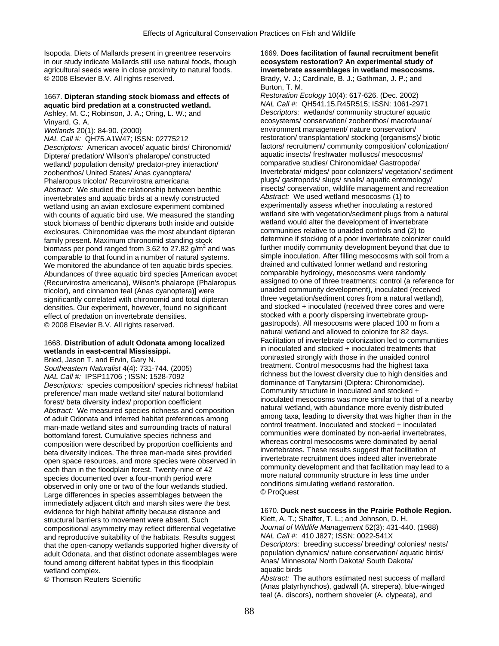Isopoda. Diets of Mallards present in greentree reservoirs 1669. **Does facilitation of faunal recruitment benefit**  in our study indicate Mallards still use natural foods, though **ecosystem restoration? An experimental study of**  agricultural seeds were in close proximity to natural foods. **invertebrate assemblages in wetland mesocosms.**  © 2008 Elsevier B.V. All rights reserved. Brady, V. J.; Cardinale, B. J.; Gathman, J. P.; and

## 1667. **Dipteran standing stock biomass and effects of** *Restoration Ecology* 10(4): 617-626. (Dec. 2002)

Ashley, M. C.; Robinson, J. A.; Oring, L. W.; and

*NAL Call #:* QH75.A1W47; ISSN: 02775212 restoration/ transplantation/ stocking (organisms)/ biotic *Descriptors:* American avocet/ aquatic birds/ Chironomid/ factors/ recruitment/ community composition/ colonization<br>Diptera/ predation/ Wilson's phalarope/ constructed aquatic insects/ freshwater molluscs/ mesocosms/ Diptera/ predation/ Wilson's phalarope/ constructed aquatic insects/ freshwater molluscs/ mesocosms<br>//wetland/ population density/ predator-prev interaction/ comparative studies/ Chironomidae/ Gastropoda wetland/ population density/ predator-prey interaction/ Phalaropus tricolor/ Recurvirostra americana entries plugs/ gastropods/ slugs/ snails/ aquatic entomology/ *Abstract:* We studied the relationship between benthic insects/ conservation, wildlife management and recreation invertebrates and aquatic birds at a newly constructed *Abstract:* We used wetland mesocosms (1) to invertebrates and aquatic birds at a newly constructed *Abstract:* We used wetland mesocosms (1) to wetland using an avian exclosure experiment combined experimentally assess whether inoculating a restored<br>with counts of aquatic bird use. We measured the standing wetland site with vegetation/sediment plugs from a natural with counts of aquatic bird use. We measured the standing wetland site with vegetation/sediment plugs from a n<br>stock biomass of benthic dipterans both inside and outside wetland would alter the development of invertebrate stock biomass of benthic dipterans both inside and outside wetland would alter the development of invertebrate<br>exclosures. Chironomidae was the most abundant dipteran communities relative to unaided controls and (2) to exclosures. Chironomidae was the most abundant dipteran family present. Maximum chironomid standing stock determine if stocking of a poor invertebrate colonizer could biomass per pond ranged from 3.62 to 27.82 g/m<sup>2</sup> and was comparable to that found in a number of natural systems. simple inoculation. After filling mesocosms with soil<br>We monitored the abundance of ten aquatic birds species drained and cultivated former wetland and restoring We monitored the abundance of ten aquatic birds species. drained and cultivated former wetland and restoring<br>Abundances of three aquatic bird species [American avocet comparable hydrology, mesocosms were randomly (Recurvirostra americana), Wilson's phalarope (Phalaropus assigned to one of three treatments: control (a reference<br>tricolor), and cinnamon teal (Anas cyanoptera)] were unaided community development), inoculated (received tricolor), and cinnamon teal (Anas cyanoptera)] were significantly correlated with chironomid and total dipteran three vegetation/sediment cores from a natural wetland),<br>densities Our experiment however found no significant and stocked + inoculated (received three cores and densities. Our experiment, however, found no significant effect of predation on invertebrate densities.  $\overrightarrow{S}$  stocked with a poorly dispersing invertebrate group-© 2008 Elsevier B.V. All rights reserved. exceeding the state of gastropods). All mesocosms were placed 100 m from a

of adult Odonata and inferred habitat preferences among<br>
man-made wetland sites and surrounding tracts of natural<br>
bottomland forest. Cumulative species richness and<br>
communities were dominated by non-aerial invertebrates, bottomland forest. Cumulative species richness and<br>
beta diversity indices. The three man-made sites provided<br>
beta diversity indices. The three man-made sites provided<br>
each than in the floodplain forest. Twenty-nine of 4 observed in only one or two of the four wetlands studied. Conditions strategy conditions strategy conditions strategy example. Large differences in species assemblages between the immediately adjacent ditch and marsh sites were the best evidence for high habitat affinity because distance and 1670. **Duck nest success in the Prairie Pothole Region.**<br> **Klett, A. T.; Shaffer, T. L.; and Johnson, D. H.**<br> **Klett, A. T.; Shaffer, T. L.; and Johnson, D. H.** structural barriers to movement were absent. Such Klett, A. T.; Shaffer, T. L.; and Johnson, D. H.<br>Compositional asymmetry may reflect differential vegetative Journal of Wildlife Management 52(3): 431-440. (1988) compositional asymmetry may reflect differential vegetative *Journal of Wildlife Management* 52(3): 43<br>1914 and reproductive suitability of the habitats. Results suggest MAL Call #: 410 J827; ISSN: 0022-541X and reproductive suitability of the habitats. Results suggest *NAL Call #:* 410 J827; ISSN: 0022-541X that the open-canopy wetlands supported higher diversity of *Descriptors:* breeding success/ breeding/ colonies/ nests<br>adult Odonata, and that distinct odonate assemblages were population dynamics/ nature conservation/ aqu adult Odonata, and that distinct odonate assemblages were population dynamics/ nature conservation/ aquation<br>found among different habitat types in this floodplain has/ Minnesota/ North Dakota/ South Dakota/ found among different habitat types in this floodplain Anas/ Minnes<br>wetland complex<br>and Dakotal Dakotal Dakota wetland complex.

# Burton, T. M.

**aquatic bird predation at a constructed wetland.** *NAL Call #:* QH541.15.R45R515; ISSN: 1061-2971 Vinyard, G. A. ecosystems/ conservation/ zoobenthos/ macrofauna/ *Wetlands* 20(1): 84-90. (2000) environment management/ nature conservation/ zoobenthos/ United States/ Anas cyanoptera/ Invertebrata/ midges/ poor colonizers/ vegetation/ sediment further modify community development beyond that due to simple inoculation. After filling mesocosms with soil from a Abundances of three aquatic bird species [American avocet comparable hydrology, mesocosms were randomly<br>(Recurvirostra americana), Wilson's phalarope (Phalaropus assigned to one of three treatments: control (a reference fo natural wetland and allowed to colonize for 82 days. Facilitation of invertebrate colonization led to communities 1668. **Distribution of adult Odonata among localized wetlands in east-central Mississippi.** in inoculated and stocked + inoculated treatments that<br> **wetlands in inoculated and stocked + inoculated treatments that**<br> **Rightle Separated Strongly with those in the unaided contr** Bried, Jason T. and Ervin, Gary N.<br>
Southeastern Naturalist 4(4): 731-744. (2005)<br>
NAL Call #: IPSP11706; ISSN: 1528-7092<br>
Descriptors: species composition/ species richness/ habitat<br>
preference/ man made wetland site/ nat

© Thomson Reuters Scientific *Abstract:* The authors estimated nest success of mallard (Anas platyrhynchos), gadwall (A. strepera), blue-winged teal (A. discors), northern shoveler (A. clypeata), and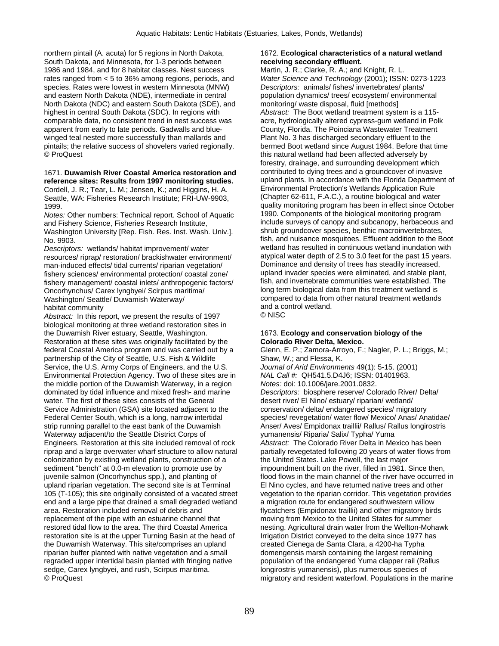northern pintail (A. acuta) for 5 regions in North Dakota, 1672. **Ecological characteristics of a natural wetland**  South Dakota, and Minnesota, for 1-3 periods between **receiving secondary effluent.**  1986 and 1984, and for 8 habitat classes. Nest success Martin, J. R.; Clarke, R. A.; and Knight, R. L. rates ranged from < 5 to 36% among regions, periods, and *Water Science and Technology* (2001); ISSN: 0273-1223 species. Rates were lowest in western Minnesota (MNW) *Descriptors:* animals/ fishes/ invertebrates/ plants/ and eastern North Dakota (NDE), intermediate in central population dynamics/ trees/ ecosystem/ environmental<br>North Dakota (NDC) and eastern South Dakota (SDE), and monitoring/ waste disposal, fluid [methods] North Dakota (NDC) and eastern South Dakota (SDE), and highest in central South Dakota (SDC). In regions with highest in central South Dakota (SDC). In regions with *Abstract:* The Boot wetland treatment system is a 115-<br>
comparable data, no consistent trend in nest success was acre, hydrologically altered cypress-gum wetland in P apparent from early to late periods. Gadwalls and blue- County, Florida. The Poinciana Wastewater Treatment winged teal nested more successfully than mallards and Plant No. 3 has discharged secondary effluent to the pintails; the relative success of shovelers varied regionally. bermed Boot wetland since August 1984. Before that time © ProQuest this natural wetland had been affected adversely by

## reference sites: Results from 1997 monitoring studies.

Seattle, WA: Fisheries Research Institute; FRI-UW-9903,

*Notes:* Other numbers: Technical report. School of Aquatic Washington University [Rep. Fish. Res. Inst. Wash. Univ.].

resources/ riprap/ restoration/ brackishwater environment/ man-induced effects/ tidal currents/ riparian vegetation/ Dominance and density of trees has steadily increased,<br>
fishery sciences/ environmental protection/ coastal zone/ upland invader species were eliminated, and stable fishery sciences/ environmental protection/ coastal zone/ upland invader species were eliminated, and stable plant, fishery management/ coastal inlets/ anthropogenic factors/ fish, and invertebrate communities were established. The Concorhynchus/ Carex lyngby extribution of the concorhynchus/ Carex lyngby extribution of the concorhynchu Oncorhynchus/ Carex lyngbyei/ Scirpus maritima/ Washington/ Seattle/ Duwamish Waterway/ compared to data from other natural treatment wetlands habitat community and a control wetland.<br>Abstract: In this report we present the results of 1997 CONISC

*Abstract:* In this report, we present the results of 1997 biological monitoring at three wetland restoration sites in the Duwamish River estuary, Seattle, Washington. 1673. **Ecology and conservation biology of the**  Restoration at these sites was originally facilitated by the **Colorado River Delta, Mexico.**<br> **Coloration River Delta, Mexico. Property Coloration Cleans** Glenn, E. P.; Zamora-Arroyo, F.; Nagler, P. L.; Briggs, M.; federal Coastal America program and was carried out by a Glenn, E. P.; Zamora-Arror partnership of the City of Seattle, U.S. Fish & Wildlife Shaw, W.; and Flessa, K. partnership of the City of Seattle, U.S. Fish & Wildlife Service, the U.S. Army Corps of Engineers, and the U.S. *Journal of Arid Environments* 49(1): 5-15. (2001) Environmental Protection Agency. Two of these sites are in *NAL Call #:* QH541.5.D4J6; ISSN: 01401963. the middle portion of the Duwamish Waterway, in a region *Notes:* doi: 10.1006/jare.2001.0832. dominated by tidal influence and mixed fresh- and marine *Descriptors:* biosphere reserve/ Colorado River/ Delta/ water. The first of these sites consists of the General desert river/ El Nino/ estuary/ riparian/ wetland/ Service Administration (GSA) site located adjacent to the conservation/ delta/ endangered species/ migratory Federal Center South, which is a long, narrow intertidal species/ revegetation/ water flow/ Mexico/ Anas/ Anatidae/ strip running parallel to the east bank of the Duwamish Anser/ Aves/ Empidonax traillii/ Rallus/ Rallus longirostris Waterway adjacent/to the Seattle District Corps of yumanensis/ Riparia/ Salix/ Typha/ Yuma Engineers. Restoration at this site included removal of rock *Abstract:* The Colorado River Delta in Mexico has been riprap and a large overwater wharf structure to allow natural partially revegetated following 20 years of water flows from colonization by existing wetland plants, construction of a the United States. Lake Powell, the last major sediment "bench" at 0.0-m elevation to promote use by impoundment built on the river, filled in 1981. Since then, juvenile salmon (Oncorhynchus spp.), and planting of flood flows in the main channel of the river have occurred in upland riparian vegetation. The second site is at Terminal El Nino cycles, and have returned native trees and other 105 (T-105); this site originally consisted of a vacated street vegetation to the riparian corridor. This vegetation provides end and a large pipe that drained a small degraded wetland a migration poute for endangered sout end and a large pipe that drained a small degraded wetland area. Restoration included removal of debris and replacement of the pipe with an estuarine channel that moving from Mexico to the United States for summer restored tidal flow to the area. The third Coastal America nesting. Agricultural drain water from the Wellton-Mohawk restoration site is at the upper Turning Basin at the head of Irrigation District conveyed to the delta since 1977 has the Duwamish Waterway. This site/comprises an upland created Cienega de Santa Clara, a 4200-ha Typha riparian buffer planted with native vegetation and a small domengensis marsh containing the largest remaining regraded upper intertidal basin planted with fringing native population of the endangered Yuma clapper rail (Rallus sedge, Carex lyngbyei, and rush, Scirpus maritima. Indextyper population of the endangered Yuma clapper ra sedge, Carex lyngbyei, and rush, Scirpus maritima. longirostris yumanensis), plus numerous species of<br>
© ProQuest micratory and resident waterfowl. Populations in the

acre, hydrologically altered cypress-gum wetland in Polk forestry, drainage, and surrounding development which 1671. **Duwamish River Coastal America restoration and** contributed to dying trees and a groundcover of invasive Cordell, J. R.; Tear, L. M.; Jensen, K.; and Higgins, H. A. Environmental Protection's Wetlands Application Rule<br>Seattle, WA: Fisheries Research Institute: FRI-UW-9903. (Chapter 62-611, F.A.C.), a routine biological and wa 1999.<br>Notes: Other numbers: Technical report. School of Aquatic 1990. Components of the biological monitoring program and Fishery Science, Fisheries Research Institute, include surveys of canopy and subcanopy, herbaceous and<br>Washington University IRen, Fish, Res. Inst. Wash, Univ 1 shrub groundcover species, benthic macroinvertebrates, No. 9903. fish, and nuisance mosquitoes. Effluent addition to the Boot *Descriptors:* wetlands/ habitat improvement/ water wetland has resulted in continuous wetland inundation with resources/ riprap/ restoration/ brackishwater environment/ atypical water depth of 2.5 to 3.0 feet for the past

flycatchers (Empidonax traillii) and other migratory birds migratory and resident waterfowl. Populations in the marine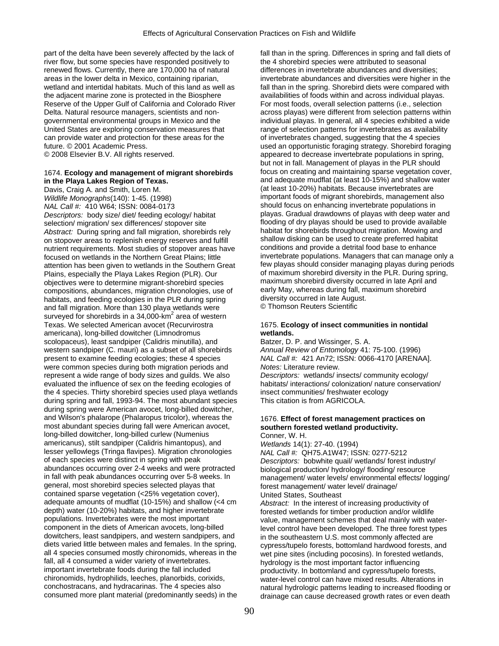part of the delta have been severely affected by the lack of fall than in the spring. Differences in spring and fall diets of river flow, but some species have responded positively to the 4 shorebird species were attributed to seasonal renewed flows. Currently, there are 170,000 ha of natural differences in invertebrate abundances and diversities; areas in the lower delta in Mexico, containing riparian, invertebrate abundances and diversities were higher in the wetland and intertidal habitats. Much of this land as well as fall than in the spring. Shorebird diets were compared with the adjacent marine zone is protected in the Biosphere availabilities of foods within and across individual playas. Reserve of the Upper Gulf of California and Colorado River For most foods, overall selection patterns (i.e., selection Delta. Natural resource managers, scientists and non-<br>governmental environmental groups in Mexico and the individual playas. In general, all 4 species exhibited a wide United States are exploring conservation measures that range of selection patterns for invertebrates as availability can provide water and protection for these areas for the of invertebrates changed, suggesting that the 4 species future. © 2001 Academic Press. used an opportunistic foraging strategy. Shorebird foraging © 2008 Elsevier B.V. All rights reserved. All rights reserved. All appeared to decrease invertebrate populations in spring,

*Wildlife Monographs*(140): 1-45. (1998) *NAL Call #:* 410 W64; ISSN: 0084-0173 should focus on enhancing invertebrate populations in<br>Descriptors: body size/ diet/ feeding ecology/ habitat playas. Gradual drawdowns of playas with deep water and *Descriptors: body size/ diet/ feeding ecology/ habitat* selection/ migration/ sex differences/ stopover site flooding of dry playas should be used to provide available<br>Abstract: During spring and fall migration shorebirds rely habitat for shorebirds throughout migration. Mowing Abstract: During spring and fall migration, shorebirds rely habitat for shorebirds throughout migration. Mowing and<br>on stopover areas to replenish energy reserves and fulfill shallow disking can be used to create preferred on stopover areas to replenish energy reserves and fulfill shallow disking can be used to create preferred habitat<br>nutrient requirements. Most studies of stopover areas have conditions and provide a detrital food base to e nutrient requirements. Most studies of stopover areas have attention has been given to wetlands in the Southern Great few playas should consider managing playas during period<br>Plains especially the Playa Lakes Region (PLR) Our of maximum shorebird diversity in the PLR. During sprin Plains, especially the Playa Lakes Region (PLR). Our of maximum shorebird diversity in the PLR. During spring<br>objectives were to determine migrant-shorebird species maximum shorebird diversity occurred in late April and objectives were to determine migrant-shorebird species maximum shorebird diversity occurred in late April and<br>compositions, abundances, migration chronologies, use of early May, whereas during fall, maximum shorebird compositions, abundances, migration chronologies, use of early May, whereas during fall, m<br>habitats, and feeding ecologies in the PLR during spring diversity occurred in late August. habitats, and feeding ecologies in the PLR during spring diversity occurred in late Augu<br>hand fall migration. More than 130 playa wetlands were Call Chromson Reuters Scientific and fall migration. More than 130 playa wetlands were surveyed for shorebirds in a 34,000- $km^2$  area of western Texas. We selected American avocet (Recurvirostra 1675. **Ecology of insect communities in nontidal**  americana), long-billed dowitcher (Limnodromus **wetlands. wetlands. weblands. scolopaceus**), least sandpiper (Calidris minutilla), and **Batzer**, D. P. and Wissinger, S. A. scolopaceus), least sandpiper (Calidris minutilla), and western sandpiper (C. mauri) as a subset of all shorebirds *Annual Review of Entomology* 41: 75-100. (1996)<br>present to examine feeding ecologies; these 4 species *NAL Call #:* 421 An72; ISSN: 0066-4170 [ARENAA]. present to examine feeding ecologies; these 4 species *NAL Call #:* 421 An72; IS<br>were common species during both migration periods and *Notes:* Literature review. were common species during both migration periods and *Notes:* Literature review.<br> **Notes:** Literature review.<br> *Notes:* Literature review.<br> *Notes:* Literature review.<br> *Notes:* Literature review. represent a wide range of body sizes and guilds. We also evaluated the influence of sex on the feeding ecologies of habitats/ interactions/ colonization/ nature conservation/ the 4 species. Thirty shorebird species used playa wetlands insect communities/ freshwater ecology during spring and fall, 1993-94. The most abundant species This citation is from AGRICOLA. during spring were American avocet, long-billed dowitcher, and Wilson's phalarope (Phalaropus tricolor), whereas the 1676. **Effect of forest management practices on**  most abundant species during fall were American avocet, **southern forested wetland productivity.**<br>
long-billed dowitcher, long-billed curlew (Numenius Conner, W. H. long-billed dowitcher, long-billed curlew (Numenius americanus), stilt sandpiper (Calidris himantopus), and *Wetlands* 14(1): 27-40. (1994) lesser yellowlegs (Tringa flavipes). Migration chronologies of each species were distinct in spring with peak abundances occurring over 2-4 weeks and were protracted biological production/ hydrology/ flooding/ resource<br>in fall with peak abundances occurring over 5-8 weeks. In management/ water levels/ environmental effects/ lo general, most shorebird species selected playas that forest management/ water level/ drainage/ contained sparse vegetation (<25% vegetation cover), United States, Southeast adequate amounts of mudflat (10-15%) and shallow (<4 cm *Abstract:* In the interest of increasing productivity of depth) water (10-20%) habitats, and higher invertebrate forested wetlands for timber production and/or wildl depth) water (10-20%) habitats, and higher invertebrate forested wetlands for timber production and/or wildlife<br>populations. Invertebrates were the most important solue management schemes that deal mainly with wa populations. Invertebrates were the most important value, management schemes that deal mainly with water-<br>component in the diets of American avocets, long-billed level control have been developed. The three forest types component in the diets of American avocets, long-billed level control have been developed. The three forest types<br>dowitchers, least sandpipers, and western sandpipers, and level on the southeastern U.S. most commonly affec dowitchers, least sandpipers, and western sandpipers, and in the southeastern U.S. most commonly affected are diets varied little between males and females. In the spring, corpress/tupelo forests, bottomland hardwood fores diets varied little between males and females. In the spring, express/tupelo forests, bottomland hardwood forests, and<br>all 4 species consumed mostly chironomids, whereas in the experience sites (including pocosins). In for fall, all 4 consumed a wider variety of invertebrates.<br>
important invertebrate foods during the fall included<br>
productivity. In bottomland and cypress/tupelo for important invertebrate foods during the fall included productivity. In bottomland and cypress/tupelo forests,<br>
chironomids, hydrophilids, leeches, planorbids, corixids, exter-level control can have mixed results. Alteratio chironomids, hydrophilids, leeches, planorbids, corixids, water-level control can have mixed results. Alterations in conchostracans, and hydracarinas. The 4 species also natural hydrologic patterns leading to increased flooding or<br>consumed more plant material (predominantly seeds) in the drainage can cause decreased growth rates or even

individual playas. In general, all 4 species exhibited a wide but not in fall. Management of playas in the PLR should 1674. **Ecology and management of migrant shorebirds** focus on creating and maintaining sparse vegetation cover, **in the Playa Lakes Region of Texas.** and adequate mudflat (at least 10-15%) and shallow water Davis, Craig A. and Smith, Loren M. (at least 10-20%) habitats. Because invertebrates are focused on wetlands in the Northern Great Plains; little invertebrate populations. Managers that can manage only a<br>attention has been given to wetlands in the Southern Great few playas should consider managing playas durin important foods of migrant shorebirds, management also

Descriptors: bobwhite quail/ wetlands/ forest industry/

management/ water levels/ environmental effects/ logging/

wet pine sites (including pocosins). In forested wetlands, drainage can cause decreased growth rates or even death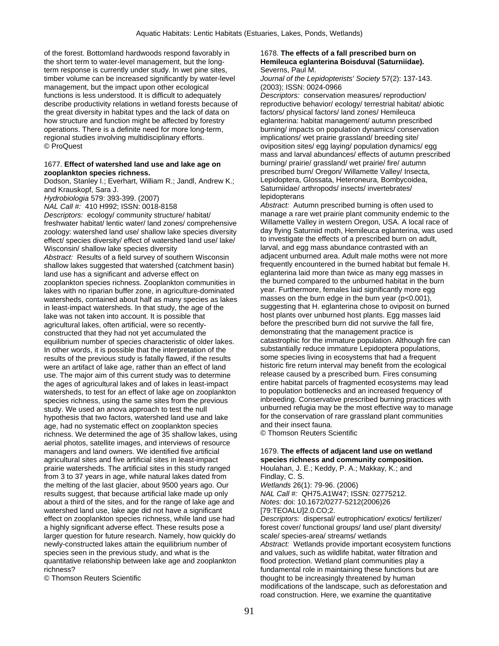of the forest. Bottomland hardwoods respond favorably in 1678. **The effects of a fall prescribed burn on**  the short term to water-level management, but the long- **Hemileuca eglanterina Boisduval (Saturniidae).**  term response is currently under study. In wet pine sites, Severns, Paul M. timber volume can be increased significantly by water-level *Journal of the Lepidopterists' Society* 57(2): 137-143. management, but the impact upon other ecological (2003); ISSN: 0024-0966 functions is less understood. It is difficult to adequately *Descriptors:* conservation measures/ reproduction/ describe productivity relations in wetland forests because of reproductive behavior/ ecology/ terrestrial habitat<br>the great diversity in habitat types and the lack of data on factors/ physical factors/ land zones/ Hemileuc the great diversity in habitat types and the lack of data on factors/ physical factors/ land zones/ Hemileuca<br>how structure and function might be affected by forestry eqlanterina: habitat management/ autumn prescribed how structure and function might be affected by forestry operations. There is a definite need for more long-term, burning/ impacts on population dynamics/ conservation regional studies involving multidisciplinary efforts. independent implications/ wet prairie grassland/ breeding site/ © ProQuest oviposition sites/ egg laying/ population dynamics/ egg

Dodson, Stanley I.; Everhart, William R.; Jandl, Andrew K.;

*Hydrobiologia* 579: 393-399. (2007)

freshwater habitat/ lentic water/ land zones/ comprehensive Willamette Valley in western Oregon, USA. A local race of zoology: watershed land use/ shallow lake species diversity day flying Saturniid moth, Hemileuca eglanterina, was u<br>effect/ species diversity/ effect of watershed land use/ lake/ to investigate the effects of a prescribed effect/ species diversity/ effect of watershed land use/ lake/ Wisconsin/ shallow lake species diversity larval, and egg mass abundance contrasted with an<br>Abstract: Results of a field survey of southern Wisconsin adjacent unburned area. Adult male moths were not more *Abstract:* Results of a field survey of southern Wisconsin adjacent unburned area. Adult male moths were not more<br>
shallow lakes suggested that watershed (catchment basin) frequently encountered in the burned habitat but shallow lakes suggested that watershed (catchment basin) land use has a significant and adverse effect on entity of the burned laid more than twice as many egg masses in<br>Applicible to the unburned habitat in the burned compared to the unburned habitat in the burned rabitat in th zooplankton species richness. Zooplankton communities in the burned compared to the unburned habitat in the bu<br>lakes with no riparian buffer zone, in agriculture-dominated year. Furthermore, females laid significantly more lakes with no riparian buffer zone, in agriculture-dominated year. Furthermore, females laid significantly more egg<br>watersheds, contained about half as many species as lakes masses on the burn edge in the burn year (p<0.00 watersheds, contained about half as many species as lakes in least-impact watersheds. In that study, the age of the suggesting that H. eglanterina chose to oviposit on burned lake was not taken into account. It is possible that host plants over unburned host plants. Egg masses laid agricultural lakes, often artificial, were so recently-<br>
constructed that they had not yet accumulated the demonstrating that the management practice is constructed that they had not yet accumulated the demonstrating that the management practice is<br>
equilibrium number of species characteristic of older lakes catastrophic for the immature population. Although fire can equilibrium number of species characteristic of older lakes. catastrophic for the immature population. Although fire c<br>In other words, it is possible that the interpretation of the substantially reduce immature Lepidoptera In other words, it is possible that the interpretation of the substantially reduce immature Lepidoptera populations<br>
results of the previous study is fatally flawed, if the results some species living in ecosystems that ha results of the previous study is fatally flawed, if the results some species living in ecosystems that had a frequent<br>were an artifact of lake age, rather than an effect of land historic fire return interval may benefit fr were an artifact of lake age, rather than an effect of land historic fire return interval may benefit from the ecologic<br>The maior aim of this current study was to determine release caused by a prescribed burn. Fires consum use. The major aim of this current study was to determine release caused by a prescribed burn. Fires consuming<br>the ages of agricultural lakes and of lakes in least-impact entire habitat parcels of fragmented ecosystems may the ages of agricultural lakes and of lakes in least-impact entire habitat parcels of fragmented ecosystems may lea<br>watersheds, to test for an effect of lake age on zooplankton to population bottlenecks and an increased fr watersheds, to test for an effect of lake age on zooplankton species richness, using the same sites from the previous inbreeding. Conservative prescribed burning practices with study. We used an anova approach to test the null unburned refugia may be the most effective way to manage<br>hypothesis that two factors, watershed land use and lake for the conservation of rare grassland plant communities hypothesis that two factors, watershed land use and lake for the conservation of rare had no systematic effect on zooplankton species and their insect fauna. age, had no systematic effect on zooplankton species and their insect fauna.<br>
richness, We determined the age of 35 shallow lakes, using Chomson Reuters Scientific richness. We determined the age of 35 shallow lakes, using aerial photos, satellite images, and interviews of resource managers and land owners. We identified five artificial 1679. **The effects of adjacent land use on wetland**  agricultural sites and five artificial sites in least-impact **species richness and community composition.**  prairie watersheds. The artificial sites in this study ranged Houlahan, J. E.; Keddy, P. A.; Makkay, K.; and from 3 to 37 years in age, while natural lakes dated from Findlay, C. S. the melting of the last glacier, about 9500 years ago. Our *Wetlands* 26(1): 79-96. (2006) results suggest, that because artificial lake made up only *NAL Call #:* QH75.A1W47; ISSN: 02775<br>20277-5212. about a third of the sites, and for the range of lake age and *Notes:* doi: 10.1672/0277-5212. about a third of the sites, and for the range of lake age and *Notes:* doi: 10.1672/027<br>vatershed land use, lake age did not have a significant [79:TEOALU12.0.CO:2. watershed land use, lake age did not have a significant effect on zooplankton species richness, while land use had *Descriptors:* dispersal/ eutrophication/ exotics/ fertilizer/ a highly significant adverse effect. These results pose a forest cover/ functional groups/ land use/ plant diversity/ larger question for future research. Namely, how quickly do scale/ species-area/ streams/ wetlands newly-constructed lakes attain the equilibrium number of *Abstract:* Wetlands provide important ecosystem functions species seen in the previous study, and what is the and values, such as wildlife habitat, water filtration and quantitative relationship between lake age and zooplankton flood protection. Wetland plant communities play a<br>fundamental role in maintaining these functions but

mass and larval abundances/ effects of autumn prescribed 1677. **Effect of watershed land use and lake age on** burning/ prairie/ grassland/ wet prairie/ fire/ autumn **zooplankton species richness. prescribed burn/ Oregon/ Willamette Valley/ Insecta,** <br>Dodson, Stanley I.: Everhart, William R.: Jandl. Andrew K.: Lepidoptera, Glossata, Heteroneura, Bombycoidea, and Krauskopf, Sara J. Saturniidae, and Krauskopf, Sara J. Saturniidae, arthropods/ insects/ invertebrates/<br>
Hydrobiologia 579: 393-399. (2007) lepidopterans

*NAL Call #:* 410 H992; ISSN: 0018-8158 *Abstract:* Autumn prescribed burning is often used to *Descriptors:* ecology/ community structure/ habitat/ manage a rare wet prairie plant community endemic to the community endemic to the manage a rare wet prairie plant community endemic to the mest community of the structu

richness?<br> **Example 2** fundamental role in maintaining these functions but are<br> **Example 2** of thought to be increasingly threatened by human<br> **Example 2** of thought to be increasingly threatened by human thought to be increasingly threatened by human modifications of the landscape, such as deforestation and road construction. Here, we examine the quantitative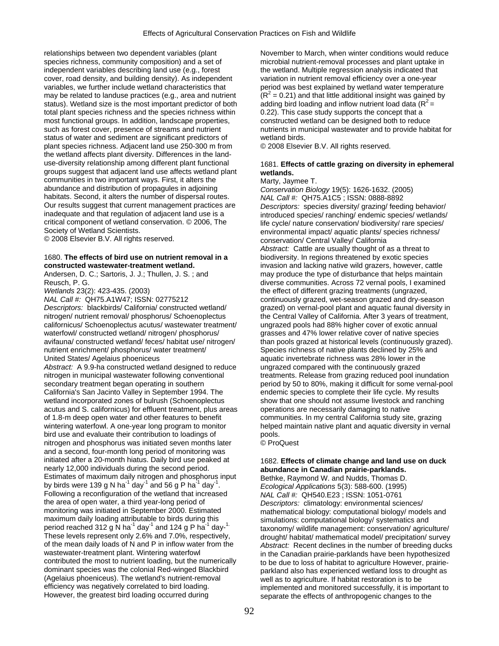relationships between two dependent variables (plant November to March, when winter conditions would reduce species richness, community composition) and a set of microbial nutrient-removal processes and plant uptake in independent variables describing land use (e.g., forest the wetland. Multiple regression analysis indicated that cover, road density, and building density). As independent variation in nutrient removal efficiency over a one-year variables, we further include wetland characteristics that period was best explained by wetland water temperature may be related to landuse practices (e.g., area and nutrient status). Wetland size is the most important predictor of both adding bird loading and inflow nutrient load data  $(R^2 =$ total plant species richness and the species richness within  $0.22$ ). This case study supports the concept that a most functional groups. In addition, landscape properties, constructed wetland can be designed both to reduce such as forest cover, presence of streams and nutrient nutrients in municipal wastewater and to provide habitat for status of water and sediment are significant predictors of wetland birds. plant species richness. Adjacent land use 250-300 m from © 2008 Elsevier B.V. All rights reserved. the wetland affects plant diversity. Differences in the landuse-diversity relationship among different plant functional 1681. **Effects of cattle grazing on diversity in ephemeral**  groups suggest that adjacent land use affects wetland plant **wetlands.**  communities in two important ways. First, it alters the Marty, Jaymee T. abundance and distribution of propagules in adjoining *Conservation Biology* 19(5): 1626-1632. (2005) habitats. Second, it alters the number of dispersal routes. *NAL Call #:* QH75.A1C5 ; ISSN: 0888-8892<br>Our results suggest that current management practices are *Descriptors: species diversity/ grazing/ feed* Our results suggest that current management practices are *Descriptors:* species diversity/ grazing/ feeding behavior/ inadequate and that regulation of adjacent land use is a introduced species/ ranching/ endemic species/ wetlands/<br>critical component of wetland conservation. © 2006. The introduced species/ nature conservation/ biodiversit critical component of wetland conservation. © 2006, The life cycle/ nature conservation/ biodiversity/ rare species/<br>Society of Wetland Scientists.<br>Any romantal impact/ aquatic plants/ species richness/

### 1680. **The effects of bird use on nutrient removal in a** biodiversity. In regions threatened by exotic species **constructed wastewater-treatment wetland.** invasion and lacking native wild grazers, however, cattle

*NAL Call #:* QH75.A1W47; ISSN: 02775212 continuously grazed, wet-season grazed and dry-season *Descriptors:* blackbirds/ California/ constructed wetland/ grazed) on vernal-pool plant and aquatic faunal diversity in nitrogen/ nutrient removal/ phosphorus/ Schoenoplectus the Central Valley of California. After 3 years of treatment, californicus/ Schoenoplectus acutus/ wastewater treatment/ ungrazed pools had 88% higher cover of exotic annual waterfowl/ constructed wetland/ nitrogen/ phosphorus/ grasses and 47% lower relative cover of native species avifauna/ constructed wetland/ feces/ habitat use/ nitrogen/ than pools grazed at historical levels (continuously grazed). nutrient enrichment/ phosphorus/ water treatment/ Species richness of native plants declined by 25% and United States/ Agelaius phoeniceus aquatic invertebrate richness was 28% lower in the Abstract: A 9.9-ha constructed wetland designed to reduce ungrazed compared with the continuously grazed *Abstract:* A 9.9-ha constructed wetland designed to reduce nitrogen in municipal wastewater following conventional treatments. Release from grazing reduced pool inundation secondary treatment began operating in southern period by 50 to 80%, making it difficult for some vernal-pool California's San Jacinto Valley in September 1994. The endemic species to complete their life cycle. My results wetland incorporated zones of bulrush (Schoenoplectus show that one should not assume livestock and ranching acutus and S. californicus) for effluent treatment, plus areas operations are necessarily damaging to native of 1.8-m deep open water and other features to benefit communities. In my central California study site, grazing wintering waterfowl. A one-year long program to monitor helped maintain native plant and aquatic diversity in vernal bird use and evaluate their contribution to loadings of pools. nitrogen and phosphorus was initiated seven months later © ProQuest and a second, four-month long period of monitoring was initiated after a 20-month hiatus. Daily bird use peaked at 1682. **Effects of climate change and land use on duck** nearly 12,000 individuals during the second period. **abundance in Canadian prairie-parklands.**  Estimates of maximum daily nitrogen and phosphorus input Bethke, Raymond W. and Nudds, Thomas D. by birds were 139 g N ha-1 day-1 and 56 g P ha-1 day-1. *Ecological Applications* 5(3): 588-600. (1995) Following a reconfiguration of the wetland that increased<br>the area of open water, a third year-long period of *Descriptors:* climatology: environmental science the area of open water, a third year-long period of *Descriptors:* climatology: environmental sciences/ monitoring was initiated in September 2000. Estimated mathematical biology: computational biology/ models and<br>maximum daily loading attributable to birds during this simulations: computational biology/ systematics and period reached 312 g N ha<sup>-1</sup> day<sup>-1</sup> and 124 g P ha<sup>-1</sup> day-<sup>1</sup> and taxonomy/ wildlife management: conservation/ agriculture/<br>These levels represent only 2.6% and 7.0%, respectively, drought/ habitat/ mathematical model/ These levels represent only 2.6% and 7.0%, respectively, drought/ habitat/ mathematical model/ precipitation/ survey<br>of the mean daily loads of N and P in inflow water from the *Abstract:* Recent declines in the number of of the mean daily loads of N and P in inflow water from the *Abstract:* Recent declines in the number of breeding ducks wastewater-treatment plant. Wintering waterfowl in the Canadian prairie-parklands have been hypothesized<br>contributed the most to nutrient loading, but the numerically to be due to loss of habitat to agriculture However, pr dominant species was the colonial Red-winged Blackbird parkland also has experienced wetland loss to drought as (Agelaius phoeniceus). The wetland's nutrient-removal well as to agriculture. If habitat restoration is to be efficiency was negatively correlated to bird loading.<br>
implemented and monitored successfully, it is impo efficiency was negatively correlated to bird loading. included implemented and monitored successfully, it is important to here is included by the separate the effects of anthropogenic changes to the

 $(R^2 = 0.21)$  and that little additional insight was gained by

environmental impact/ aquatic plants/ species richness/ © 2008 Elsevier B.V. All rights reserved. conservation/ Central Valley/ California *Abstract:* Cattle are usually thought of as a threat to Andersen, D. C.; Sartoris, J. J.; Thullen, J. S.; and may produce the type of disturbance that helps maintain Reusch, P. G. (2003) The state of the effect of different grazing treatments (ungrazed,  $W$ ernal pools, I examined and  $W$ ernal pools, I examined  $W$ ernal pools, I examined  $W$ ernal pools, I examined  $W$ ernal pools, I exam the effect of different grazing treatments (ungrazed,

simulations: computational biology/ systematics and to be due to loss of habitat to agriculture However, prairieseparate the effects of anthropogenic changes to the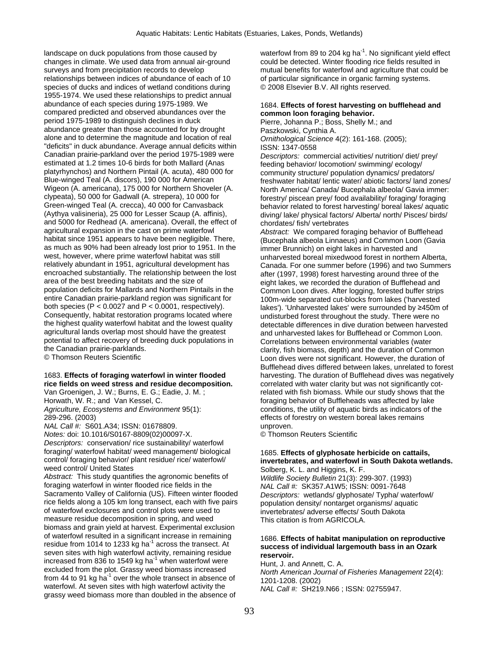landscape on duck populations from those caused by waterfowl from 89 to 204 kg ha<sup>-1</sup>. No significant yield effect<br>changes in climate. We used data from annual air-ground could be detected. Winter flooding rice fields res changes in climate. We used data from annual air-ground surveys and from precipitation records to develop mutual benefits for waterfowl and agriculture that could be relationships between indices of abundance of each of 10 of particular significance in organic farming systems. species of ducks and indices of wetland conditions during  $\heartsuit$  2008 Elsevier B.V. All rights reserved. 1955-1974. We used these relationships to predict annual abundance of each species during 1975-1989. We compared predicted and observed abundances over the **common loon foraging behavior.**  period 1975-1989 to distinguish declines in duck Pierre, Johanna P.; Boss, Shelly M.; and abundance greater than those accounted for by drought Paszkowski, Cynthia A.<br>
alone and to determine the magnitude and location of real Crnithological Science "deficits" in duck abundance. Average annual deficits within<br>Canadian prairie-parkland over the period 1975-1989 were Canadian prairie-parkland over the period 1975-1989 were *Descriptors:* commercial activities/ nutrition/ diet/ prey/ platyrhynchos) and Northern Pintail (A. acuta), 480 000 for community structure/ population dynamics/ predators/<br>Blue-winged Teal (A. discors), 190 000 for American freshwater habitat/ lentic water/ abiotic factors/ land z Blue-winged Teal (A. discors), 190 000 for American freshwater habitat/ lentic water/ abiotic factors/ land zones/<br>Wigeon (A. americana), 175 000 for Northern Shoveler (A. Karth America/ Canada/ Bucephala albeola/ Gavia im Wigeon (A. americana), 175 000 for Northern Shoveler (A. North America/ Canada/ Bucephala albeola/ Gavia immer:<br>Clypeata), 50 000 for Gadwall (A. strepera), 10 000 for entil the forestry/ piscean prey/ food availability/ f clypeata), 50 000 for Gadwall (A. strepera), 10 000 for forestry/ piscean prey/ food availability/ foraging/ foraging<br>Green-winged Teal (A. crecca), 40 000 for Canvasback<br>behavior related to forest harvesting/ boreal lakes Green-winged Teal (A. crecca), 40 000 for Canvasback behavior related to forest harvesting/ boreal lakes/ aquatic<br>(Aythya valisineria), 25 000 for Lesser Scaup (A. affinis), diving/ lake/ physical factors/ Alberta/ north/ and 5000 for Redhead (A. americana). Overall, the effect of chordates/ fish/ vertebrates agricultural expansion in the cast on prime waterfowl<br>Abstract: We compared for agricultural expansion in the cast on prime waterfowl<br>habitat since 1951 appears to have been negligible. There, *Bucephala albeola Linnaeus*) and Common Loon (Gavia as much as 90% had been already lost prior to 1951. In the immer Brunnich) on eight lakes in harvested and<br>west, however, where prime waterfowl habitat was still unharvested boreal mixedwood forest in northern west, however, where prime waterfowl habitat was still endomary unharvested boreal mixedwood forest in northern Alberta,<br>The unharvested boreal mixed word forest in northern Alberta, entity and two Summers of the relativel relatively abundant in 1951, agricultural development has Canada. For one summer before (1996) and two Summers<br>
encroached substantially. The relationship between the lost after (1997–1998) forest harvesting around three o encroached substantially. The relationship between the lost after (1997, 1998) forest harvesting around three of the area of the best breeding habitats and the size of eight lakes, we recorded the duration of Bufflehead an area of the best breeding habitats and the size of eight lakes, we recorded the duration of Bufflehead and<br>population deficits for Mallards and Northern Pintails in the Common Loon dives. After logging, forested buffer str entire Canadian prairie-parkland region was significant for for the separated cut-blocks from lakes ('harvested<br>https://wide separated cut-blocks from lakes (P < 0.0027 and P < 0.0001, respectively). Consequently, habitat restoration programs located where undisturbed forest throughout the study. There were no the highest quality waterfowl habitat and the lowest quality detectable differences in dive duration between harvested<br>agricultural lands overlap most should have the greatest and unharvested lakes for Bufflehead or Common agricultural lands overlap most should have the greatest and unharvested lakes for Bufflehead or Common Loon.<br>
potential to affect recovery of breeding duck populations in Correlations between environmental variables (wate potential to affect recovery of breeding duck populations in Correlations between environmental variables (water<br>clarity fish biomass depth) and the duration of Comr the Canadian prairie-parklands.<br>
© Thomson Reuters Scientific example the duration of Common and Thomas and Significant However, the duration o

## **rice fields on weed stress and residue decomposition.** correlated with water clarity but was not significantly cot-

*NAL Call #:* S601.A34; ISSN: 01678809. unproven.

*Notes:* doi: 10.1016/S0167-8809(02)00097-X. © Thomson Reuters Scientific *Descriptors:* conservation/ rice sustainability/ waterfowl foraging/ waterfowl habitat/ weed management/ biological 1685. **Effects of glyphosate herbicide on cattails,** control/ foraging behavior/ plant residue/ rice/ waterfowl/ **invertebrates, and waterfowl in South Dakota wet** control/ foraging behavior/ plant residue/ rice/ waterfowl/ **invertebrates, and waterfowl in South Dakota wetlands.**<br> **Solberg K, L, and Higgins, K, F** 

*Abstract:* This study quantifies the agronomic benefits of *Wildlife Society Bulletin* 21(3): 299-307. (1993) foraging waterfowl in winter flooded rice fields in the *NAL Call #:* SK357.A1W5; ISSN: 0091-7648 Sacramento Valley of California (US). Fifteen winter flooded *Descriptors:* wetlands/ glyphosate/ Typha/ waterfowl/ rice fields along a 105 km long transect, each with five pairs population density/ nontarget organisms/ aquatic of waterfowl exclosures and control plots were used to invertebrates/ adverse effects/ South Dakota measure residue decomposition in spring, and weed This citation is from AGRICOLA. biomass and grain yield at harvest. Experimental exclusion of waterfowl resulted in a significant increase in remaining<br>residue from 1014 to 1233 kg ha<sup>-1</sup> across the transect. At seven sites with high waterfowl activity, remaining residue<br>seven sites with high waterfowl activity, increased from 836 to 1549 kg ha<sup>-1</sup> when waterfowl were **Hunt, J. and Annett, C. A.** excluded from the plot. Grassy weed biomass increased<br>
from 44 to 91 kg ha<sup>-1</sup> over the whole transect in absence of<br>
waterfowl. At seven sites with high waterfowl activity the<br>
grassy weed biomass more than doubled in th

### 1684. Effects of forest harvesting on bufflehead and

Ornithological Science 4(2): 161-168. (2005);<br>ISSN: 1347-0558

feeding behavior/ locomotion/ swimming/ ecology/ diving/ lake/ physical factors/ Alberta/ north/ Pisces/ birds/

(Bucephala albeola Linnaeus) and Common Loon (Gavia Common Loon dives. After logging, forested buffer strips lakes'). 'Unharvested lakes' were surrounded by ≥450m of Loon dives were not significant. However, the duration of Bufflehead dives differed between lakes, unrelated to forest 1683. **Effects of foraging waterfowl in winter flooded** harvesting. The duration of Bufflehead dives was negatively Van Groenigen, J. W.; Burns, E. G.; Eadie, J. M. ; related with fish biomass. While our study shows that the Horwath, W. R.; and Van Kessel, C. For all the state of agging behavior of Buffleheads was affected by lake *Agriculture, Ecosystems and Environment* 95(1): conditions, the utility of aquatic birds as indicators of the 289-296. (2003) effects of forestry on western boreal lakes remains

Solberg, K. L. and Higgins, K. F.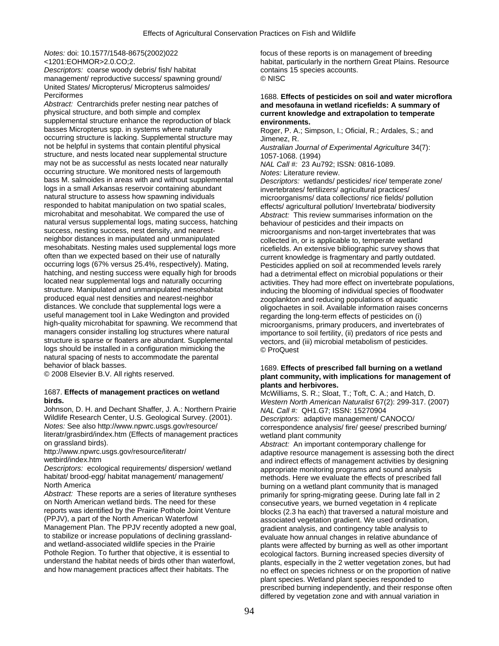*Descriptors:* coarse woody debris/ fish/ habitat contains 15 species accounts.<br>management/ reproductive success/ spawning ground/ <br>© NISC management/ reproductive success/ spawning ground/ United States/ Micropterus/ Micropterus salmoides/

*Abstract:* Centrarchids prefer nesting near patches of **and mesofauna in wetland ricefields: A summary of**  supplemental structure enhance the reproduction of black **environments.**<br>
basses Micropterus spp. in systems where naturally **Roger PA** · Si occurring structure is lacking. Supplemental structure may Jimenez, R.<br>not be helpful in systems that contain plentiful physical *Australian Jimenez*, structure, and nests located near supplemental structure 1057-1068. (1994) may not be as successful as nests located near naturally *NAL Call #:* 23 Au792; ISSN: 0816-1089. occurring structure. We monitored nests of largemouth *Notes:* Literature review. bass M. salmoides in areas with and without supplemental *Descriptors:* wetlands/ pesticides/ rice/ temperate zone/ logs in a small Arkansas reservoir containing abundant invertebrates/ fertilizers/ agricultural practices/<br>natural structure to assess how spawning individuals microorganisms/ data collections/ rice fields/ p natural structure to assess how spawning individuals microorganisms/ data collections/ rice fields/ pollution<br>
responded to habitat manipulation on two spatial scales, effects/ agricultural pollution/ Invertebrata/ biodive responded to habitat manipulation on two spatial scales, effects/ agricultural pollution/ Invertebrata/ biodiversity<br>microhabitat and mesohabitat. We compared the use of a substract: This review summarises information on t natural versus supplemental logs, mating success, hatching behaviour of pesticides and their impacts on success. nest density, and nearest-<br>microorganisms and non-target invertehrates success, nesting success, nest density, and nearest-<br>
neighbor distances in manipulated and unmanipulated<br>
collected in or is applicable to, temperate wetland neighbor distances in manipulated and unmanipulated collected in, or is applicable to, temperate wetland<br>mesohabitats. Nesting males used supplemental logs more ricefields. An extensive bibliographic survey shows mesohabitats. Nesting males used supplemental logs more ricefields. An extensive bibliographic survey shows that<br>often than we expected based on their use of naturally represent knowledge is fragmentary and partly outdated often than we expected based on their use of naturally expansion of the ourrent knowledge is fragmentary and partly outdated.<br>Cocurring logs (67% versus 25.4%, respectively). Mating, expansion Pesticides applied on soil at occurring logs (67% versus 25.4%, respectively). Mating, experiencies applied on soil at recommended levels rarely<br>hatching, and nesting success were equally high for broods had a detrimental effect on microbial population hatching, and nesting success were equally high for broods had a detrimental effect on microbial populations or their<br>located near supplemental logs and naturally occurring expansion activities. They had more effect on inv located near supplemental logs and naturally occurring exactivities. They had more effect on invertebrate populations,<br>structure. Manipulated and unmanipulated mesohabitat inducing the blooming of individual species of flo structure. Manipulated and unmanipulated mesohabitat inducing the blooming of individual species of floodwater<br>produced equal nest densities and nearest-neighbor<br>zooplankton and reducing populations of aquatic produced equal nest densities and nearest-neighbor <br>distances. We conclude that supplemental logs were a complementes in soil Available information raises useful management tool in Lake Wedington and provided regarding the long-term effects of pesticides on (i) high-quality microhabitat for spawning. We recommend that microorganisms, primary producers, and invertebrates of managers consider installing log structures where natural microorganisms, primary producers, and invertebrat managers consider installing log structures where natural importance to soil fertility, (ii) predators of rice pests and<br>structure is sparse or floaters are abundant. Supplemental vectors and (iii) microbial metabolism of logs should be installed in a configuration mimicking the  $\odot$  ProQuest natural spacing of nests to accommodate the parental

## 1687. **Effects of management practices on wetland McWilliams, S. R.; Sloat, T.; Toft, C. A.; and Hatch, D.**<br>Mestern North American Naturalist 67(2): 299-317 (20

Johnson, D. H. and Dechant Shaffer, J. A.: Northern Prairie *NAL Call #:* QH1.G7; ISSN: 15270904 Wildlife Research Center, U.S. Geological Survey. (2001). *Descriptors:* adaptive management/ CANOCO/<br>*Notes:* See also http://www.npwrc.usgs.gov/resource/ correspondence analysis/ fire/ geese/ prescribed literatr/grasbird/index.htm (Effects of management practices on grassland birds).

*Descriptors:* ecological requirements/ dispersion/ wetland appropriate monitoring programs and sound analysis<br>Thabitat/ brood-egg/ habitat management/ management/ methods. Here we evaluate the effects of prescribed habitat/ brood-egg/ habitat management/ management/ methods. Here we evaluate the effects of prescribed fall<br>North America

*Abstract:* These reports are a series of literature syntheses primarily for spring-migrating geese. During late fall in 2<br>on North American wetland birds. The need for these consecutive vears, we burned vegetation in 4 re on North American wetland birds. The need for these consecutive years, we burned vegetation in 4 replicate reports was identified by the Prairie Pothole Joint Venture  $\frac{1}{2}$ reports was identified by the Prairie Pothole Joint Venture blocks (2.3 ha each) that traversed a natural moisture and<br>(PPJV), a part of the North American Waterfowl spaceally associated vegetation gradient. We used ordina (PPJV), a part of the North American Waterfowl<br>Management Plan. The PPJV recently adopted a new goal, examination analysis and contingency table analysis to Management Plan. The PPJV recently adopted a new goal, equition analysis, and contingency table analysis to to<br>to stabilize or increase populations of declining grassland-<br>evaluate how annual changes in relative abundance to stabilize or increase populations of declining grassland-<br>and wetland-associated wildlife species in the Prairie<br>plants were affected by burning as well as other importa and wetland-associated wildlife species in the Prairie plants were affected by burning as well as other important<br>Pothole Region. To further that objective, it is essential to ecological factors. Burning increased species understand the habitat needs of birds other than waterfowl, plants, especially in the 2 wetter vegetation zones, but had<br>and how management practices affect their habitats. The no effect on species richness or on the propo

*Notes:* doi: 10.1577/1548-8675(2002)022 focus of these reports is on management of breeding <1201:EOHMOR>2.0.CO;2. habitat, particularly in the northern Great Plains. Resource

## Perciformes<br>Abstract: Centrarchids prefer nesting near patches of **1688.** Effects of pesticides on soil and water microflora current knowledge and extrapolation to temperate

Roger, P. A.; Simpson, I.; Oficial, R.; Ardales, S.; and

Australian Journal of Experimental Agriculture 34(7):

Abstract: This review summarises information on the oligochaetes in soil. Available information raises concerns vectors, and (iii) microbial metabolism of pesticides.

### behavior of black basses. 1689. **Effects of prescribed fall burning on a wetland** © 2008 Elsevier B.V. All rights reserved. **plant community, with implications for management of plants and herbivores.**

**birds.** *Western North American Naturalist* 67(2): 299-317. (2007) *correspondence analysis/ fire/ geese/ prescribed burning/* wetland plant community

on grassland birds).<br>
http://www.npwrc.usgs.gov/resource/literatr/
<br>
adaptive resource management is assessing both the http://www.npwrc.usgs.gov/resource/literatr/ and adaptive resource management is assessing both the direct<br>and indirect effects of management activities by designing and indirect effects of management activities by designing burning on a wetland plant community that is managed ecological factors. Burning increased species diversity of no effect on species richness or on the proportion of native plant species. Wetland plant species responded to prescribed burning independently, and their response often differed by vegetation zone and with annual variation in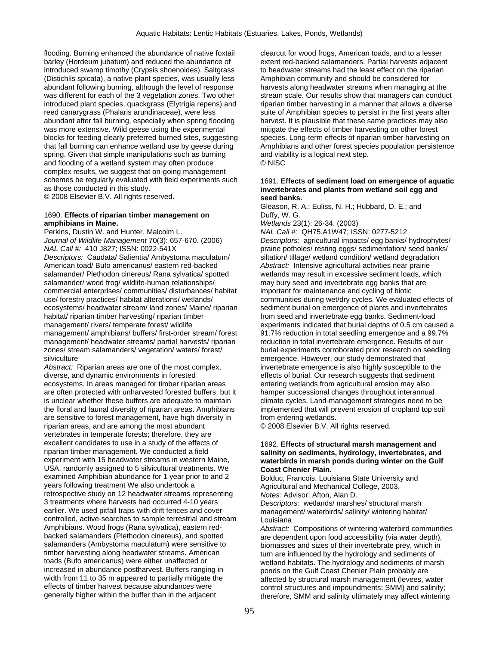flooding. Burning enhanced the abundance of native foxtail clearcut for wood frogs, American toads, and to a lesser barley (Hordeum jubatum) and reduced the abundance of extent red-backed salamanders. Partial harvests adjacent introduced swamp timothy (Crypsis shoenoides). Saltgrass to headwater streams had the least effect on the riparian (Distichlis spicata), a native plant species, was usually less Amphibian community and should be considered for abundant following burning, although the level of response harvests along headwater streams when managing at the was different for each of the 3 vegetation zones. Two other stream scale. Our results show that managers can conduct introduced plant species, quackgrass (Elytrigia repens) and riparian timber harvesting in a manner that allows a diverse reed canarygrass (Phalaris arundinaceae), were less suite of Amphibian species to persist in the firs abundant after fall burning, especially when spring flooding harvest. It is plausible that these same practices may also was more extensive. Wild geese using the experimental mitigate the effects of timber harvesting on other forest blocks for feeding clearly preferred burned sites, suggesting species. Long-term effects of riparian timber harvesting on that fall burning can enhance wetland use by geese during Amphibians and other forest species population persistence spring. Given that simple manipulations such as burning and viability is a logical next step. and flooding of a wetland system may often produce  $\heartsuit$  NISC complex results, we suggest that on-going management schemes be regularly evaluated with field experiments such 1691. **Effects of sediment load on emergence of aquatic** as those conducted in this study.

© 2008 Elsevier B.V. All rights reserved. **seed banks.** 

### 1690. **Effects of riparian timber management on** Duffy, W. G. **amphibians in Maine.** *Wetlands* 23(1): 26-34. (2003)

Perkins, Dustin W. and Hunter, Malcolm L. *NAL Call #:* QH75.A1W47; ISSN: 0277-5212 *Journal of Wildlife Management* 70(3): 657-670. (2006) *Descriptors:* agricultural impacts/ egg banks/ hydrophytes/ *NAL Call #:* 410 J827; ISSN: 0022-541X prairie potholes/ resting eggs/ sedimentation/ seed banks/ *Descriptors:* Caudata/ Salientia/ Ambystoma maculatum/ siltation/ tillage/ wetland condition/ wetland degradation American toad/ Bufo americanus/ eastern red-backed *Abstract:* Intensive agricultural activities near prairie salamander/ Plethodon cinereus/ Rana sylvatica/ spotted wetlands may result in excessive sediment loads, which salamander/ wood frog/ wildlife-human relationships/ may bury seed and invertebrate egg banks that are commercial enterprises/ communities/ disturbances/ habitat important for maintenance and cycling of biotic<br>use/ forestry practices/ habitat alterations/ wetlands/ communities during wet/dry cycles. We evaluat ecosystems/ headwater stream/ land zones/ Maine/ riparian sediment burial on emergence of plants and invertebrates habitat/ riparian timber harvesting/ riparian timber from seed and invertebrate egg banks. Sediment-load management/ rivers/ temperate forest/ wildlife experiments indicated that burial depths of 0.5 cm caused a management/ amphibians/ buffers/ first-order stream/ forest 91.7% reduction in total seedling emergence and a 99.7% management/ headwater streams/ partial harvests/ riparian reduction in total invertebrate emergence. Results of our zones/ stream salamanders/ vegetation/ waters/ forest/ burial experiments corroborated prior research on seedling silviculture emergence. However, our study demonstrated that  $\blacksquare$ 

ecosystems. In areas managed for timber riparian areas entering wetlands from agricultural erosion may also are often protected with unharvested forested buffers, but it hamper successional changes throughout interannual is unclear whether these buffers are adequate to maintain climate cycles. Land-management strategies need to be the floral and faunal diversity of riparian areas. Amphibians implemented that will prevent erosion of cropland top soil are sensitive to forest management, have high diversity in from entering wetlands. riparian areas, and are among the most abundant © 2008 Elsevier B.V. All rights reserved. vertebrates in temperate forests; therefore, they are excellent candidates to use in a study of the effects of 1692. **Effects of structural marsh management and riparian timber management.** We conducted a field salinity on sediments, hydrology, invertebrates, and riparian timber management. We conducted a field **salinity on sediments, hydrology, invertebrates, and**<br>
experiment with 15 headwater streams in western Maine, **being a staterbirds in marsh ponds during winter on the Gulf** USA, randomly assigned to 5 silvicultural treatments. We **Coast Chenier Plain.** examined Amphibian abundance for 1 year prior to and 2 Bolduc, Francois. Louisiana State University and years following treatment We also undertook a Agricultural and Mechanical College, 2003. retrospective study on 12 headwater streams representing *Notes:* Advisor: Afton, Alan D.<br>3 treatments where harvests had occurred 4-10 years *Descriptors:* wetlands/ marshe 3 treatments where harvests had occurred 4-10 years *Descriptors:* wetlands/ marshes/ structural marsh controlled, active-searches to sample terrestrial and stream Louisiana<br>Amphibians. Wood frogs (Rana sylvatica), eastern red-<br>Abstract Amphibians. Wood frogs (Rana sylvatica), eastern red- *Abstract:* Compositions of wintering waterbird communities backed salamanders (Plethodon cinereus), and spotted are dependent upon food accessibility (via water depth), b<br>salamanders (Ambystoma maculatum) were sensitive to biomasses and sizes of their invertebrate prev, which in salamanders (Ambystoma maculatum) were sensitive to biomasses and sizes of their invertebrate prey, which in timber harvesting along headwater streams. American the furn are influenced by the hydrology and sediments of timber harvesting along headwater streams. American turn are influenced by the hydrology and sediments of toads<br>toads (Bufo americanus) were either unaffected or the thing wetland habitats. The hydrology and sediments of m increased in abundance postharvest. Buffers ranging in ponds on the Gulf Coast Chenier Plain probably are width from 11 to 35 m appeared to partially mitigate the affected by structural marsh management (levees, water<br>effects of timber harvest because abundances were control structures and impoundments: SMM) and salinity

suite of Amphibian species to persist in the first years after

## invertebrates and plants from wetland soil egg and

Gleason, R. A.; Euliss, N. H.; Hubbard, D. E.; and

communities during wet/dry cycles. We evaluated effects of *Abstract:* Riparian areas are one of the most complex, invertebrate emergence is also highly susceptible to the diverse, and dynamic environments in forested emergences of burial. Our research suggests that sediment effects of burial. Our research suggests that sediment

# waterbirds in marsh ponds during winter on the Gulf

management/ waterbirds/ salinity/ wintering habitat/

wetland habitats. The hydrology and sediments of marsh effects of timber harvest because abundances were control structures and impoundments; SMM) and salinity;<br>generally higher within the buffer than in the adjacent the refore. SMM and salinity ultimately may affect wintering therefore, SMM and salinity ultimately may affect wintering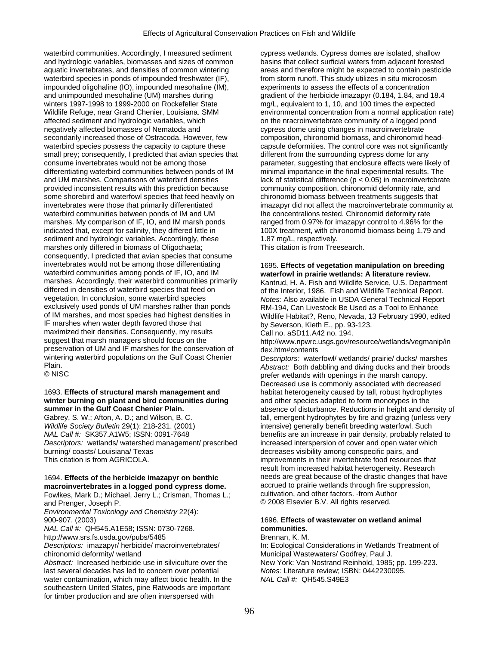waterbird communities. Accordingly, I measured sediment cypress wetlands. Cypress domes are isolated, shallow and hydrologic variables, biomasses and sizes of common basins that collect surficial waters from adjacent forested aquatic invertebrates, and densities of common wintering areas and therefore might be expected to contain pesticide waterbird species in ponds of impounded freshwater (IF), from storm runoff. This study utilizes in situ mi waterbird species in ponds of impounded freshwater (IF), impounded oligohaline (IO), impounded mesohaline (IM), experiments to assess the effects of a concentration and unimpounded mesohaline (UM) marshes during gradient of the herbicide imazapyr (0.184, 1.84, and 18.4<br>winters 1997-1998 to 1999-2000 on Rockefeller State ma/L. equivalent to 1, 10, and 100 times the expected winters 1997-1998 to 1999-2000 on Rockefeller State mg/L, equivalent to 1, 10, and 100 times the expected<br>Wildlife Refuge, near Grand Chenier, Louisiana. SMM environmental concentration from a normal application Wildlife Refuge, near Grand Chenier, Louisiana. SMM environmental concentration from a normal application rate)<br>affected sediment and hydrologic variables, which on the nracroinvertebrate community of a logged pond negatively affected biomasses of Nematoda and cypress dome using changes in macroinvertebrate secondarily increased those of Ostracoda. However, few composition, chironomid biomass, and chironomid headwaterbird species possess the capacity to capture these capsule deformities. The control core was not significantly<br>small prev: consequently, I predicted that avian species that different from the surrounding cypress dome small prey; consequently, I predicted that avian species that consume invertebrates would not be among those parameter, suggesting that enclosure effects were likely of differentiating waterbird communities between ponds of IM minimal importance in the final experimental results. The and UM marshes. Comparisons of waterbird densities lack of statistical difference ( $p < 0.05$ ) in macroinvertcbrate<br>provided inconsistent results with this prediction because community composition, chironomid deformity rat some shorebird and waterfowl species that feed heavily on invertebrates were those that primarily differentiated imazapyr did not affect the macroinvertebrate community at waterbird communities between ponds of IM and UM Ihe concentralions tested. Chironomid deformity rate marshes. My comparison of IF, IO, and IM marsh ponds ranged from 0.97% for imazapyr control to 4.96% for the indicated that, except for salinity, they differed little in 100X treatment, with chironomid biomass being 1.79 and sediment and hydrologic variables. Accordingly, these 1.87 mg/L, respectively. marshes only differed in biomass of Oligochaeta; This citation is from Treesearch. consequently, I predicted that avian species that consume invertebrates would not be among those differentiating 1695. **Effects of vegetation manipulation on breeding**<br>
waterbird communities among ponds of IF, IO, and IM **waterfowl in prairie wetlands: A literature review.** waterbird communities among ponds of IF, IO, and IM **waterfowl in prairie wetlands: A literature review.**<br>
marshes. Accordingly, their waterbird communities primarily Kantrud, H. A. Fish and Wildlife Service, U.S. Departi marshes. Accordingly, their waterbird communities primarily Kantrud, H. A. Fish and Wildlife Service, U.S. Department<br>
of the Interior. 1986. Fish and Wildlife Technical Report. differed in densities of waterbird species that feed on of the Interior, 1986. Fish and Wildlife Technical Report.<br>Vegetation. In conclusion, some waterbird species Notes: Also available in USDA General Technical Report. vegetation. In conclusion, some waterbird species *Notes:* Also available in USDA General Technical Report exclusively used ponds of UM marshes rather than ponds RM-194, Can Livestock Be Used as a Tool to Enhance<br>The Reno Nevada 13 February 1990, ed IF marshes when water depth favored those that by Severson, Kieth E., pp. 93-123. maximized their densities. Consequently, my results Call no. aSD11.A42 no. 194.<br>suggest that marsh managers should focus on the http://www.npwrc.usgs.gov/re preservation of UM and IF marshes for the conservation of dex.htm#contents<br>wintering waterbird populations on the Gulf Coast Chenier Descriptors: wate wintering waterbird populations on the Gulf Coast Chenier *Descriptors:* waterfowl/ wetlands/ prairie/ ducks/ marshes<br>Abstract: Both dabbling and diving ducks and their broods

## **winter burning on plant and bird communities during** and other species adapted to form monotypes in the

Gabrey, S. W.; Afton, A. D.; and Wilson, B. C. tall, emergent hydrophytes by fire and grazing (unless very Wildlife Society Bulletin 29(1): 218-231. (2001) the intensive) generally benefit breeding waterfowl. Such *NAL Call #:* SK357.A1W5; ISSN: 0091-7648 benefits are an increase in pair density, probably related to *Descriptors:* wetlands/ watershed management/ prescribed increased interspersion of cover and open water which burning/ coasts/ Louisiana/ Texas decreases visibility among conspecific pairs, and<br>This citation is from AGRICOLA. This citation is from AGRICOLA.

Fowlkes, Mark D.; Michael, Jerry L.; Crisman, Thomas L.; and Prenger, Joseph P. © 2008 Elsevier B.V. All rights reserved.

*Environmental Toxicology and Chemistry* 22(4):

*NAL Call #:* QH545.A1E58; ISSN: 0730-7268. **communities.**  http://www.srs.fs.usda.gov/pubs/5485 Brennan, K. M.

last several decades has led to concern over potential *Notes:* Literature review; ISBN: 0442230095. water contamination, which may affect biotic health. In the *NAL Call #:* QH545.S49E3 southeastern United States, pine Ratwoods are important for timber production and are often interspersed with

on the nracroinvertebrate community of a logged pond community composition, chironomid deformity rate, and chironomid biomass between treatments suggests that

Wildlife Habitat?, Reno, Nevada, 13 February 1990, edited

http://www.npwrc.usgs.gov/resource/wetlands/vegmanip/in

Plain.<br> **Abstract:** Both dabbling and diving ducks and their broods<br> **CONISC CONISC** prefer wetlands with openings in the marsh canopy. Decreased use is commonly associated with decreased 1693. **Effects of structural marsh management and** habitat heterogeneity caused by tall, robust hydrophytes **summer in the Gulf Coast Chenier Plain.** absence of disturbance. Reductions in height and density of *intensive)* generally benefit breeding waterfowl. Such improvements in their invertebrate food resources that result from increased habitat heterogeneity. Research 1694. **Effects of the herbicide imazapyr on benthic** needs are great because of the drastic changes that have **macroinvertebrates in a logged pond cypress dome.** <sup>accrued</sup> to prairie wetlands through fire suppression.<br> **Fowlkes, Mark D.; Michael, Jerry L.; Crisman, Thomas L.** Cultivation, and other factors, -from Author

## 900-907. (2003) 1696. **Effects of wastewater on wetland animal**

*Descriptors:* imazapyr/ herbicide/ macroinvertebrates/ In: Ecological Considerations in Wetlands Treatment of chironomid deformity/ wetland<br>Abstract: Increased herbicide use in silviculture over the Mew York: Van Nostrand Reinhold, 1985 *Abstract: Van Nostrand Reinhold, 1985; pp. 199-223.*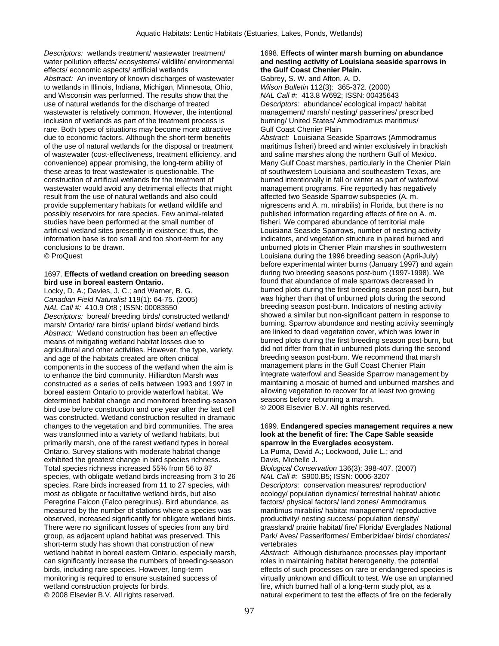*Descriptors:* wetlands treatment/ wastewater treatment/ 1698. **Effects of winter marsh burning on abundance**  water pollution effects/ ecosystems/ wildlife/ environmental **and nesting activity of Louisiana seaside sparrows in**  effects/ economic aspects/ artificial wetlands **the Gulf Coast Chenier Plain.**  *Abstract:* An inventory of known discharges of wastewater Gabrey, S. W. and Afton, A. D. to wetlands in Illinois, Indiana, Michigan, Minnesota, Ohio, *Wilson Bulletin* 112(3): 365-372. (2000) and Wisconsin was performed. The results show that the *NAL Call #:* 413.8 W692; ISSN: 00435643 use of natural wetlands for the discharge of treated *Descriptors:* abundance/ ecological impact/ habitat wastewater is relatively common. However, the intentional management/ marsh/ nesting/ passerines/ prescribed inclusion of wetlands as part of the treatment process is burning/ United States/ Ammodramus maritimus/ rare. Both types of situations may become more attractive Gulf Coast Chenier Plain due to economic factors. Although the short-term benefits *Abstract:* Louisiana Seaside Sparrows (Ammodramus of the use of natural wetlands for the disposal or treatment maritimus fisheri) breed and winter exclusively in brackish of wastewater (cost-effectiveness, treatment efficiency, and and saline marshes along the northern Gulf of Mexico. convenience) appear promising, the long-term ability of Many Gulf Coast marshes, particularly in the Chenier Plain these areas to treat wastewater is questionable. The of southwestern Louisiana and southeastern Texas, are construction of artificial wetlands for the treatment of burned intentionally in fall or winter as part of waterfowl wastewater would avoid any detrimental effects that might management programs. Fire reportedly has negatively result from the use of natural wetlands and also could affected two Seaside Sparrow subspecies (A. m. result from the use of natural wetlands and also could provide supplementary habitats for wetland wildlife and nigrescens and A. m. mirabilis) in Florida, but there is no possibly reservoirs for rare species. Few animal-related published information regarding effects of fire on A. m. studies have been performed at the small number of fisheri. We compared abundance of territorial male artificial wetland sites presently in existence; thus, the Louisiana Seaside Sparrows, number of nesting activity information base is too small and too short-term for any indicators, and vegetation structure in paired burned and conclusions to be drawn. unburned plots in Chenier Plain marshes in southwestern

## **bird use in boreal eastern Ontario.** found that abundance of male sparrows decreased in

*NAL Call #:* 410.9 Ot8 ; ISSN: 00083550<br> *Descriptors:* boreal/ breeding birds/ constructed wetland/ showed a similar but non-significant pattern in response to *Descriptors: boreal/ breeding birds/ constructed wetland/ Abstract:* Wetland construction has been an effective agricultural and other activities. However, the type, variety, did not differ from that in unburned plots during the second and and and and other habitats created are often critical breeding season post-burn. We recommend and age of the habitats created are often critical breeding season post-burn. We recommend that marsh components in the success of the wetland when the aim is management plans in the Gulf Coast Chenier Plain components in the success of the wetland when the aim is constructed as a series of cells between 1993 and 1997 in boreal eastern Ontario to provide waterfowl habitat. We allowing vegetation to recover for at least two growing<br>determined habitat change and monitored breeding-season seasons before reburning a marsh. determined habitat change and monitored breeding-season seasons before reburning a marsh.<br>bird use before construction and one vear after the last cell  $\degree$  2008 Elsevier B.V. All rights reserved. bird use before construction and one year after the last cell was constructed. Wetland construction resulted in dramatic changes to the vegetation and bird communities. The area 1699. **Endangered species management requires a new**  was transformed into a variety of wetland habitats, but **look at the benefit of fire: The Cape Sable seaside**  primarily marsh, one of the rarest wetland types in boreal **sparrow in the Everglades ecosystem.**  Ontario. Survey stations with moderate habitat change La Puma, David A.; Lockwood, Julie L.; and exhibited the greatest change in bird species richness. Davis, Michelle J. Total species richness increased 55% from 56 to 87 *Biological Conservation* 136(3): 398-407. (2007) species, with obligate wetland birds increasing from 3 to 26 *NAL Call #:* S900.B5; ISSN: 0006-3207 species. Rare birds increased from 11 to 27 species, with *Descriptors:* conservation measures/ reproduction/ most as obligate or facultative wetland birds, but also ecology/ population dynamics/ terrestrial habitat/ abiotic Peregrine Falcon (Falco peregrinus). Bird abundance, as factors/ physical factors/ land zones/ Ammodramus<br>measured by the number of stations where a species was maritimus mirabilis/ habitat management/ reproductions observed, increased significantly for obligate wetland birds. productivity/ nesting success/ population density/ There were no significant losses of species from any bird grassland/ prairie habitat/ fire/ Florida/ Everglades National group, as adjacent upland habitat was preserved. This Park/ Aves/ Passeriformes/ Emberizidae/ birds/ chordates/ short-term study has shown that construction of new vertebrates wetland habitat in boreal eastern Ontario, especially marsh, *Abstract:* Although disturbance processes play important can significantly increase the numbers of breeding-season roles in maintaining habitat heterogeneity, the potential birds, including rare species. However, long-term effects of such processes on rare or endangered species is monitoring is required to ensure sustained success of virtually unknown and difficult to test. We use an unplanned<br>wetland construction projects for birds.<br>wetland construction projects for birds. © 2008 Elsevier B.V. All rights reserved. natural experiment to test the effects of fire on the federally

© ProQuest Louisiana during the 1996 breeding season (April-July) before experimental winter burns (January 1997) and again 1697. **Effects of wetland creation on breeding season** during two breeding seasons post-burn (1997-1998). We Locky, D. A.; Davies, J. C.; and Warner, B. G. burned plots during the first breeding season post-burn, but Canadian Field Naturalist 119(1): 64-75. (2005) was higher than that of unburned plots during the second was higher than that of unburned plots during the second marsh<sup>/</sup> Ontario/ rare birds/ upland birds/ wetland birds burning. Sparrow abundance and nesting activity seemingly<br>Abstract: Wetland construction has been an effective are linked to dead vegetation cover, which was lower means of mitigating wetland habitat losses due to burned plots during the first breeding season post-burn, but<br>agricultural and other activities. However, the type variety did not differ from that in unburned plots during to enhance the bird community. Hilliardton Marsh was integrate waterfowl and Seaside Sparrow management by<br>constructed as a series of cells between 1993 and 1997 in maintaining a mosaic of burned and unburned marshes and

maritimus mirabilis/ habitat management/ reproductive

fire, which burned half of a long-term study plot, as a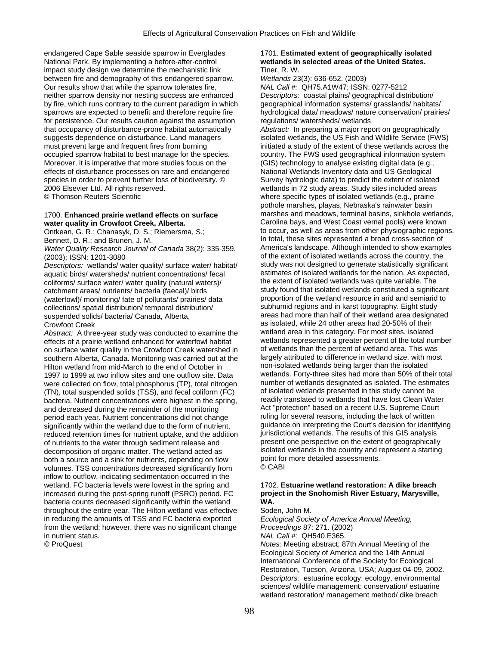endangered Cape Sable seaside sparrow in Everglades 1701. **Estimated extent of geographically isolated**  National Park. By implementing a before-after-control **wetlands in selected areas of the United States.**  impact study design we determine the mechanistic link Tiner, R. W. between fire and demography of this endangered sparrow. *Wetlands* 23(3): 636-652. (2003) Our results show that while the sparrow tolerates fire, *NAL Call #:* QH75.A1W47; ISSN: 0277-5212 neither sparrow density nor nesting success are enhanced *Descriptors:* coastal plains/ geographical distribution/ by fire, which runs contrary to the current paradigm in which geographical information systems/ grasslands/ habitats/ sparrows are expected to benefit and therefore require fire hydrological data/ meadows/ nature conservation/ prairies/<br>for persistence. Our results caution against the assumption regulations/ watersheds/ wetlands for persistence. Our results caution against the assumption that occupancy of disturbance-prone habitat automatically *Abstract:* In preparing a major report on geographically suggests dependence on disturbance. Land managers isolated wetlands, the US Fish and Wildlife Service (FWS) must prevent large and frequent fires from burning initiated a study of the extent of these wetlands across the occupied sparrow habitat to best manage for the species. country. The FWS used geographical information system Moreover, it is imperative that more studies focus on the (GIS) technology to analyse existing digital data (e.g., effects of disturbance processes on rare and endangered National Wetlands Inventory data and US Geological species in order to prevent further loss of biodiversity. © Survey hydrologic data) to predict the extent of isolated<br>2006 Elsevier Ltd. All rights reserved. We have the wetlands in 72 study areas. Study sites included are 2006 Elsevier Ltd. All rights reserved.<br>
© Thomson Reuters Scientific version of the expecific types of isolated wetlands (e.g., prairie

Ontkean, G. R.; Chanasyk, D. S.; Riemersma, S.;

*Water Quality Research Journal of Canada* 38(2): 335-359.

*Descriptors:* wetlands/ water quality/ surface water/ habitat/ study was not designed to generate statistically significant<br>
aquatic birds/ watersheds/ nutrient concentrations/ fecal estimates of isolated wetlands for the aquatic birds/ watersheds/ nutrient concentrations/ fecal estimates of isolated wetlands for the nation. As expected,<br>coliforms/ surface water/ water quality (natural waters)/ entity the extent of isolated wetlands was qui coliforms/ surface water/ water quality (natural waters)/ catchment areas/ nutrients/ bacteria (faecal)/ birds (waterfowl)/ monitoring/ fate of pollutants/ prairies/ data proportion of the wetland resource in arid and semiarid to<br>collections/ spatial distribution/ temporal distribution/ subhumid regions and in karst topography. Eig collections/ spatial distribution/ temporal distribution/ suspended solids/ bacteria/ Canada, Alberta, and more than half of their wetland area designated

*Abstract:* A three-year study was conducted to examine the wetland area in this category. For most sites, isolated effects of a prairie wetland enhanced for waterfowl habitat wetlands represented a greater percent of the total num<br>on surface water quality in the Crowfoot Creek watershed in of wetlands than the percent of wetland area. on surface water quality in the Crowfoot Creek watershed in of wetlands than the percent of wetland area. This was<br>southern Alberta, Canada, Monitoring was carried out at the largely attributed to difference in wetland siz southern Alberta, Canada. Monitoring was carried out at the largely attributed to difference in wetland size, with n<br>Hilton wetland from mid-March to the end of October in largen non-isolated wetlands being larger than the Hilton wetland from mid-March to the end of October in non-isolated wetlands being larger than the isolated<br>1997 to 1999 at two inflow sites and one outflow site. Data wetlands. Forty-three sites had more than 50% of their 1997 to 1999 at two inflow sites and one outflow site. Data wetlands. Forty-three sites had more than 50% of their total<br>were collected on flow, total phosphorus (TP), total pitrogen under of wetlands designated as isolate were collected on flow, total phosphorus (TP), total nitrogen number of wetlands designated as isolated. The estim<br>(TN), total suspended solids (TSS), and fecal coliform (FC) of isolated wetlands presented in this study ca (TN), total suspended solids (TSS), and fecal coliform (FC) of isolated wetlands presented in this study cannot be<br>bacteria. Nutrient concentrations were highest in the spring. The readily translated to wetlands that have bacteria. Nutrient concentrations were highest in the spring, readily translated to wetlands that have lost Clean Wate<br>Act "protection" based on a recent U.S. Supreme Court and decreased during the remainder of the monitoring **Act "protection" based on a recent U.S. Supreme Court**<br>
neriod each vear, Nutrient concentrations did not change **the unit of the supplement of the vear** relations of w period each year. Nutrient concentrations did not change ruling for several reasons, including the lack of written<br>significantly within the wetland due to the form of nutrient quidance on interpreting the Court's decision significantly within the wetland due to the form of nutrient, guidance on interpreting the Court's decision for identify<br>reduced retention times for nutrient untake, and the addition [urisdictional wetlands. The results of reduced retention times for nutrient uptake, and the addition jurisdictional wetlands. The results of this GIS analysis<br>of nutrients to the water through sediment release and present one perspective on the extent of geogra of nutrients to the water through sediment release and present one perspective on the extent of geographically<br>decomposition of organic matter. The wetland acted as served isolated wetlands in the country and represent a s decomposition of organic matter. The wetland acted as isolated wetlands in the country and represent a starting to the country and represent a starting point for more detailed assessments. both a source and a sink for nutrients, depending on flow point for more detailed as a point for more detailed as  $\degree$ CABI volumes. TSS concentrations decreased significantly from inflow to outflow, indicating sedimentation occurred in the wetland. FC bacteria levels were lowest in the spring and 1702. **Estuarine wetland restoration: A dike breach**  increased during the post-spring runoff (PSRO) period. FC **project in the Snohomish River Estuary, Marysville,**  bacteria counts decreased significantly within the wetland throughout the entire year. The Hilton wetland was effective Soden, John M. in reducing the amounts of TSS and FC bacteria exported *Ecological Society of America Annual Meeting,*  from the wetland; however, there was no significant change *Proceedings* 87: 271. (2002) in nutrient status. *NAL Call #:* QH540.E365.

where specific types of isolated wetlands (e.g., prairie pothole marshes, playas, Nebraska's rainwater basin 1700. **Enhanced prairie wetland effects on surface** marshes and meadows, terminal basins, sinkhole wetlands, **water quality in Crowfoot Creek, Alberta.** Carolina bays, and West Coast vernal pools) were known<br>Contkean G. R.: Chanasyk, D. S.: Riemersma, S.: Co. Co. H. Co. R.: to occur. as well as areas from other physiographic regi Bennett, D. R.; and Brunen, J. M. In total, these sites represented a broad cross-section of<br>Water Quality Research Journal of Canada 38(2): 335-359. America's landscape. Although intended to show examples (2003); ISSN: 1201-3080 of the extent of isolated wetlands across the country, the<br>Descriptors: wetlands/water quality/surface water/habitat/ study was not designed to generate statistically significant study found that isolated wetlands constituted a significant Crowfoot Creek<br>
Abstract: A three-year study was conducted to examine the wetland area in this category. For most sites, isolated

© ProQuest *Notes:* Meeting abstract; 87th Annual Meeting of the

Ecological Society of America and the 14th Annual International Conference of the Society for Ecological Restoration, Tucson, Arizona, USA; August 04-09, 2002. *Descriptors:* estuarine ecology: ecology, environmental sciences/ wildlife management: conservation/ estuarine wetland restoration/ management method/ dike breach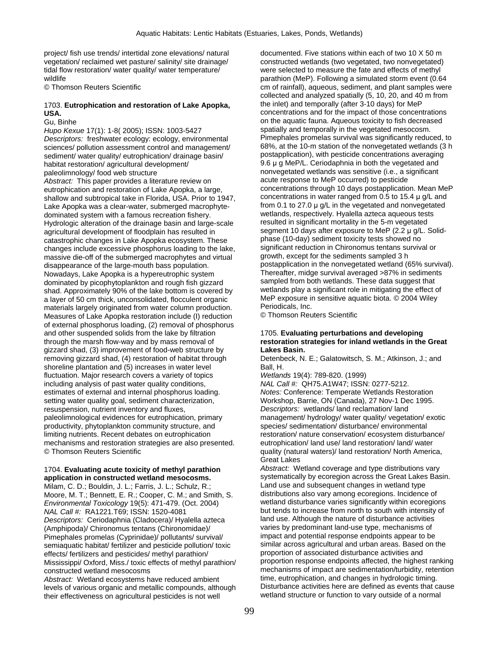project/ fish use trends/ intertidal zone elevations/ natural documented. Five stations within each of two 10 X 50 m vegetation/ reclaimed wet pasture/ salinity/ site drainage/ constructed wetlands (two vegetated, two nonvegetated) tidal flow restoration/ water quality/ water temperature/ were selected to measure the fate and effects of methyl

## 1703. **Eutrophication and restoration of Lake Apopka,** the inlet) and temporally (after 3-10 days) for MeP

*Hupo Kexue* 17(1): 1-8( 2005); ISSN: 1003-5427 spatially and temporally in the vegetated mesocosm.<br>Descriptors: freshwater ecology: ecology, environmental Pimephales promelas survival was significantly reduced, to Descriptors: freshwater ecology: ecology, environmental Pimephales promelas survival was significantly reduced, to<br>Sciences/ pollution assessment control and management/ 68%, at the 10-m station of the nonvegetated wetland sciences/ pollution assessment control and management/ 68%, at the 10-m station of the nonvegetated wetlands (3<br>sediment/ water quality/ eutrophication/ drainage basin/ postapplication), with pesticide concentrations avera sediment/ water quality/ eutrophication/ drainage basin/ habitat restoration/ agricultural development/ 9.6 μ g MeP/L. Ceriodaphnia in both the vegetated and paleolimnology/ food web structure<br>
Abstract: This paper provides a literature review on exact a sensitive (i.e., a significant acute response to MeP occurred) to pesticide *Abstract:* This paper provides a literature review on eutrophication and restoration of Lake Apopka, a large, concentrations through 10 days postapplication. Mean MeP<br>shallow and subtropical take in Florida. USA. Prior to 1947. concentrations in water ranged from 0.5 to 15.4 shallow and subtropical take in Florida, USA. Prior to 1947, concentrations in water ranged from 0.5 to 15.4 μ g/L and<br>Lake Apopka was a clear-water, submerged macrophyte-<br>from 0.1 to 27.0 μ g/L in the vegetated and nonve Lake Apopka was a clear-water, submerged macrophyte-<br>dominated system with a famous recreation fishery.<br>wetlands, respectively. Hyalella azteca aqueous tests dominated system with a famous recreation fishery.<br>Hydrologic alteration of the drainage basin and large-scale entity resulted in significant mortality in the 5-m vegetated Hydrologic alteration of the drainage basin and large-scale resulted in significant mortality in the 5-m vegetated<br>Agricultural development of floodplain has resulted in segment 10 days after exposure to MeP (2.2 u g/L. So agricultural development of floodplain has resulted in segment 10 days after exposure to MeP (2.2 μ g/L<br>Catastrophic changes in Lake Apopka ecosystem. These showed phase (10-day) sediment toxicity tests showed no catastrophic changes in Lake Apopka ecosystem. These phase (10-day) sediment toxicity tests showed no<br>changes include excessive phosphorus loading to the lake. significant reduction in Chironomus tentans survival or changes include excessive phosphorus loading to the lake, significant reduction in Chironomus tentans sure<br>massive die-off of the submerged macrophytes and virtual growth, except for the sediments sampled 3 h massive die-off of the submerged macrophytes and virtual disappearance of the large-mouth bass population. postapplication in the nonvegetated wetland (65% survival).<br>Nowadays Lake Apopka is a hypereutrophic system Thereafter, midge survival averaged >87% in sediments Nowadays, Lake Apopka is a hypereutrophic system Thereafter, midge survival averaged >87% in sedimen<br>dominated by picophytoplankton and rough fish gizzard sampled from both wetlands. These data suggest that dominated by picophytoplankton and rough fish gizzard sampled from both wetlands. These data suggest that<br>shad, Approximately 90% of the lake bottom is covered by wetlands play a significant role in mitigating the effect o shad. Approximately 90% of the lake bottom is covered by wetlands play a significant role in mitigating the effect of<br>A layer of 50 cm thick, unconsolidated, flocculent organic MeP exposure in sensitive aquatic biota. © 20 a layer of 50 cm thick, unconsolidated, flocculent organic MeP exposure in materials largely originated from water column production. materials largely originated from water column production. Periodicals, Inc.<br>Measures of Lake Apopka restoration include (I) reduction © Thomson Reuters Scientific Measures of Lake Apopka restoration include (I) reduction of external phosphorus loading, (2) removal of phosphorus and other suspended solids from the lake by filtration 1705. **Evaluating perturbations and developing**<br> **combigh the marsh flow-way and by mass removal of <b>the absolut of the restoration strategies for inland wetlands in t** gizzard shad, (3) improvement of food-web structure by **Lakes Basin.**<br> **Lakes Basin.**<br>
Detenbeck, N. E.; Galatowitsch, S. M.; Atkinson, J.; and removing of the babitat through **Detenbeck, N. E.; Galatowitsch, S. M.; Atkins** removing gizzard shad, (4) restoration of habitat through shoreline plantation and  $(5)$  increases in water level  $\sim$  Ball, H. fluctuation. Major research covers a variety of topics *Wetlands* 19(4): 789-820. (1999) including analysis of past water quality conditions, *NAL Call #:* QH75.A1W47; ISSN: 0277-5212. estimates of external and internal phosphorus loading. *Notes:* Conference: Temperate Wetlands Restoration setting water quality goal, sediment characterization, Workshop, Barrie, ON (Canada), 27 Nov-1 Dec 1995. resuspension, nutrient inventory and fluxes, *Descriptors:* wetlands/ land reclamation/ land paleolimnological evidences for eutrophication, primary management/ hydrology/ water quality/ vegetation/ exotic productivity, phytoplankton community structure, and species/ sedimentation/ disturbance/ environmental limiting nutrients. Recent debates on eutrophication restoration/ nature conservation/ ecosystem disturbance/ mechanisms and restoration strategies are also presented. eutrophication/ land use/ land restoration/ land/ water © Thomson Reuters Scientific quality (natural waters)/ land restoration/ North America,

Milam, C. D.; Bouldin, J. L.; Farris, J. L.; Schulz, R.; Land use and subsequent changes in wetland type<br>Moore M. T.: Bennett, F. R.: Cooper, C. M.: and Smith, S. distributions also vary among ecoregions. Incidence of Moore, M. T.; Bennett, E. R.; Cooper, C. M.; and Smith, S. *Environmental Toxicology* 19(5): 471-479. (Oct. 2004) wetland disturbance varies significantly within ecoregions *NAL Call #:* RA1221.T69; ISSN: 1520-4081 but tends to increase from north to south with intensity of bescriptors: Ceriodaphnia (Cladocera)/ Hyalella azteca land use. Although the nature of disturbance activities *Descriptors:* Ceriodaphnia (Cladocera)/ Hyalella azteca land use. Although the nature of disturbance activities<br>(Amphipoda)/ Chironomus tentans (Chironomidae)/ varies by predominant land-use type, mechanisms of (Amphipoda)/ Chironomus tentans (Chironomidae)/ varies by predominant land-use type, mechanisms of<br>Pimephales promelas (Cyprinidae)/ pollutants/ survival/ impact and potential response endpoints appear to be Pimephales promelas (Cyprinidae)/ pollutants/ survival/ impact and potential response endpoints appear to be<br>
semiaguatic habitat/ fertilizer and pesticide pollution/ toxic similar across agricultural and urban areas. Base semiaquatic habitat/ fertilizer and pesticide pollution/ toxic similar across agricultural and urban areas. Based<br>
on the proportion of associated disturbance activities and<br>
on the proportion of associated disturbance act Mississippi/ Oxford, Miss./ toxic effects of methyl parathion/

levels of various organic and metallic compounds, although Disturbance activities here are defined as events that ca<br>their effectiveness on agricultural pesticides is not well<br>wetland structure or function to vary outside their effectiveness on agricultural pesticides is not well

wildlife wildlife wildlife parathion (MeP). Following a simulated storm event (0.64 © Thomson Reuters Scientific **com of rainfall**), aqueous, sediment, and plant samples were collected and analyzed spatially (5, 10, 20, and 40 m from **USA.** concentrations and for the impact of those concentrations Gu, Binhe **Guitary on the aquatic fauna.** Aqueous toxicity to fish decreased<br>
Huno Kexue 17(1): 1-8(2005): ISSN: 1003-5427 **Spatially and temporally in the vegetated mesocosm**.

# restoration strategies for inland wetlands in the Great

Great Lakes

1704. **Evaluating acute toxicity of methyl parathion** *Abstract:* Wetland coverage and type distributions vary **application in constructed wetland mesocosms. Systematically by ecoregion across the Great Lakes Basin.** Milam. C. D.: Bouldin. J. L.: Farris. J. L.: Schulz. R.: Land use and subsequent changes in wetland type effects/ fertilizers and pesticides/ methyl parathion/ proportion of associated disturbance activities and<br>Mississippi/ Oxford, Miss./ toxic effects of methyl parathion/ proportion response endpoints affected, the highest constructed wetland mesocosms<br>
Abstract: Wetland ecosystems have reduced ambient time, eutrophication, and changes in hydrologic timing. *Abstract:* Wetland ecosystems have reduced ambient time, eutrophication, and changes in hydrologic timing.<br>Ievels of various organic and metallic compounds, although Disturbance activities here are defined as events that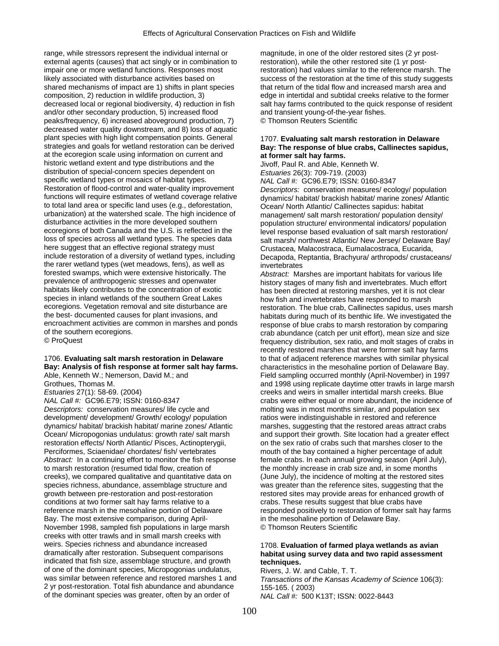range, while stressors represent the individual internal or magnitude, in one of the older restored sites (2 yr postexternal agents (causes) that act singly or in combination to restoration), while the other restored site (1 yr postimpair one or more wetland functions. Responses most restoration) had values similar to the reference marsh. The likely associated with disturbance activities based on success of the restoration at the time of this study suggests shared mechanisms of impact are 1) shifts in plant species that return of the tidal flow and increased marsh area and composition, 2) reduction in wildlife production, 3) edge in intertidal and subtidal creeks relative to the former decreased local or regional biodiversity, 4) reduction in fish salt hay farms contributed to the quick response of resident and/or other secondary production, 5) increased flood and transient young-of-the-year fishes.<br>
peaks/frequency, 6) increased aboveground production, 7) © Thomson Reuters Scientific peaks/frequency, 6) increased aboveground production, 7) decreased water quality downstream, and 8) loss of aquatic plant species with high light compensation points. General 1707. **Evaluating salt marsh restoration in Delaware**  at the ecoregion scale using information on current and **at former salt hay farms.**  historic wetland extent and type distributions and the Jivoff, Paul R. and Able, Kenneth W. distribution of special-concern species dependent on *Estuaries* 26(3): 709-719. (2003) specific wetland types or mosaics of habitat types.<br>
Restoration of flood-control and water-quality improvement<br>
Descriptors: conservation measures/ecol functions will require estimates of wetland coverage relative dynamics/ habitat/ brackish habitat/ marine zones/ Atlantic to total land area or specific land uses (e.g., deforestation,  $\overline{O}$ cean/ North Atlantic/ Callinectes sapidus: habitat urbanization) at the watershed scale. The high incidence of management/ salt marsh restoration/ popu urbanization) at the watershed scale. The high incidence of management/ salt marsh restoration/ population density/<br>disturbance activities in the more developed southern population structure/ environmental indicators/ popu disturbance activities in the more developed southern population structure/ environmental indicators/ population<br>ecoregions of both Canada and the U.S. is reflected in the population response hased evaluation of salt marsh ecoregions of both Canada and the U.S. is reflected in the level response based evaluation of salt marsh restoration/<br>loss of species across all wetland types. The species data salt marsh/northwest Atlantic/New Jersey/Dela loss of species across all wetland types. The species data salt marsh/ northwest Atlantic/ New Jersey/ Delaware Bay/<br>here suggest that an effective regional strategy must Crustacea, Malacostraca, Eumalacostraca, Eucarida, here suggest that an effective regional strategy must Crustacea, Malacostraca, Eumalacostraca, Eucarida,<br>include restoration of a diversity of wetland types, including Decapoda, Reptantia, Brachyura/arthropods/crustac the rarer wetland types (wet meadows, fens), as well as invertebrates<br>forested swamps, which were extensive historically. The *Abstract:* Ma forested swamps, which were extensive historically. The *Abstract:* Marshes are important habitats for various life prevalence of anthropogenic stresses and openwater history stages of many fish and invertebrates. Much effort<br>habitats likely contributes to the concentration of exotic has been directed at restoring marshes, yet it is not species in inland wetlands of the southern Great Lakes how fish and invertebrates have responded to marsh<br>ecoregions. Vegetation removal and site disturbance are entertained the blue crab Callinectes sapidus uses ecoregions. Vegetation removal and site disturbance are restoration. The blue crab, Callinectes sapidus, uses marsh<br>the best- documented causes for plant invasions, and habitats during much of its benthic life. We investig encroachment activities are common in marshes and ponds response of blue crabs to marsh restoration by comparing<br>of the southern ecoregions.<br>orab abundance (catch per unit effort), mean size and size

*Estuaries* 27(1): 58-69. (2004) creeks and weirs in smaller intertidal marsh creeks. Blue *Descriptors:* conservation measures/ life cycle and molting was in most months similar, and population sex development/ development/ Growth/ ecology/ population ratios were indistinguishable in restored and reference dynamics/ habitat/ brackish habitat/ marine zones/ Atlantic marshes, suggesting that the restored areas attract crabs restoration effects/ North Atlantic/ Pisces, Actinopterygii, on the sex ratio of crabs such that marshes closer to the Perciformes, Sciaenidae/ chordates/ fish/ vertebrates mouth of the bay contained a higher percentage of adult *Abstract:* In a continuing effort to monitor the fish response female crabs. In each annual growing season (April July), to marsh restoration (resumed tidal flow, creation of the monthly increase in crab size and, in some months creeks), we compared qualitative and quantitative data on (June July), the incidence of molting at the restored sites species richness, abundance, assemblage structure and was greater than the reference sites, suggesting that the growth between pre-restoration and post-restoration restored sites may provide areas for enhanced growth of conditions at two former salt hay farms relative to a crabs. These results suggest that blue crabs have Bay. The most extensive comparison, during April- in the mesohaline portion of Delaware Bay. November 1998, sampled fish populations in large marsh © Thomson Reuters Scientific creeks with otter trawls and in small marsh creeks with weirs. Species richness and abundance increased 1708. **Evaluation of farmed playa wetlands as avian**<br>dramatically after restoration. Subsequent comparisons **babitat using survey data and two rapid assessmen** indicated that fish size, assemblage structure, and growth **techniques.** of one of the dominant species, Micropogonias undulatus, Rivers, J. W. and Cable, T. T.<br>was similar between reference and restored marshes 1 and Transactions of the Kansas Ad 2 yr post-restoration. Total fish abundance and abundance 155-165. ( 2003) of the dominant species was greater, often by an order of *NAL Call #:* 500 K13T; ISSN: 0022-8443

# Bay: The response of blue crabs, Callinectes sapidus,

Descriptors: conservation measures/ ecology/ population Decapoda, Reptantia, Brachyura/ arthropods/ crustaceans/

has been directed at restoring marshes, yet it is not clear habitats during much of its benthic life. We investigated the of the southern ecoregions.<br>
© ProQuest Constants and molt stages of crabs in the Constant of the formulation sexterior and molt stages of crabs in frequency distribution, sex ratio, and molt stages of crabs in recently restored marshes that were former salt hay farms 1706. **Evaluating salt marsh restoration in Delaware** to that of adjacent reference marshes with similar physical **Bay: Analysis of fish response at former salt hay farms.** characteristics in the mesohaline portion of Delaware Bay. Able, Kenneth W.; Nemerson, David M.; and Field sampling occurred monthly (April-November) in 1997 Grothues, Thomas M. **And The Constant Constant Constant Constant Constant Constant Constant Constant Constant Constant Constant Constant Constant Constant Constant Constant Constant Constant Constant Constant Constant Cons** *NAL Call #:* GC96.E79; ISSN: 0160-8347 crabs were either equal or more abundant, the incidence of Ocean/ Micropogonias undulatus: growth rate/ salt marsh and support their growth. Site location had a greater effect reference marsh in the mesohaline portion of Delaware responded positively to restoration of former salt hay farms

# habitat using survey data and two rapid assessment

Transactions of the Kansas Academy of Science 106(3):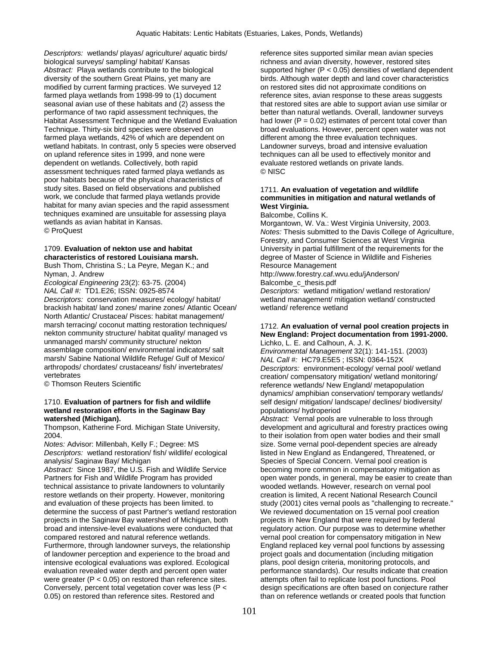*Descriptors:* wetlands/ playas/ agriculture/ aquatic birds/ reference sites supported similar mean avian species biological surveys/ sampling/ habitat/ Kansas richness and avian diversity, however, restored sites *Abstract:* Playa wetlands contribute to the biological supported higher (P < 0.05) densities of wetland dependent diversity of the southern Great Plains, yet many are birds. Although water depth and land cover characteristics modified by current farming practices. We surveyed 12 on restored sites did not approximate conditions on farmed playa wetlands from 1998-99 to (1) document reference sites, avian response to these areas suggests seasonal avian use of these habitats and (2) assess the that restored sites are able to support avian use similar or performance of two rapid assessment techniques, the better than natural wetlands. Overall, landowner surveys Habitat Assessment Technique and the Wetland Evaluation had lower  $(P = 0.02)$  estimates of percent total cover than Technique. Thirty-six bird species were observed on broad evaluations. However, percent open water was not farmed playa wetlands, 42% of which are dependent on different among the three evaluation techniques. wetland habitats. In contrast, only 5 species were observed Landowner surveys, broad and intensive evaluation on upland reference sites in 1999, and none were techniques can all be used to effectively monitor and dependent on wetlands. Collectively, both rapid evaluate restored wetlands on private lands. assessment techniques rated farmed playa wetlands as © NISC poor habitats because of the physical characteristics of study sites. Based on field observations and published 1711. An evaluation of vegetation and wildlife<br>work, we conclude that farmed playa wetlands provide **1986** communities in mitigation and natural wetland habitat for many avian species and the rapid assessment **West Virginia.** techniques examined are unsuitable for assessing playa Balcombe, Collins K.<br>
wetlands as avian habitat in Kansas.<br>
Morgantown W. Va wetlands as avian habitat in Kansas. Morgantown, W. Va.: West Virginia University, 2003.<br>Motes: Thesis submitted to the Davis College of Agric

Bush Thom, Christina S.; La Peyre, Megan K.; and Resource Management Nyman, J. Andrew http://www.forestry.caf.wvu.edu/jAnderson/

*Ecological Engineering* 23(2): 63-75. (2004) Balcombe\_c\_thesis.pdf

*Descriptors:* conservation measures/ ecology/ habitat/ brackish habitat/ land zones/ marine zones/ Atlantic Ocean/ wetland/ reference wetland North Atlantic/ Crustacea/ Pisces: habitat management/ marsh terracing/ coconut matting restoration techniques/ 1712. An evaluation of vernal pool creation projects in<br>nekton community structure/ habitat quality/ managed vs **New England: Project documentation from 1991-2000**. unmanaged marsh/ community structure/ nekton Lichko, L. E. and Calhoun, A. J. K. assemblage composition/ environmental indicators/ salt *Environmental Management* 32(1): 141-151. (2003) marsh/ Sabine National Wildlife Refuge/ Gulf of Mexico/ *NAL Call #:* HC79.E5E5 ; ISSN: 0364-152X<br>arthropods/ chordates/ crustaceans/ fish/ invertebrates/ *Descriptors: environment-ecology/ vernal po* arthropods/ chordates/ crustaceans/ fish/ invertebrates/ *Descriptors:* environment-ecology/ vernal pool/ wetland

# **wetland restoration efforts in the Saginaw Bay <b>propulations** by populations by hydroperiod

*Notes:* Advisor: Millenbah, Kelly F.; Degree: MS size. Some vernal pool-dependent species are already<br> *Descriptors:* wetland restoration/ fish/ wildlife/ ecological listed in New England as Endangered, Threatened, or analysis/ Saginaw Bay/ Michigan Species of Species of Special Concern. Vernal pool creation is

*Abstract:* Since 1987, the U.S. Fish and Wildlife Service becoming more common in compensatory mitigation as technical assistance to private landowners to voluntarily wooded wetlands. However, research on vernal pool restore wetlands on their property. However, monitoring creation is limited, A recent National Research Council determine the success of past Partner's wetland restoration We reviewed documentation on 15 vernal pool creation projects in the Saginaw Bay watershed of Michigan, both projects in New England that were required by federal broad and intensive-level evaluations were conducted that regulatory action. Our purpose was to determine whether compared restored and natural reference wetlands. vernal pool creation for compensatory mitigation in New Furthermore, through landowner surveys, the relationship England replaced key vernal pool functions by assessing of landowner perception and experience to the broad and project goals and documentation (including mitigation of landowner perception and experience to the broad and intensive ecological evaluations was explored. Ecological plans, pool design criteria, monitoring protocols, and evaluation revealed water depth and percent open water performance standards). Our results indicate that creation were greater (P < 0.05) on restored than reference sites. attempts often fail to replicate lost pool functions. Pool Conversely, percent total vegetation cover was less (P < design specifications are often based on conjecture rather 0.05) on restored than reference sites. Restored and than on reference wetlands or created pools that function

# communities in mitigation and natural wetlands of

*Notes:* Thesis submitted to the Davis College of Agriculture, Forestry, and Consumer Sciences at West Virginia 1709. **Evaluation of nekton use and habitat** University in partial fulfillment of the requirements for the **characteristics of restored Louisiana marsh.** degree of Master of Science in Wildlife and Fisheries

*NAL Call #:* TD1.E26; ISSN: 0925-8574 *Descriptors:* wetland mitigation/ wetland restoration/

# New England: Project documentation from 1991-2000.

vertebrates<br>
Compensatory mitigation/ wetland monitoring/<br>
Compensatory mitigation/ wetlands/ New England/ metanopulation reference wetlands/ New England/ metapopulation dynamics/ amphibian conservation/ temporary wetlands/ 1710. **Evaluation of partners for fish and wildlife** self design/ mitigation/ landscape/ declines/ biodiversity/

**watershed (Michigan).** *Abstract:* Vernal pools are vulnerable to loss through Thompson, Katherine Ford. Michigan State University, development and agricultural and forestry practices owing 2004. to their isolation from open water bodies and their small listed in New England as Endangered, Threatened, or Partners for Fish and Wildlife Program has provided open water ponds, in general, may be easier to create than and evaluation of these projects has been limited. to study (2001) cites vernal pools as "challenging to recreate."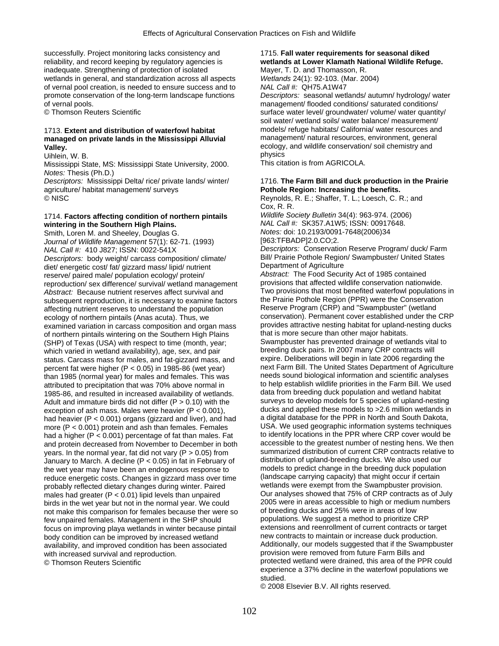successfully. Project monitoring lacks consistency and 1715. Fall water requirements for seasonal diked reliability, and record keeping by regulatory agencies is **wetlands at Lower Klamath National Wildlife Refuge.**  inadequate. Strengthening of protection of isolated Mayer, T. D. and Thomasson, R. wetlands in general, and standardization across all aspects *Wetlands* 24(1): 92-103. (Mar. 2004) of vernal pool creation, is needed to ensure success and to *NAL Call #:* QH75.A1W47 promote conservation of the long-term landscape functions *Descriptors:* seasonal wetlands/ autumn/ hydrology/ water

# managed on private lands in the Mississippi Alluvial

Uihlein, W. B.<br>Mississippi State. MS: Mississippi State University. 2000. This citation is from AGRICOLA. Mississippi State, MS: Mississippi State University, 2000. *Notes:* Thesis (Ph.D.)

agriculture/ habitat management/ surveys **Pothole Region: Increasing the benefits.** 

## 1714. **Factors affecting condition of northern pintails** *Wildlife Society Bulletin* 34(4): 963-974. (2006)

Smith, Loren M. and Sheeley, Douglas G. *Notes:* doi: 10.2193/009<br>*Journal of Wildlife Management* 57(1): 62-71 (1993) [963:TFBADP]2.0.CO;2. *Journal of Wildlife Management* 57(1): 62-71. (1993) *NAL Call #:* 410 J827; ISSN: 0022-541X *Descriptors:* Conservation Reserve Program/ duck/ Farm *Descriptors:* body weight/ carcass composition/ climate/ Bill/ Prairie Pothole Region/ Swampbuster/ United States<br>diet/ energetic cost/ fat/ gizzard mass/ lipid/ nutrient **Department of Agriculture** diet/ energetic cost/ fat/ gizzard mass/ lipid/ nutrient Department of Agriculture<br> *Abstract:* The Food Security Act of 1985 contained<br> *Abstract:* The Food Security Act of 1985 contained reserve/ paired male/ population ecology/ protein/ *Abstract:* The Food Security Act of 1985 contained reproduction/ sex difference/ survival/ wetland management provisions that affected wildlife conservation nationwide.<br>Abstract: Because putrient reserves affect survival and Two provisions that most benefited waterfowl pop *Abstract:* Because nutrient reserves affect survival and Two provisions that most benefited waterfowl populations<br>subsequent reproduction, it is pecessary to examine factors the Prairie Pothole Region (PPR) were the Conse subsequent reproduction, it is necessary to examine factors the Prairie Pothole Region (PPR) were the Conservation<br>Affecting putrient reserves to understand the population Reserve Program (CRP) and "Swampbuster" (wetland affecting nutrient reserves to understand the population Reserve Program (CRP) and "Swampbuster" (wetland<br>
ecology of northern pintalls (Anas acuta) Thus we conservation). Permanent cover established under the CRP ecology of northern pintails (Anas acuta). Thus, we conservation). Permanent cover established under the CRP<br>examined variation in carcass composition and organ mass provides attractive nesting habitat for upland-nesting d examined variation in carcass composition and organ mass provides attractive nesting habitat for upland-resting on the Southern High Plains that is more secure than other major habitats. of northern pintails wintering on the Southern High Plains that is more secure than other major habitats.<br>(SHP) of Texas (USA) with respect to time (month, year:<br>Swampbuster has prevented drainage of wetlands vital to (SHP) of Texas (USA) with respect to time (month, year; Swampbuster has prevented drainage of wetlands vital to<br>which varied in wetland availability), age, sex, and pair sheeding duck pairs. In 2007 many CRP contracts will which varied in wetland availability), age, sex, and pair breeding duck pairs. In 2007 many CRP contracts will<br>status, Carcass mass for males, and fat-gizzard mass, and bexpire. Deliberations will begin in late 2006 regard status. Carcass mass for males, and fat-gizzard mass, and expire. Deliberations will begin in late 2006 regarding the<br>nercent fat were higher (P < 0.05) in 1985-86 (wet year) next Farm Bill. The United States Department of percent fat were higher (P < 0.05) in 1985-86 (wet year) next Farm Bill. The United States Department of Agriculture<br>than 1985 (normal year) for males and females. This was needs sound biological information and scientific than 1985 (normal year) for males and females. This was needs sound biological information and scientific analyses<br>attributed to precipitation that was 70% above normal in the prostablish wildlife priorities in the Farm Bi attributed to precipitation that was 70% above normal in to help establish wildlife priorities in the Farm Bill. We us<br>1985-86, and resulted in increased availability of wetlands data from breeding duck population and wetl 1985-86, and resulted in increased availability of wetlands. data from breeding duck population and wetland habitat<br>Adult and immature birds did not differ (P > 0.10) with the surveys to develop models for 5 species of upl Adult and immature birds did not differ ( $P > 0.10$ ) with the exception of ash mass. Males were heavier (P < 0.001), ducks and applied these models to >2.6 million wetlands in had heavier (P < 0.001) organs (gizzard and liver), and had a digital database for the PPR in North and Sou had heavier (P < 0.001) organs (gizzard and liver), and had a digital database for the PPR in North and South Dakota,<br>more (P < 0.001) protein and ash than females. Females USA, We used geographic information systems techn more (P < 0.001) protein and ash than females. Females USA. We used geographic information systems techniques<br>had a higher (P < 0.001) percentage of fat than males. Fat to identify locations in the PPR where CRP cover woul had a higher (P  $< 0.001$ ) percentage of fat than males. Fat to identify locations in the PPR where CRP cover would be and protein decreased from November to December in both accessible to the greatest number of nesting years. In the normal year, fat did not vary (P > 0.05) from summarized distribution of current CRP contracts relative<br>January to March, A decline (P < 0.05) in fat in February of distribution of upland-breeding ducks. We a January to March. A decline (P  $<$  0.05) in fat in February of the wet year may have been an endogenous response to models to predict change in the breeding duck population<br>reduce energetic costs. Changes in gizzard mass over time (landscape carrying capacity) that might occur if cert reduce energetic costs. Changes in gizzard mass over time (landscape carrying capacity) that might occur if certain<br>probably reflected dietary changes during winter Paired vertlands were exempt from the Swampbuster provisi probably reflected dietary changes during winter. Paired males had greater (P < 0.01) lipid levels than unpaired Our analyses showed that 75% of CRP contracts as of July birds in the wet year but not in the normal year. We could 2005 were in areas accessible to high or medium numbers not make this comparison for females because ther were so of breeding ducks and 25% were in areas of low not make this comparison for females because ther were so of breeding ducks and 25% were in areas of low<br>few unpaired females, Management in the SHP should propulations. We suggest a method to prioritize CRP few unpaired females. Management in the SHP should populations. We suggest a method to prioritize CRP<br>focus on improving playa wetlands in winter because pintail extensions and reenrollment of current contracts or target focus on improving playa wetlands in winter because pintail extensions and reenrollment of current contracts or targetion.<br>hody condition can be improved by increased wetland here were contracts to maintain or increase duc body condition can be improved by increased wetland new contracts to maintain or increase duck production.<br>
heta new contracts to maintain or increase duck production.<br>
Additionally, our models suggested that if the Swampb availability, and improved condition has been associated with increased survival and reproduction. example and provision were removed from future Farm Bills and

of vernal pools.<br> **of vernal pools.** management/ flooded conditions/ saturated conditions/ saturated conditions/<br>
surface water level/ groundwater/ volume/ water quantitions surface water level/ groundwater/ volume/ water quantity/ soil water/ wetland soils/ water balance/ measurement/ 1713. **Extent and distribution of waterfowl habitat** models/ refuge habitats/ California/ water resources and **Valley.**<br> **Valley.**<br> **Lithlein W. B.**<br> **Lithlein W. B.** 

## *Descriptors:* Mississippi Delta/ rice/ private lands/ winter/ 1716. **The Farm Bill and duck production in the Prairie**

© NISC Reynolds, R. E.; Shaffer, T. L.; Loesch, C. R.; and Cox, R. R.

**wintering in the Southern High Plains.** *NAL Call #:* SK357.A1W5; ISSN: 00917<br>
Smith Loren M, and Sheeley Douglas G, *Notes: doi: 10.2193/0091-7648(2006)34* 

and protein decreased from November to December in both accessible to the greatest number of nesting hens. We then<br>years, In the normal year, fat did not yary (P > 0.05) from summarized distribution of current CRP contrac © Thomson Reuters Scientific protected wetland were drained, this area of the PPR could experience a 37% decline in the waterfowl populations we studied.

© 2008 Elsevier B.V. All rights reserved.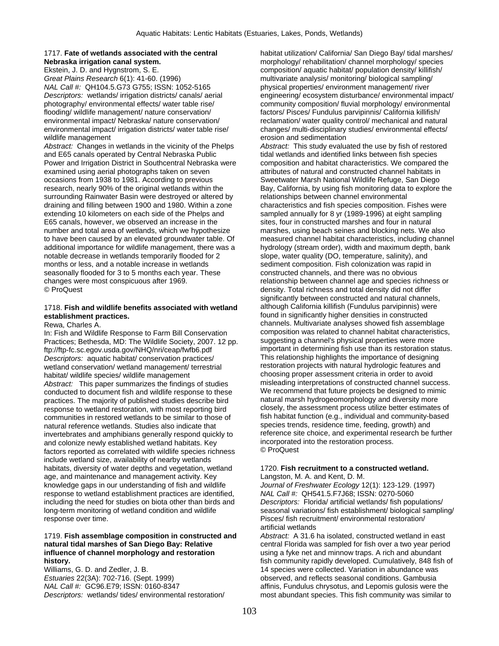Great Plains Research 6(1): 41-60. (1996) multivariate analysis/ monitoring/ biological sampling/<br>NAL Call #: QH104.5.G73 G755; ISSN: 1052-5165 http://www.physical properties/ environment management/ river *NAL Call #: QH104.5.G73 G755; ISSN: 1052-5165* flooding/ wildlife management/ nature conservation/ factors/ Pisces/ Fundulus parvipinnis/ California killifish/ wildlife management errorsion and sedimentation errorsion and sedimentation

*Abstract:* Changes in wetlands in the vicinity of the Phelps *Abstract:* This study evaluated the use by fish of restored and E65 canals operated by Central Nebraska Public tidal wetlands and identified links between fish species Power and Irrigation District in Southcentral Nebraska were composition and habitat characteristics. We compared the examined using aerial photographs taken on seven attributes of natural and constructed channel habitats in occasions from 1938 to 1981. According to previous Sweetwater Marsh National Wildlife Refuge, San Diego surrounding Rainwater Basin were destroyed or altered by relationships between channel environmental draining and filling between 1900 and 1980. Within a zone characteristics and fish species composition. Fishes were extending 10 kilometers on each side of the Phelps and sampled annually for 8 yr (1989-1996) at eight sampling E65 canals, however, we observed an increase in the sites, four in constructed marshes and four in natural number and total area of wetlands, which we hypothesize marshes, using beach seines and blocking nets. We also additional importance for wildlife management, there was a hydrology (stream order), width and maximum depth, bank notable decrease in wetlands temporarily flooded for 2 slope, water quality (DO, temperature, salinity), and months or less, and a notable increase in wetlands sediment composition. Fish colonization was rapid in seasonally flooded for 3 to 5 months each year. These constructed channels, and there was no obvious changes were most conspicuous after 1969. The relationship between channel age and species richness or © ProQuest density. Total richness and total density did not differ

## **establishment practices. found in significantly higher densities in constructed**

Practices; Bethesda, MD: The Wildlife Society, 2007. 12 pp. suggesting a channel's physical properties were more<br>
ftp://ftp-fc.sc.egov.usda.gov/NHO/pri/ceap/fwfb6.pdf<br>
important in determining fish use than its restoration ftp://ftp-fc.sc.egov.usda.gov/NHQ/nri/ceap/fwfb6.pdf important in determining fish use than its restoration status.<br>Descriptors: aquatic habitat/ conservation practices/ This relationship highlights the importance of desig *Descriptors:* aquatic habitat/ conservation practices/ This relationship highlights the importance of designing wetland conservation/ wetland management/ terrestrial habitat/ wildlife species/ wildlife management choosing proper assessment criteria in order to avoid<br>Abstract: This paper summarizes the findings of studies misleading interpretations of constructed channel success. Abstract: This paper summarizes the findings of studies misleading interpretations of constructed channel success<br>Conducted to document fish and wildlife response to these We recommend that future projects be designed to m conducted to document fish and wildlife response to these practices. The majority of published studies describe bird natural marsh hydrogeomorphology and diversity more response to wetland restoration, with most reporting bird closely, the assessment process utilize better estimates of communities in restored wetlands to be similar to those of fish habitat function (e.g., individual and community-based natural reference wetlands. Studies also indicate that species trends, residence time, feeding, growth) natural reference wetlands. Studies also indicate that species trends, residence time, feeding, growth) and<br>invertebrates and amphibians generally respond quickly to streference site choice, and experimental research be fu invertebrates and amphibians generally respond quickly to reference site choice, and experimental re<br>and colonize newly established wetland babitats. Key incorporated into the restoration process. and colonize newly established wetland habitats. Key incorporated<br>factors reported as correlated with wildlife species richness. © ProQuest factors reported as correlated with wildlife species richness include wetland size, availability of nearby wetlands habitats, diversity of water depths and vegetation, wetland 1720. **Fish recruitment to a constructed wetland.** age, and maintenance and management activity. Key Langston, M. A. and Kent, D. M. knowledge gaps in our understanding of fish and wildlife *Journal of Freshwater Ecology* 12(1): 123-129. (1997)<br>
response to wetland establishment practices are identified, MAL Call #: QH541.5.F7J68; ISSN: 0270-5060 response to wetland establishment practices are identified, including the need for studies on biota other than birds and *Descriptors:* Florida/ artificial wetlands/ fish populations/ long-term monitoring of wetland condition and wildlife seasonal variations/ fish establishment/ biological sampling/ response over time. Pisces/ fish recruitment/ environmental restoration/

### 1719. **Fish assemblage composition in constructed and** *Abstract:* A 31.6 ha isolated, constructed wetland in east **natural tidal marshes of San Diego Bay: Relative central Florida was sampled for fish over a two year period influence of channel morphology and restoration** using a fyke net and minnow traps. A rich and abundant

1717. **Fate of wetlands associated with the central** habitat utilization/ California/ San Diego Bay/ tidal marshes/ **Nebraska irrigation canal system. morphology/ rehabilitation/ channel morphology/ species** Ekstein, J. D. and Hygnstrom, S. E. composition/ aquatic habitat/ population density/ killifish/ Descriptors: wetlands/ irrigation districts/ canals/ aerial engineering/ ecosystem disturbance/ environmental impact/ photography/ environmental effects/ water table rise/ community composition/ fluvial morphology/ environmental environmental impact/ Nebraska/ nature conservation/ reclamation/ water quality control/ mechanical and natural environmental impact/ irrigation districts/ water table rise/ changes/ multi-disciplinary studies/ environmental effects/

research, nearly 90% of the original wetlands within the Bay, California, by using fish monitoring data to explore the to have been caused by an elevated groundwater table. Of measured channel habitat characteristics, including channel significantly between constructed and natural channels, 1718. **Fish and wildlife benefits associated with wetland** although California killifish (Fundulus parvipinnis) were Rewa, Charles A. channels. Multivariate analyses showed fish assemblage In: Fish and Wildlife Response to Farm Bill Conservation composition was related to channel habitat characteristics,<br>Practices: Bethesda MD: The Wildlife Society 2007 12 pp suggesting a channel's physical properties were m

artificial wetlands

**history. history. history. history. history. history. history. history. history. history. history. history. history. history. history. history. history. history. history. history. h** Williams, G. D. and Zedler, J. B. 14 species were collected. Variation in abundance was<br>
Estuaries 22(3A): 702-716. (Sept. 1999) Channel Schware observed, and reflects seasonal conditions. Gambusia observed, and reflects seasonal conditions. Gambusia *NAL Call #:* GC96.E79; ISSN: 0160-8347 affinis, Fundulus chrysotus, and Lepomis gulosis were the *Descriptors:* wetlands/ tides/ environmental restoration/ most abundant species. This fish community was similar to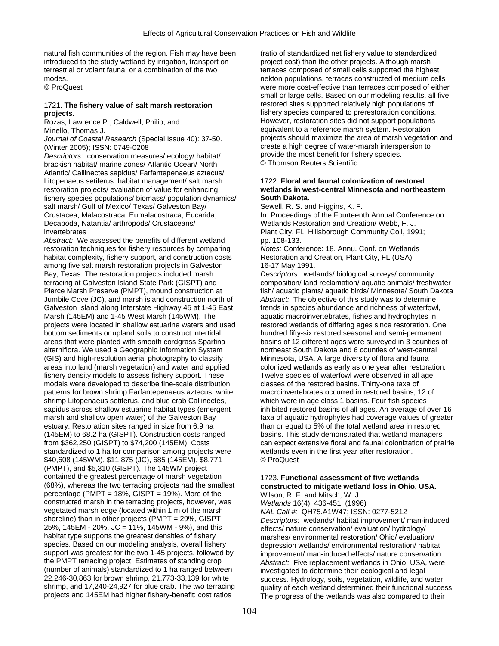natural fish communities of the region. Fish may have been (ratio of standardized net fishery value to standardized introduced to the study wetland by irrigation, transport on project cost) than the other projects. Although marsh terrestrial or volant fauna, or a combination of the two terraces composed of small cells supported the highest modes. **nekton populations**, terraces constructed of medium cells

*Journal of Coastal Research (Special Issue 40): 37-50.* 

*Descriptors:* conservation measures/ ecology/ habitat/ **provide the most benefit for fis**<br>hrackish habitat/ marine zones/ Atlantic Ocean/ North **Demock Common State Constantive** brackish habitat/ marine zones/ Atlantic Ocean/ North Atlantic/ Callinectes sapidus/ Farfantepenaeus aztecus/ Litopenaeus setiferus: habitat management/ salt marsh 1722. **Floral and faunal colonization of restored**  restoration projects/ evaluation of value for enhancing **wetlands in west-central Minnesota and northeastern**  fishery species populations/ biomass/ population dynamics/ **South Dakota.**  salt marsh/ Gulf of Mexico/ Texas/ Galveston Bay/ Sewell, R. S. and Higgins, K. F. Crustacea, Malacostraca, Eumalacostraca, Eucarida, In: Proceedings of the Fourteenth Annual Conference on Decapoda, Natantia/ arthropods/ Crustaceans/ Wetlands Restoration and Creation/ Webb, F. J. invertebrates Plant City, Fl.: Hillsborough Community Coll, 1991;

Abstract: We assessed the benefits of different wetland pp. 108-133. restoration techniques for fishery resources by comparing *Notes:* Conference: 18. Annu. Conf. on Wetlands habitat complexity, fishery support, and construction costs Restoration and Creation, Plant City, FL (USA), among five salt marsh restoration projects in Galveston 16-17 May 1991. Bay, Texas. The restoration projects included marsh *Descriptors:* wetlands/ biological surveys/ community terracing at Galveston Island State Park (GISPT) and composition/ land reclamation/ aquatic animals/ freshwater<br>Pierce Marsh Preserve (PMPT), mound construction at fish/ aquatic plants/ aquatic birds/ Minnesota/ South Dako Jumbile Cove (JC), and marsh island construction north of *Abstract:* The objective of this study was to determine Galveston Island along Interstate Highway 45 at 1-45 East trends in species abundance and richness of waterfowl, Marsh (145EM) and 1-45 West Marsh (145WM). The aquatic macroinvertebrates, fishes and hydrophytes in projects were located in shallow estuarine waters and used restored wetlands of differing ages since restoration. One bottom sediments or upland soils to construct intertidal hundred fifty-six restored seasonal and semi-permanent areas that were planted with smooth cordgrass Spartina basins of 12 different ages were surveyed in 3 counties of alterniflora. We used a Geographic Information System https://www.mortheast South Dakota and 6 counties of west-central (GIS) and high-resolution aerial photography to classify Minnesota, USA. A large diversity of flora and fauna<br>areas into land (marsh vegetation) and water and applied colonized wetlands as early as one year after restora fishery density models to assess fishery support. These Twelve species of waterfowl were observed in all age models were developed to describe fine-scale distribution classes of the restored basins. Thirty-one taxa of patterns for brown shrimp Farfantepenaeus aztecus, white macroinvertebrates occurred in restored basins, 12 of shrimp Litopenaeus setiferus, and blue crab Callinectes, which were in age class 1 basins. Four fish species sapidus across shallow estuarine habitat types (emergent inhibited restored basins of all ages. An average of over 16 estuary. Restoration sites ranged in size from 6.9 ha than or equal to 5% of the total wetland area in restored (145EM) to 68.2 ha (GISPT). Construction costs ranged basins. This study demonstrated that wetland managers standardized to 1 ha for comparison among projects were wetlands even in the first year after restoration. \$40,608 (145WM), \$11,875 (JC), 685 (145EM), \$8,771 © ProQuest (PMPT), and \$5,310 (GISPT). The 145WM project contained the greatest percentage of marsh vegetation 1723. **Functional assessment of five wetlands**  (68%), whereas the two terracing projects had the smallest **constructed to mitigate wetland loss in Ohio, USA.**  percentage (PMPT = 18%, GISPT = 19%). More of the Wilson, R. F. and Mitsch, W. J. constructed marsh in the terracing projects, however, was *Wetlands* 16(4): 436-451. (1996) vegetated marsh edge (located within 1 m of the marsh *NAL Call #:* QH75.A1W47; ISSN: 0277-5212 shoreline) than in other projects (PMPT = 29%, GISPT *Descriptors:* wetlands/ habitat improvement/ man-induced 25%, 145EM - 20%, JC = 11%, 145WM - 9%), and this effects/ nature conservation/ evaluation/ hydrology/<br>habitat type supports the greatest densities of fishery marshes/ environmental restoration/ Ohio/ evaluation habitat type supports the greatest densities of fishery marshes/ environmental restoration/ Ohio/ evaluation/<br>species. Based on our modeling analysis, overall fishery depression wetlands/ environmental restoration/ habita species. Based on our modeling analysis, overall fishery depression wetlands/ environmental restoration/ habitat<br>support was greatest for the two 1-45 projects, followed by improvement/ man-induced effects/ nature conserva support was greatest for the two 1-45 projects, followed by improvement/ man-induced effects/ nature conservation<br>the PMPT terracing project. Estimates of standing crop and abstract: Five replacement wetlands in Ohio. USA, the PMPT terracing project. Estimates of standing crop *Abstract:* Five replacement wetlands in Ohio, USA, were (number of animals) standardized to 1 ha ranged between investigated to determine their ecological and legal<br>22,246-30,863 for brown shrimp, 21,773-33,139 for white success. Hydrology, soils, vegetation, wildlife, and 22,246-30,863 for brown shrimp, 21,773-33,139 for white success. Hydrology, soils, vegetation, wildlife, and water<br>shrimp, and 17,240-24,927 for blue crab. The two terracing auality of each wetland determined their functio projects and 145EM had higher fishery-benefit: cost ratios The progress of the wetlands was also compared to their

© ProQuest were more cost-effective than terraces composed of either small or large cells. Based on our modeling results, all five 1721. **The fishery value of salt marsh restoration** restored sites supported relatively high populations of **projects. projects.** *projects. projects. projects. projects. projects. projects. projects.* Prozas, Lawrence P.; Caldwell, Philip; and France Research However, restoration sites did not support populations Minello, Thomas J.<br>Journal of Coastal Research (Special Issue 40): 37-50 equivalent to a reference marsh system. Restoration and (Winter 2005); ISSN: 0749-0208 create a high degree of water-marsh interspersion to<br>Descriptors: conservation measures/ecology/habitat/ provide the most benefit for fishery species.

fish/aquatic plants/aquatic birds/ Minnesota/ South Dakota colonized wetlands as early as one year after restoration. marsh and shallow open water) of the Galveston Bay taxa of aquatic hydrophytes had coverage values of greater from \$362,250 (GISPT) to \$74,200 (145EM). Costs can expect extensive floral and faunal colonization of prairie

quality of each wetland determined their functional success.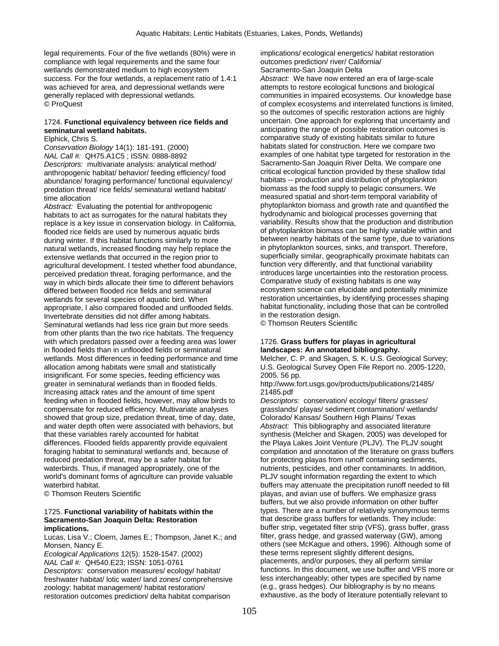legal requirements. Four of the five wetlands (80%) were in implications/ ecological energetics/ habitat restoration compliance with legal requirements and the same four outcomes prediction/ river/ California/ wetlands demonstrated medium to high ecosystem Sacramento-San Joaquin Delta success. For the four wetlands, a replacement ratio of 1.4:1 *Abstract:* We have now entered an era of large-scale was achieved for area, and depressional wetlands were attempts to restore ecological functions and biological generally replaced with depressional wetlands. communities in impaired ecosystems. Our knowledge base

## 1724. Functional equivalency between rice fields and

*Conservation Biology* 14(1): 181-191. (2000) *NAL Call #:* QH75.A1C5 ; ISSN: 0888-8892 examples of one habitat type targeted for restoration in the *Descriptors:* multivariate analysis: analytical method/ Sacramento-San Joaquin River Delta. We compare one anthropogenic habitat/ behavior/ feeding efficiency/ food critical ecological function provided by these shallow tidal<br>abundance/ foraging performance/ functional equivalency/ habitats -- production and distribution of phy abundance/ foraging performance/ functional equivalency/ predation threat/ rice fields/ seminatural wetland habitat/ biomass as the food supply to pelagic consumers. We time allocation measured spatial and short-term temporal variability of

habitats to act as surrogates for the natural habitats they hydrodynamic and biological processes governing that<br>
replace is a key issue in conservation biology In California variability. Results show that the production a replace is a key issue in conservation biology. In California, variability. Results show that the production and distribution<br>flooded rice fields are used by numerous aquatic birds of phytoplankton biomass can be highly va flooded rice fields are used by numerous aquatic birds natural wetlands, increased flooding may help replace the in phytoplankton sources, sinks, and transport. Therefore, extensive wetlands that occurred in the region prior to superficially similar, geographically proximate habitats can<br>agricultural development. I tested whether food abundance. If unction very differently, and that function agricultural development. I tested whether food abundance, function very differently, and that functional variability<br>nerceived predation threat foraging performance and the introduces large uncertainties into the restorat perceived predation threat, foraging performance, and the introduces large uncertainties into the restoration p<br>way in which birds allocate their time to different behaviors Comparative study of existing habitats is one wa way in which birds allocate their time to different behaviors differed between flooded rice fields and seminatural ecosystem science can elucidate and potentially minimize wetlands for several species of aquatic bird. When restoration uncertainties, by identifying processes shaping<br>appropriate Lalso compared flooded and unflooded fields habitat functionality, including those that can be cont appropriate, I also compared flooded and unflooded fields. habitat functionality, including those that can be controlled that can be controlled in the restoration design. Invertebrate densities did not differ among habitats. in the restoration design.<br>Seminatural wetlands had less rice grain but more seeds in Common Reuters Scientific Seminatural wetlands had less rice grain but more seeds from other plants than the two rice habitats. The frequency with which predators passed over a feeding area was lower 1726. Grass buffers for playas in agricultural in flooded fields than in unflooded fields or seminatural **landscapes: An annotated bibliography.**  wetlands. Most differences in feeding performance and time Melcher, C. P. and Skagen, S. K. U.S. Geological Survey;<br>allocation among habitats were small and statistically U.S. Geological Survey Open File Report no. 2005-12 insignificant. For some species, feeding efficiency was 2005. 56 pp.<br>greater in seminatural wetlands than in flooded fields. http://www.fo Increasing attack rates and the amount of time spent 21485.pdf feeding when in flooded fields, however, may allow birds to *Descriptors:* conservation/ ecology/ filters/ grasses/ compensate for reduced efficiency. Multivariate analyses grasslands/ playas/ sediment contamination/ wetlands/ showed that group size, predation threat, time of day, date, Colorado/ Kansas/ Southern High Plains/ Texas and water depth often were associated with behaviors, but *Abstract:* This bibliography and associated literature that these variables rarely accounted for habitat synthesis (Melcher and Skagen, 2005) was developed for differences. Flooded fields apparently provide equivalent the Playa Lakes Joint Venture (PLJV). The PLJV sought reduced predation threat, may be a safer habitat for for protecting playas from runoff containing sediments, waterbirds. Thus, if managed appropriately, one of the nutrients, pesticides, and other contaminants. In addition, world's dominant forms of agriculture can provide valuable PLJV sought information regarding the extent to which waterbird habitat. **buffers may attenuate the precipitation runoff needed to fill** 

# **Sacramento-San Joaquin Delta: Restoration**

Lucas, Lisa V.; Cloern, James E.; Thompson, Janet K.; and

*Ecological Applications* 12(5): 1528-1547. (2002) *NAL Call #:* QH540.E23; ISSN: 1051-0761 placements, and/or purposes, they all perform similar freshwater habitat/ lotic water/ land zones/ comprehensive restoration outcomes prediction/ delta habitat comparison

© ProQuest of complex ecosystems and interrelated functions is limited, so the outcomes of specific restoration actions are highly uncertain. One approach for exploring that uncertainty and **seminatural wetland habitats. anticipating the range of possible restoration outcomes is** Elphick, Chris S.<br>Conservation Biology 14(1): 181-191 (2000) Conservation Single Transport Conservation Biology 14(1): 181-191 *Abstract:* Evaluating the potential for anthropogenic **phytoplankton biomass and growth rate and quantified the hation biomass and growth rate and quantified the hation of the natural habitats they hydrodynamic and biolog** during winter. If this habitat functions similarly to more between nearby habitats of the same type, due to variations

U.S. Geological Survey Open File Report no. 2005-1220,

http://www.fort.usgs.gov/products/publications/21485/

foraging habitat to seminatural wetlands and, because of compilation and annotation of the literature on grass buffers © Thomson Reuters Scientific playas, and avian use of buffers. We emphasize grass buffers, but we also provide information on other buffer<br>types. There are a number of relatively synonymous terms 1725. **Functional variability of habitats within the the setup of the setup of relatively synonymous terms**<br>Sacramento-San Joaquin Delta: Restoration serms that describe grass buffers for wetlands. They include: **implications.**<br>
Lucas, Lisa V.: Cloern, James F.: Thompson, Janet K.: and filter, grass hedge, and grassed waterway (GW), among Monsen, Nancy E.<br>
For extending the set of these terms represent slightly different designs,<br>
For extending these terms represent slightly different designs, *Descriptors:* conservation measures/ ecology/ habitat/ functions. In this document, we use buffer and VFS more or<br>freshwater habitat/ lotic water/ land zones/ comprehensive less interchangeably; other types are specified zoology: habitat management/ habitat restoration/ (e.g., grass hedges). Our bibliography is by no means<br>restoration outcomes prediction/ delta habitat comparison exhaustive, as the body of literature potentially relevant t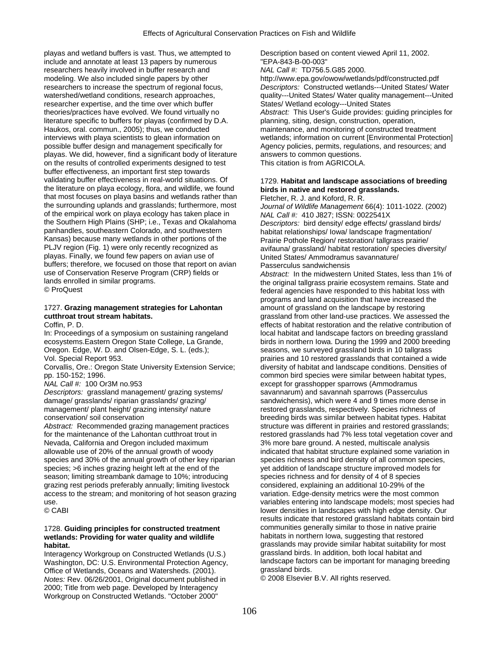playas and wetland buffers is vast. Thus, we attempted to Description based on content viewed April 11, 2002. include and annotate at least 13 papers by numerous "EPA-843-B-00-003" researchers heavily involved in buffer research and *NAL Call #:* TD756.5.G85 2000. modeling. We also included single papers by other http://www.epa.gov/owow/wetlands/pdf/constructed.pdf researchers to increase the spectrum of regional focus, *Descriptors:* Constructed wetlands---United States/ Water watershed/wetland conditions, research approaches, quality---United States/ Water quality management---United researcher expertise, and the time over which buffer States/ Wetland ecology---United States researcher expertise, and the time over which buffer theories/practices have evolved. We found virtually no *Abstract:* This User's Guide provides: guiding principles for literature specific to buffers for playas (confirmed by D.A. Haukos, oral. commun., 2005); thus, we conducted maintenance, and monitoring of constructed treatment interviews with playa scientists to glean information on wetlands; information on current [Environmental Protection] possible buffer design and management specifically for Agency policies, permits, regulations, and resources; and playas. We did, however, find a significant body of literature answers to common questions. on the results of controlled experiments designed to test This citation is from AGRICOLA. buffer effectiveness, an important first step towards validating buffer effectiveness in real-world situations. Of 1729. **Habitat and landscape associations of breeding**  the literature on playa ecology, flora, and wildlife, we found **birds in native and restored grasslands.**  that most focuses on playa basins and wetlands rather than Fletcher, R. J. and Koford, R. R.<br>the surrounding uplands and grasslands; furthermore, most Journal of Wildlife Management of the empirical work on playa ecology has taken place in *the Southern High Plains (SHP*; *i.e., Texas and Okalahoma* the Southern High Plains (SHP; i.e., Texas and Okalahoma *Descriptors:* bird density/ edge effects/ grassland birds/ panhandles, southeastern Colorado, and southwestern habitat relationships/ Iowa/ landscape fragmentation/<br>Kansas) because many wetlands in other portions of the Prairie Pothole Region/ restoration/ tallgrass prairie/ Kansas) because many wetlands in other portions of the Prairie Pothole Region/ restoration/ tallgrass prairie/<br>PLJV region (Fig. 1) were only recently recognized as expressional avifauna/ grassland/ habitat restoration/ sp playas. Finally, we found few papers on avian use of United States/ Ammodramus savannature/ buffers; therefore, we focused on those that report on avian Passerculus sandwichensis<br>use of Conservation Reserve Program (CRP) fields or *Abstract:* In the midwestern use of Conservation Reserve Program (CRP) fields or *Abstract:* In the midwestern United States, less than 1% of lands enrolled in similar programs.<br>
© ProQuest entitled in similar programs.<br>
federal agencies have responded to this babitat loss with

## 1727. **Grazing management strategies for Lahontan** amount of grassland on the landscape by restoring

Oregon. Edge, W. D. and Olsen-Edge, S. L. (eds.); seasons, we surveyed grassland birds in 10 tallgrass

Corvallis, Ore.: Oregon State University Extension Service; diversity of habitat and landscape conditions. Densities of pp. 150-152; 1996. common bird species were similar between habitat types,

*Descriptors:* grassland management/ grazing systems/ savannarum) and savannah sparrows (Passerculus management/ plant height/ grazing intensity/ nature restored grasslands, respectively. Species richness of

Abstract: Recommended grazing management practices structure was different in prairies and restored grasslands; Nevada, California and Oregon included maximum 3% more bare ground. A nested, multiscale analysis allowable use of 20% of the annual growth of woody indicated that habitat structure explained some variation in species and 30% of the annual growth of other key riparian species richness and bird density of all common species, species; >6 inches grazing height left at the end of the yet addition of landscape structure improved models for season; limiting streambank damage to 10%; introducing species richness and for density of 4 of 8 species grazing rest periods preferably annually; limiting livestock considered, explaining an additional 10-29% of the access to the stream; and monitoring of hot season grazing variation. Edge-density metrics were the most common

### 1728. **Guiding principles for constructed treatment** communities generally similar to those in native prairie<br> **wetlands: Providing for water quality and wildlife** habitats in northern lowa, suggesting that restored wetlands: Providing for water quality and wildlife

Washington, DC: U.S. Environmental Protection Agency, landscape factors can be important for managing breeding<br>Office of Wetlands, Oceans and Watersheds. (2001) [1] a rassland birds. Office of Wetlands, Oceans and Watersheds. (2001). grassland birds.<br>
Notes: Rev. 06/26/2001. Original document published in @ 2008 Elsevier B.V. All rights reserved. *Notes:* Rev. 06/26/2001, Original document published in 2000; Title from web page. Developed by Interagency Workgroup on Constructed Wetlands. "October 2000"

Journal of Wildlife Management 66(4): 1011-1022. (2002)<br>NAL Call #: 410 J827; ISSN: 0022541X

avifauna/ grassland/ habitat restoration/ species diversity/

federal agencies have responded to this habitat loss with programs and land acquisition that have increased the **cutthroat trout stream habitats.** Grassland from other land-use practices. We assessed the Coffin, P. D. effects of habitat restoration and the relative contribution of In: Proceedings of a symposium on sustaining rangeland local habitat and landscape factors on breeding grassland ecosystems.Eastern Oregon State College, La Grande, birds in northern Iowa. During the 1999 and 2000 breeding Vol. Special Report 953. prairies and 10 restored grasslands that contained a wide *NAL Call #:* 100 Or3M no.953 except for grasshopper sparrows (Ammodramus damage/ grasslands/ riparian grasslands/ grazing/ sandwichensis), which were 4 and 9 times more dense in conservation/ soil conservation breeding birds was similar between habitat types. Habitat for the maintenance of the Lahontan cutthroat trout in restored grasslands had 7% less total vegetation cover and use.<br>
variables entering into landscape models; most species had<br>
© CABI<br>
ver densities in landscapes with high edge density. Our lower densities in landscapes with high edge density. Our results indicate that restored grassland habitats contain bird **habitat.**<br>
Interagency Workgroup on Constructed Wetlands (U.S.) grassland birds. In addition, both local habitat and<br>
grassland birds. In addition, both local habitat and Interagency Workgroup on Constructed Wetlands (U.S.) grassland birds. In addition, both local habitat and<br>Washington, DC: U.S. Environmental Protection Agency. [andscape factors can be important for managing breeding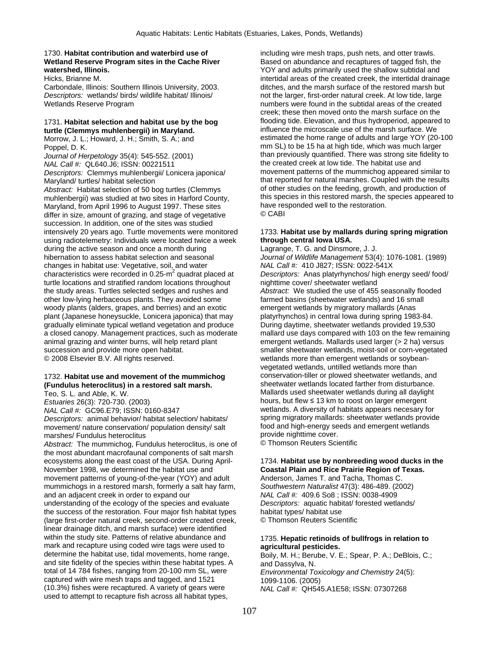# 1730. **Habitat contribution and waterbird use of** including wire mesh traps, push nets, and otter trawls.

## turtle (Clemmys muhlenbergii) in Maryland.

*Descriptors:* Clemmys muhlenbergii/ Lonicera japonica/

*Abstract:* Habitat selection of 50 bog turtles (Clemmys of other studies on the feeding, growth, and production of muhlenbergii) was studied at two sites in Harford County. muhlenbergii) was studied at two sites in Harford County, this species in this restored marsh, the marsh, the species in this restoration.<br>Maryland, from April 1996 to August 1997. These sites have responded well to the re Maryland, from April 1996 to August 1997. These sites have restoration have restoration.<br>differ in size, amount of grazing and stage of vegetative. differ in size, amount of grazing, and stage of vegetative succession. In addition, one of the sites was studied intensively 20 years ago. Turtle movements were monitored 1733. **Habitat use by mallards during spring migration**  using radiotelemetry: Individuals were located twice a week **through central Iowa USA.**  during the active season and once a month during Lagrange, T. G. and Dinsmore, J. J. hibernation to assess habitat selection and seasonal *Journal of Wildlife Management* 53(4): 1076-1081. (1989) changes in habitat use: Vegetative, soil, and water *NAL Call #:* 410 J827; ISSN: 0022-541X characteristics were recorded in  $0.25 \text{ m}^2$  quadrat placed at turtle locations and stratified random locations throughout nighttime cover/ sheetwater wetland<br>the study areas. Turtles selected sedges and rushes and *Abstract:* We studied the use of 455 seasonally flooded the study areas. Turtles selected sedges and rushes and other low-lying herbaceous plants. They avoided some farmed basins (sheetwater wetlands) and 16 small woody plants (alders, grapes, and berries) and an exotic emergent wetlands by migratory mallards (Anas plant (Japanese honeysuckle, Lonicera japonica) that may platyrhynchos) in central Iowa during spring 1983-84. gradually eliminate typical wetland vegetation and produce During daytime, sheetwater wetlands provided 19,530 a closed canopy. Management practices, such as moderate mallard use days compared with 103 on the few remaining animal grazing and winter burns, will help retard plant emergent wetlands. Mallards used larger (> 2 ha) versus succession and provide more open habitat. surface is smaller sheetwater wetlands, moist-soil or corn-vegetated © 2008 Elsevier B.V. All rights reserved. wetlands more than emergent wetlands or soybean-

## (Fundulus heteroclitus) in a restored salt marsh.

*Descriptors:* animal behavior/ habitat selection/ habitats/ spring migratory mallards: sheetwater wetlands provi<br>movement/ nature conservation/ population density/ salt food and high-energy seeds and emergent wetlands movement/ nature conservation/ population density/ salt food and high-energy se<br>marshes/ Fundulus heteroclitus

marshes/ Fundulus heteroclitus<br>Abstract: The mummichon Fundulus heteroclitus is one of @ Thomson Reuters Scientific *Abstract:* The mummichog, Fundulus heteroclitus, is one of the most abundant macrofaunal components of salt marsh ecosystems along the east coast of the USA. During April- 1734. **Habitat use by nonbreeding wood ducks in the**  November 1998, we determined the habitat use and **Coastal Plain and Rice Prairie Region of Texas.**  movement patterns of young-of-the-year (YOY) and adult Anderson, James T. and Tacha, Thomas C. mummichogs in a restored marsh, formerly a salt hay farm, *Southwestern Naturalist* 47(3): 486-489. (2002) and an adjacent creek in order to expand our *NAL Call #:* 409.6 So8 ; ISSN: 0038-4909 understanding of the ecology of the species and evaluate *Descriptors:* aquatic habitat/ forested wetlands/ the success of the restoration. Four major fish habitat types habitat types/ habitat use (large first-order natural creek, second-order created creek, © Thomson Reuters Scientific linear drainage ditch, and marsh surface) were identified within the study site. Patterns of relative abundance and 1735. Hepatic retinoids of bullfrogs in relation to mark and recapture using coded wire tags were used to **agricultural pesticides.**<br>
determine the habitat use, tidal movements, home range, Boily, M. H.: Berube, V. I and site fidelity of the species within these habitat types. A and Dassylva, N. total of 14 784 fishes, ranging from 20-100 mm SL, were *Environmental Toxicology and Chemistry* 24(5): captured with wire mesh traps and tagged, and 1521 1099-1106. (2005) (10.3%) fishes were recaptured. A variety of gears were *NAL Call #:* QH545.A1E58; ISSN: 07307268 used to attempt to recapture fish across all habitat types,

**Wetland Reserve Program sites in the Cache River** Based on abundance and recaptures of tagged fish, the **watershed, Illinois.** YOY and adults primarily used the shallow subtidal and Hicks, Brianne M. intertidal areas of the created creek, the intertidal drainage Carbondale, Illinois: Southern Illinois University, 2003. ditches, and the marsh surface of the restored marsh but Descriptors: wetlands/ birds/ wildlife habitat/ Illinois/ not the larger, first-order natural creek. At low not the larger, first-order natural creek. At low tide, large Wetlands Reserve Program numbers were found in the subtidal areas of the created creek; these then moved onto the marsh surface on the 1731. **Habitat selection and habitat use by the bog** flooding tide. Elevation, and thus hydroperiod, appeared to Morrow, J. L.; Howard, J. H.; Smith, S. A.; and estimated the home range of adults and large YOY (20-100 Poppel, D. K. mm SL) to be 15 ha at high tide, which was much larger Journal of Herpetology 35(4): 545-552. (2001) than previously quantified. There was strong site fidelity to *NAL Call #:* QL640.J6; ISSN: 00221511 the created creek at low tide. The habitat use and<br>Descriptors: Clemmys muhlenbergii/ Lonicera iaponica/ movement patterns of the mummichog appeared similar to Maryland/ turtles/ habitat selection that reported for natural marshes. Coupled with the results

Descriptors: Anas platyrhynchos/ high energy seed/ food/ vegetated wetlands, untilled wetlands more than 1732. **Habitat use and movement of the mummichog** conservation-tiller or plowed sheetwater wetlands, and Teo, S. L. and Able, K. W. Theory S. L. and Able, K. W. Mallards used sheetwater wetlands during all daylight *Estuaries* 26(3): 720-730. (2003) hours, but flew ≤ 13 km to roost on larger emergent *NAL Call #:* GC96.E79; ISSN: 0160-8347 wetlands. A diversity of habitats appears necesary for<br>Descriptors: animal behavior/ habitat selection/ habitats/ spring migratory mallards: sheetwater wetlands provide

Boily, M. H.; Berube, V. E.; Spear, P. A.; DeBlois, C.;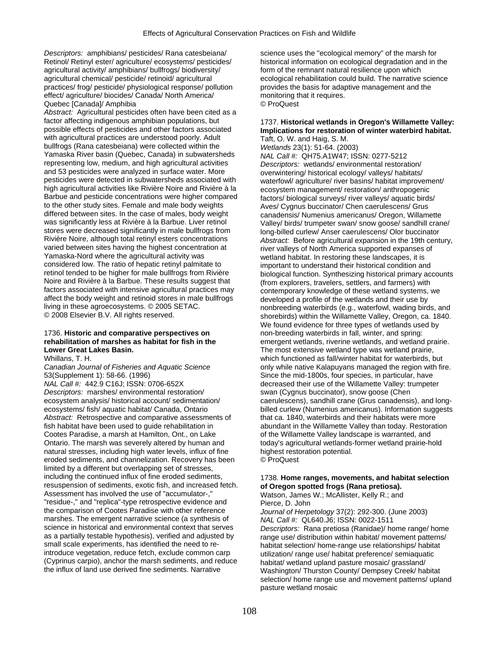*Descriptors:* amphibians/ pesticides/ Rana catesbeiana/ science uses the "ecological memory" of the marsh for Retinol/ Retinyl ester/ agriculture/ ecosystems/ pesticides/ historical information on ecological degradation and in the agricultural activity/ amphibians/ bullfrogs/ biodiversity/ form of the remnant natural resilience upon which<br>agricultural chemical/ pesticide/ retinoid/ agricultural ecological rehabilitation could build. The narrative practices/ frog/ pesticide/ physiological response/ pollution provides the basis for adaptive management and the effect/ agriculture/ biocides/ Canada/ North America/ monitoring that it requires. Quebec [Canada]/ Amphibia © ProQuest

Abstract: Agricultural pesticides often have been cited as a factor affecting indigenous amphibian populations, but factor affecting indigenous amphibian populations, but 1737. **Historical wetlands in Oregon's Willamette Valley:**  with agricultural practices are understood poorly. Adult Taft, O. W. and Haig, S. M.<br>bullfrogs (Rana catesbeiana) were collected within the Wetlands 23(1): 51-64. (2003) bullfrogs (Rana catesbeiana) were collected within the Yamaska River basin (Quebec, Canada) in subwatersheds *NAL Call #:* QH75.A1W47; ISSN: 0277-5212 representing low, medium, and high agricultural activities *Descriptors:* wetlands/ environmental restoration/ and 53 pesticides were analyzed in surface water. More overwintering/ historical ecology/ valleys/ habitats/<br>
pesticides were detected in subwatersheds associated with waterfowl/ agriculture/ river basins/ habitat improve high agricultural activities like Rivière Noire and Rivière à la ecosystem management/ restoration/ anthropogenic Barbue and pesticide concentrations were higher compared factors/ biological surveys/ river valleys/ aquatic birds/ to the other study sites. Female and male body weights Aves/ Cygnus buccinator/ Chen caerulescens/ Grus differed between sites. In the case of males, body weight canadensis/ Numenius americanus/ Oregon Willam differed between sites. In the case of males, body weight canadensis/ Numenius americanus/ Oregon, Willamette<br>Was significantly less at Rivière à la Barbue. Liver retinol (Valley/ birds/ trumpeter swan/ snow goose/ sandbil was significantly less at Rivière à la Barbue. Liver retinol Valley/ birds/ trumpeter swan/ snow goose/ sandhill crane/<br>Stores were decreased significantly in male bullfrogs from a conceptibed curlew/ Anser caerulescens/ O stores were decreased significantly in male bullfrogs from long-billed curlew/ Anser caerulescens/ Olor buccinator<br>Rivière Noire, although total retinyl esters concentrations Abstract: Before agricultural expansion in the varied between sites having the highest concentration at river valleys of North America supported expanses of<br>Yamaska-Nord where the agricultural activity was variance wetland habitat. In restoring these landscapes, it is Yamaska-Nord where the agricultural activity was vetland habitat. In restoring these landscapes, it is<br>considered low. The ratio of hepatic retinyl palmitate to important to understand their historical condition an considered low. The ratio of hepatic retinyl palmitate to important to understand their historical condition and<br>
retinol tended to be higher for male bullfrogs from Rivière biological function. Synthesizing historical pri Noire and Rivière à la Barbue. These results suggest that (from explorers, travelers, settlers, and farmers) with  $\frac{1}{2}$  factors associated with intensive agricultural practices may contemporary knowledge of these wetla affect the body weight and retinoid stores in male bullfrogs developed a profile of the wetlands and their use by<br>living in these agroecosystems. © 2005 SETAC. living in these agroecosystems. © 2005 SETAC. https://waterbirds.com/waterbirds (e.g., waterfowl, wading birds, and<br>© 2008 Elsevier B.V. All rights reserved. http://waterbirds.com/within the Willamette Valley, Oregon, ca.

# 1736. **Historic and comparative perspectives on** non-breeding waterbirds in fall, winter, and spring:

53(Supplement 1): 58-66. (1996) Since the mid-1800s, four species, in particular, have *NAL Call #:* 442.9 C16J; ISSN: 0706-652X decreased their use of the Willamette Valley: trumpeter *Descriptors:* marshes/ environmental restoration/ swan (Cygnus buccinator), snow goose (Chen Abstract: Retrospective and comparative assessments of that ca. 1840, waterbirds and their habitats were more fish habitat have been used to guide rehabilitation in abundant in the Willamette Valley than today. Restoration Cootes Paradise, a marsh at Hamilton, Ont., on Lake of the Willamette Valley landscape is warranted, and Ontario. The marsh was severely altered by human and today's agricultural wetlands-former wetland prairie-hold natural stresses, including high water levels, influx of fine highest restoration potential. eroded sediments, and channelization. Recovery has been © ProQuest limited by a different but overlapping set of stresses, including the continued influx of fine eroded sediments, 1738. Home ranges, movements, and habitat selection resuspension of sediments, exotic fish, and increased fetch. **of Oregon spotted frogs (Rana pretiosa).**  Assessment has involved the use of "accumulator-," Watson, James W.; McAllister, Kelly R.; and "residue-," and "replica"-type retrospective evidence and Pierce, D. John<br>the comparison of Cootes Paradise with other reference *Journal of Herne* marshes. The emergent narrative science (a synthesis of *NAL Call #: QL640.J6; ISSN: 0022-1511*<br>Science in historical and environmental context that serves *Descriptors: Rana pretiosa (Ranidae)* ho science in historical and environmental context that serves *Descriptors:* Rana pretiosa (Ranidae)/ home range/ home as a partially testable hypothesis), verified and adjusted by example use/ distribution within habitat/ movement patterns/<br>small scale experiments, has identified the need to re-<br>habitat selection/ home-range use relations small scale experiments, has identified the need to re-<br>introduce vegetation, reduce fetch, exclude common carp<br>utilization/ range use/ habitat preference/ semiaquatic (Cyprinus carpio), anchor the marsh sediments, and reduce habitat/ wetland upland pasture mosaic/ grassland/

ecological rehabilitation could build. The narrative science

Implications for restoration of winter waterbird habitat. waterfowl/agriculture/ river basins/ habitat improvement/ Rivière Noire, although total retinyl esters concentrations *Abstract:* Before agricultural expansion in the 19th century, retinol tended to be higher for male bullfrogs from Rivière biological function. Synthesizing historical primary accounts<br>Noire and Rivière à la Barbue. These results suggest that from explorers, travelers, settlers, and f contemporary knowledge of these wetland systems, we shorebirds) within the Willamette Valley, Oregon, ca. 1840. We found evidence for three types of wetlands used by **rehabilitation of marshes as habitat for fish in the energent wetlands, riverine wetlands, and wetland prairie.<br>
Lower Great Lakes Basin. The most extensive wetland type was wetland prairie.** The most extensive wetland type was wetland prairie, Whillans, T. H.<br>Canadian Journal of Fisheries and Aquatic Science<br>only while native Kalapuyans managed the region with fil *Canadian Journal of Fisheries and Aquatic Science* only while native Kalapuyans managed the region with fire. ecosystem analysis/ historical account/ sedimentation/ caerulescens), sandhill crane (Grus canadensis), and longecosystems/ fish/ aquatic habitat/ Canada, Ontario billed curlew (Numenius americanus). Information suggests

Journal of Herpetology 37(2): 292-300. (June 2003) utilization/ range use/ habitat preference/ semiaquatic Washington/ Thurston County/ Dempsey Creek/ habitat selection/ home range use and movement patterns/ upland pasture wetland mosaic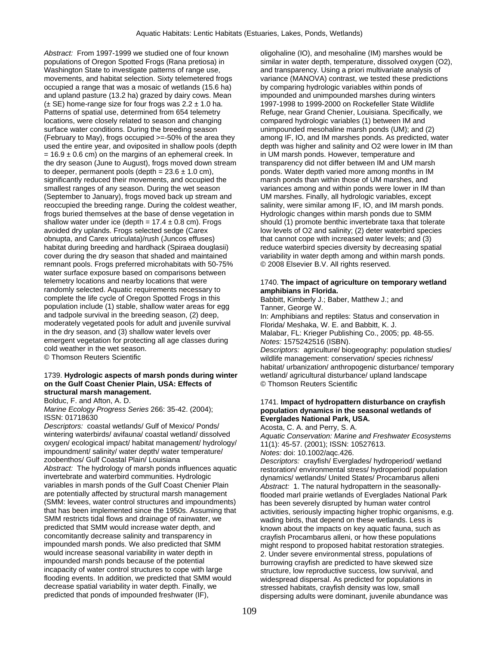*Abstract:* From 1997-1999 we studied one of four known oligohaline (IO), and mesohaline (IM) marshes would be populations of Oregon Spotted Frogs (Rana pretiosa) in similar in water depth, temperature, dissolved oxygen (O2), Washington State to investigate patterns of range use, and transparency. Using a priori multivariate analysis of movements, and habitat selection. Sixty telemetered frogs variance (MANOVA) contrast, we tested these predictions occupied a range that was a mosaic of wetlands (15.6 ha) by comparing hydrologic variables within ponds of and upland pasture (13.2 ha) grazed by dairy cows. Mean impounded and unimpounded marshes during winters (± SE) home-range size for four frogs was 2.2 ± 1.0 ha. 1997-1998 to 1999-2000 on Rockefeller State Wildlife Patterns of spatial use, determined from 654 telemetry Refuge, near Grand Chenier, Louisiana. Specifically, we locations, were closely related to season and changing compared hydrologic variables (1) between IM and surface water conditions. During the breeding season unimpounded mesohaline marsh ponds (UM); and (2) (February to May), frogs occupied >=-50% of the area they among IF, IO, and IM marshes ponds. As predicted, water used the entire year, and oviposited in shallow pools (depth depth was higher and salinity and O2 were lower in IM than  $= 16.9 \pm 0.6$  cm) on the margins of an ephemeral creek. In in UM marsh ponds. However, temperature and the dry season (June to August), frogs moved down stream transparency did not differ between IM and UM marsh to deeper, permanent pools (depth =  $23.6 \pm 1.0$  cm), ponds. Water depth varied more among months in IM significantly reduced their movements, and occupied the marsh ponds than within those of UM marshes, and smallest ranges of any season. During the wet season variances among and within ponds were lower in IM than (September to January), frogs moved back up stream and UM marshes. Finally, all hydrologic variables, except (September to January), frogs moved back up stream and reoccupied the breeding range. During the coldest weather, salinity, were similar among IF, IO, and IM marsh ponds. frogs buried themselves at the base of dense vegetation in Hydrologic changes within marsh ponds due to SMM shallow water under ice (depth =  $17.4 \pm 0.8$  cm). Frogs should (1) promote benthic invertebrate taxa that tolerate avoided dry uplands. Frogs selected sedge (Carex low levels of O2 and salinity; (2) deter waterbird species obnupta, and Carex utriculata)/rush (Juncos effuses) that cannot cope with increased water levels; and (3) habitat during breeding and hardhack (Spiraea douglasii) reduce waterbird species diversity by decreasing spatial cover during the dry season that shaded and maintained variability in water depth among and within marsh ponds. remnant pools. Frogs preferred microhabitats with 50-75% © 2008 Elsevier B.V. All rights reserved. water surface exposure based on comparisons between telemetry locations and nearby locations that were 1740. **The impact of agriculture on temporary wetland** randomly selected. Aquatic requirements necessary to **amphibians in Florida.**  complete the life cycle of Oregon Spotted Frogs in this Babbitt, Kimberly J.; Baber, Matthew J.; and population include (1) stable, shallow water areas for egg Tanner, George W.<br>and tadpole survival in the breeding season, (2) deep, The Amphibians and moderately vegetated pools for adult and juvenile survival Florida Meshaka, W. E. and Babbitt, K. J.<br>in the dry season, and (3) shallow water levels over Malabar, FL: Krieger Publishing Co., 2005 emergent vegetation for protecting all age classes during *Notes:* 1575242516 (ISBN).<br>
cold weather in the wet season. *Descriptors: agriculture/biorging*: cold weather in the wet season. *Descriptors:* agriculture/ biogeography: population studies/

### 1739. **Hydrologic aspects of marsh ponds during winter** wetland/ agricultural disturbance/ upland landscape **on the Gulf Coast Chenier Plain, USA: Effects of** © Thomson Reuters Scientific **structural marsh management.**

*Descriptors:* coastal wetlands/ Gulf of Mexico/ Ponds/ **Acosta, C. A. and Perry, S. A.**<br>
wintering waterbirds/ avifauna/ coastal wetland/ dissolved *Aquatic Conservation: Marine* oxygen/ ecological impact/ habitat management/ hydrology/ 11(1): 45-57. (2001); ISSN: 10527613. impoundment/ salinity/ water depth/ water temperature/ *Notes:* doi: 10.1002/aqc.426. *Abstract:* The hydrology of marsh ponds influences aquatic restoration/ environmental stress/ hydroperiod/ population<br>invertebrate and waterbird communities. Hydrologic dynamics/ wetlands/ United States/ Procambarus allen variables in marsh ponds of the Gulf Coast Chenier Plain *Abstract:* 1. The natural hydropattern in the seasonally-<br>are potentially affected by structural marsh management flooded marl prairie wetlands of Everglades Nation (SMM: levees, water control structures and impoundments) has been severely disrupted by human water control<br>that has been implemented since the 1950s. Assuming that activities seriously impacting bigher trophic organism that has been implemented since the 1950s. Assuming that activities, seriously impacting higher trophic organisms, e.g.<br>SMM restricts tidal flows and drainage of rainwater, we say ading birds that depend on these wetlands. SMM restricts tidal flows and drainage of rainwater, we wading birds, that depend on these wetlands. Less is<br>Spredicted that SMM would increase water depth, and shown about the impacts on key aquatic fauna, such predicted that SMM would increase water depth, and known about the impacts on key aquatic fauna, such as<br>concomitantly decrease salinity and transparency in cravish Procambarus alleni, or how these populations concomitantly decrease salinity and transparency in exaction or any is alleni, or how these populations<br>
impounded marsh ponds. We also predicted that SMM might respond to proposed habitat restoration strategie impounded marsh ponds. We also predicted that SMM might respond to proposed habitat restoration strategies.<br>would increase seasonal variability in water depth in example 2. Under severe environmental stress, populations of would increase seasonal variability in water depth in 2. Under severe environmental stress, populations of<br>impounded marsh ponds because of the potential burrowing cravish are predicted to have skewed size incapacity of water control structures to cope with large structure, low reproductive success, low survival, and flooding events. In addition, we predicted that SMM would widespread dispersal. As predicted for populations in decrease spatial variability in water depth. Finally, we stressed habitats, cravish density was low, small decrease spatial variability in water depth. Finally, we stressed habitats, crayfish density was low, small<br>predicted that ponds of impounded freshwater (IF), example abundance dispersing adults were dominant, juvenile abu

In: Amphibians and reptiles: Status and conservation in Malabar, FL: Krieger Publishing Co., 2005; pp. 48-55. wildlife management: conservation/ species richness/ habitat/ urbanization/ anthropogenic disturbance/ temporary

### Bolduc, F. and Afton, A. D.<br>
Marine Ecology Progress Series 266: 35-42. (2004);<br> **Conduction dynamics in the seasonal wetlands of** *Marine Ecology Progress Series* 266: 35-42. (2004); **population dynamics in the seasonal wetlands of Everglades National Park, USA.**

Aquatic Conservation: Marine and Freshwater Ecosystems

Descriptors: crayfish/ Everglades/ hydroperiod/ wetland dynamics/ wetlands/ United States/ Procambarus alleni flooded marl prairie wetlands of Everglades National Park burrowing crayfish are predicted to have skewed size dispersing adults were dominant, juvenile abundance was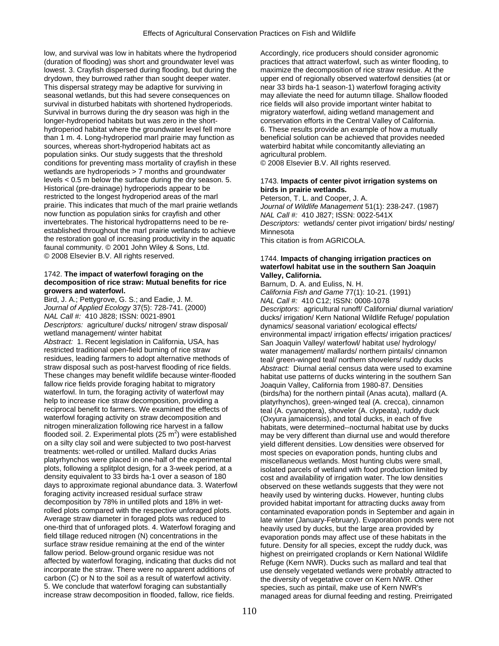low, and survival was low in habitats where the hydroperiod <br>Accordingly, rice producers should consider agronomic (duration of flooding) was short and groundwater level was practices that attract waterfowl, such as winter flooding, to lowest. 3. Crayfish dispersed during flooding, but during the maximize the decomposition of rice straw residue. At the drydown, they burrowed rather than sought deeper water. upper end of regionally observed waterfowl densities (at or This dispersal strategy may be adaptive for surviving in near 33 birds ha-1 season-1) waterfowl foraging activity seasonal wetlands, but this had severe consequences on may alleviate the need for autumn tillage. Shallow flooded survival in disturbed habitats with shortened hydroperiods. The fields will also provide important winter habitat to<br>Survival in burrows during the dry season was high in the migratory waterfowl, aiding wetland management Survival in burrows during the dry season was high in the migratory waterfowl, aiding wetland management and longer hydroperiod habitats but was zero in the short-<br>
longer-hydroperiod habitats but was zero in the short-<br>
c longer-hydroperiod habitats but was zero in the shorthydroperiod habitat where the groundwater level fell more 6. These results provide an example of how a mutually than 1 m. 4. Long-hydroperiod marl prairie may function as beneficial solution can be achieved that provides needed sources, whereas short-hydroperiod habitats act as waterbird habitat while concomitantly alleviating an population sinks. Our study suggests that the threshold agricultural problem. conditions for preventing mass mortality of crayfish in these © 2008 Elsevier B.V. All rights reserved. wetlands are hydroperiods > 7 months and groundwater levels < 0.5 m below the surface during the dry season. 5. 1743. **Impacts of center pivot irrigation systems on**  Historical (pre-drainage) hydroperiods appear to be **birds in prairie wetlands.** restricted to the longest hydroperiod areas of the marl Peterson, T. L. and Cooper, J. A.<br>prairie. This indicates that much of the marl prairie wetlands Journal of Wildlife Management 5 now function as population sinks for crayfish and other *NAL Call #:* 410 J827; ISSN: 0022-541X<br>
invertebrates. The historical hydropatterns need to be re-<br> *Descriptors:* wetlands/ center pivot irrigat established throughout the marl prairie wetlands to achieve Minnesota the restoration goal of increasing productivity in the aquatic This citation is from AGRICOLA. faunal community. © 2001 John Wiley & Sons, Ltd. © 2008 Elsevier B.V. All rights reserved. 1744. **Impacts of changing irrigation practices on** 

### 1742. **The impact of waterfowl foraging on the Valley, California. decomposition of rice straw: Mutual benefits for rice** Barnum, D. A. and Euliss, N. H.<br>growers and waterfowl. (*California Fish and Game 77(1)*

Bird, J. A.; Pettygrove, G. S.; and Eadie, J. M. *NAL Call #: 410 C12; ISSN: 0008-1078*<br> *Descriptors: agricultural runoff/ Californi*<br> *Descriptors: agricultural runoff/ Californi Journal of Applied Ecology* 37(5): 728-741. (2000) *Descriptors:* agricultural runoff/ California/ diurnal variation/ *Descriptors:* agriculture/ ducks/ nitrogen/ straw disposal/ dynamics/ seasonal variation/ ecological effects/ wetland management/ winter habitat environmental impact/ irrigation effects/ irrigation practices/<br>Abstract: 1. Recent legislation in California, USA, has San Joaquin Valley/ waterfowl/ habitat use/ hydrology/ Abstract: 1. Recent legislation in California, USA, has San Joaquin Valley/ waterfowl/ habitat use/ hydrology/<br>The stricted traditional open-field burning of rice straw water management/ mallards/ northern pintails/ cinnam restricted traditional open-field burning of rice straw water management/ mallards/ northern pintails/ cinnamon<br>
residues, leading farmers to adopt alternative methods of the all areen-winged teal/ northern shovelers/ rudd residues, leading farmers to adopt alternative methods of the all green-winged teal/ northern shovelers/ ruddy ducks<br>straw disposal such as post-harvest flooding of rice fields. Abstract: Diurnal aerial census data were us straw disposal such as post-harvest flooding of rice fields. *Abstract:* Diurnal aerial census data were used to examine These changes may benefit wildlife because winter-flooded habitat use patterns of ducks wintering in the southern San<br>
fallow rice fields provide foraging habitat to migratory **by the contagging the California from 1980-87** fallow rice fields provide foraging habitat to migratory for the Joaquin Valley, California from 1980-87. Densities<br>White waterfowl. In turn, the foraging activity of waterfowl may for thirds/ha) for the northern pintail ( waterfowl. In turn, the foraging activity of waterfowl may (birds/ha) for the northern pintail (Anas acuta), mallard (A.<br>help to increase rice straw decomposition, providing a contra hard platyrhynchos), green-winged teal help to increase rice straw decomposition, providing a platyrhynchos), green-winged teal (A. crecca), cinnamon<br>
reciprocal benefit to farmers. We examined the effects of theal (A. cyanoptera), shoveler (A. clypeata), ruddy reciprocal benefit to farmers. We examined the effects of the all (A. cyanoptera), shoveler (A. clypeata), ruddy duck<br>waterfowl foraging activity on straw decomposition and (Oxyura jamaicensis), and total ducks, in each of waterfowl foraging activity on straw decomposition and (Oxyura jamaicensis), and total ducks, in each of five<br>nitrogen mineralization following rice harvest in a fallow habitats, were determined--nocturnal habitat use by flooded soil. 2. Experimental plots  $(25 \text{ m}^2)$  were established flooded soil. 2. Experimental plots (25 m<sup>2</sup>) were established may be very different than diurnal use and would therefore<br>on a silty clay soil and were subjected to two post-harvest vield different densities I ow densities on a silty clay soil and were subjected to two post-harvest yield different densities. Low densities were observed for<br>treatments: wet-rolled or untilled. Mallard ducks Arias most species on evaporation ponds, hunting club treatments: wet-rolled or untilled. Mallard ducks Arias most species on evaporation ponds, hunting clubs and<br>platyrhynchos were placed in one-half of the experimental miscellaneous wetlands. Most hunting clubs were smal plots, following a splitplot design, for a 3-week period, at a isolated parcels of wetland with food production limited by density equivalent to 33 birds ha-1 over a season of 180 cost and availability of irrigation water. The low densities days to approximate regional abundance data. 3. Waterfowl observed on these wetlands suggests that they were not<br>foraging activity increased residual surface straw beginning heavily used by wintering ducks. However, buntin foraging activity increased residual surface straw heavily used by wintering ducks. However, hunting clubs<br>decomposition by 78% in untilled plots and 18% in wet-<br>provided habitat important for attracting ducks away from decomposition by 78% in untilled plots and 18% in wet-<br>
rolled plots compared with the respective unforaged plots.<br>
contaminated evaporation ponds in September and again one-third that of unforaged plots. 4. Waterfowl foraging and heavily used by ducks, but the large area provided by field tillage reduced nitrogen (N) concentrations in the expropration ponds may affect use of these habitat field tillage reduced nitrogen (N) concentrations in the evaporation ponds may affect use of these habitats in the surface straw residue remaining at the end of the winter future. Density for all species, except the ruddy surface straw residue remaining at the end of the winter future. Density for all species, except the ruddy duck, was<br>fallow period. Below-ground organic residue was not highest on preirrigated croplands or Kern National Wi affected by waterfowl foraging, indicating that ducks did not<br>incorporate the straw. There were no apparent additions of use densely vegetated wetlands were probably attracted to carbon (C) or N to the soil as a result of waterfowl activity. The diversity of vegetative cover on Kern NWR. Other 5. We conclude that waterfowl foraging can substantially species, such as pintail, make use of Kern NWR's increase straw decomposition in flooded, fallow, rice fields. managed areas for diurnal feeding and resting. Pre

Journal of Wildlife Management 51(1): 238-247. (1987) Descriptors: wetlands/ center pivot irrigation/ birds/ nesting/

# **waterfowl habitat use in the southern San Joaquin**

**growers and waterfowl.** *California Fish and Game* 77(1): 10-21. (1991) ducks/ irrigation/ Kern National Wildlife Refuge/ population habitats, were determined--nocturnal habitat use by ducks miscellaneous wetlands. Most hunting clubs were small, rolled plots compared with the respective unforaged plots.<br>Average straw diameter in foraged plots was reduced to entity are winter (January-Eebruary). Evaporation ponds were not Average straw diameter in foraged plots was reduced to late winter (January-February). Evaporation ponds were not<br>one-third that of unforaged plots. 4. Waterfowl foraging and late winter the late have are provided by highest on preirrigated croplands or Kern National Wildlife use densely vegetated wetlands were probably attracted to managed areas for diurnal feeding and resting. Preirrigated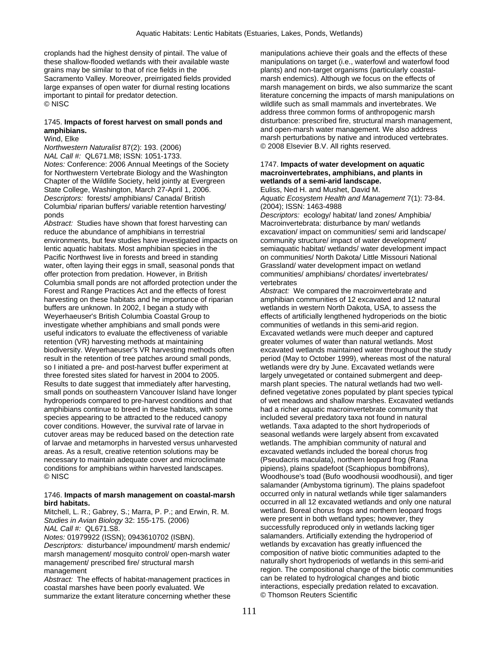croplands had the highest density of pintail. The value of manipulations achieve their goals and the effects of these grains may be similar to that of rice fields in the plants) and non-target organisms (particularly coastal-Sacramento Valley. Moreover, preirrigated fields provided marsh endemics). Although we focus on the effects of © NISC wildlife such as small mammals and invertebrates. We

## **amphibians.** and open-marsh water management. We also address

*Northwestern Naturalist* 87(2): 193. (2006) *NAL Call #:* QL671.M8; ISSN: 1051-1733. *Notes:* Conference: 2006 Annual Meetings of the Society 1747. **Impacts of water development on aquatic**  for Northwestern Vertebrate Biology and the Washington **macroinvertebrates, amphibians, and plants in**  Chapter of the Wildlife Society, held jointly at Evergreen **wetlands of a semi-arid landscape.**  State College, Washington, March 27-April 1, 2006. Euliss, Ned H. and Mushet, David M. *Descriptors:* forests/ amphibians/ Canada/ British *Aquatic Ecosystem Health and Management* 7(1): 73-84. Columbia/ riparian buffers/ variable retention harvesting/ (2004); ISSN: 1463-4988 ponds *Descriptors:* ecology/ habitat/ land zones/ Amphibia/

reduce the abundance of amphibians in terrestrial excavation/ impact on communities/ semi arid landscape/ environments, but few studies have investigated impacts on community structure/ impact of water development/ lentic aquatic habitats. Most amphibian species in the semiaquatic habitat/ wetlands/ water development impact Pacific Northwest live in forests and breed in standing on communities/ North Dakota/ Little Missouri National water, often laying their eggs in small, seasonal ponds that Grassland/ water development impact on wetland offer protection from predation. However, in British communities/ amphibians/ chordates/ invertebrates/ Columbia small ponds are not afforded protection under the vertebrates Forest and Range Practices Act and the effects of forest *Abstract:* We compared the macroinvertebrate and harvesting on these habitats and he importance of riparian amphibian communities of 12 excavated and 12 natural buffers are unknown. In 2002, I began a study with wetlands in western North Dakota, USA, to assess the Weyerhaeuser's British Columbia Coastal Group to effects of artificially lengthened hydroperiods on the biotic investigate whether amphibians and small ponds were communities of wetlands in this semi-arid region. useful indicators to evaluate the effectiveness of variable Excavated wetlands were much deeper and captured retention (VR) harvesting methods at maintaining greater volumes of water than natural wetlands. Most biodiversity. Weyerhaeuser's VR harvesting methods often excavated wetlands maintained water throughout the study result in the retention of tree patches around small ponds, period (May to October 1999), whereas most of the natural<br>so I initiated a pre- and post-harvest buffer experiment at wetlands were dry by June. Excavated wetland three forested sites slated for harvest in 2004 to 2005. largely unvegetated or contained submergent and deep-Results to date suggest that immediately after harvesting, marsh plant species. The natural wetlands had two wellsmall ponds on southeastern Vancouver Island have longer defined vegetative zones populated by plant species typical hydroperiods compared to pre-harvest conditions and that of wet meadows and shallow marshes. Excavated wetlands amphibians continue to breed in these habitats, with some had a richer aquatic macroinvertebrate community that species appearing to be attracted to the reduced canopy included several predatory taxa not found in natural cover conditions. However, the survival rate of larvae in wetlands. Taxa adapted to the short hydroperiods of cutover areas may be reduced based on the detection rate seasonal wetlands were largely absent from excavated of larvae and metamorphs in harvested versus unharvested wetlands. The amphibian community of natural and areas. As a result, creative retention solutions may be excavated wetlands included the boreal chorus frog necessary to maintain adequate cover and microclimate (Pseudacris maculata), northern leopard frog (Rana conditions for amphibians within harvested landscapes. pipiens), plains spadefoot (Scaphiopus bombifrons), © NISC Woodhouse's toad (Bufo woodhousii woodhousii), and tiger

Mitchell, L. R.; Gabrey, S.; Marra, P. P.; and Erwin, R. M. wetland. Boreal chorus frogs and northern leopard<br>Studies in Avian Biology 32: 155-175 (2006) were present in both wetland types; however, they *Studies in Avian Biology* 32: 155-175. (2006)

*Notes:* 01979922 (ISSN); 0943610702 (ISBN). salamanders. Artificially extending the hydroperiod of the hydroperiod of the metal of the metal of the metal of the metal of the metal of the metal of the metal of the metal of *Descriptors:* disturbance/ impoundment/ marsh endemic/ wetlands by excavation has greatly influenced the marsh management/ mosquito control/ open-marsh water management/ prescribed fire/ structural marsh naturally short hydroperiods of wetlands in this semi-arid

*Abstract:* The effects of habitat-management practices in coastal marshes have been poorly evaluated. We interactions, especially predation related to excavation.<br>
C Thomson Reuters Scientific summarize the extant literature concerning whether these

these shallow-flooded wetlands with their available waste manipulations on target (i.e., waterfowl and waterfowl food large expanses of open water for diurnal resting locations marsh management on birds, we also summarize the scant important to pintail for predator detection.  $\blacksquare$  literature concerning the impacts of marsh manipulations on address three common forms of anthropogenic marsh 1745. **Impacts of forest harvest on small ponds and** disturbance: prescribed fire, structural marsh management, Wind, Elke Wind, Elke marsh perturbations by native and introduced vertebrates.<br>Morthwestern Naturalist 87(2): 193 (2006) <br>© 2008 Elsevier B.V. All rights reserved.

*Abstract:* Studies have shown that forest harvesting can Macroinvertebrata: disturbance by man/ wetlands

wetlands were dry by June. Excavated wetlands were salamander (Ambystoma tigrinum). The plains spadefoot 1746. **Impacts of marsh management on coastal-marsh** occurred only in natural wetlands while tiger salamanders **bird habitats.**<br>Mitchell, L. R.: Gabrey, S.: Marra, P. P.: and Frwin, R. M. **but wetland. Boreal chorus frogs and northern leopard frogs** *NAL Call #:* QL671.S8. successfully reproduced only in wetlands lacking tiger<br>*Notes:* 01979922 (ISSN): 0943610702 (ISBN) salamanders. Artificially extending the hydroperiod of management<br>Abstract: The effects of habitat-management practices in can be related to hydrological changes and biotic<br>Abstract: The effects of habitat-management practices in can be related to hydrological changes and biot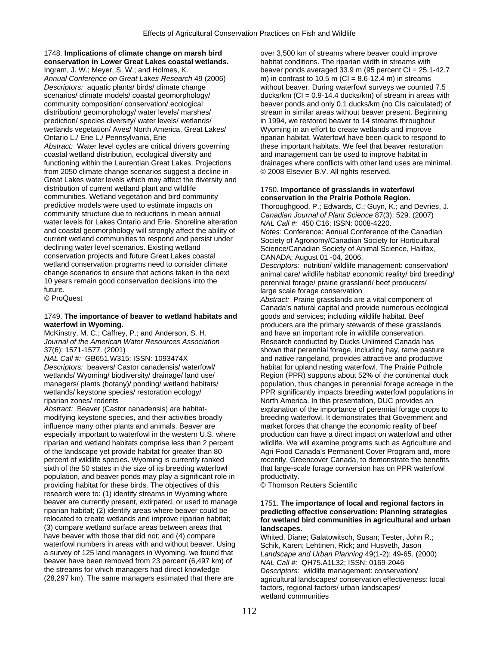1748. **Implications of climate change on marsh bird** over 3,500 km of streams where beaver could improve **conservation in Lower Great Lakes coastal wetlands.** habitat conditions. The riparian width in streams with Ingram, J. W.; Meyer, S. W.; and Holmes, K. beaver ponds averaged 33.9 m (95 percent CI = 25.1-42.7 *Annual Conference on Great Lakes Research* 49 (2006) m) in contrast to 10.5 m (CI = 8.6-12.4 m) in streams *Descriptors:* aquatic plants/ birds/ climate change without beaver. During waterfowl surveys we counted 7.5 scenarios/ climate models/ coastal geomorphology/ ducks/km (CI = 0.9-14.4 ducks/km) of stream in areas with community composition/ conservation/ ecological beaver ponds and only 0.1 ducks/km (no CIs calculated) of distribution/ geomorphology/ water levels/ marshes/ stream in similar areas without beaver present. Beginning prediction/ species diversity/ water levels/ wetlands/ in 1994, we restored beaver to 14 streams throughout wetlands vegetation/ Aves/ North America, Great Lakes/ Wyoming in an effort to create wetlands and improve Ontario L./ Erie L./ Pennsylvania, Erie riparian habitat. Waterfowl have been quick to respond to Abstract: Water level cycles are critical drivers governing these important habitats. We feel that beaver restoration coastal wetland distribution, ecological diversity and management can be used to improve habitat in functioning within the Laurentian Great Lakes. Projections drainages where conflicts with other land uses are minimal. from 2050 climate change scenarios suggest a decline in © 2008 Elsevier B.V. All rights reserved. Great Lakes water levels which may affect the diversity and distribution of current wetland plant and wildlife 1750. **Importance of grasslands in waterfowl**  communities. Wetland vegetation and bird community **conservation in the Prairie Pothole Region.**  predictive models were used to estimate impacts on Thoroughgood, P.; Edwards, C.; Guyn, K.; and Devries, J. community structure due to reductions in mean annual Canadian Journal of Plant Science 87(3): 529 (2007) water levels for Lakes Ontario and Erie. Shoreline alteration MAL Call #: 450 C16; ISSN: 0008-4220. and coastal geomorphology will strongly affect the ability of *Notes:* Conference: Annual Conference of the Canadian current wetland communities to respond and persist under Society of Agronomy/Canadian Society for Horticultural<br>
Science/Canadian Society of Animal Science. Halifax. conservation projects and future Great Lakes coastal CANADA; August 01 -04, 2006.<br>
wetland conservation programs need to consider climate Descriptors: nutrition/wildlife m wetland conservation programs need to consider climate *Descriptors:* nutrition/ wildlife management: conservation/<br>
change scenarios to ensure that actions taken in the next animal care/ wildlife habitat/ economic reality 10 years remain good conservation decisions into the perennial forage/ prairie grassland/ beef producers/<br>future. future. large scale forage conservation

### 1749. **The importance of beaver to wetland habitats and** goods and services; including wildlife habitat. Beef **waterfowl in Wyoming. producers** are the primary stewards of these grasslands

McKinstry, M. C.; Caffrey, P.; and Anderson, S. H. and have an important role in wildlife conservation. *Journal of the American Water Resources Association* Research conducted by Ducks Unlimited Canada has<br>37(6): 1571-1577. (2001) Shown that perennial forage, including hay, tame pastu

riparian zones/ rodents notice and notice North America. In this presentation, DUC provides an

modifying keystone species, and their activities broadly breeding waterfowl. It demonstrates that Government and influence many other plants and animals. Beaver are market forces that change the economic reality of beef especially important to waterfowl in the western U.S. where production can have a direct impact on waterfowl and other riparian and wetland habitats comprise less than 2 percent wildlife. We will examine programs such as Agriculture and of the landscape yet provide habitat for greater than 80 Agri-Food Canada's Permanent Cover Program and, more percent of wildlife species. Wyoming is currently ranked recently, Greencover Canada, to demonstrate the benefits sixth of the 50 states in the size of its breeding waterfowl that large-scale forage conversion has on PPR waterfowl population, and beaver ponds may play a significant role in productivity.<br>providing habitat for these birds. The objectives of this Q Thomson Reuters Scientific providing habitat for these birds. The objectives of this research were to: (1) identify streams in Wyoming where beaver are currently present, extirpated, or used to manage 1751. **The importance of local and regional factors in**<br>
riparian habitat: (2) identify areas where beaver could be **nredicting effective conservation: Planning s** riparian habitat; (2) identify areas where beaver could be **predicting effective conservation: Planning strategies**  (3) compare wetland surface areas between areas that **landscapes.**  have beaver with those that did not; and (4) compare Whited, Diane; Galatowitsch, Susan; Tester, John R.; waterfowl numbers in areas with and without beaver. Using Schik Karen: Lehtinen, Rick: and Husveth, Jason a survey of 125 land managers in Wyoming, we found that *Landscape and Urban Planning* 49(1-2): 49-65. (2000) beaver have been removed from 23 percent (6,497 km) of *NAL Call #:* QH75.A1L32; ISSN: 0169-2046 the streams for which managers had direct knowledge *Descriptors:* wildlife management: conservation/<br>(28,297 km). The same managers estimated that there are agricultural landscapes/ conservation effectivenes

Canadian Journal of Plant Science 87(3): 529. (2007) Science/Canadian Society of Animal Science, Halifax,

change scenarios to ensure that actions taken in the next animal care/ wildlife habitat/ economic reality/ bird breeding/<br>10 years remain good conservation decisions into the same perennial forage/ prairie grassland/ beef

Abstract: Prairie grasslands are a vital component of Canada's natural capital and provide numerous ecological 37(6): 1571-1577. (2001)<br>
MAL Call #: GB651.W315; ISSN: 1093474X and native rangeland, provides attractive and productive and native rangeland, provides attractive and productive *Descriptors:* beavers/ Castor canadensis/ waterfowl/ habitat for upland nesting waterfowl. The Prairie Pothole wetlands/ Wyoming/ biodiversity/ drainage/ land use/ Region (PPR) supports about 52% of the continental duck managers/ plants (botany)/ ponding/ wetland habitats/ population, thus changes in perennial forage acreage in the wetlands/ keystone species/ restoration ecology/ PPR significantly impacts breeding waterfowl populations in *Abstract:* Beaver (Castor canadensis) are habitat- explanation of the importance of perennial forage crops to

# for wetland bird communities in agricultural and urban

Schik, Karen; Lehtinen, Rick; and Husveth, Jason agricultural landscapes/ conservation effectiveness: local factors, regional factors/ urban landscapes/ wetland communities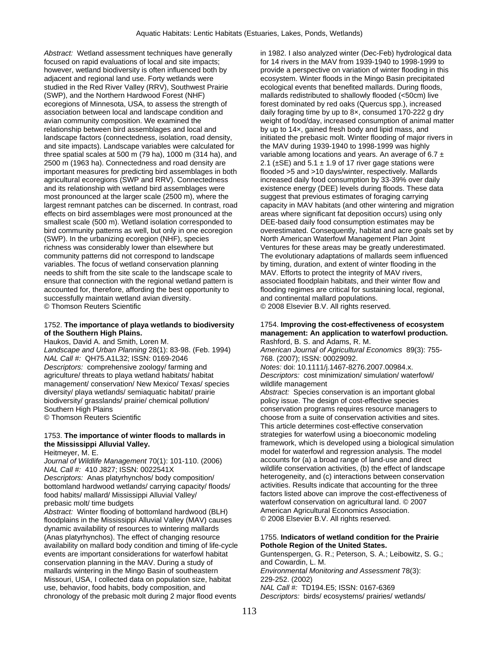*Abstract:* Wetland assessment techniques have generally in 1982. I also analyzed winter (Dec-Feb) hydrological data focused on rapid evaluations of local and site impacts; for 14 rivers in the MAV from 1939-1940 to 1998-1999 to however, wetland biodiversity is often influenced both by provide a perspective on variation of winter flooding in this adjacent and regional land use. Forty wetlands were excosystem. Winter floods in the Mingo Basin preci studied in the Red River Valley (RRV), Southwest Prairie ecological events that benefited mallards. During floods, (SWP), and the Northern Hardwood Forest (NHF) mallards redistributed to shallowly flooded (<50cm) live ecoregions of Minnesota, USA, to assess the strength of forest dominated by red oaks (Quercus spp.), increased<br>association between local and landscape condition and daily foraging time by up to 8x, consumed 170-222 g dry association between local and landscape condition and daily foraging time by up to 8x, consumed 170-222 g dry<br>avian community composition. We examined the veright of food/day, increased consumption of animal mat relationship between bird assemblages and local and by up to 14x, gained fresh body and lipid mass, and landscape factors (connectedness, isolation, road density, initiated the prebasic molt. Winter flooding of major rivers in and site impacts). Landscape variables were calculated for the MAV during 1939-1940 to 1998-1999 was highly three spatial scales at 500 m (79 ha), 1000 m (314 ha), and variable among locations and years. An average of 6.7  $\pm$ 2500 m (1963 ha). Connectedness and road density are  $2.1 \pm \text{SE}$  and  $5.1 \pm 1.9$  of 17 river gage stations were important measures for predicting bird assemblages in both flooded >5 and >10 days/winter, respectively. Mallards agricultural ecoregions (SWP and RRV). Connectedness increased daily food consumption by 33-39% over daily and its relationship with wetland bird assemblages were existence energy (DEE) levels during floods. These data most pronounced at the larger scale (2500 m), where the suggest that previous estimates of foraging carrying most pronounced at the larger scale (2500 m), where the largest remnant patches can be discerned. In contrast, road capacity in MAV habitats (and other wintering and migration effects on bird assemblages were most pronounced at the areas where significant fat deposition occurs) effects on bird assemblages were most pronounced at the smallest scale (500 m). Wetland isolation corresponded to DEE-based daily food consumption estimates may be bird community patterns as well, but only in one ecoregion overestimated. Consequently, habitat and acre goals set by (SWP). In the urbanizing ecoregion (NHF), species North American Waterfowl Management Plan Joint richness was considerably lower than elsewhere but Ventures for these areas may be greatly underestimated. community patterns did not correspond to landscape The evolutionary adaptations of mallards seem influenced variables. The focus of wetland conservation planning by timing, duration, and extent of winter flooding in the needs to shift from the site scale to the landscape scale to MAV. Efforts to protect the integrity of MAV rivers, ensure that connection with the regional wetland pattern is associated floodplain habitats, and their winter flow and accounted for, therefore, affording the best opportunity to flooding regimes are critical for sustaining local, regional, successfully maintain wetland avian diversity. **All and continental mallard populations.** © Thomson Reuters Scientific © 2008 Elsevier B.V. All rights reserved.

### 1752. **The importance of playa wetlands to biodiversity** 1754. **Improving the cost-effectiveness of ecosystem of the Southern High Plains. management: An application to waterfowl production.**

Haukos, David A. and Smith, Loren M. Rashford, B. S. and Adams, R. M. *Landscape and Urban Planning* 28(1): 83-98. (Feb. 1994) *American Journal of Agricultural Economics* 89(3): 755- *NAL Call #: QH75.A1L32; ISSN: 0169-2046 Descriptors:* comprehensive zoology/ farming and *Notes:* doi: 10.1111/j.1467-8276.2007.00984.x. agriculture/ threats to playa wetland habitats/ habitat *Descriptors:* cost minimization/ simulation/ waterfowl/ management/ conservation/ New Mexico/ Texas/ species wildlife management diversity/ playa wetlands/ semiaquatic habitat/ prairie *Abstract:* Species conservation is an important global biodiversity/ grasslands/ prairie/ chemical pollution/ policy issue. The design of cost-effective species Southern High Plains conservation programs requires resource managers to © Thomson Reuters Scientific choose from a suite of conservation activities and sites.

*Journal of Wildlife Management* 70(1): 101-110. (2006) *NAL Call #:* 410 J827; ISSN: 0022541X wildlife conservation activities, (b) the effect of landscape *Descriptors:* Anas platyrhynchos/ body composition/ heterogeneity, and (c) interactions between conservation<br>
heterogeneity, and (c) interactions between conservations between conservations between conservation<br>
heterogen bottomland hardwood wetlands/ carrying capacity/ floods/

Abstract: Winter flooding of bottomland hardwood (BLH) American Agricultural Economics Association.<br>Thoodplains in the Mississippi Alluvial Valley (MAV) causes © 2008 Elsevier B.V. All rights reserved. floodplains in the Mississippi Alluvial Valley (MAV) causes dynamic availability of resources to wintering mallards (Anas platyrhynchos). The effect of changing resource 1755. **Indicators of wetland condition for the Prairie**  availability on mallard body condition and timing of life-cycle **Pothole Region of the United States.**  events are important considerations for waterfowl habitat Guntenspergen, G. R.; Peterson, S. A.; Leibowitz, S. G.; conservation planning in the MAV. During a study of and Cowardin, L. M. mallards wintering in the Mingo Basin of southeastern *Environmental Monitoring and Assessment* 78(3): Missouri, USA, I collected data on population size, habitat 229-252. (2002) use, behavior, food habits, body composition, and *NAL Call #:* TD194.E5; ISSN: 0167-6369 chronology of the prebasic molt during 2 major flood events *Descriptors:* birds/ ecosystems/ prairies/ wetlands/

ecosystem. Winter floods in the Mingo Basin precipitated weight of food/day, increased consumption of animal matter

This article determines cost-effective conservation 1753. **The importance of winter floods to mallards in** strategies for waterfowl using a bioeconomic modeling **the Mississippi Alluvial Valley.** framework, which is developed using a biological simulation Heitmeyer, M. E.<br>Journal of Wildlife Management 70(1): 101-110. (2006) exercises accounts for (a) a broad range of land-use and direct food habits/ mallard/ Mississippi Alluvial Valley/ factors listed above can improve the cost-effectiveness of prebasic molt/ time budgets<br>
abstract: Winter flooding of bottomland bardwood (BLH)<br>
American Agricultural Economics Association.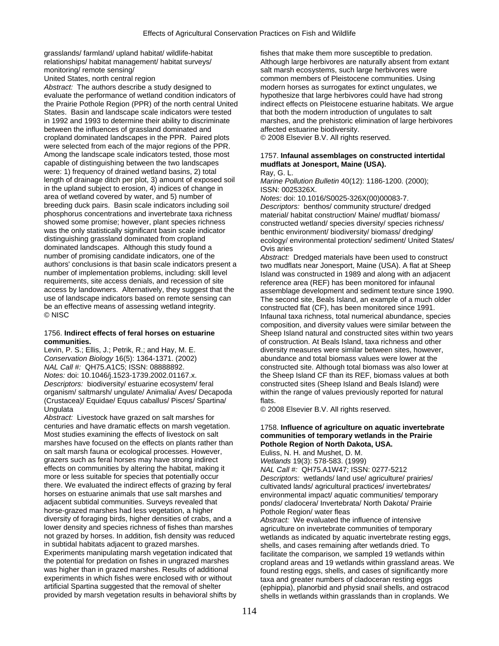monitoring/ remote sensing/ salt marsh ecosystems, such large herbivores were

Abstract: The authors describe a study designed to modern horses as surrogates for extinct ungulates, we evaluate the performance of wetland condition indicators of hypothesize that large herbivores could have had strong the Prairie Pothole Region (PPR) of the north central United indirect effects on Pleistocene estuarine habitats. We argue States. Basin and landscape scale indicators were tested that both the modern introduction of ungulates to salt<br>in 1992 and 1993 to determine their ability to discriminate marshes, and the prehistoric elimination of large between the influences of grassland dominated and affected estuarine biodiversity. cropland dominated landscapes in the PPR. Paired plots © 2008 Elsevier B.V. All rights reserved. were selected from each of the major regions of the PPR. Among the landscape scale indicators tested, those most 1757. **Infaunal assemblages on constructed intertidal**  capable of distinguishing between the two landscapes **mudflats at Jonesport, Maine (USA).**  were: 1) frequency of drained wetland basins, 2) total Ray, G. L. length of drainage ditch per plot, 3) amount of exposed soil *Marine Pollution Bulletin* 40(12): 1186-1200. (2000); in the upland subject to erosion, 4) indices of change in ISSN: 0025326X. area of wetland covered by water, and 5) number of *Notes:* doi: 10.1016/S0025-326X(00)00083-7.<br>breeding duck pairs. Basin scale indicators including soil *Descriptors:* benthos/ community structure/ dr breeding duck pairs. Basin scale indicators including soil *Descriptors:* benthos/ community structure/ dredged phosphorus concentrations and invertebrate taxa richness material/ habitat construction/ Maine/ mudflat/ biomass/<br>showed some promise: however, plant species richness constructed wetland/ species diversity/ species richnes showed some promise; however, plant species richness constructed wetland/ species diversity/ species richness/<br>was the only statistically significant basin scale indicator benthic environment/ biodiversity/ biomass/ dredgi was the only statistically significant basin scale indicator benthic environment/ biodiversity/ biomass/ dredging/<br>distinguishing grassland dominated from cropland ecology/ environmental protection/ sediment/ United S dominated landscapes. Although this study found a Ovis aries<br>
number of promising candidate indicators, one of the *Abstract:* number of promising candidate indicators, one of the *Abstract:* Dredged materials have been used to construct authors' conclusions is that basin scale indicators present a two mudflats near Jonesport, Maine (USA). A flat at Sheep<br>number of implementation problems, including: skill level sales is a constructed in 1989 and along wit number of implementation problems, including: skill level Island was constructed in 1989 and along with an adjacent<br>
requirements, site access denials, and recession of site Theore area (RFF) has been monitored for infauna requirements, site access denials, and recession of site reference area (REF) has been monitored for infaunal<br>access by landowners. Alternatively, they suggest that the assemblage development and sediment texture since use of landscape indicators based on remote sensing can The second site, Beals Island, an example of a much older<br>be an effective means of assessing wetland integrity.<br>constructed flat (CF) has been monitored since 1991 be an effective means of assessing wetland integrity.<br>
Constructed flat (CF), has been monitored since 1991.<br>
Infaunal taxa richness, total numerical abundance, spe

Levin, P. S.; Ellis, J.; Petrik, R.; and Hay, M. E. diversity measures were similar between sites, however, Conservation Biology 16(5): 1364-1371. (2002) abundance and total biomass values were lower at the Conservation Biology 16(5): 1364-1371. (2002) abundance and total biomass values were lower at the NAL Call #: QH75.A1C5; ISSN: 08888892. *Descriptors:* biodiversity/ estuarine ecosystem/ feral constructed sites (Sheep Island and Beals Island) were organism/ saltmarsh/ ungulate/ Animalia/ Aves/ Decapoda within the range of values previously reported for natural (Crustacea)/ Equidae/ Equus caballus/ Pisces/ Spartina/ flats. Ungulata © 2008 Elsevier B.V. All rights reserved.

*Abstract:* Livestock have grazed on salt marshes for centuries and have dramatic effects on marsh vegetation. 1758. **Influence of agriculture on aquatic invertebrate**  marshes have focused on the effects on plants rather than **Pothole Region of North Dakota, USA.** on salt marsh fauna or ecological processes. However, Euliss, N. H. and Mushet, D. M. grazers such as feral horses may have strong indirect *Wetlands* 19(3): 578-583. (1999) effects on communities by altering the habitat, making it *NAL Call #:* QH75.A1W47; ISSN: 0277-5212 more or less suitable for species that potentially occur *Descriptors:* wetlands/ land use/ agriculture/ prairies/ there. We evaluated the indirect effects of grazing by feral cultivated lands/ agricultural practices/ invertebrates/<br>horses on estuarine animals that use salt marshes and environmental impact/ aquatic communities/ tempora horses on estuarine animals that use salt marshes and environmental impact/ aquatic communities/ temporary<br>adjacent subtidal communities. Surveys revealed that environmental impact/ lovertebrata/ North Dakota/ Prairie horse-grazed marshes had less vegetation, a higher **Pothole Region/ water fleas**<br>diversity of foraging birds, higher densities of crabs, and a **Abstract**: We evaluated the diversity of foraging birds, higher densities of crabs, and a *Abstract:* We evaluated the influence of intensive lower density and species richness of fishes than marshes agriculture on invertebrate communities of temporary<br>The agriculture on invertebrate resting not grade than the setting in the setting of temporary not grazed by horses. In addition, fish density was reduced wetlands as indicated by aquatic invertebrate resting eggs,<br>in subtidal habitats adjacent to grazed marshes.<br>shells, and cases remaining after wetlands dried. To in subtidal habitats adjacent to grazed marshes.<br>Experiments manipulating marsh vegetation indicated that facilitate the comparison, we sampled 19 wetlands w Experiments manipulating marsh vegetation indicated that facilitate the comparison, we sampled 19 wetlands within<br>the potential for predation on fishes in ungrazed marshes for original areas and 19 wetlands within grasslan was higher than in grazed marshes. Results of additional found resting eggs, shells, and cases of significantly more<br>experiments in which fishes were enclosed with or without taxa and greater numbers of cladoceran resting experiments in which fishes were enclosed with or without taxa and greater numbers of cladoceran resting eggs<br>artificial Spartina suggested that the removal of shelter (ephippia), planorbid and physid snail shells, and ost artificial Spartina suggested that the removal of shelter (ephippia), planorbid and physid snail shells, and ostracod

grasslands/ farmland/ upland habitat/ wildlife-habitat fishes that make them more susceptible to predation. relationships/ habitat management/ habitat surveys/ Although large herbivores are naturally absent from extant United States, north central region common members of Pleistocene communities. Using marshes, and the prehistoric elimination of large herbivores

ecology/ environmental protection/ sediment/ United States/

assemblage development and sediment texture since 1990. Infaunal taxa richness, total numerical abundance, species composition, and diversity values were similar between the 1756. **Indirect effects of feral horses on estuarine** Sheep Island natural and constructed sites within two years **communities.** of construction. At Beals Island, taxa richness and other constructed site. Although total biomass was also lower at *Notes:* doi: 10.1046/j.1523-1739.2002.01167.x. the Sheep Island CF than its REF, biomass values at both

# communities of temporary wetlands in the Prairie

ponds/ cladocera/ Invertebrata/ North Dakota/ Prairie

the potential for predation on fishes in ungrazed marshes cropland areas and 19 wetlands within grassland areas. We<br>was higher than in grazed marshes. Results of additional found resting eggs, shells, and cases of signific shells in wetlands within grasslands than in croplands. We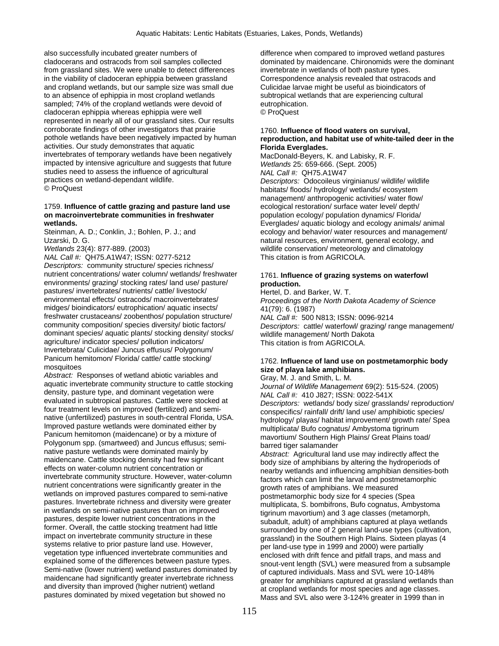also successfully incubated greater numbers of difference when compared to improved wetland pastures from grassland sites. We were unable to detect differences invertebrate in wetlands of both pasture types.<br>in the viability of cladoceran ephippia between grassland Correspondence analysis revealed that ostracods and in the viability of cladoceran ephippia between grassland and cropland wetlands, but our sample size was small due Culicidae larvae might be useful as bioindicators of to an absence of ephippia in most cropland wetlands subtropical wetlands that are experiencing cultural sampled; 74% of the cropland wetlands were devoid of eutrophication. cladoceran ephippia whereas ephippia were well represented in nearly all of our grassland sites. Our results corroborate findings of other investigators that prairie 1760. **Influence of flood waters on survival,**<br>
pothole wetlands have been negatively impacted by human **reproduction, and habitat use of white-taile** activities. Our study demonstrates that aquatic **Florida Everglades.**  invertebrates of temporary wetlands have been negatively impacted by intensive agriculture and suggests that future *Wetlands* 25: 659-666. (Sept. 2005) studies need to assess the influence of agricultural *NAL Call #:* QH75.A1W47<br>practices on wetland-dependant wildlife. *Descriptors:* Odocoileus vi practices on wetland-dependant wildlife. *Descriptors:* Odocoileus virginianus/ wildlife/ wildlife

### 1759. **Influence of cattle grazing and pasture land use** ecological restoration/ surface water level/ depth/ **on macroinvertebrate communities in freshwater population ecology/ population dynamics/ Florida/ wetlands.** Everglades/ aquatic biology and ecology animals/ animal

*NAL Call #:* QH75.A1W47; ISSN: 0277-5212 This citation is from AGRICOLA. *Descriptors:* community structure/ species richness/ nutrient concentrations/ water column/ wetlands/ freshwater 1761. **Influence of grazing systems on waterfowl**  environments/ grazing/ stocking rates/ land use/ pasture/ **production.**  pastures/ invertebrates/ nutrients/ cattle/ livestock/ Hertel, D. and Barker, W. T.<br>
environmental effects/ ostracods/ macroinvertebrates/ Proceedings of the North Da midges/ bioindicators/ eutrophication/ aquatic insects/ 41(79): 6. (1987) freshwater crustaceans/ zoobenthos/ population structure/ *NAL Call #:* 500 N813; ISSN: 0096-9214 dominant species/ aquatic plants/ stocking density/ stocks/ wildlife management/ North Dakota agriculture/ indicator species/ pollution indicators/ This citation is from AGRICOLA. Invertebrata/ Culicidae/ Juncus effusus/ Polygonum/

Panicum hemitomon/Florida/ cattle/ cattle stocking/<br>
mosquitoes<br>
Abstract: Responses of wetland abiotic variables and<br>
aquatic invertebrate community structure to cattle stocking<br>
aquatic invertebrate community structure t Polygonum spp. (smartweed) and Juncus effusus; semi-<br>
nanidencane. Cattle stocking density had few significant<br>
nanidencane. Cattle stocking density had few significant<br>
maidencane. Cattle stocking density had few signific

cladocerans and ostracods from soil samples collected dominated by maidencane. Chironomids were the dominant

# reproduction, and habitat use of white-tailed deer in the

habitats/ floods/ hydrology/ wetlands/ ecosystem management/ anthropogenic activities/ water flow/ Steinman, A. D.; Conklin, J.; Bohlen, P. J.; and example ecology and behavior/ water resources and management/ Uzarski, D. G. **natural resources, environment, general ecology**, and **Devices** and Devices, environment, general ecology, and *Wetlands* 23(4): 877-889. (2003) wildlife conservation/ meteorology and climatology

Proceedings of the North Dakota Academy of Science Descriptors: cattle/ waterfowl/ grazing/ range management/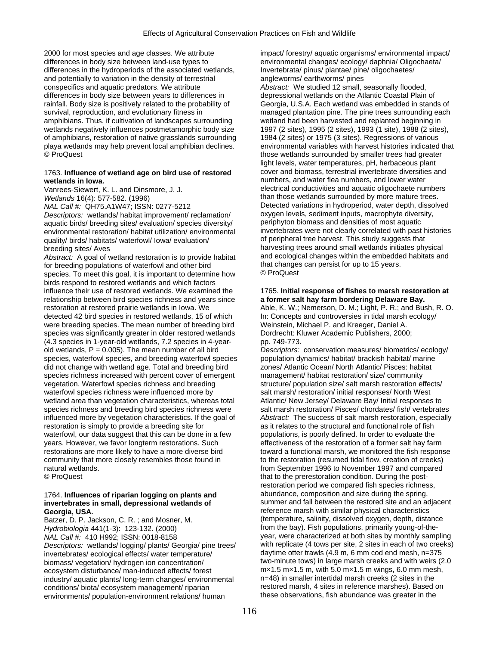2000 for most species and age classes. We attribute impact/ forestry/ aquatic organisms/ environmental impact/ differences in body size between land-use types to environmental changes/ ecology/ daphnia/ Oligochaeta/ differences in the hydroperiods of the associated wetlands, lateration invertebrata/ pinus/ plantae/ pine/ oligochaetes/ and potentially to variation in the density of terrestrial angleworms/ earthworms/ pines conspecifics and aquatic predators. We attribute *Abstract:* We studied 12 small, seasonally flooded, differences in body size between years to differences in depressional wetlands on the Atlantic Coastal Plain of rainfall. Body size is positively related to the probability of Georgia, U.S.A. Each wetland was embedded in stands of survival, reproduction, and evolutionary fitness in managed plantation pine. The pine trees surrounding each amphibians. Thus, if cultivation of landscapes surrounding wetland had been harvested and replanted beginning in wetlands negatively influences postmetamorphic body size 1997 (2 sites), 1995 (2 sites), 1993 (1 site), 1988 (2 sites), of amphibians, restoration of native grasslands surrounding 1984 (2 sites) or 1975 (3 sites). Regressions of various playa wetlands may help prevent local amphibian declines. environmental variables with harvest histories indicated that © ProQuest those wetlands surrounded by smaller trees had greater

## **wetlands in Iowa.** numbers, and water flea numbers, and lower water

*Descriptors:* wetlands/ habitat improvement/ reclamation/ oxygen levels, sediment inputs, macrophyte divers<br>
aquatic birds/ breeding sites/ evaluation/ species diversity/ periphyton biomass and densities of most aquatic aquatic birds/ breeding sites/ evaluation/ species diversity/ periphyton biomass and densities of most aquatic<br>
environmental restoration/ babitat utilization/ environmental invertebrates were not clearly correlated with p environmental restoration/ habitat utilization/ environmental invertebrates were not clearly correlated with past h<br>This study suggests that number of peripheral tree harvest. This study suggests that quality/ birds/ habitats/ waterfowl/ lowa/ evaluation/

*Abstract:* A goal of wetland restoration is to provide habitat and ecological changes within the embedde for breeding populations of waterfowl and other bird that changes can persist for up to 15 years. for breeding populations of waterfowl and other bird that changes<br>species To meet this goal it is important to determine how C ProQuest species. To meet this goal, it is important to determine how birds respond to restored wetlands and which factors influence their use of restored wetlands. We examined the 1765. **Initial response of fishes to marsh restoration at**  relationship between bird species richness and years since **a former salt hay farm bordering Delaware Bay.**  restoration at restored prairie wetlands in Iowa. We Able, K. W.; Nemerson, D. M.; Light, P. R.; and Bush, R. O. detected 42 bird species in restored wetlands, 15 of which In: Concepts and controversies in tidal marsh ecology/ were breeding species. The mean number of breeding bird Weinstein, Michael P. and Kreeger, Daniel A. species was significantly greater in older restored wetlands Dordrecht: Kluwer Academic Publishers, 2000; (4.3 species in 1-year-old wetlands, 7.2 species in 4-year- pp. 749-773. old wetlands, P = 0.005). The mean number of all bird *Descriptors:* conservation measures/ biometrics/ ecology/ species, waterfowl species, and breeding waterfowl species population dynamics/ habitat/ brackish habitat/ marine<br>did not change with wetland age. Total and breeding bird zones/ Atlantic Ocean/ North Atlantic/ Pisces: habi did not change with wetland age. Total and breeding bird species richness increased with percent cover of emergent management/ habitat restoration/ size/ community vegetation. Waterfowl species richness and breeding structure/ population size/ salt marsh restoration effects/ waterfowl species richness were influenced more by salt marsh/ restoration/ initial responses/ North West wetland area than vegetation characteristics, whereas total Atlantic/ New Jersey/ Delaware Bay/ Initial responses to species richness and breeding bird species richness were salt marsh restoration/ Pisces/ chordates/ fish/ vertebrates influenced more by vegetation characteristics. If the goal of *Abstract:* The success of salt marsh restoration, especially restoration is simply to provide a breeding site for and as it relates to the structural and functional role of fish waterfowl, our data suggest that this can be done in a few populations, is poorly defined. In order to evaluate the years. However, we favor longterm restorations. Such effectiveness of the restoration of a former salt hay farm restorations are more likely to have a more diverse bird toward a functional marsh, we monitored the fish response community that more closely resembles those found in to the restoration (resumed tidal flow, creation of creeks) natural wetlands. from September 1996 to November 1997 and compared

Batzer, D. P. Jackson, C. R.; and Mosner, M. *Hydrobiologia* 441(1-3): 123-132. (2000) from the bay). Fish populations, primarily young-of-the-*Descriptors:* wetlands/ logging/ plants/ Georgia/ pine trees/ with replicate (4 tows per site, 2 sites in each of two cree<br>invertebrates/ ecological effects/ water temperature/ daytime otter trawls (4.9 m, 6 mm cod end me invertebrates/ ecological effects/ water temperature/ biomass/ vegetation/ hydrogen ion concentration/ two-minute tows) in large marsh creeks and with weirs (2.0<br>ecosystem disturbance/ man-induced effects/ forest mx1.5 mx1.5 m, with 5.0 mx1.5 m wings, 6.0 mm mesh, ecosystem disturbance/ man-induced effects/ forest mx1.5 m×1.5 m×1.5 m, with 5.0 m×1.5 m wings, 6.0 mm mes<br>industry/ aquatic plants/ long-term changes/ environmental n=48) in smaller intertidal marsh creeks (2 sites in the industry/ aquatic plants/ long-term changes/ environmental conditions/ biota/ ecosystem management/ riparian restored marsh, 4 sites in reference marshes). Based on<br>environments/ population-environment relations/ human these observations, fish abundance was greater in the environments/ population-environment relations/ human

light levels, water temperatures, pH, herbaceous plant 1763. **Influence of wetland age on bird use of restored** cover and biomass, terrestrial invertebrate diversities and Vanrees-Siewert, K. L. and Dinsmore, J. J. electrical conductivities and aquatic oligochaete numbers where consider the maturement of the term of the team of than those wetlands surrounded by more mature trees. *NAL Call #:* QH75.A1W47; ISSN: 0277-5212 <br>Descriptors: wetlands/ habitat improvement/ reclamation/ oxygen levels, sediment inputs, macrophyte diversity, breeding sites/ Aves<br>Abstract: A goal of wetland restoration is to provide habitat and ecological changes within the embedded habitats and

© ProQuest that to the prerestoration condition. During the postrestoration period we compared fish species richness, 1764. **Influences of riparian logging on plants and** abundance, composition and size during the spring, **invertebrates in small, depressional wetlands of** summer and fall between the restored site and an adjacent **Georgia, USA.**<br> **Georgia, USA.** Presence marsh with similar physical characteristics<br>
Ratzer D. P. Jackson C. R. and Mosner M. (temperature, salinity, dissolved oxygen, depth, distance *NAL Call #:* 410 H992; ISSN: 0018-8158 year, were characterized at both sites by monthly sampling<br>Descriptors: wetlands/ logging/ plants/ Georgia/ pine trees/ with replicate (4 tows per site, 2 sites in each of two creeks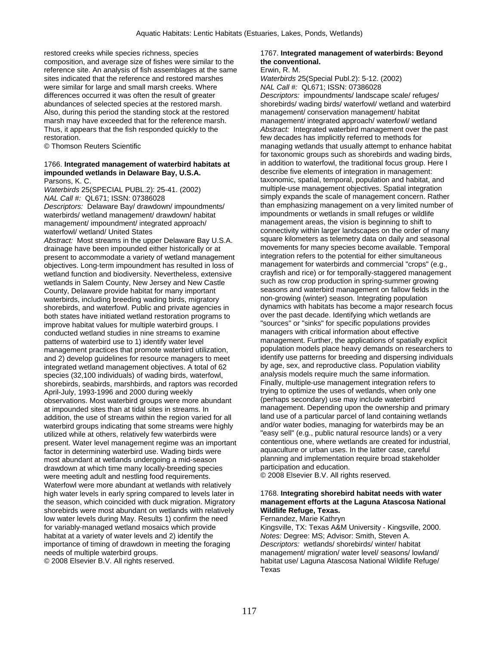composition, and average size of fishes were similar to the **the conventional.**  reference site. An analysis of fish assemblages at the same Erwin, R. M. sites indicated that the reference and restored marshes *Waterbirds* 25(Special Publ.2): 5-12. (2002) were similar for large and small marsh creeks. Where *NAL Call #:* QL671; ISSN: 07386028 differences occurred it was often the result of greater *Descriptors:* impoundments/ landscape scale/ refuges/ abundances of selected species at the restored marsh. Shorebirds/ wading birds/ waterfowl/ wetland and waterbird<br>Also, during this period the standing stock at the restored management/ conservation management/ habitat Also, during this period the standing stock at the restored management/ conservation management/ habitat marsh marsh marsh marsh marsh marsh marsh marsh marsh marsh marsh marsh marsh marsh marsh management/ integrated appr marsh may have exceeded that for the reference marsh. Thus, it appears that the fish responded quickly to the *Abstract:* Integrated waterbird management over the past restoration. few decades has implicitly referred to methods for

# impounded wetlands in Delaware Bay, U.S.A.

*Descriptors:* Delaware Bay/ drawdown/ impoundments/ **than emphasizing management on a very limited num**<br>waterbirds/ wetland management/ drawdown/ habitat impoundments or wetlands in small refuges or wildlife waterbirds/ wetland management/ drawdown/ habitat impoundments or wetlands in small refuges or wildlife<br>management impoundment/ integrated approach/ impound in management areas, the vision is beginning to shift to management/ impoundment/ integrated approach/

*Abstract:* Most streams in the upper Delaware Bay U.S.A. square kilometers as telemetry data on daily and seasonal<br>drainage have been impounded either historically or at movements for many species become available. Tempor drainage have been impounded either historically or at movements for many species become available. Tempor<br>present to accommodate a variety of wetland management integration refers to the potential for either simultaneous present to accommodate a variety of wetland management integration refers to the potential for either simultaneous<br>objectives I ong-term impoundment has resulted in loss of management for waterbirds and commercial "crops" objectives. Long-term impoundment has resulted in loss of management for waterbirds and commercial "crops" (e.g., wetland function and biodiversity. Nevertheless, extensive crayfish and rice) or for temporally-staggered managem<br>wetlands in Salem County, New Jersey and New Castle such as row crop production in spring-summer growing wetlands in Salem County, New Jersey and New Castle County. Delaware provide habitat for many important waterbirds, including breeding wading birds, migratory **non-growing (winter)** season. Integrating population<br>shorebirds, and waterfowl. Public and private agencies in dynamics with habitats has become a major research focu shorebirds, and waterfowl. Public and private agencies in dynamics with habitats has become a major research<br>hoth states have initiated wetland restoration programs to over the past decade. Identifying which wetlands are both states have initiated wetland restoration programs to over the past decade. Identifying which wetlands are<br>improve habitat values for multiple waterbird groups. I sources" or "sinks" for specific populations provides improve habitat values for multiple waterbird groups. I "sources" or "sinks" for specific populations provide<br>
conducted wetland studies in nine streams to examine managers with critical information about effective conducted wetland studies in nine streams to examine patterns of waterbird use to 1) identify water level management. Further, the applications of spatially explicit<br>management practices that promote waterbird utilization population models place heavy demands on researchers and 2) develop guidelines for resource managers to meet identify use patterns for breeding and dispersing individual<br>integrated wetland management objectives. A total of 62 by age, sex, and reproductive class. Population v integrated wetland management objectives. A total of 62 by age, sex, and reproductive class. Population viabi<br>species (32.100 individuals) of wading birds waterfowl analysis models require much the same information. species (32,100 individuals) of wading birds, waterfowl, analysis models require much the same information.<br>shorebirds, seabirds, marshbirds, and raptors was recorded Finally, multiple-use management integration refers to shorebirds, seabirds, marshbirds, and raptors was recorded April-July, 1993-1996 and 2000 during weekly trying to optimize the uses of wetlands, when only one<br>observations. Most waterbird groups were more abundant (perhaps secondary) use may include waterbird observations. Most waterbird groups were more abundant at impounded sites than at tidal sites in streams. In management. Depending upon the ownership and primary addition. the use of streams within the region varied for all land use of a particular parcel of land containing we addition, the use of streams within the region varied for all land use of a particular parcel of land containing wetlands<br>waterbird groups indicating that some streams were highly and/or water bodies, managing for waterbir waterbird groups indicating that some streams were highly and/or water bodies, managing for waterbirds may be an<br>utilized while at others, relatively few waterbirds were "easy sell" (e.g., public natural resource lands) or utilized while at others, relatively few waterbirds were "easy sell" (e.g., public natural resource lands) or a very present. Water level management regime was an important contentious one, where wetlands are created for indu<br>tactor in determining waterbird use Wading birds were aguaculture or urban uses. In the latter case, careful factor in determining waterbird use. Wading birds were aquaculture or urban uses. In the latter case, careful<br>most abundant at wetlands undergoing a mid-season by planning and implementation require broad stakeholder most abundant at wetlands undergoing a mid-season planning and implementation<br>drawdown at which time many locally-breeding species participation and education. drawdown at which time many locally-breeding species participation and education.<br>were meeting adult and nestling food requirements. © 2008 Elsevier B.V. All rights reserved. were meeting adult and nestling food requirements. Waterfowl were more abundant at wetlands with relatively high water levels in early spring compared to levels later in 1768. **Integrating shorebird habitat needs with water** the season, which coincided with duck migration. Migratory management efforts at the Laguna Atascosa Nati the season, which coincided with duck migration. Migratory **management efforts at shorebirds were most abundant on wetlands with relatively Wildlife Refuge, Texas.** shorebirds were most abundant on wetlands with relatively low water levels during May. Results 1) confirm the need Fernandez, Marie Kathryn for variably-managed wetland mosaics which provide Kingsville, TX: Texas A&M University - Kingsville, 2000. habitat at a variety of water levels and 2) identify the *Notes:* Degree: MS; Advisor: Smith, Steven A. importance of timing of drawdown in meeting the foraging *Descriptors:* wetlands/ shorebirds/ winter/ habitat

## restored creeks while species richness, species 1767. **Integrated management of waterbirds: Beyond**

© Thomson Reuters Scientific managing wetlands that usually attempt to enhance habitat for taxonomic groups such as shorebirds and wading birds, 1766. **Integrated management of waterbird habitats at** in addition to waterfowl, the traditional focus group. Here I Parsons, K. C. taxonomic, spatial, temporal, population and habitat, and *Waterbirds* 25(SPECIAL PUBL.2): 25-41. (2002) multiple-use management objectives. Spatial integration *NAL Call #:* QL671; ISSN: 07386028 simply expands the scale of management concern. Rather<br>Descriptors: Delaware Bay/ drawdown/ impoundments/ than emphasizing management on a very limited number of waterfowl/ wetland/ United States<br>Abstract: Most streams in the upper Delaware Bay U.S.A. square kilometers as telemetry data on daily and seasonal seasons and waterbird management on fallow fields in the non-growing (winter) season. Integrating population management practices that promote waterbird utilization, population models place heavy demands on researchers to<br>and 2) develop quidelines for resource managers to meet identify use patterns for breeding and dispersing ind

needs of multiple waterbird groups.<br>
© 2008 Elsevier B.V. All rights reserved.<br>
management/ migration/ water level/ seasons/ lowland/ babitat use/ Laguna Atascosa National Wildlife Refuge/ habitat use/ Laguna Atascosa National Wildlife Refuge/ Texas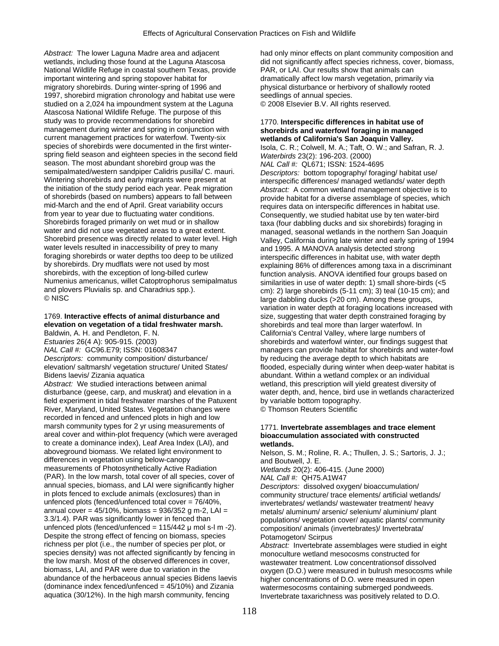Abstract: The lower Laguna Madre area and adjacent had only minor effects on plant community composition and wetlands, including those found at the Laguna Atascosa did not significantly affect species richness, cover, biomass, National Wildlife Refuge in coastal southern Texas, provide PAR, or LAI. Our results show that animals can important wintering and spring stopover habitat for dramatically affect low marsh vegetation, primarily via migratory shorebirds. During winter-spring of 1996 and physical disturbance or herbivory of shallowly rooted 1997. Shorebird migration chronology and habitat use were seedlings of annual species. 1997, shorebird migration chronology and habitat use were studied on a 2,024 ha impoundment system at the Laguna © 2008 Elsevier B.V. All rights reserved. Atascosa National Wildlife Refuge. The purpose of this study was to provide recommendations for shorebird 1770. **Interspecific differences in habitat use of**<br>
management during winter and spring in conjunction with **Shorebirds and waterfowl foraging in managed** management during winter and spring in conjunction with **shorebirds and waterfowl foraging in managed**  current management practices for waterfowl. Twenty-six **wetlands of California's San Joaquin Valley.**  spring field season and eighteen species in the second field *Waterbirds* 23(2): 196-203. (2000) season. The most abundant shorebird group was the **NAL Call #: QL671; ISSN: 1524-4695**<br>
semipalmated/western sandpiper Calidris pusilla/ C. mauri. *Descriptors:* bottom topography/ forag semipalmated/western sandpiper Calidris pusilla/ C. mauri. *Descriptors:* bottom topography/ foraging/ habitat use/ Wintering shorebirds and early migrants were present at interspecific differences/ managed wetlands/ water depth<br>the initiation of the study period each year. Peak migration *Abstract: A common wetland management objective* of shorebirds (based on numbers) appears to fall between provide habitat for a diverse assemblage of species, which<br>mid-March and the end of April. Great variability occurs requires data on interspecific differences in hab mid-March and the end of April. Great variability occurs requires data on interspecific differences in habitat use.<br>From year to year due to fluctuating water conditions.<br>Consequently, we studied habitat use by ten water-b from year to year due to fluctuating water conditions.<br>Shorebirds foraged primarily on wet mud or in shallow the taxa (four dabbling ducks and six shorebirds) foraging in Shorebirds foraged primarily on wet mud or in shallow taxa (four dabbling ducks and six shorebirds) foraging in<br>water and did not use vegetated areas to a great extent. water and did not use vegetated areas to a great extent. managed, seasonal wetlands in the northern San Joaquin<br>Shorebird presence was directly related to water level. High yalley, California during late winter and early s water levels resulted in inaccessibility of prey to many and 1995. A MANOVA analysis detected strong foraging shorebirds or water depths too deep to be utilized interspecific differences in habitat use, with water depth<br>by shorebirds. Dry mudflats were not used by most explaining 86% of differences among taxa in a discrim by shorebirds. Dry mudflats were not used by most explaining 86% of differences among taxa in a discriminant behavior of long-billed curlew<br>
function analysis ANOVA identified four groups based on shorebirds, with the exception of long-billed curlew function analysis. ANOVA identified four groups based on<br>Numenius americanus, willet Catoptrophorus semipalmatus similarities in use of water depth: 1) small shore-birds Numenius americanus, willet Catoptrophorus semipalmatus similarities in use of water depth: 1) small shore-birds (<5<br>and plovers Pluvialis sp. and Charadrius spp.). shore on: 2) large shorebirds (5-11 cm): 3) teal (10-15 c and plovers Pluvialis sp. and Charadrius spp.). cm): 2) large shorebirds (5-11 cm); 3) teal (10-15 cm); and<br>© NISC cm) Among these groups

## **elevation on vegetation of a tidal freshwater marsh.** shorebirds and teal more than larger waterfowl. In

Baldwin, A. H. and Pendleton, F. N. Salley, where large numbers of *Descriptors:* community composition/ disturbance/ by reducing the average depth to which habitats are elevation/ saltmarsh/ vegetation structure/ United States/ flooded, especially during winter when deep-water has Bidens laevis/ Zizania aquatica abundant. Within a wetland complex or an individual

disturbance (geese, carp, and muskrat) and elevation in a water depth, and, hence, bird use in wetlands characterized field experiment in tidal freshwater marshes of the Patuxent by variable bottom topography. River, Maryland, United States. Vegetation changes were © Thomson Reuters Scientific recorded in fenced and unfenced plots in high and low marsh community types for 2 yr using measurements of 1771. **Invertebrate assemblages and trace element** areal cover and within-plot frequency (which were averaged **bioaccumulation associated with constructed**  to create a dominance index), Leaf Area Index (LAI), and **wetlands.**  differences in vegetation using below-canopy and Boutwell, J. E.<br>
measurements of Photosynthetically Active Radiation *Wetlands* 20(2): 406-415. (June 2000) measurements of Photosynthetically Active Radiation (PAR). In the low marsh, total cover of all species, cover of *NAL Call #:* QH75.A1W47 annual species, biomass, and LAI were significantly higher *Descriptors:* dissolved oxygen/ bioaccumulation/<br>in plots fenced to exclude animals (exclosures) than in **community structure/** trace elements/ artificial wet unfenced plots (fenced/unfenced total cover = 76/40%,<br>annual cover = 45/10%, biomass = 936/352 g m-2, LAI = metals/ aluminum/ arsenic/ selenium/ aluminium/ plani annual cover = 45/10%, biomass = 936/352 g m-2, LAI = metals/ aluminum/ arsenic/ selenium/ aluminium/ plant 3.3/1.4). PAR was significantly lower in fenced than  $p$  populations/ vegetation cover/ aquatic plants/ community unfenced plots (fenced/unfenced = 115/442  $\mu$  mol s-l m -2). composition/ animals (invertebrates)/ Inverte Despite the strong effect of fencing on biomass, species Potamogeton/ Scirpus<br>
richness per plot (i.e., the number of species per plot, or *Abstract:* Invertebrate species density) was not affected significantly by fencing in monoculture wetland mesocosms constructed for the low marsh. Most of the observed differences in cover, wastewater treatment. Low concentrations of dissolved<br>biomass, LAI, and PAR were due to variation in the oxygen (DO) were measured in bulrush mesocosms w biomass, LAI, and PAR were due to variation in the oxygen (D.O.) were measured in bulrush mesocosms while abundance of the herbaceous annual species Bidens laevis higher concentrations of D.O. were measured in open abundance of the herbaceous annual species Bidens laevis higher concentrations of D.O. were measured in open (dominance index fenced/unfenced = 45/10%) and Zizania watermesocosms containing submerged pondweeds. (dominance index fenced/unfenced = 45/10%) and Zizania watermesocosms containing submerged pondweeds.

Isola, C. R.; Colwell, M. A.; Taft, O. W.; and Safran, R. J. Abstract: A common wetland management objective is to Valley, California during late winter and early spring of 1994 large dabbling ducks (>20 cm). Among these groups, variation in water depth at foraging locations increased with 1769. **Interactive effects of animal disturbance and** size, suggesting that water depth constrained foraging by *Estuaries* 26(4 A): 905-915. (2003) shorebirds and waterfowl winter, our findings suggest that *NAL Call #:* GC96.E79; ISSN: 01608347 managers can provide habitat for shorebirds and water-fowl flooded, especially during winter when deep-water habitat is *Abstract:* We studied interactions between animal wetland, this prescription will yield greatest diversity of

Nelson, S. M.; Roline, R. A.; Thullen, J. S.; Sartoris, J. J.; and Boutwell, J. E.

community structure/ trace elements/ artificial wetlands/ composition/ animals (invertebrates)/ Invertebrata/

Abstract: Invertebrate assemblages were studied in eight Invertebrate taxarichness was positively related to D.O.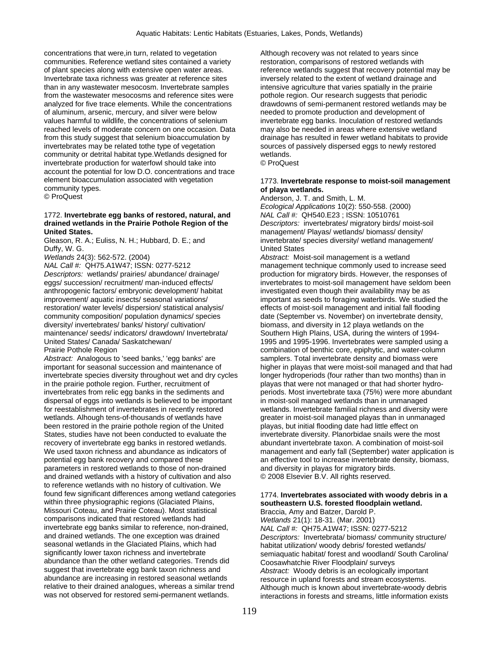concentrations that were, in turn, related to vegetation Although recovery was not related to years since communities. Reference wetland sites contained a variety restoration, comparisons of restored wetlands with of plant species along with extensive open water areas. reference wetlands suggest that recovery potential may be Invertebrate taxa richness was greater at reference sites inversely related to the extent of wetland drainage and than in any wastewater mesocosm. Invertebrate samples intensive agriculture that varies spatially in the prairie from the wastewater mesocosms and reference sites were pothole region. Our research suggests that periodic analyzed for five trace elements. While the concentrations drawdowns of semi-permanent restored wetlands may be of aluminum, arsenic, mercury, and silver were below needed to promote production and development of values harmful to wildlife, the concentrations of selenium invertebrate eqg banks. Inoculation of restored wet reached levels of moderate concern on one occasion. Data may also be needed in areas where extensive wetland from this study suggest that selenium bioaccumulation by drainage has resulted in fewer wetland habitats to provide invertebrates may be related tothe type of vegetation sources of passively dispersed eggs to newly restored community or detrital habitat type.Wetlands designed for wetlands. invertebrate production for waterfowl should take into © ProQuest account the potential for low D.O. concentrations and trace element bioaccumulation associated with vegetation 1773. **Invertebrate response to moist-soil management** community types. community types. **of playa wetlands.** 

### 1772. **Invertebrate egg banks of restored, natural, and** *NAL Call #:* QH540.E23 ; ISSN: 10510761 **drained wetlands in the Prairie Pothole Region of the** *Descriptors:* invertebrates/ migratory birds/ moist-soil **United States.** management/ Playas/ wetlands/ biomass/ density/

Duffy, W. G. (2004) Duffy, W. G. (2004) Duffed States Wetlands 24(3): 562-572. (2004)

anthropogenic factors/ embryonic development/ habitat restoration/ water levels/ dispersion/ statistical analysis/ effects of moist-soil management and initial fall flooding community composition/ population dynamics/ species date (September vs. November) on invertebrate density, diversity/ invertebrates/ banks/ history/ cultivation/ biomass, and diversity in 12 playa wetlands on the maintenance/ seeds/ indicators/ drawdown/ Invertebrata/ Southern High Plains, USA, during the winters of 1994-

important for seasonal succession and maintenance of higher in playas that were moist-soil managed and that had invertebrate species diversity throughout wet and dry cycles longer hydroperiods (four rather than two months) than in<br>in the prairie pothole region. Further, recruitment of playas that were not managed or that had shorter invertebrates from relic egg banks in the sediments and periods. Most invertebrate taxa (75%) were more abundant dispersal of eggs into wetlands is believed to be important in moist-soil managed wetlands than in unmanaged for reestablishment of invertebrates in recently restored wetlands. Invertebrate familial richness and diversity were wetlands. Alhough tens-of-thousands of wetlands have greater in moist-soil managed playas than in unmanaged been restored in the prairie pothole region of the United playas, but initial flooding date had little effect on States, studies have not been conducted to evaluate the invertebrate diversity. Planorbidae snails were the most recovery of invertebrate egg banks in restored wetlands. abundant invertebrate taxon. A combination of moist-soil We used taxon richness and abundance as indicators of management and early fall (September) water application is potential egg bank recovery and compared these an effective tool to increase invertebrate density, biomass, parameters in restored wetlands to those of non-drained and diversity in playas for migratory birds. and drained wetlands with a history of cultivation and also © 2008 Elsevier B.V. All rights reserved. to reference wetlands with no history of cultivation. We found few significant differences among wetland categories 1774. **Invertebrates associated with woody debris in a**  Missouri Coteau, and Prairie Coteau). Most statistical Braccia, Amy and Batzer, Darold P. comparisons indicated that restored wetlands had *Wetlands* 21(1): 18-31. (Mar. 2001) invertebrate egg banks similar to reference, non-drained, *NAL Call #:* QH75.A1W47; ISSN: 0277-5212 and drained wetlands. The one exception was drained *Descriptors:* Invertebrata/ biomass/ community structure/<br>
seasonal wetlands in the Glaciated Plains, which had<br>
habitat utilization/ woody debris/ forested wetlands/ seasonal wetlands in the Glaciated Plains, which had habitat utilization/ woody debris/ forested wetlands/<br>significantly lower taxon richness and invertebrate semiaquatic habitat/ forest and woodland/ South Ca abundance than the other wetland categories. Trends did Coosawhatchie River Floodplain/ surveys suggest that invertebrate egg bank taxon richness and *Abstract:* Woody debris is an ecologically important abundance are increasing in restored seasonal wetlands resource in upland forests and stream ecosystems. relative to their drained analogues, whereas a similar trend <br>was not observed for restored semi-permanent wetlands.<br>interactions in forests and streams, little information exists

invertebrate egg banks. Inoculation of restored wetlands

Anderson, J. T. and Smith, L. M. *Ecological Applications* 10(2): 550-558. (2000) Gleason, R. A.; Euliss, N. H.; Hubbard, D. E.; and invertebrate/ species diversity/ wetland management/

Abstract: Moist-soil management is a wetland *NAL Call #:* QH75.A1W47; ISSN: 0277-5212 management technique commonly used to increase seed *Descriptors:* wetlands/ prairies/ abundance/ drainage/ production for migratory birds. However, the responses of eggs/ succession/ recruitment/ man-induced effects/ invertebrates to moist-soil management have seldom been<br>anthropogenic factors/ embryonic development/ habitat investigated even though their availability may be as improvement/ aquatic insects/ seasonal variations/ important as seeds to foraging waterbirds. We studied the United States/ Canada/ Saskatchewan/ 1995 and 1995-1996. Invertebrates were sampled using a Prairie Pothole Region combination of benthic core, epiphytic, and water-column Abstract: Analogous to 'seed banks,' 'egg banks' are samplers. Total invertebrate density and biomass were playas that were not managed or that had shorter hydro-

## southeastern U.S. forested floodplain wetland.

semiaquatic habitat/ forest and woodland/ South Carolina/ interactions in forests and streams, little information exists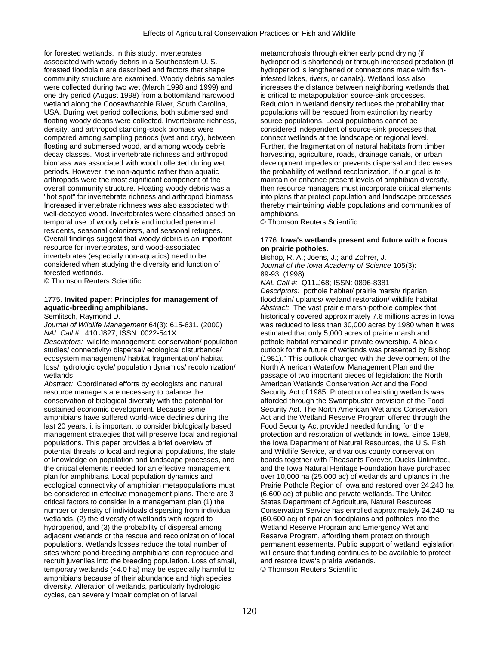for forested wetlands. In this study, invertebrates metamorphosis through either early pond drying (if associated with woody debris in a Southeastern U. S. hydroperiod is shortened) or through increased predation (if forested floodplain are described and factors that shape hydroperiod is lengthened or connections made with fish-<br>
community structure are examined. Woody debris samples infested lakes, rivers, or canals). Wetland loss als community structure are examined. Woody debris samples were collected during two wet (March 1998 and 1999) and increases the distance between neighboring wetlands that one dry period (August 1998) from a bottomland hardwood is critical to metapopulation source-sink processes.<br>
wetland along the Coosawhatchie River, South Carolina, Reduction in wetland density reduces the probability USA. During wet period collections, both submersed and populations will be rescued from extinction by nearborhood floating woody debris were collected. Invertebrate richness, source populations. Local populations cannot be floating woody debris were collected. Invertebrate richness, density, and arthropod standing-stock biomass were considered independent of source-sink processes that compared among sampling periods (wet and dry), between connect wetlands at the landscape or regional level. floating and submersed wood, and among woody debris Further, the fragmentation of natural habitats from timber decay classes. Most invertebrate richness and arthropod harvesting, agriculture, roads, drainage canals, or urban biomass was associated with wood collected during wet development impedes or prevents dispersal and decreases periods. However, the non-aquatic rather than aquatic the probability of wetland recolonization. If our goal is to arthropods were the most significant component of the maintain or enhance present levels of amphibian diversity, overall community structure. Floating woody debris was a then resource managers must incorporate critical ele overall community structure. Floating woody debris was a then resource managers must incorporate critical elements<br>"hot spot" for invertebrate richness and arthropod biomass. into plans that protect population and landscap Increased invertebrate richness was also associated with thereby maintaining viable populations and communities of well-decayed wood. Invertebrates were classified based on amphibians. temporal use of woody debris and included perennial © Thomson Reuters Scientific residents, seasonal colonizers, and seasonal refugees. Overall findings suggest that woody debris is an important 1776. **Iowa's wetlands present and future with a focus**  resource for invertebrates, and wood-associated **on prairie potholes.**<br>
invertebrates (especially non-aquatics) need to be Bishop, R. A.; Joens, J.; and Zohrer, J. invertebrates (especially non-aquatics) need to be considered when studying the diversity and function of forested wetlands.<br>
© Thomson Reuters Scientific and the state of the state of the SCI and the SCI and the SCI and the SCI and the SCI and the SCI and the SCI and the SCI and the SCI and the SCI and the SCI and the SCI and

*NAL Call #:* 410 J827; ISSN: 0022-541X estimated that only 5,000 acres of prairie marsh and

*Descriptors:* wildlife management: conservation/ population pothole habitat remained in private ownership. A bleak studies/ connectivity/ dispersal/ ecological disturbance/ outlook for the future of wetlands was presented studies/ connectivity/ dispersal/ ecological disturbance/ outlook for the future of wetlands was presented by Bishop<br>ecosystem management/ habitat fragmentation/ habitat (1981). This outlook changed with the development of loss/ hydrologic cycle/ population dynamics/ recolonization/ North American Waterfowl Management Plan and the wetlands passage of two important pieces of legislation: the North

Abstract: Coordinated efforts by ecologists and natural **American Wetlands Conservation Act and the Food** resource managers are necessary to balance the Security Act of 1985. Protection of existing wetlands was conservation of biological diversity with the potential for afforded through the Swampbuster provision of the Food sustained economic development. Because some Security Act. The North American Wetlands Conservation amphibians have suffered world-wide declines during the Act and the Wetland Reserve Program offered through the last 20 years, it is important to consider biologically based Food Security Act provided needed funding for the management strategies that will preserve local and regional protection and restoration of wetlands in Iowa. Since 1988, populations. This paper provides a brief overview of the Iowa Department of Natural Resources, the U.S. Fish potential threats to local and regional populations, the state and Wildlife Service, and various county conservation of knowledge on population and landscape processes, and boards together with Pheasants Forever, Ducks Unlimited, the critical elements needed for an effective management and the lowa Natural Heritage Foundation have purcha plan for amphibians. Local population dynamics and over 10,000 ha (25,000 ac) of wetlands and uplands in the be considered in effective management plans. There are 3 critical factors to consider in a management plan (1) the critical factors to consider in a management plan (1) the States Department of Agriculture, Natural Resources<br>
number or density of individuals dispersing from individual Conservation Service has enrolled approximately 24 wetlands, (2) the diversity of wetlands with regard to (60,600 ac) of riparian floodplains and potholes into the hydroperiod, and (3) the probability of dispersal among Wetland Reserve Program and Emergency Wetland adjacent wetlands or the rescue and recolonization of local Reserve Program, affording them protection through populations. Wetlands losses reduce the total number of permanent easements. Public support of wetland legislation sites where pond-breeding amphibians can reproduce and will ensure that funding continues to be available to protect recruit juveniles into the breeding population. Loss of small, and restore lowa's prairie wetlands. recruit juveniles into the breeding population. Loss of small, and restore Iowa's prairie wetl<br>temporary wetlands (<4.0 ha) may be especially harmful to  $\circ$  Thomson Reuters Scientific temporary wetlands  $(<4.0 \text{ ha})$  may be especially harmful to amphibians because of their abundance and high species diversity. Alteration of wetlands, particularly hydrologic cycles, can severely impair completion of larval

Reduction in wetland density reduces the probability that populations will be rescued from extinction by nearby into plans that protect population and landscape processes

Journal of the Iowa Academy of Science 105(3):

© Thomson Reuters Scientific *NAL Call #:* Q11.J68; ISSN: 0896-8381 *Descriptors:* pothole habitat/ prairie marsh/ riparian 1775. **Invited paper: Principles for management of** floodplain/ uplands/ wetland restoration/ wildlife habitat **aquatic-breeding amphibians.** *Abstract:* The vast prairie marsh-pothole complex that Semlitsch, Raymond D. https://www.mately 2.6 millions acres in Iowa *Journal of Wildlife Management* 64(3): 615-631. (2000) was reduced to less than 30,000 acres by 1980 when it was (1981)." This outlook changed with the development of the and the Iowa Natural Heritage Foundation have purchased ecological connectivity of amphibian metapopulations must<br>be considered in effective management plans. There are 3 (6,600 ac) of public and private wetlands. The United Conservation Service has enrolled approximately 24,240 ha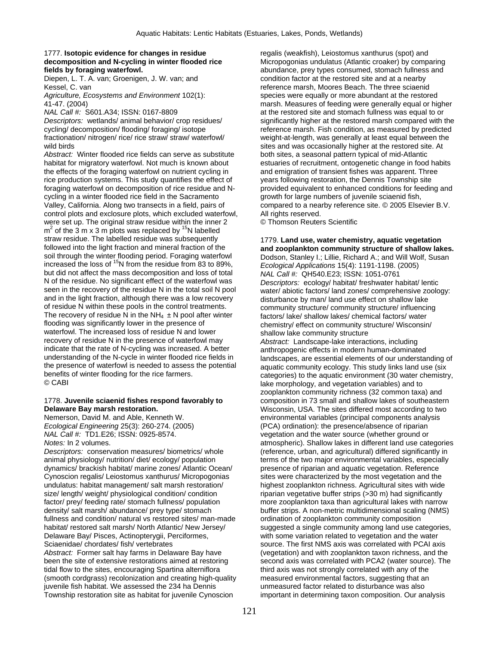# 1777. **Isotopic evidence for changes in residue** regalis (weakfish), Leiostomus xanthurus (spot) and

Abstract: Winter flooded rice fields can serve as substitute both sites, a seasonal pattern typical of mid-Atlantic habitat for migratory waterfowl. Not much is known about estuaries of recruitment, ontogenetic change in food habits the effects of the foraging waterfowl on nutrient cycling in and emigration of transient fishes was apparent. Three rice production systems. This study quantifies the effect of years following restoration, the Dennis Township site foraging waterfowl on decomposition of rice residue and N- provided equivalent to enhanced conditions for feeding and cycling in a winter flooded rice field in the Sacramento growth for large numbers of juvenile sciaenid fish, Valley, California. Along two transects in a field, pairs of compared to a nearby reference site. © 2005 Elsevier B.V. control plots and exclosure plots, which excluded waterfowl, All rights reserved. were set up. The original straw residue within the inner 2  $\heartsuit$  Thomson Reuters Scientific  $m<sup>2</sup>$  of the 3 m x 3 m plots was replaced by  $<sup>15</sup>N$  labelled</sup> straw residue. The labelled residue was subsequently 1779. Land use, water chemistry, aquatic vegetation **by** the labelled residue was subsequently the land zooplankton community structure of shallow lake followed into the light fraction and mineral fraction of the **and zooplankton community structure of shallow lakes.**  increased the loss of <sup>15</sup>N from the residue from 83 to 89%, but did not affect the mass decomposition and loss of total *NAL Call #:* QH540.E23; ISSN: 1051-0761<br>N of the residue. No significant effect of the waterfowl was *Descriptors:* ecology/ habitat/ freshwater has N of the residue. No significant effect of the waterfowl was *Descriptors:* ecology/ habitat/ freshwater habitat/ lentic and in the light fraction, although there was a low recovery disturbance by man/ land use effect on shallow lake<br>of residue N within these pools in the control treatments. The recovery of residue N in the NH<sub>4</sub>  $\pm$  N pool after winter factors/ lake/ shallow lakes/ chemical factors/ water flooding was significantly lower in the presence of chemistry/ effect on community structure/ Wisconsin waterfowl. The increased loss of residue N and lower shallow lake community structure recovery of residue N in the presence of waterfowl may *Abstract:* Landscape-lake interactions, including indicate that the rate of N-cycling was increased. A better anthropogenic effects in modern human-dominated<br>understanding of the N-cycle in winter flooded rice fields in and landscapes, are essential elements of our unders understanding of the N-cycle in winter flooded rice fields in landscapes, are essential elements of our understanding of the presence of waterfowl is needed to assess the potential aguatic community ecology. This study lin the presence of waterfowl is needed to assess the potential aquatic community ecology. This study links land use (six<br>benefits of winter flooding for the rice farmers.<br>categories) to the aquatic environment (30 water chemi benefits of winter flooding for the rice farmers.<br>CABI external parameters of the aquatic environment (30 water chemistry,

*Descriptors:* conservation measures/ biometrics/ whole (reference, urban, and agricultural) differed significantly in animal physiology/ nutrition/ diet/ ecology/ population terms of the two major environmental variables, especially dynamics/ brackish habitat/ marine zones/ Atlantic Ocean/ presence of riparian and aquatic vegetation. Reference Cynoscion regalis/ Leiostomus xanthurus/ Micropogonias sites were characterized by the most vegetation and the undulatus: habitat management/ salt marsh restoration/ highest zooplankton richness. Agricultural sites with wide size/ length/ weight/ physiological condition/ condition riparian vegetative buffer strips (>30 m) had significantly factor/ prey/ feeding rate/ stomach fullness/ population more zooplankton taxa than agricultural lakes with narrow density/ salt marsh/ abundance/ prey type/ stomach buffer strips. A non-metric multidimensional scaling (NMS) fullness and condition/ natural vs restored sites/ man-made ordination of zooplankton community composition habitat/ restored salt marsh/ North Atlantic/ New Jersey/ suggested a single community among land use categories, Delaware Bay/ Pisces, Actinopterygii, Perciformes, with some variation related to vegetation and the water Sciaenidae/ chordates/ fish/ vertebrates source. The first NMS axis was correlated with PCAI axis

been the site of extensive restorations aimed at restoring second axis was correlated with PCA2 (water source). The tidal flow to the sites, encouraging Spartina alterniflora third axis was not strongly correlated with any of the (smooth cordgrass) recolonization and creating high-quality measured environmental factors, suggesting that an juvenile fish habitat. We assessed the 234 ha Dennis unmeasured factor related to disturbance was also

**decomposition and N-cycling in winter flooded rice** Micropogonias undulatus (Atlantic croaker) by comparing **fields by foraging waterfowl.** abundance, prey types consumed, stomach fullness and Diepen, L. T. A. van; Groenigen, J. W. van; and condition factor at the restored site and at a nearby<br>Kessel. C. van condition factor at the restored site and at a nearby<br>reference marsh, Moores Beach. The three sciaenic reference marsh, Moores Beach. The three sciaenid *Agriculture, Ecosystems and Environment* 102(1): species were equally or more abundant at the restored 41-47. (2004) marsh. Measures of feeding were generally equal or higher *NAL Call #:* S601.A34; ISSN: 0167-8809 at the restored site and stomach fullness was equal to or *Descriptors:* wetlands/ animal behavior/ crop residues/ significantly higher at the restored marsh compared with the cycling/ decomposition/ flooding/ foraging/ isotope reference marsh. Fish condition, as measured by predicted fractionation/ nitrogen/ rice/ rice straw/ straw/ waterfowl/ weight-at-length, was generally at least equal between the wild birds sites and was occasionally higher at the restored site. At

Dodson, Stanley I.; Lillie, Richard A.; and Will Wolf, Susan<br>Ecological Applications 15(4): 1191-1198. (2005) water/abiotic factors/ land zones/ comprehensive zoology: community structure/ community structure/ influencing. chemistry/ effect on community structure/ Wisconsin/

lake morphology, and vegetation variables) and to zooplankton community richness (32 common taxa) and 1778. **Juvenile sciaenid fishes respond favorably to** composition in 73 small and shallow lakes of southeastern **Delaware Bay marsh restoration.** Wisconsin, USA. The sites differed most according to two Nemerson, David M. and Able, Kenneth W. environmental variables (principal components analysis *Ecological Engineering* 25(3): 260-274. (2005) (PCA) ordination): the presence/absence of riparian *NAL Call #:* TD1.E26; ISSN: 0925-8574. vegetation and the water source (whether ground or *Notes:* In 2 volumes. **At a structure of the structure of the structure of a structure atmospheric). Shallow lakes in different land use categories** *Abstract:* Former salt hay farms in Delaware Bay have (vegetation) and with zooplankton taxon richness, and the Township restoration site as habitat for juvenile Cynoscion important in determining taxon composition. Our analysis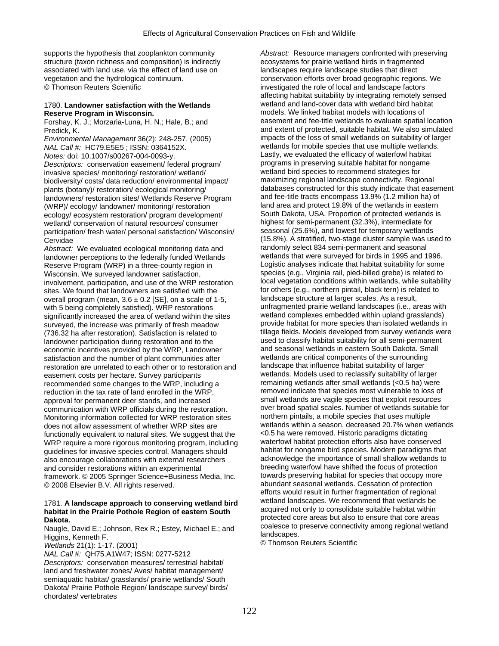supports the hypothesis that zooplankton community *Abstract:* Resource managers confronted with preserving structure (taxon richness and composition) is indirectly ecosystems for prairie wetland birds in fragmented associated with land use, via the effect of land use on landscapes require landscape studies that direct vegetation and the hydrological continuum.<br>
conservation efforts over broad geographic region

## 1780. Landowner satisfaction with the Wetlands

Forshay, K. J.; Morzaria-Luna, H. N.; Hale, B.; and

*NAL Call #:* HC79.E5E5 ; ISSN: 0364152X. *Notes:* doi: 10.1007/s00267-004-0093-y.<br> *Notes:* doi: 10.1007/s00267-004-0093-y.<br> *Descriptors:* conservation easement/federal program/ **belograms** in preserving suitable habitat for nongame *Descriptors:* conservation easement/ federal program/ **programs in preserving suitable habitat for nongar**<br>
invasive species/ monitoring/ restoration/ wetland/ wwetland bird species to recommend strategies for invasive species/ monitoring/ restoration/ wetland/ wetland bird species to recommend strategies for biodiversity/ costs/ data reduction/ environmental impact/ landowners/ restoration sites/ Wetlands Reserve Program and fee-title tracts encompass 13.9% (1.2 million ha) of<br>(WRP)/ ecology/ landowner/ monitoring/ restoration and area and protect 19.8% of the wetlands in eastern (WRP)/ ecology/ landowner/ monitoring/ restoration land area and protect 19.8% of the wetlands in eastern<br>ecology/ ecosystem restoration/ program development/ South Dakota, USA. Proportion of protected wetlands is ecology/ ecosystem restoration/ program development/ South Dakota, USA. Proportion of protected wetlands<br>wetland/ conservation of natural resources/ consumer highest for semi-permanent (32.3%), intermediate for wetland/ conservation of natural resources/ consumer highest for semi-permanent (32.3%), intermediate for<br>
participation/ fresh water/ personal satisfaction/ Wisconsin/ seasonal (25.6%), and lowest for temporary wetlands participation/ fresh water/ personal satisfaction/ Wisconsin/

Abstract: We evaluated ecological monitoring data and landowner perceptions to the federally funded Wetlands wetlands that were surveyed for birds in 1995 and 1996. Reserve Program (WRP) in a three-county region in Wisconsin. We surveyed landowner satisfaction, species (e.g., Virginia rail, pied-billed grebe) is related to<br>
involvement, participation, and use of the WRP restoration survey local vegetation conditions within wetlands, involvement, participation, and use of the WRP restoration local vegetation conditions within wetlands, while suitab<br>sites. We found that landowners are satisfied with the for others (e.g., northern pintail, black tern) is sites. We found that landowners are satisfied with the for others (e.g., northern pintail, black tern) is relative overall program (mean,  $3.6 \pm 0.2$  SEL on a scale of 1-5. overall program (mean,  $3.6 \pm 0.2$  [SE], on a scale of 1-5, with 5 being completely satisfied). WRP restorations unfragmented prairie wetland landscapes (i.e., areas with<br>significantly increased the area of wetland within the sites wetland complexes embedded within upland grassland significantly increased the area of wetland within the sites wetland complexes embedded within upland grasslands)<br>surveyed, the increase was primarily of fresh meadow provide habitat for more species than isolated wetlands surveyed, the increase was primarily of fresh meadow provide habitat for more species than isolated wetlands in<br>(736.32 ha after restoration). Satisfaction is related to tillage fields. Models developed from survey wetland (736.32 ha after restoration). Satisfaction is related to the tillage fields. Models developed from survey wetlands we<br>Iandowner participation during restoration and to the sure used to classify habitat suitability for all landowner participation during restoration and to the used to classify habitat suitability for all semi-permanen<br>Economic incentives provided by the WRP T andowner and seasonal wetlands in eastern South Dakota. Small economic incentives provided by the WRP, Landowner and seasonal wetlands in eastern South Dakota. Sm<br>satisfaction and the number of plant communities after wetlands are critical components of the surrounding satisfaction and the number of plant communities after wetlands are critical components of the surrounding<br>restoration are unrelated to each other or to restoration and landscape that influence habitat suitability of large restoration are unrelated to each other or to restoration and landscape that influence habitat suitability of larger<br>easement costs per hectare. Survey participants wetlands. Models used to reclassify suitability of larger easement costs per hectare. Survey participants wetlands. Models used to reclassify suitability of larger<br>
recommended some changes to the WRP including a second remaining wetlands after small wetlands (<0.5 ha) were recommended some changes to the WRP, including a reduction in the tax rate of land enrolled in the WRP. The removed indicate that species most vulnerable to loss of approval for permanent deer stands, and increased small wetlands are vagile species that exploit resources<br>communication with WRP officials during the restoration. over broad spatial scales. Number of wetlands suitable for communication with WRP officials during the restoration. over broad spatial scales. Number of wetlands suitable<br>Monitoring information collected for WRP restoration sites on morthern pintails, a mobile species that uses mu does not allow assessment of whether WRP sites are wetlands within a season, decreased 20.7% when w<br>functionally equivalent to natural sites. We suggest that the <0.5 ha were removed. Historic paradigms dictating functionally equivalent to natural sites. We suggest that the  $\sim$  <0.5 ha were removed. Historic paradigms dictating<br>WRP require a more rigorous monitoring program, including waterfowl habitat protection efforts also have WRP require a more rigorous monitoring program, including waterfowl habitat protection efforts also have conserved<br>
muidelines for invasive species control Managers should babitat for nongame bird species. Modern paradigms guidelines for invasive species control. Managers should habitat for nongame bird species. Modern paradigms that<br>also encourage collaborations with external researchers acknowledge the importance of small shallow wetlands also encourage collaborations with external researchers and consider restorations within an experimental framework. © 2005 Springer Science+Business Media, Inc. © 2008 Elsevier B.V. All rights reserved.

# 1781. A landscape approach to conserving wetland bird wetland landscapes. We recommend that wetlands be habitat in the Prairie Pothole Region of eastern South acquired not only to consolidate suitable habitat within

Naugle, David E.; Johnson, Rex R.; Estey, Michael E.; and coalesce to preserve connectively<br>Higgins, Kenneth F. and landscapes.<br>Motionals 21(1): 1.17, (2001)

*Wetlands* 21(1): 1-17. (2001)

*NAL Call #:* QH75.A1W47; ISSN: 0277-5212 *Descriptors:* conservation measures/ terrestrial habitat/ land and freshwater zones/ Aves/ habitat management/ semiaquatic habitat/ grasslands/ prairie wetlands/ South Dakota/ Prairie Pothole Region/ landscape survey/ birds/ chordates/ vertebrates

conservation efforts over broad geographic regions. We © Thomson Reuters Scientific investigated the role of local and landscape factors affecting habitat suitability by integrating remotely sensed<br>wetland and land-cover data with wetland bird habitat **Reserve Program in Wisconsin. Reserve Program in Wisconsin. models. We linked habitat models with locations of**<br> **Forshay K. J.: Morzaria-Luna, H. N.: Hale, B.: and easement and fee-title wetlands to evaluate spatia** Predick, K.<br>
Predick, K. and extent of protected, suitable habitat. We also simulated<br>
Fovironmental Management 36(2): 248-257 (2005) impacts of the loss of small wetlands on suitability of larger *Environmental Management* 36(2): 248-257. (2005) impacts of the loss of small wetlands on suitability of larger plants (botany)/ restoration/ ecological monitoring/ databases constructed for this study indicate that easement<br>landowners/ restoration/ ecological monitoring/ databases constructed for this study indicate that easement<br>l Cervidae<br>
Cervidae (15.8%). A stratified, two-stage cluster sample was used to<br>
Abstract: We evaluated ecological monitoring data and randomly select 834 semi-permanent and seasonal Monitoring information collected for WRP restoration sites northern pintails, a mobile species that uses multiple<br>does not allow assessment of whether WRP sites are note wetlands within a season, decreased 20.7% when wetla breeding waterfowl have shifted the focus of protection<br>towards preserving habitat for species that occupy more abundant seasonal wetlands. Cessation of protection efforts would result in further fragmentation of regional **Dakota. Protected core areas but also to ensure that core areas**<br>Dakota.<br>Naugle David E: Johnson, Bex B: Estey, Michael E: and coalesce to preserve connectivity among regional wetland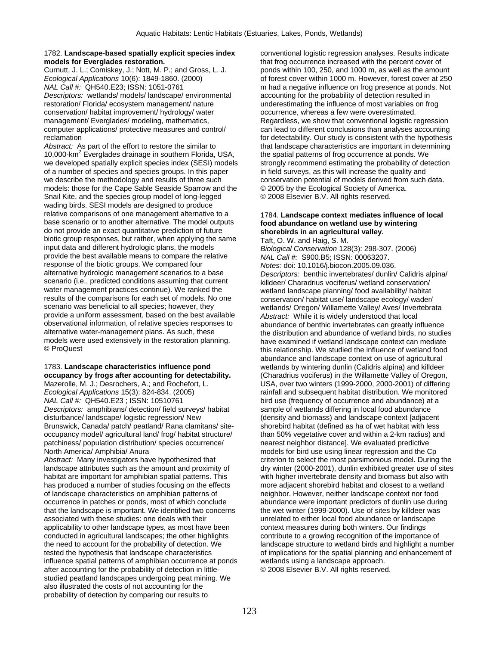### 1782. **Landscape-based spatially explicit species index** conventional logistic regression analyses. Results indicate **models for Everglades restoration. that frog occurrence increased with the percent cover of**

*Descriptors:* wetlands/ models/ landscape/ environmental accounting for the probability of detection resulted in restoration/ Florida/ ecosystem management/ nature underestimating the influence of most variables on frog conservation/ habitat improvement/ hydrology/ water occurrence, whereas a few were overestimated.<br>management/ Everglades/ modeling, mathematics, Regardless, we show that conventional logistic r

*Abstract:* As part of the effort to restore the similar to that landscape characteristics are important in determining 10,000-km<sup>2</sup> Everglades drainage in southern Florida, USA, we developed spatially explicit species index (SESI) models strongly recommend estimating the probability of detection of a number of species and species groups. In this paper in field surveys, as this will increase the quality and we describe the methodology and results of three such conservation potential of models derived from such data.<br>models: those for the Cape Sable Seaside Sparrow and the © 2005 by the Ecological Society of America. models: those for the Cape Sable Seaside Sparrow and the  $\degree$  0 2005 by the Ecological Society of Ame<br>Snail Kite, and the species group model of long-legged  $\degree$  0 2008 Elsevier B.V. All rights reserved. Snail Kite, and the species group model of long-legged wading birds. SESI models are designed to produce relative comparisons of one management alternative to a 1784. **Landscape context mediates influence of local base** scenario or to another alternative. The model outputs **to define the model and alternative** on wetland us do not provide an exact quantitative prediction of future **shorebirds in an agricultural valley.**  biotic group responses, but rather, when applying the same Taft, O. W. and Haig, S. M.<br>
input data and different hydrologic plans, the models Biological Conservation 128 provide the best available means to compare the relative response of the biotic groups. We compared four response of the biotic groups. We compared four *Notes:* doi: 10.1016/j.biocon.2005.09.036.<br>
alternative hydrologic management scenarios to a base *Descriptors:* benthic invertebrates/ dunlin/ scenario (i.e., predicted conditions assuming that current killdeer/ Charadrius vociferus/ wetland conservation/<br>wetland landscape planning/ food availability/ habitat results of the comparisons for each set of models. No one conservation/ habitat use/ landscape ecology/ wader/<br>scenario was beneficial to all species; however, they were were vertands/ Oregon/ Willamette Valley/ Aves/ Inve provide a uniform assessment, based on the best available *Abstract:* While it is widely understood that local observational information, of relative species responses to abundance of benthic invertebrates can greatly influence<br>alternative water-management plans. As such, these the distribution and abundance of wetland birds, no st alternative water-management plans. As such, these the distribution and abundance of wetland birds, no studies<br>models were used extensively in the restoration planning. The have examined if wetland landscape context can me models were used extensively in the restoration planning.<br>have examined if wetland landscape context can mediate<br>this relationship. We studied the influence of wetland food

*NAL Call #:* QH540.E23 ; ISSN: 10510761 bird use (frequency of occurrence and abundance) at a *Descriptors:* amphibians/ detection/ field surveys/ habitat sample of wetlands differing in local food abundance disturbance/ landscape/ logistic regression/ New (density and biomass) and landscape context [adjacent Brunswick, Canada/ patch/ peatland/ Rana clamitans/ site- shorebird habitat (defined as ha of wet habitat with less occupancy model/ agricultural land/ frog/ habitat structure/ than 50% vegetative cover and within a 2-km radius) and patchiness/ population distribution/ species occurrence/ nearest neighbor distance]. We evaluated predictive North America/ Amphibia/ Anura models for bird use using linear regression and the Cp

*Abstract:* Many investigators have hypothesized that criterion to select the most parsimonious model. During the landscape attributes such as the amount and proximity of dry winter (2000-2001), dunlin exhibited greater us habitat are important for amphibian spatial patterns. This with higher invertebrate density and biomass but also with has produced a number of studies focusing on the effects more adjacent shorebird habitat and closest to a wetland of landscape characteristics on amphibian patterns of neighbor. However, neither landscape context nor food<br>
occurrence in patches or ponds, most of which conclude abundance were important predictors of dunlin use duri that the landscape is important. We identified two concerns associated with these studies: one deals with their unrelated to either local food abundance or landscape applicability to other landscape types, as most have been context measures during both winters. Our findings conducted in agricultural landscapes; the other highlights contribute to a growing recognition of the importance of tested the hypothesis that landscape characteristics of implications for the spatial planning and enhancement of influence spatial patterns of amphibian occurrence at ponds wetlands using a landscape approach. after accounting for the probability of detection in little- © 2008 Elsevier B.V. All rights reserved. studied peatland landscapes undergoing peat mining. We also illustrated the costs of not accounting for the probability of detection by comparing our results to

Curnutt, J. L.; Comiskey, J.; Nott, M. P.; and Gross, L. J. ponds within 100, 250, and 1000 m, as well as the amount Ecological Applications 10(6): 1849-1860. (2000) or the strower within 1000 m. However, forest cover at 2 *Ecological Applications* 10(6): 1849-1860. (2000) of forest cover within 1000 m. However, forest cover at 250<br>MAL Call #: QH540.E23; ISSN: 1051-0761 m had a negative influence on frog presence at ponds. Not *m* had a negative influence on frog presence at ponds. Not Regardless, we show that conventional logistic regression computer applications/ protective measures and control/ can lead to different conclusions than analyses accounting reclamation for detectability. Our study is consistent with the hypothesis the spatial patterns of frog occurrence at ponds. We

# food abundance on wetland use by wintering

Biological Conservation 128(3): 298-307. (2006)<br>NAL Call #: S900.B5: ISSN: 00063207. Descriptors: benthic invertebrates/ dunlin/ Calidris alpina/ wetland landscape planning/ food availability/ habitat wetlands/ Oregon/ Willamette Valley/ Aves/ Invertebrata this relationship. We studied the influence of wetland food abundance and landscape context on use of agricultural 1783. **Landscape characteristics influence pond** wetlands by wintering dunlin (Calidris alpina) and killdeer **occupancy by frogs after accounting for detectability.** (Charadrius vociferus) in the Willamette Valley of Oregon,<br>Mazerolle, M. J.; Desrochers, A.; and Rochefort, L. (USA, over two winters (1999-2000, 2000-2001) of diffe USA, over two winters (1999-2000, 2000-2001) of differing *Ecological Applications* 15(3): 824-834. (2005) rainfall and subsequent habitat distribution. We monitored dry winter (2000-2001), dunlin exhibited greater use of sites abundance were important predictors of dunlin use during<br>the wet winter (1999-2000). Use of sites by killdeer was the need to account for the probability of detection. We landscape structure to wetland birds and highlight a number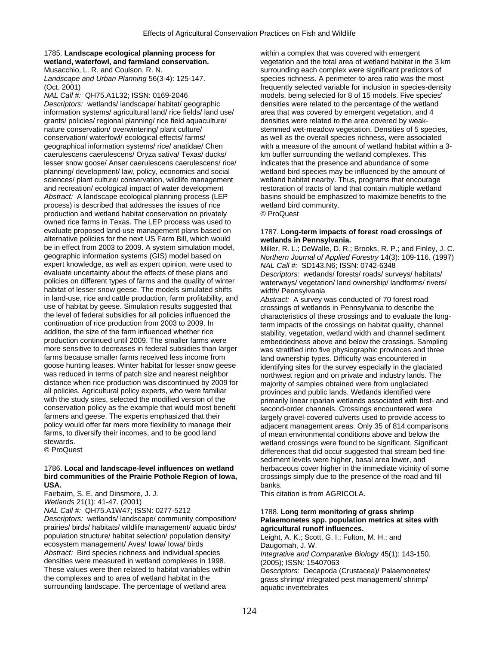## 1785. **Landscape ecological planning process for** within a complex that was covered with emergent

*Descriptors:* wetlands/ landscape/ habitat/ geographic densities were related to the percentage of the wetland information systems/ agricultural land/ rice fields/ land use/ area that was covered by emergent vegetation, and 4 densities were related to the area covered by weakgrants/ policies/ regional planning/ rice field aquaculture/ nature conservation/ overwintering/ plant culture/ stemmed wet-meadow vegetation. Densities of 5 species, conservation/ waterfowl/ ecological effects/ farms/ as well as the overall species richness, were associated geographical information systems/ rice/ anatidae/ Chen with a measure of the amount of wetland habitat within a 3 caerulescens caerulescens/ Oryza sativa/ Texas/ ducks/ km buffer surrounding the wetland complexes. This lesser snow goose/ Anser caerulescens caerulescens/ rice/ indicates that the presence and abundance of some planning/ development/ law, policy, economics and social wetland bird species may be influenced by the amount of sciences/ plant culture/ conservation, wildlife management wetland habitat nearby. Thus, programs that encourage and recreation/ ecological impact of water development restoration of tracts of land that contain multiple we and recreation/ ecological impact of water development restoration of tracts of land that contain multiple wetland<br>Abstract: A landscape ecological planning process (LEP basins should be emphasized to maximize benefits to *Abstract: A landscape ecological planning process (LEP* process) is described that addresses the issues of rice wetland bird community. production and wetland habitat conservation on privately © ProQuest owned rice farms in Texas. The LEP process was used to evaluate proposed land-use management plans based on 1787. Long-term impacts of forest road crossings of alternative policies for the next US Farm Bill, which would **wetlands in Pennsylvania.**  be in effect from 2003 to 2009. A system simulation model, Miller, R. L.; DeWalle, D. R.; Brooks, R. P.; and Finley, J. C.<br>Geographic information systems (GIS) model based on Morthern Journal of Applied Forestry 14(3): 109 expert knowledge, as well as expert opinion, were used to *NAL Call #:* SD143.N6; ISSN: 0742-6348<br>evaluate uncertainty about the effects of these plans and *Descriptors: wetlands/ forests/ roads/ surv* evaluate uncertainty about the effects of these plans and *Descriptors:* wetlands/ forests/ roads/ surveys/ habitats/ habitat of lesser snow geese. The models simulated shifts width/ Pennsylvania in land-use, rice and cattle production, farm profitability, and *Abstract:* A survey was conducted of 70 forest road use of habitat by geese. Simulation results suggested that crossings of wetlands in Pennsylvania to describe the the level of federal subsidies for all policies influenced the characteristics of these crossings and to evaluate the long-<br>continuation of rice production from 2003 to 2009. In the research the crossings on babitat qualit continuation of rice production from 2003 to 2009. In term impacts of the crossings on habitat quality, channel<br>ctrition, the size of the farm influenced whether rice stability vegetation, wetland width and channel sedimen addition, the size of the farm influenced whether rice stability, vegetation, wetland width and channel sediment<br>production continued until 2009. The smaller farms were embeddedness above and below the crossings. Sampling production continued until 2009. The smaller farms were embeddedness above and below the crossings. Sampling<br>more sensitive to decreases in federal subsidies than larger was stratified into five physiographic provinces and more sensitive to decreases in federal subsidies than larger was stratified into five physiographic provinces and three<br>
farms because smaller farms received less income from a land ownership types. Difficulty was encounte farms because smaller farms received less income from land ownership types. Difficulty was encountered in goose hunting leases. Winter habitat for lesser snow geese identifying sites for the survey especially in the glaci goose hunting leases. Winter habitat for lesser snow geese identifying sites for the survey especially in the glaciated<br>was reduced in terms of patch size and nearest neighbor in profitivest region and on private and indus distance when rice production was discontinued by 2009 for majority of samples obtained were from unglaciated all policies. Agricultural policy experts, who were familiar provinces and public lands. Wetlands identified were<br>with the study sites, selected the modified version of the primarily linear riparian wetlands associated wit conservation policy as the example that would most benefit<br>farmers and geese. The experts emphasized that their<br>largely gravel-covered culverts used to provide acces farmers and geese. The experts emphasized that their largely gravel-covered culverts used to provide access to<br>policy would offer far mers more flexibility to manage their adiacent management areas. Only 35 of 814 comparis policy would offer far mers more flexibility to manage their adjacent management areas. Only 35 of 814 comparisons<br>farms, to diversify their incomes, and to be good land<br>of mean environmental conditions above and below the farms, to diversify their incomes, and to be good land of mean environmental conditions above and below the<br>stewards. wetland crossings were found to be significant. Significa

### 1786. **Local and landscape-level influences on wetland** herbaceous cover higher in the immediate vicinity of some **bird communities of the Prairie Pothole Region of Iowa,** crossings simply due to the presence of the road and fill **USA.** banks.

Fairbairn, S. E. and Dinsmore, J. J. This citation is from AGRICOLA.

*Wetlands* 21(1): 41-47. (2001) *NAL Call #:* QH75.A1W47; ISSN: 0277-5212 1788. **Long term monitoring of grass shrimp**  prairies/ birds/ habitats/ wildlife management/ aquatic birds/ **agricultural runoff influences.**  population structure/ habitat selection/ population density/ Leight, A. K.; Scott, G. I.; Fulton, M. H.; and ecosystem management/ Aves/ Iowa/ Iowa/ birds Daugomah, J. W.<br>Abstract: Bird species richness and individual species *Integrative and Comment* densities were measured in wetland complexes in 1998.<br>These values were then related to habitat variables within These values were then related to habitat variables within *Descriptors:* Decapoda (Crustacea)/ Palaemonetes/<br>the complexes and to area of wetland habitat in the crass shrimp/ integrated pest management/ shrimp/ surrounding landscape. The percentage of wetland area aquatic invertebrates

**wetland, waterfowl, and farmland conservation.** vegetation and the total area of wetland habitat in the 3 km Musacchio, L. R. and Coulson, R. N. Surrounding each complex were significant predictors of Landscape and Urban Planning 56(3-4): 125-147. Landscape and Urban Planning 56(3-4): 125-147.<br>(Oct. 2001) species richness. A perimeter-to-area ratio was the most<br>frequently selected variable for inclusion in species-densi frequently selected variable for inclusion in species-density *NAL Call #:* QH75.A1L32; ISSN: 0169-2046 models, being selected for 8 of 15 models. Five species'

Northern Journal of Applied Forestry 14(3): 109-116. (1997) waterways/ vegetation/ land ownership/ landforms/ rivers/

northwest region and on private and industry lands. The primarily linear riparian wetlands associated with first- and stewards. wetland crossings were found to be significant. Significant differences that did occur suggested that stream bed fine sediment levels were higher, basal area lower, and

# **Palaemonetes spp. population metrics at sites with**

*Abstractive and Comparative Biology 45(1): 143-150.*<br>(2005); ISSN: 15407063

qrass shrimp/ integrated pest management/ shrimp/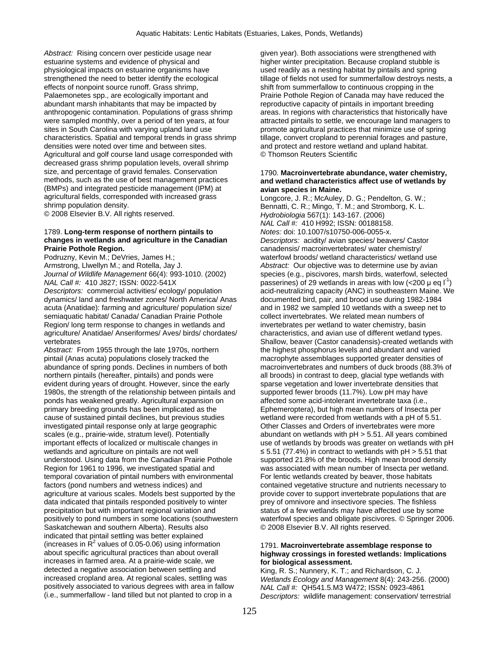Abstract: Rising concern over pesticide usage near given year). Both associations were strengthened with estuarine systems and evidence of physical and higher winter precipitation. Because cropland stubble is physiological impacts on estuarine organisms have used readily as a nesting habitat by pintails and spring strengthened the need to better identify the ecological tillage of fields not used for summerfallow destroys nests, a effects of nonpoint source runoff. Grass shrimp, shift from summerfallow to continuous cropping in the Palaemonetes spp., are ecologically important and Prairie Pothole Region of Canada may have reduced the abundant marsh inhabitants that may be impacted by reproductive capacity of pintails in important breeding anthropogenic contamination. Populations of grass shrimp areas. In regions with characteristics that historically have were sampled monthly, over a period of ten years, at four attracted pintails to settle, we encourage land managers to sites in South Carolina with varying upland land use promote agricultural practices that minimize use of spring characteristics. Spatial and temporal trends in grass shrimp tillage, convert cropland to perennial forages and pasture, densities were noted over time and between sites. and protect and restore wetland and upland habitat. Agricultural and golf course land usage corresponded with © Thomson Reuters Scientific decreased grass shrimp population levels, overall shrimp size, and percentage of gravid females. Conservation 1790. **Macroinvertebrate abundance, water chemistry,** methods, such as the use of best management practices and wetland characteristics affect use of wetlands by (BMPs) and integrated pesticide management (IPM) at **avian species in Maine.**  agricultural fields, corresponded with increased grass Longcore, J. R.; McAuley, D. G.; Pendelton, G. W.; Shrimp population density.<br>Bennatti. C. R.: Mingo. T. M.: and Stromborg. K. L.

### 1789. **Long-term response of northern pintails to** *Notes:* doi: 10.1007/s10750-006-0055-x. **changes in wetlands and agriculture in the Canadian** *Descriptors:* acidity/ avian species/ beavers/ Castor **Prairie Pothole Region.** canadensis/ macroinvertebrates/ water chemistry/

Podruzny, Kevin M.; DeVries, James H.; waterfowl broods/ wetland characteristics/ wetland use Armstrong, Llwellyn M.; and Rotella, Jay J. *Abstract:* Our objective was to determine use by avian

dynamics/ land and freshwater zones/ North America/ Anas documented bird, pair, and brood use during 1982-1984 acuta (Anatidae): farming and agriculture/ population size/ and in 1982 we sampled 10 wetlands with a sweep net to semiaquatic habitat/ Canada/ Canadian Prairie Pothole collect invertebrates. We related mean numbers of Region/ long term response to changes in wetlands and invertebrates per wetland to water chemistry, basin agriculture/ Anatidae/ Anseriformes/ Aves/ birds/ chordates/ characteristics, and avian use of different wetland types. vertebrates vertebrates subsection of the Shallow, beaver (Castor canadensis)-created wetlands with

*Abstract:* From 1955 through the late 1970s, northern the highest phosphorus levels and abundant and varied pintail (Anas acuta) populations closely tracked the macrophyte assemblages supported greater densities of abundance of spring ponds. Declines in numbers of both macroinvertebrates and numbers of duck broods (88.3% of northern pintails (hereafter, pintails) and ponds were all broods) in contrast to deep, glacial type wetlands with evident during years of drought. However, since the early sparse vegetation and lower invertebrate densities that 1980s, the strength of the relationship between pintails and supported fewer broods (11.7%). Low pH may have ponds has weakened greatly. Agricultural expansion on affected some acid-intolerant invertebrate taxa (i.e., primary breeding grounds has been implicated as the Ephemeroptera), but high mean numbers of Insecta per cause of sustained pintail declines, but previous studies wetland were recorded from wetlands with a pH of 5.51. investigated pintail response only at large geographic Other Classes and Orders of invertebrates were more scales (e.g., prairie-wide, stratum level). Potentially abundant on wetlands with pH > 5.51. All years combined important effects of localized or multiscale changes in use of wetlands by broods was greater on wetlands with pH wetlands and agriculture on pintails are not well  $\leq$  5.51 (77.4%) in contract to wetlands with pH  $>$  5.51 that understood. Using data from the Canadian Prairie Pothole supported 21.8% of the broods. High mean brood density Region for 1961 to 1996, we investigated spatial and was associated with mean number of Insecta per wetland. temporal covariation of pintail numbers with environmental For lentic wetlands created by beaver, those habitats factors (pond numbers and wetness indices) and contained vegetative structure and nutrients necessary to agriculture at various scales. Models best supported by the provide cover to support invertebrate populations that are data indicated that pintails responded positively to winter prey of omnivore and insectivore species. The fishless precipitation but with important regional variation and status of a few wetlands may have affected use by some positively to pond numbers in some locations (southwestern waterfowl species and obligate piscivores. © Springer 2006. Saskatchewan and southern Alberta). Results also © 2008 Elsevier B.V. All rights reserved. indicated that pintail settling was better explained (increases in  $R^2$  values of 0.05-0.06) using information (increases in R<sup>2</sup> values of 0.05-0.06) using information 1791. **Macroinvertebrate assemblage response to**<br>about specific agricultural practices than about overall **burning burning burning in forested wetlands: Implicati** increases in farmed area. At a prairie-wide scale, we **for biological assessment.**<br>detected a negative association between settling and **For all Replaces King, R. S.: Nunnery, K. T.:** a detected a negative association between settling and King, R. S.; Nunnery, K. T.; and Richardson, C. J. increased cropland area. At regional scales, settling was Wetlands Ecology and Management 8(4): 243-256 positively associated to various degrees with area in fallow *NAL Call #:* QH541.5.M3 W472; ISSN: 0923-4861<br>(i.e., summerfallow - land tilled but not planted to crop in a *Descriptors:* wildlife management: conservation/ t

# and wetland characteristics affect use of wetlands by

shrimp population density.<br>
© 2008 Elsevier B.V. All rights reserved. The same state of the Hydrobiologia 567(1): 143-167. (2006) © 2008 Elsevier B.V. All rights reserved. *Hydrobiologia* 567(1): 143-167. (2006) *NAL Call #:* 410 H992; ISSN: 00188158. *Journal of Wildlife Management* 66(4): 993-1010. (2002) species (e.g., piscivores, marsh birds, waterfowl, selected *NAL Call #:* 410 J827; ISSN: 0022-541X passerines) of 29 wetlands in areas with low (<200 μ eq l<sup>-1</sup>) *Descriptors:* commercial activities/ ecology/ population acid-neutralizing capacity (ANC) in southeastern Maine. We macrophyte assemblages supported greater densities of

# highway crossings in forested wetlands: Implications

Wetlands Ecology and Management 8(4): 243-256. (2000) Descriptors: wildlife management: conservation/ terrestrial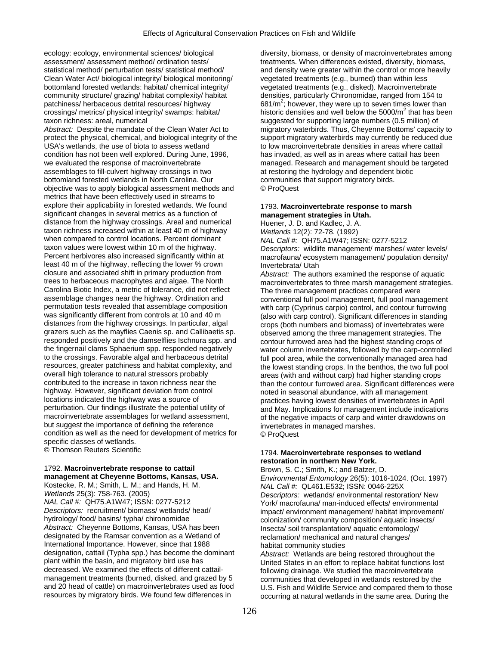ecology: ecology, environmental sciences/ biological diversity, biomass, or density of macroinvertebrates among assessment/ assessment method/ ordination tests/ treatments. When differences existed, diversity, biomass, Clean Water Act/ biological integrity/ biological monitoring/ vegetated treatments (e.g., burned) than within less bottomland forested wetlands: habitat/ chemical integrity/ vegetated treatments (e.g., disked). Macroinvertebrate community structure/ grazing/ habitat complexity/ habitat densities, particularly Chironomidae, ranged from 154 to patchiness/ herbaceous detrital resources/ highway crossings/ metrics/ physical integrity/ swamps: habitat/ taxon richness: areal, numerical suggested for supporting large numbers (0.5 million) of

*Abstract:* Despite the mandate of the Clean Water Act to migratory waterbirds. Thus, Cheyenne Bottoms' capacity to protect the physical, chemical, and biological integrity of the support migratory waterbirds may currently be reduced due USA's wetlands, the use of biota to assess wetland to low macroinvertebrate densities in areas where cattail condition has not been well explored. During June, 1996, has invaded, as well as in areas where cattail has been we evaluated the response of macroinvertebrate managed. Research and management should be targeted assemblages to fill-culvert highway crossings in two at restoring the hydrology and dependent biotic bottomland forested wetlands in North Carolina. Our communities that support migratory birds. objective was to apply biological assessment methods and © ProQuest metrics that have been effectively used in streams to explore their applicability in forested wetlands. We found 1793. **Macroinvertebrate response to marsh**  significant changes in several metrics as a function of **management strategies in Utah.**  distance from the highway crossings. Areal and numerical Huener, J. D. and Kadlec, J. A. taxon richness increased within at least 40 m of highway *Wetlands* 12(2): 72-78. (1992) when compared to control locations. Percent dominant *NAL Call #:* QH75.A1W47; ISSN: 0277-5212<br>
rescriptors: wildlife management/marshes/ taxon values were lowest within 10 m of the highway. *Descriptors:* wildlife management/ marshes/ water levels/ least 40 m of the highway, reflecting the lower % crown Invertebrata/ Utah closure and associated shift in primary production from Abstract: The auth closure and associated shift in primary production from *Abstract:* The authors examined the response of aquatic Carolina Biotic Index, a metric of tolerance, did not reflect The three management practices compared were<br>
assemblage changes near the highway. Ordination and The conventional full pool management, full pool mana assemblage changes near the highway. Ordination and conventional full pool management, full pool management<br>permutation tests revealed that assemblage composition with carp (Cyprinus carpio) control, and contour furrowing permutation tests revealed that assemblage composition with carp (Cyprinus carpio) control, and contour furrowing was significantly different from controls at 10 and 40 m (also with carp control). Significant differences in standing<br>distances from the highway crossings. In particular, algal crops (both numbers and biomass) of inverteb grazers such as the mayflies Caenis sp. and Callibaetis sp. observed among the three management strategies. The responded positively and the damselflies Ischnura spp. and contour furrowed area had the highest standing crop responded positively and the damselflies Ischnura spp. and contour furrowed area had the highest standing crops of<br>the fingernail clams Sphaerium spp. responded negatively water column invertebrates followed by the carp-co the fingernail clams Sphaerium spp. responded negatively water column invertebrates, followed by the carp-controlled<br>to the crossings. Favorable algal and herbaceous detrital full pool area while the conventionally managed to the crossings. Favorable algal and herbaceous detrital full pool area, while the conventionally managed area had<br>
resources, greater patchiness and habitat complexity, and the lowest standing crops. In the benthos, the resources, greater patchiness and habitat complexity, and the lowest standing crops. In the benthos, the two full pool overall high tolerance to natural stressors probably areas (with and without carp) had bigher standing overall high tolerance to natural stressors probably areas (with and without carp) had higher standing crops<br>contributed to the increase in taxon richness near the the standing the contour furrowed area. Significant differ contributed to the increase in taxon richness near the than the contour furrowed area. Significant differences were<br>highway. However, significant deviation from control high than the contour furrowed area. Significant diff highway. However, significant deviation from control hoted in seasonal abundance, with all management<br>locations indicated the highway was a source of hotel practices having lowest densities of invertebrates in locations indicated the highway was a source of practices having lowest densities of invertebrates in April<br>
perturbation. Our findings illustrate the potential utility of and May, Implications for management include indic perturbation. Our findings illustrate the potential utility of and May. Implications for management include indications<br>macroinvertebrate assemblages for wetland assessment, of the negative impacts of carp and winter drawd but suggest the importance of defining the reference invertebrates in managed marshes. condition as well as the need for development of metrics for © ProQuest specific classes of wetlands.

## 1792. **Macroinvertebrate response to cattail** Brown, S. C.; Smith, K.; and Batzer, D.

Kostecke, R. M.; Smith, L. M.; and Hands, H. M. *NAL Call #: QL461.E532; ISSN: 0046-225X*<br>Wetlands 25(3): 758-763. (2005) *Netlands Constructions*: wetlands/environmental restors *Wetlands* 25(3): 758-763. (2005) *Descriptors:* wetlands/ environmental restoration/ New *NAL Call #:* QH75.A1W47; ISSN: 0277-5212 *York/ macrofauna/ man-induced effects/ environmental*<br>Descriptors: recruitment/ biomass/ wetlands/ head/ impact/ environment management/ habitat improvemen *Descriptors:* recruitment/ biomass/ wetlands/ head/ impact/ environment management/ habitat improvement/<br>hydrology/ food/ basins/ typha/ chironomidae environment colonization/ community composition/ aquatic insects/ hydrology/ food/ basins/ typha/ chironomidae colonization/ community composition/ aquatic insects/<br>Abstract: Chevenne Bottoms, Kansas, USA has been less losectal soil transplantation/ aquatic entomology/ *Abstract:* Cheyenne Bottoms, Kansas, USA has been Insecta/ soil transplantation/ aquatic entomology/ designated by the Ramsar convention as a Wetland of Insectamerican mechanical and natural changes/ International Importance. However, since that 1988 habitat community studies designation, cattail (Typha spp.) has become the dominant *Abstract:* Wetlands are being restored throughout the plant within the basin, and migratory bird use has United States in an effort to replace habitat functions Id plant within the basin, and migratory bird use has United States in an effort to replace habitat functions lost<br>decreased. We examined the effects of different cattail-<br>following drainage. We studied the macroinvertebrate management treatments (burned, disked, and grazed by 5 communities that developed in wetlands restored by the<br>and 20 head of cattle) on macroinvertebrates used as food U.S. Fish and Wildlife Service and compared them to th

statistical method/ perturbation tests/ statistical method/ and density were greater within the control or more heavily  $681/m^2$ ; however, they were up to seven times lower than historic densities and well below the  $5000/m<sup>2</sup>$  that has been

macrofauna/ ecosystem management/ population density/

macroinvertebrates to three marsh management strategies. crops (both numbers and biomass) of invertebrates were of the negative impacts of carp and winter drawdowns on

### © Thomson Reuters Scientific 1794. **Macroinvertebrate responses to wetland restoration in northern New York.**

**management at Cheyenne Bottoms, Kansas, USA.** *Environmental Entomology* 26(5): 1016-1024. (Oct. 1997) reclamation/ mechanical and natural changes/

following drainage. We studied the macroinvertebrate and 20 head of cattle) on macroinvertebrates used as food U.S. Fish and Wildlife Service and compared them to those<br>
resources by migratory birds. We found few differences in execution at natural wetlands in the same area. occurring at natural wetlands in the same area. During the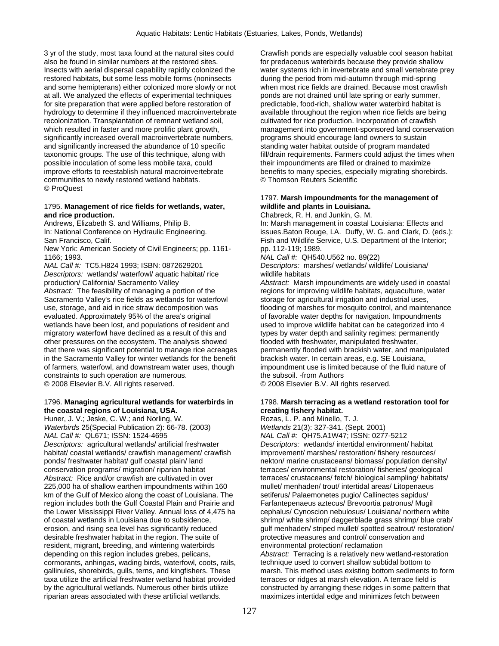3 yr of the study, most taxa found at the natural sites could Crawfish ponds are especially valuable cool season habitat also be found in similar numbers at the restored sites. for predaceous waterbirds because they provide shallow restored habitats, but some less mobile forms (noninsects during the period from mid-autumn through mid-spring and some hemipterans) either colonized more slowly or not when most rice fields are drained. Because most crawfish at all. We analyzed the effects of experimental techniques ponds are not drained until late spring or early summer, for site preparation that were applied before restoration of predictable, food-rich, shallow water waterbird habitat is hydrology to determine if they influenced macroinvertebrate available throughout the region when rice fields are being<br>recolonization. Transplantation of remnant wetland soil. cultivated for rice production. Incorporation which resulted in faster and more prolific plant growth, management into government-sponsored land conservation significantly increased overall macroinvertebrate numbers, programs should encourage land owners to sustain and significantly increased the abundance of 10 specific standing water habitat outside of program mandated possible inoculation of some less mobile taxa, could their impoundments are filled or drained to maximize improve efforts to reestablish natural macroinvertebrate benefits to many species, especially migrating shorebirds. communities to newly restored wetland habitats. © Thomson Reuters Scientific © ProQuest

### 1795. **Management of rice fields for wetlands, water, wildlife and plants in Louisiana. and rice production.** Chabreck, R. H. and Junkin, G. M.

New York: American Society of Civil Engineers; pp. 1161- pp. 112-119; 1989. 1166; 1993. *NAL Call #:* QH540.U562 no. 89(22)

**Descriptors:** wetlands/ waterfowl/ aquatic habitat/ rice wildlife habitats production/ California/ Sacramento Valley *Abstract:* Marsl

Sacramento Valley's rice fields as wetlands for waterfowl storage for agricultural irrigation and industrial uses, use, storage, and aid in rice straw decomposition was flooding of marshes for mosquito control, and maintenance evaluated. Approximately 95% of the area's original of favorable water depths for navigation. Impoundments wetlands have been lost, and populations of resident and used to improve wildlife habitat can be categorized into 4 migratory waterfowl have declined as a result of this and types by water depth and salinity regimes: permanently other pressures on the ecosystem. The analysis showed flooded with freshwater, manipulated freshwater, that there was significant potential to manage rice acreages permanently flooded with brackish water, and manipulated in the Sacramento Valley for winter wetlands for the benefit brackish water. In certain areas, e.g. SE Louisiana, of farmers, waterfowl, and downstream water uses, though impoundment use is limited because of the fluid nature of constraints to such operation are numerous. the subsoil. -from Authors © 2008 Elsevier B.V. All rights reserved. © 2008 Elsevier B.V. All rights reserved.

# **the coastal regions of Louisiana, USA. creating fishery habitat. Huner, J. V.; Jeske, C. W.; and Norling, W. creating Fishery habitat. Huner, J. V.; Jeske, C. W.; and Norling, W. C. C. C. C. C. C. C. C. C. C. C.**

Huner, J. V.; Jeske, C. W.; and Norling, W. *Waterbirds* 25(Special Publication 2): 66-78. (2003) *Wetlands* 21(3): 327-341. (Sept. 2001) *Descriptors:* agricultural wetlands/ artificial freshwater *Descriptors:* wetlands/ intertidal environment/ habitat habitat/ coastal wetlands/ crawfish management/ crawfish improvement/ marshes/ restoration/ fishery resources/ ponds/ freshwater habitat/ gulf coastal plain/ land nekton/ marine crustaceans/ biomass/ population density/ conservation programs/ migration/ riparian habitat terraces/ environmental restoration/ fisheries/ geological Abstract: Rice and/or crawfish are cultivated in over terraces/ crustaceans/ fetch/ biological sampling/ habitats/ 225,000 ha of shallow earthen impoundments within 160 mullet/ menhaden/ trout/ intertidal areas/ Litopenaeus km of the Gulf of Mexico along the coast of Louisiana. The setiferus/ Palaemonetes pugio/ Callinectes sapidus/ region includes both the Gulf Coastal Plain and Prairie and Farfantepenaeus aztecus/ Brevoortia patronus/ Mugil<br>
the Lower Mississippi River Valley. Annual loss of 4,475 ha cephalus/ Cynoscion nebulosus/ Louisiana/ norther the Lower Mississippi River Valley. Annual loss of 4,475 ha of coastal wetlands in Louisiana due to subsidence, shrimp/ white shrimp/ daggerblade grass shrimp/ blue crab/ desirable freshwater habitat in the region. The suite of protective measures and control/ conservation and resident, migrant, breeding, and wintering waterbirds environmental protection/ reclamation depending on this region includes grebes, pelicans, *Abstract:* Terracing is a relatively new wetland-restoration cormorants, anhingas, wading birds, waterfowl, coots, rails, technique used to convert shallow subtidal bottom to taxa utilize the artificial freshwater wetland habitat provided terraces or ridges at marsh elevation. A terrace field is by the agricultural wetlands. Numerous other birds utilize constructed by arranging these ridges in some pattern that riparian areas associated with these artificial wetlands. maximizes intertidal edge and minimizes fetch between

Insects with aerial dispersal capability rapidly colonized the water systems rich in invertebrate and small vertebrate prey cultivated for rice production. Incorporation of crawfish taxonomic groups. The use of this technique, along with fill/drain requirements. Farmers could adjust the times when

## 1797. **Marsh impoundments for the management of**

Andrews, Elizabeth S. and Williams, Philip B. In: Marsh management in coastal Louisiana: Effects and In: National Conference on Hydraulic Engineering. issues.Baton Rouge, LA. Duffy, W. G. and Clark, D. (eds.): San Francisco, Calif. Fish and Wildlife Service, U.S. Department of the Interior;

*NAL Call #:* TC5.H824 1993; ISBN: 0872629201 *Descriptors:* marshes/ wetlands/ wildlife/ Louisiana/

production/ California/ Sacramento Valley *Abstract:* Marsh impoundments are widely used in coastal<br>Abstract: The feasibility of managing a portion of the regions for improving wildlife habitats, aquaculture, water regions for improving wildlife habitats, aquaculture, water

## 1796. **Managing agricultural wetlands for waterbirds in** 1798. **Marsh terracing as a wetland restoration tool for**

*NAL Call #: QH75.A1W47; ISSN: 0277-5212* erosion, and rising sea level has significantly reduced gulf menhaden/ striped mullet/ spotted seatrout/ restoration/

gallinules, shorebirds, gulls, terns, and kingfishers. These marsh. This method uses existing bottom sediments to form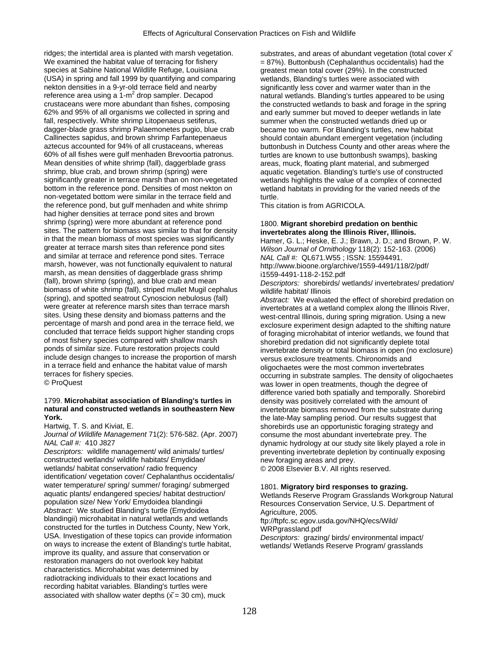We examined the habitat value of terracing for fishery  $= 87\%$ ). Buttonbush (Cephalanthus occidentalis) had the species at Sabine National Wildlife Refuge, Louisiana  $q$  are detect mean total cover (29%). In the construc (USA) in spring and fall 1999 by quantifying and comparing wetlands, Blanding's turtles were associated with reference area using a  $1-m^2$  drop sampler. Decapod crustaceans were more abundant than fishes, composing crustaceans were more abundant than fishes, composing the constructed wetlands to bask and forage in the spring<br>62% and 95% of all organisms we collected in spring and and early summer but moved to deeper wetlands in late fall, respectively. White shrimp Litopenaeus setiferus, summer when the constructed wetlands dried up or dagger-blade grass shrimp Palaemonetes pugio, blue crab became too warm. For Blanding's turtles, new habite Callinectes sapidus, and brown shrimp Farfantepenaeus should contain abundant emergent vegetation (including aztecus accounted for 94% of all crustaceans, whereas buttonbush in Dutchess County and other areas where the 60% of all fishes were gulf menhaden Brevoortia patronus. turtles are known to use buttonbush swamps), basking Mean densities of white shrimp (fall), daggerblade grass areas, muck, floating plant material, and submerged<br>shrimp, blue crab, and brown shrimp (spring) were aguatic vegetation. Blanding's turtle's use of construc significantly greater in terrace marsh than on non-vegetated wetlands highlights the value of a complex of connected<br>bottom in the reference pond. Densities of most nekton on wetland habitats in providing for the varied ne non-vegetated bottom were similar in the terrace field and turtle. the reference pond, but gulf menhaden and white shrimp This citation is from AGRICOLA. had higher densities at terrace pond sites and brown shrimp (spring) were more abundant at reference pond<br>sites. The pattern for biomass was similar to that for density<br>in that the mean biomass of most species was significantly<br>greater at terrace marsh sites than reference p greater at terrace marsh sites than reference pond sites *Wilson Journal of Ornithology* 118(2): 152-163. (2006) and similar at terrace and reference pond sites. Terrace *NAL Call #: QL671.W55*; ISSN: 15594491.<br>marsh, howe marsh, however, was not functionally equivalent to natural<br>
marsh, as mean densities of daggerblade grass shrimp<br>
(fall), brown shrimp (spring), and blue crab and mean<br>
biomass of white shrimp (fall), striped mullet Mugil (spring), and spotted seatrout Cynoscion nebulosus (fall)<br>were greater at reference marsh sites than terrace marsh<br>sites. Using these density and biomass patterns and the<br>percentage of marsh and pond area in the terrace fi

### 1799. **Microhabitat association of Blanding's turtles in** density was positively correlated with the amount of **natural and constructed wetlands in southeastern New** invertebrate biomass removed from the substrate during<br>**York.** The late-May sampling period. Our results suggest that

*Journal of Wildlife Management* 71(2): 576-582. (Apr. 2007) consume the most abundant invertebrate prey. The

constructed wetlands/ wildlife habitats/ Emydidae/ new foraging areas and prey. wetlands/ habitat conservation/ radio frequency  $\heartsuit$  2008 Elsevier B.V. All rights reserved. identification/ vegetation cover/ Cephalanthus occidentalis/ water temperature/ spring/ summer/ foraging/ submerged<br>
aquatic plants/ endangered species/ habitat destruction/<br>
population size/ New York/ Emydoidea blandingii<br>
Abstract: We studied Blanding's turtle (Emydoidea<br>
blanding restoration managers do not overlook key habitat characteristics. Microhabitat was determined by radiotracking individuals to their exact locations and recording habitat variables. Blanding's turtles were associated with shallow water depths ( $\bar{x}$  = 30 cm), muck ̄

ridges; the intertidal area is planted with marsh vegetation. substrates, and areas of abundant vegetation (total cover  $\bar{x}$ <br>We examined the habitat value of terracing for fishery  $= 87\%$ ). Buttonbush (Cephalanthus occ greatest mean total cover (29%). In the constructed significantly less cover and warmer water than in the natural wetlands. Blanding's turtles appeared to be using and early summer but moved to deeper wetlands in late became too warm. For Blanding's turtles, new habitat aquatic vegetation. Blanding's turtle's use of constructed wetland habitats in providing for the varied needs of the ̄

in a terrace field and enhance the habitat value of marsh oligochaetes were the most common invertebrates<br>terraces for fishery species.<br>
© ProQuest was lower in open treatments, though the degree of difference varied both spatially and temporally. Shorebird the late-May sampling period. Our results suggest that Hartwig, T. S. and Kiviat, E. Shorebirds use an opportunistic foraging strategy and *NAL Call #:* 410 J827 *NAL Call #:* 410 J827 dynamic hydrology at our study site likely played a role in<br>Descriptors: wildlife management/ wild animals/ turtles/ preventing invertebrate depletion by continually exposing preventing invertebrate depletion by continually exposing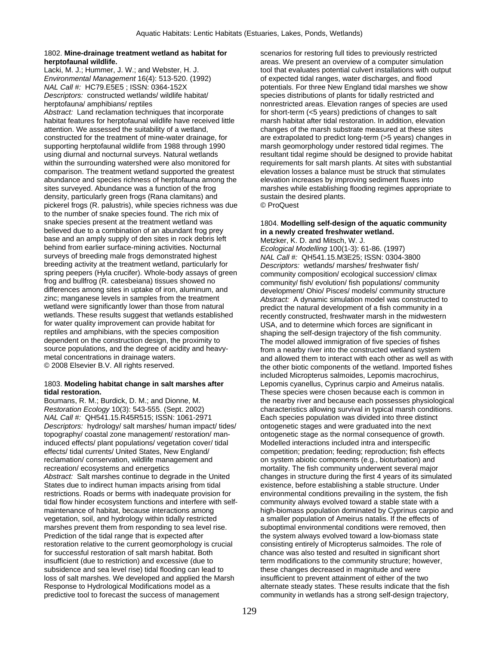### 1802. **Mine-drainage treatment wetland as habitat for** scenarios for restoring full tides to previously restricted **herptofaunal wildlife. areas.** We present an overview of a computer simulation

habitat features for herptofaunal wildlife have received little attention. We assessed the suitability of a wetland, example is changes of the marsh substrate measured at these sites constructed for the treatment of mine-water drainage, for are extrapolated to predict long-term (>5 years) changes in supporting herptofaunal wildlife from 1988 through 1990 marsh geomorphology under restored tidal regimes. The using diurnal and nocturnal surveys. Natural wetlands resultant tidal regime should be designed to provide habitat within the surrounding watershed were also monitored for requirements for salt marsh plants. At sites with substantial comparison. The treatment wetland supported the greatest elevation losses a balance must be struck that stimulates abundance and species richness of herptofauna among the elevation increases by improving sediment fluxes into sites surveyed. Abundance was a function of the frog marshes while establishing flooding regimes appropriate to density, particularly green frogs (Rana clamitans) and sustain the desired plants. pickerel frogs (R. palustris), while species richness was due © ProQuest to the number of snake species found. The rich mix of snake species present at the treatment wetland was 1804. **Modelling self-design of the aquatic community**  believed due to a combination of an abundant frog prey **in a newly created freshwater wetland.**  base and an amply supply of den sites in rock debris left Metzker, K. D. and Mitsch, W. J. behind from earlier surface-mining activities. Nocturnal Freelogical Modelling 100(1-3): 6 surveys of breeding male frogs demonstrated highest *NAL Call #:* QH541.15.M3E25; ISSN: 0304-3800 breeding activity at the treatment wetland, particularly for *Descriptors:* wetlands/ marshes/ freshwater fish/ spring peepers (Hyla crucifer). Whole-body assays of green community composition/ ecological succession/ climax<br>frog and bullfrog (R. catesbeiana) tissues showed no community/ fish/ evolution/ fish populations/ community frog and bullfrog (R. catesbeiana) tissues showed no community/ fish/ evolution/ fish populations/ community<br>differences among sites in uptake of iron, aluminum, and development/ Ohio/ Pisces/ models/ community structur differences among sites in uptake of iron, aluminum, and development/ Ohio/ Pisces/ models/ community structure<br>zinc; manganese levels in samples from the treatment *Abstract:* A dynamic simulation model was constructed to zinc; manganese levels in samples from the treatment *Abstract:* A dynamic simulation model was constructed to wetland were significantly lower than those from natural predict the natural development of a fish community in a<br>wetlands. These results suggest that wetlands established recently constructed, freshwater marsh in the midw wetlands. These results suggest that wetlands established recently constructed, freshwater marsh in the midwestern<br>for water quality improvement can provide habitat for the recently constructed, freshwater marsh in the mid for water quality improvement can provide habitat for USA, and to determine which forces are significant in<br>
reptiles and amphibians, with the species composition<br>
shaping the self-design trajectory of the fish communi reptiles and amphibians, with the species composition shaping the self-design trajectory of the fish community.<br>The model allowed immigration of five species of fishes dependent on the construction design, the proximity to The model allowed immigration of five species of fishes<br>Source populations, and the degree of acidity and heavy-<br>from a nearby river into the constructed wetland syste source populations, and the degree of acidity and heavy-<br>metal concentrations in drainage waters.<br>and allowed them to interact with each other as well as y

*Restoration Ecology* 10(3): 543-555. (Sept. 2002) characteristics allowing survival in typical marsh conditions. *NAL Call #:* QH541.15.R45R515; ISSN: 1061-2971 Each species population was divided into three distinct *Descriptors:* hydrology/ salt marshes/ human impact/ tides/ ontogenetic stages and were graduated into the next topography/ coastal zone management/ restoration/ man- ontogenetic stage as the normal consequence of growth. induced effects/ plant populations/ vegetation cover/ tidal Modelled interactions included intra and interspecific effects/ tidal currents/ United States, New England/ competition; predation; feeding; reproduction; fish effects reclamation/ conservation, wildlife management and on system abiotic components (e.g., bioturbation) and recreation/ ecosystems and energetics more mortality. The fish community underwent several major *Abstract:* Salt marshes continue to degrade in the United changes in structure during the first 4 years of its simulated States due to indirect human impacts arising from tidal existence, before establishing a stable structure. Under restrictions. Roads or berms with inadequate provision for environmental conditions prevailing in the system, the fish tidal flow hinder ecosystem functions and interfere with self-<br>maintenance of habitat, because interactions among<br>high-biomass population dominated by Cyprinus carpio vegetation, soil, and hydrology within tidally restricted a smaller population of Ameirus natalis. If the effects of marshes prevent them from responding to sea level rise. suboptimal environmental conditions were removed, then Prediction of the tidal range that is expected after the system always evolved toward a low-biomass state restoration relative to the current geomorphology is crucial consisting entirely of Micropterus salmoides. The role of for successful restoration of salt marsh habitat. Both chance was also tested and resulted in significant short insufficient (due to restriction) and excessive (due to term modifications to the community structure; however, subsidence and sea level rise) tidal flooding can lead to these changes decreased in magnitude and were loss of salt marshes. We developed and applied the Marsh insufficient to prevent attainment of either of the two Response to Hydrological Modifications model as a anticle alternate steady states. These results indicate that the fish predictive tool to forecast the success of management community in wetlands has a strong self-design trajectory,

Lacki, M. J.; Hummer, J. W.; and Webster, H. J. tool that evaluates potential culvert installations with output *Environmental Management* 16(4): 513-520. (1992) of expected tidal ranges, water discharges, and flood *NAL Call #:* HC79.E5E5 ; ISSN: 0364-152X potentials. For three New England tidal marshes we show *Descriptors:* constructed wetlands/ wildlife habitat/ species distributions of plants for tidally restricted and herptofauna/ amphibians/ reptiles nonrestricted areas. Elevation ranges of species are used<br>
Abstract: Land reclamation techniques that incorporate for short-term (<5 years) predictions of changes to salt for short-term (<5 years) predictions of changes to salt marsh habitat after tidal restoration. In addition, elevation

behind from earlier surface-mining activities. Nocturnal *Ecological Modelling* 100(1-3): 61-86. (1997) metal concentrations in drainage waters.<br>
© 2008 Elsevier B.V. All rights reserved. The metal of the other biotic components of the wetland. Imported fishes the other biotic components of the wetland. Imported fishes included Micropterus salmoides, Lepomis macrochirus, 1803. **Modeling habitat change in salt marshes after** Lepomis cyanellus, Cyprinus carpio and Ameirus natalis. **tidal restoration.** These species were chosen because each is common in Boumans, R. M.; Burdick, D. M.; and Dionne, M. the nearby river and because each possesses physiological high-biomass population dominated by Cyprinus carpio and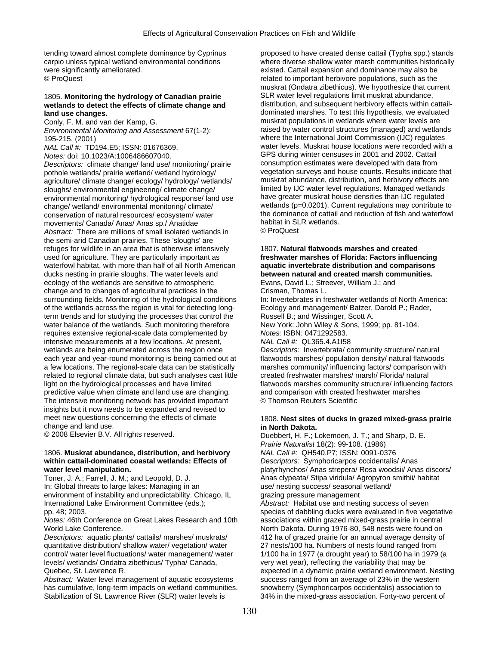were significantly ameliorated. existed. Cattail expansion and dominance may also be

*Environmental Monitoring and Assessment* 67(1-2):

*Descriptors:* climate change/ land use/ monitoring/ prairie pothole wetlands/ prairie wetland/ wetland hydrology/ vegetation surveys and house counts. Results indicate that<br>
agriculture/ climate change/ ecology/ hydrology/ wetlands/ muskrat abundance, distribution, and herbivory ef agriculture/ climate change/ ecology/ hydrology/ wetlands/ sloughs/ environmental engineering/ climate change/ limited by IJC water level regulations. Managed wetlands<br>environmental monitoring/ hydrological response/ land use have greater muskrat house densities than IJC regulated environmental monitoring/ hydrological response/ land use change/ wetland/ environmental monitoring/ climate/ wetlands (p=0.0201). Current regulations may contribute to<br>
conservation of natural resources/ ecosystem/ water the dominance of cattail and reduction of fish and waterfo conservation of natural resources/ ecosystem/ water the dominance of cattail<br>movements/ Canada/ Anas/ Anas sp / Anatidae habitat in SLR wetlands. movements/ Canada/ Anas/ Anas sp./ Anatidae habitat in SL<br>Abstract: There are millions of small isolated wetlands in Calculest *Abstract:* There are millions of small isolated wetlands in the semi-arid Canadian prairies. These 'sloughs' are refuges for wildlife in an area that is otherwise intensively 1807. **Natural flatwoods marshes and created**  used for agriculture. They are particularly important as **freshwater marshes of Florida: Factors influencing**  waterfowl habitat, with more than half of all North American **aquatic invertebrate distribution and comparisons**  ducks nesting in prairie sloughs. The water levels and **between natural and created marsh communities.**<br> **between natural and created marsh communities.**<br> **Evans, David L.; Streever, William J.; and** ecology of the wetlands are sensitive to atmospheric change and to changes of agricultural practices in the Crisman, Thomas L. surrounding fields. Monitoring of the hydrological conditions In: Invertebrates in freshwater wetlands of North America: of the wetlands across the region is vital for detecting long- Ecology and management/ Batzer, Darold P.; Rader, term trends and for studying the processes that control the Russell B.; and Wissinger, Scott A. water balance of the wetlands. Such monitoring therefore New York: John Wiley & Sons, 1999; pp. 81-104. requires extensive regional-scale data complemented by *Notes:* ISBN: 0471292583. intensive measurements at a few locations. At present, *NAL Call #:* QL365.4.A1I58 wetlands are being enumerated across the region once *Descriptors:* Invertebrata/ community structure/ natural each year and year-round monitoring is being carried out at flatwoods marshes/ population density/ natural flatwoods a few locations. The regional-scale data can be statistically marshes community/ influencing factors/ comparison with related to regional climate data, but such analyses cast little created freshwater marshes/ marsh/ Florida/ natural light on the hydrological processes and have limited flatwoods marshes community structure/ influencing factors predictive value when climate and land use are changing. and comparison with created freshwater marshes The intensive monitoring network has provided important  $\heartsuit$  Thomson Reuters Scientific insights but it now needs to be expanded and revised to meet new questions concerning the effects of climate 1808. **Nest sites of ducks in grazed mixed-grass prairie**<br> **in North Dakota.** 

change and land use.<br>© 2008 Elsevier B.V. All rights reserved.

### 1806. **Muskrat abundance, distribution, and herbivory** *NAL Call #:* QH540.P7; ISSN: 0091-0376 **within cattail-dominated coastal wetlands: Effects of** *Descriptors:* Symphoricarpos occidentalis/ Anas

Toner, J. A.; Farrell, J. M.; and Leopold, D. J. Anas clypeata/ Stipa viridula/ Agropyron smithii/ habitat In: Global threats to large lakes: Managing in an use/ nesting success/ seasonal wetland/ environment of instability and unpredictability. Chicago, IL grazing pressure management International Lake Environment Committee (eds.); *Abstract:* Habitat use and nesting success of seven

*Notes:* 46th Conference on Great Lakes Research and 10th associations within grazed mixed-grass prairie in central World Lake Conference. North Dakota. During 1976-80, 548 nests were found on

quantitative distribution/ shallow water/ vegetation/ water 27 nests/100 ha. Numbers of nests found ranged from control/ water level fluctuations/ water management/ water 1/100 ha in 1977 (a drought year) to 58/100 ha in 1979 (a levels/ wetlands/ Ondatra zibethicus/ Typha/ Canada, very wet year), reflecting the variability that may be

Abstract: Water level management of aquatic ecosystems success ranged from an average of 23% in the western has cumulative, long-term impacts on wetland communities. snowberry (Symphoricarpos occidentalis) association to Stabilization of St. Lawrence River (SLR) water levels is 34% in the mixed-grass association. Forty-two percent of

tending toward almost complete dominance by Cyprinus proposed to have created dense cattail (Typha spp.) stands carpio unless typical wetland environmental conditions where diverse shallow water marsh communities historically © ProQuest related to important herbivore populations, such as the muskrat (Ondatra zibethicus). We hypothesize that current 1805. **Monitoring the hydrology of Canadian prairie** SLR water level regulations limit muskrat abundance, **wetlands to detect the effects of climate change and** distribution, and subsequent herbivory effects within cattail**land use changes. land use changes. dominated marshes. To test this hypothesis, we evaluated marshes.** Conly, F. M. and van der Kamp, G. muskrat populations in wetlands where water levels are<br>Fovironmental Monitoring and Assessment 67(1-2) 195-215. (2001)<br>
MAL Call #: TD194.E5; ISSN: 01676369.<br>
Water levels. Muskrat house locations were recorded with *NAL Call #:* TD194.E5; ISSN: 01676369. water levels. Muskrat house locations were recorded with a GPS during winter censuses in 2001 and 2002. Cattail consumption estimates were developed with data from

Duebbert, H. F.; Lokemoen, J. T.; and Sharp, D. E. *Prairie Naturalist* 18(2): 99-108. (1986) water level manipulation. **platyrhynchos/ Anas strepera/ Rosa woodsii/ Anas discors/ water level manipulation.** 

pp. 48; 2003. species of dabbling ducks were evaluated in five vegetative *Descriptors:* aquatic plants/ cattails/ marshes/ muskrats/ 412 ha of grazed prairie for an annual average density of Quebec, St. Lawrence R. expected in a dynamic prairie wetland environment. Nesting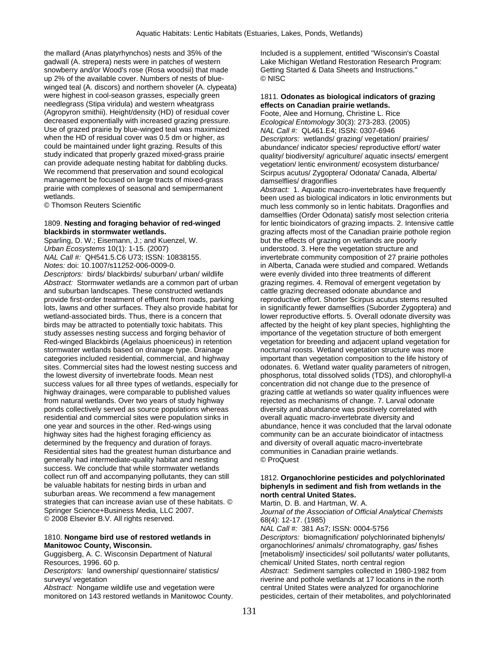the mallard (Anas platyrhynchos) nests and 35% of the Included is a supplement, entitled "Wisconsin's Coastal gadwall (A. strepera) nests were in patches of western Lake Michigan Wetland Restoration Research Program: snowberry and/or Wood's rose (Rosa woodsii) that made Getting Started & Data Sheets and Instructions." up 2% of the available cover. Numbers of nests of blue- © NISC winged teal (A. discors) and northern shoveler (A. clypeata) were highest in cool-season grasses, especially green 1811. Odonates as biological indicators of grazing needlegrass (Stipa viridula) and western wheatgrass **effects on Canadian prairie wetlands.**  (Agropyron smithii). Height/density (HD) of residual cover Foote, Alee and Hornung, Christine L. Rice decreased exponentially with increased grazing pressure. *Ecological Entomology* 30(3): 273-283. (2005) Use of grazed prairie by blue-winged teal was maximized *NAL Call #: QL461.E4; ISSN: 0307-6946*<br>
when the HD of residual cover was 0.5 dm or higher, as *Descriptors: wetlands/ grazing/ yegetation* when the HD of residual cover was 0.5 dm or higher, as *Descriptors:* wetlands/ grazing/ vegetation/ prairies/<br>could be maintained under light grazing. Results of this abundance/ indicator species/ reproductive effort/ wa could be maintained under light grazing. Results of this abundance/ indicator species/ reproductive effort/ water<br>study indicated that properly grazed mixed-grass prairie and a quality/ biodiversity/ agriculture/ aquatic i study indicated that properly grazed mixed-grass prairie quality/ biodiversity/ agriculture/ aquatic insects/ emergent<br>
can provide adequate nesting habitat for dabbling ducks.<br>
vegetation/ lentic environment/ ecosystem di can provide adequate nesting habitat for dabbling ducks.<br>We recommend that preservation and sound ecological Scirpus acutus/ Zygoptera/ Odonata/ Canada, Alberta/ management be focused on large tracts of mixed-grass damselflies/ dragonflies<br>prairie with complexes of seasonal and semipermanent *Abstract:* 1. Aquatic ma prairie with complexes of seasonal and semipermanent *Abstract:* 1. Aquatic macro-invertebrates have frequently<br>heen used as biological indicators in lotic environments by

Sparling, D. W.; Eisemann, J.; and Kuenzel, W. but the effects of grazing on wetlands are poorly *Urban Ecosystems* 10(1): 1-15. (2007)<br>
MAL Call #: QH541.5.C6 U73; ISSN: 10838155. 
understood. 3. Here the vegetation structure and<br>
invertebrate community composition of 27 prairie *Notes:* doi: 10.1007/s11252-006-0009-0. in Alberta, Canada were studied and compared. Wetlands *Descriptors:* birds/ blackbirds/ suburban/ urban/ wildlife were evenly divided into three treatments of different *Abstract:* Stormwater wetlands are a common part of urban grazing regimes. 4. Removal of emergent vegetation by and suburban landscapes. These constructed wetlands cattle grazing decreased odonate abundance and provide first-order treatment of effluent from roads, parking reproductive effort. Shorter Scirpus acutus stems resulted lots, lawns and other surfaces. They also provide habitat for in significantly fewer damselflies (Suborder Zygoptera) and wetland-associated birds. Thus, there is a concern that lower reproductive efforts. 5. Overall odonate diversity was birds may be attracted to potentially toxic habitats. This affected by the height of key plant species, highlighting the study assesses nesting success and forging behavior of importance of the vegetation structure of both emergent Red-winged Blackbirds (Agelaius phoeniceus) in retention vegetation for breeding and adjacent upland vegetation for stormwater wetlands based on drainage type. Drainage nocturnal roosts. Wetland vegetation structure was more categories included residential, commercial, and highway important than vegetation composition to the life history of sites. Commercial sites had the lowest nesting success and odonates. 6. Wetland water quality parameters of nitrogen, the lowest diversity of invertebrate foods. Mean nest phosphorus, total dissolved solids (TDS), and chlorophyll-a success values for all three types of wetlands, especially for concentration did not change due to the presence of highway drainages, were comparable to published values grazing cattle at wetlands so water quality influences were from natural wetlands. Over two years of study highway rejected as mechanisms of change. 7. Larval odonate ponds collectively served as source populations whereas diversity and abundance was positively correlated with residential and commercial sites were population sinks in overall aquatic macro-invertebrate diversity and one year and sources in the other. Red-wings using abundance, hence it was concluded that the larval odonate highway sites had the highest foraging efficiency as community can be an accurate bioindicator of intactness determined by the frequency and duration of forays. and diversity of overall aquatic macro-invertebrate Residential sites had the greatest human disturbance and communities in Canadian prairie wetlands. generally had intermediate-quality habitat and nesting © ProQuest success. We conclude that while stormwater wetlands collect run off and accompanying pollutants, they can still 1812. **Organochlorine pesticides and polychlorinated**<br>be valuable habitats for nesting birds in urban and **burea bureaused by property in sediment and fish from** suburban areas. We recommend a few management **north central United States.**  strategies that can increase avian use of these habitats. © Martin, D. B. and Hartman, W. A.<br>Springer Science+Business Media, LLC 2007. *Journal of the Association of Official* © 2008 Elsevier B.V. All rights reserved. 68(4): 12-17. (1985)

Resources, 1996. 60 p. chemical/ United States, north central region

Abstract: Nongame wildlife use and vegetation were central United States were analyzed for organochlorine monitored on 143 restored wetlands in Manitowoc County. pesticides, certain of their metabolites, and polychlorinated

Scirpus acutus/ Zygoptera/ Odonata/ Canada, Alberta/

wetlands.<br>© Thomson Reuters Scientific environments but the seconomy of the much less commonly so in lentic habitats. Dragonflies and much less commonly so in lentic habitats. Dragonflies and damselflies (Order Odonata) satisfy most selection criteria 1809. **Nesting and foraging behavior of red-winged** for lentic bioindicators of grazing impacts. 2. Intensive cattle **blackbirds in stormwater wetlands. blackbirds** grazing affects most of the Canadian prairie pothole region invertebrate community composition of 27 prairie potholes

# biphenyls in sediment and fish from wetlands in the

Journal of the Association of Official Analytical Chemists

*NAL Call #:* 381 As7; ISSN: 0004-5756 1810. **Nongame bird use of restored wetlands in** *Descriptors:* biomagnification/ polychlorinated biphenyls/ **Manitowoc County, Wisconsin. organochlorines/ animals/ chromatography, gas/ fishes** Guggisberg, A. C. Wisconsin Department of Natural [metabolism]/ insecticides/ soil pollutants/ water pollutants, *Descriptors:* land ownership/ questionnaire/ statistics/ *Abstract:* Sediment samples collected in 1980-1982 from surveys/ vegetation riverse riverine and pothole wetlands at 17 locations in the north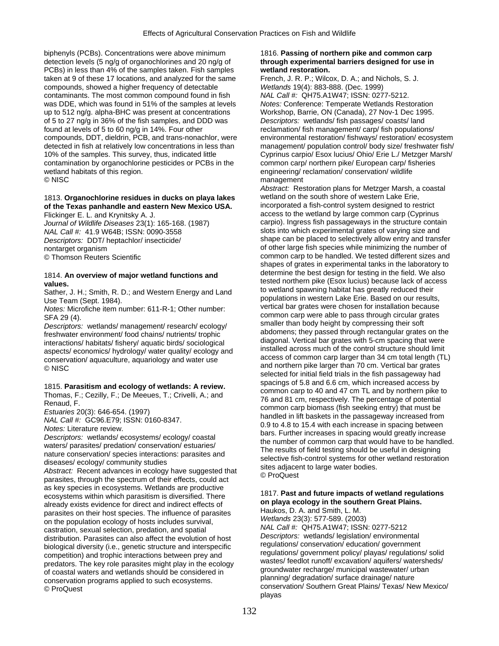biphenyls (PCBs). Concentrations were above minimum 1816. **Passing of northern pike and common carp**  detection levels (5 ng/g of organochlorines and 20 ng/g of **through experimental barriers designed for use in**  PCBs) in less than 4% of the samples taken. Fish samples **wetland restoration.**  taken at 9 of these 17 locations, and analyzed for the same French, J. R. P.; Wilcox, D. A.; and Nichols, S. J. compounds, showed a higher frequency of detectable *Wetlands* 19(4): 883-888. (Dec. 1999) contaminants. The most common compound found in fish *NAL Call #:* QH75.A1W47; ISSN: 0277-5212. was DDE, which was found in 51% of the samples at levels *Notes:* Conference: Temperate Wetlands Restoration up to 512 ng/g. alpha-BHC was present at concentrations Workshop, Barrie, ON (Canada), 27 Nov-1 Dec 1995.<br>
of 5 to 27 ng/g in 36% of the fish samples, and DDD was Descriptors: wetlands/ fish passages/ coasts/ land of 5 to 27 ng/g in 36% of the fish samples, and DDD was found at levels of 5 to 60 ng/g in 14%. Four other reclamation/ fish management/ carp/ fish populations/ compounds, DDT, dieldrin, PCB, and trans-nonachlor, were environmental restoration/ fishways/ restoration/ ecosystem detected in fish at relatively low concentrations in less than management/ population control/ body size/ freshwater fish/ 10% of the samples. This survey, thus, indicated little Cyprinus carpio/ Esox lucius/ Ohio/ Erie L./ Metzger Marsh/ contamination by organochlorine pesticides or PCBs in the common carp/ northern pike/ European carp/ fisheries wetland habitats of this region. engineering/ reclamation/ conservation/ wildlife © NISC management

## of the Texas panhandle and eastern New Mexico USA.

*Journal of Wildlife Diseases* 23(1): 165-168. (1987).

onservation/aquaculture, aquariology and water use access of common carp larger than 34 cm total length (<br>
and northern pike larger than 70 cm. Vertical bar grates and northern pike larger than 70 cm. Vertical bar grates

as key species in ecosystems. Wetlands are productive<br>
ecosystems within which parasitism is diversified. There <sup>1817</sup>. **Past and future impacts of wetland regulations**<br> **Paragoty exists evidence for direct and indirect ef** already exists evidence for direct and indirect effects of **on playa ecology in the southern Great Planner Creat Planner Planner Creat Planner Playa ecology in the southern Planner Planner Planner Planner Planner Planner P** parasites on their host species. The influence of parasites<br>
on the population ecology of hosts includes survival,<br>
castration, sexual selection, predation, and spatial<br>
distribution. Parasites can also affect the evolutio biological diversity (i.e., genetic structure and interspecific<br>
competition) and trophic interactions between prey and<br>
predators. The key role parasites might play in the ecology<br>
of coastal waters and wetlands should be conservation programs applied to such ecosystems. © ProQuest conservation/ Southern Great Plains/ Texas/ New Mexico/

*Abstract:* Restoration plans for Metzger Marsh, a coastal 1813. **Organochlorine residues in ducks on playa lakes** wetland on the south shore of western Lake Erie, Flickinger E. L. and Krynitsky A. J. <br>Journal of Wildlife Diseases 23(1): 165-168 (1987) (arrol). Ingress fish passageways in the structure contain *NAL Call #:* 41.9 W64B; ISSN: 0090-3558 slots into which experimental grates of varying size and *Descriptors:* DDT/ heptachlor/ insecticide/ shape can be placed to selectively allow entry and transfer nontarget organism **of other large fish species while minimizing the number of** other large fish species while minimizing the number of © Thomson Reuters Scientific common carp to be handled. We tested different sizes and shapes of grates in experimental tanks in the laboratory to determine the best design for testing in the field. We also values.<br> **values.**<br>
Sather L. H.: Smith, R. D.: and Western Energy and Land **by** to wetland spawning habitat has greatly reduced their Sather, J. H.; Smith, R. D.; and Western Energy and Land<br>
Use Team (Sept. 1984).<br>
Motes: Microfiche item number: 611-R-1; Other number:<br>
SFA 29 (4).<br>
Descriptors: wetlands/ management/ research/ ecology/<br>
SFA 29 (4).<br>
Desc selected for initial field trials in the fish passageway had 1815. **Parasitism and ecology of wetlands: A review.** spacings of 5.8 and 6.6 cm, which increased access by<br>
Thomas, F.; Cezilly, F.; De Meeues, T.; Crivelli, A.; and<br>
Renaud, F.<br>
Estuaries 20(3): 646-654. (1997)<br>
Estuarie

playas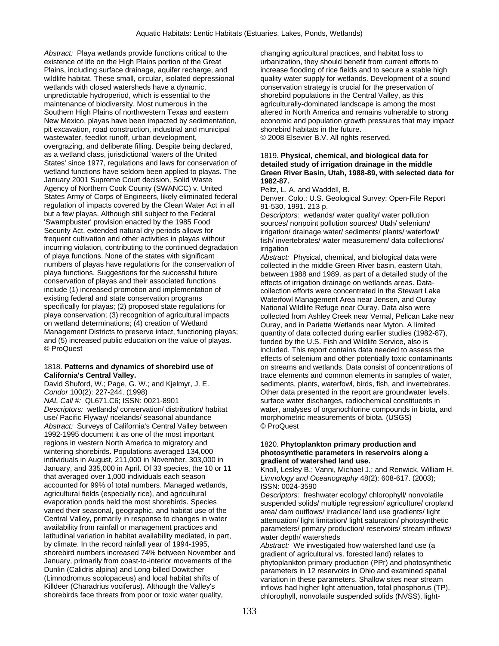*Abstract:* Playa wetlands provide functions critical to the changing agricultural practices, and habitat loss to existence of life on the High Plains portion of the Great urbanization, they should benefit from current efforts to Plains, including surface drainage, aquifer recharge, and increase flooding of rice fields and to secure a stable high wildlife habitat. These small, circular, isolated depressional quality water supply for wetlands. Development of a sound wetlands with closed watersheds have a dynamic, conservation strategy is crucial for the preservation of unpredictable hydroperiod, which is essential to the shorebird populations in the Central Valley, as this maintenance of biodiversity. Most numerous in the agriculturally-dominated landscape is among the most Southern High Plains of northwestern Texas and eastern altered in North America and remains vulnerable to stro New Mexico, playas have been impacted by sedimentation, economic and population growth pressures that may impact pit excavation, road construction, industrial and municipal shorebird habitats in the future. wastewater, feedlot runoff, urban development,  $\degree$  2008 Elsevier B.V. All rights reserved. overgrazing, and deliberate filling. Despite being declared, as a wetland class, jurisdictional 'waters of the United 1819. **Physical, chemical, and biological data for**  States' since 1977, regulations and laws for conservation of **detailed study of irrigation drainage in the middle**<br> **detailed Study of irrigation of the distribution of the distribution of the City of the middle** *wetland f* January 2001 Supreme Court decision, Solid Waste **1982-87.**  Agency of Northern Cook County (SWANCC) v. United Peltz, L. A. and Waddell, B. States Army of Corps of Engineers, likely eliminated federal Denver, Colo.: U.S. Geological Survey; Open-File Report regulation of impacts covered by the Clean Water Act in all  $91-530$ , 1991. 213 p.<br>but a few playas. Although still subject to the Federal *Descriptors:* wetland but a few playas. Although still subject to the Federal *Descriptors:* wetlands/ water quality/ water pollution 'Swampbuster' provision enacted by the 1985 Food sources/ nonpoint pollution sources/ Utah/ selenium/<br>Security Act, extended natural dry periods allows for stripgional irrigation/ drainage water/ sediments/ plants Security Act, extended natural dry periods allows for irrigation/ drainage water/ sediments/ plants/ waterfowl/<br>
Security Act, extended natural dry periods allows for integration/ drainage water measurement/ data collectio incurring violation, contributing to the continued degradation irrigation<br>of playa functions. None of the states with significant *Abstract:* of playa functions. None of the states with significant *Abstract:* Physical, chemical, and biological data were numbers of playas have regulations for the conservation of collected in the middle Green River basin, eastern Utah,<br>playa functions. Suggestions for the successful future between 1988 and 1989, as part of a detailed study playa functions. Suggestions for the successful future between 1988 and 1989, as part of a detailed study of the<br>conservation of playas and their associated functions effects of irrigation drainage on wetlands areas. Dataconservation of playas and their associated functions effects of irrigation drainage on wetlands areas. Data-<br>
collection efforts were concentrated in the Stewart Lake include (1) increased promotion and implementation of collection efforts were concentrated in the Stewart Lake specifically for playas; (2) proposed state regulations for National Wildlife Refuge near Ouray. Data also were playa conservation; (3) recognition of agricultural impacts collected from Ashley Creek near Vernal, Pelican Lake near on wetland determinations; (4) creation of Wetland Ouray, and in Pariette Wetlands near Myton. A limited Management Districts to preserve intact, functioning playas; quantity of data collected during earlier studies (1982-87), and (5) increased public education on the value of playas.  $\frac{1}{2}$  funded by the U.S. Fish and Wil and (5) increased public education on the value of playas. funded by the U.S. Fish and Wildlife Service, also is

*Condor* 100(2): 227-244. (1998) Other data presented in the report are groundwater levels, *NAL Call #:* QL671.C6; ISSN: 0021-8901 surface water discharges, radiochemical constituents in use/ Pacific Flyway/ ricelands/ seasonal abundance morphometric measurements of biota. (USGS) *Abstract:* Surveys of California's Central Valley between © ProQuest 1992-1995 document it as one of the most important regions in western North America to migratory and 1820. **Phytoplankton primary production and**  wintering shorebirds. Populations averaged 134,000 **photosynthetic parameters in reservoirs along a**  individuals in August, 211,000 in November, 303,000 in **gradient of watershed land use.**  accounted for 99% of total numbers. Managed wetlands, ISSN: 0024-3590<br>agricultural fields (especially rice), and agricultural *Descriptors:* fresh agricultural fields (especially rice), and agricultural *Descriptors:* freshwater ecology/ chlorophyll/ nonvolatile varied their seasonal, geographic, and habitat use of the area/ dam outflows/ irradiance/ land use gradients/ light<br>Central Valley, primarily in response to changes in water attenuation/ light limitation/ light saturation/ Central Valley, primarily in response to changes in water attenuation/ light limitation/ light saturation/ photosynthetic<br>availability from rainfall or management practices and parameters/ primary production/ reservoirs/ s latitudinal variation in habitat availability mediated, in part, water depth/ watersheds<br>by climate. In the record rainfall year of 1994-1995, https://www.abstract: We investigate shorebird numbers increased 74% between November and gradient of agricultural vs. forested land) relates to<br>January, primarily from coast-to-interior movements of the bytoplankton primary production (PPr) and photos Dunlin (Calidris alpina) and Long-billed Dowitcher parameters in 12 reservoirs in Ohio and examined spatial<br>Climnodromus scolopaceus) and local habitat shifts of examination in these parameters. Shallow sites near stream (Limnodromus scolopaceus) and local habitat shifts of variation in these parameters. Shallow sites near stream<br>Killdeer (Charadrius vociferus). Although the Valley's variations had higher light attenuation, total phosphoru Killdeer (Charadrius vociferus). Although the Valley's inflows had higher light attenuation, total phosphorus (TP), shorebirds face threats from poor or toxic water quality, chlorophyll, nonvolatile suspended solids (NVSS)

altered in North America and remains vulnerable to strong

# Green River Basin, Utah, 1988-89, with selected data for

fish/invertebrates/ water measurement/ data collections/

Waterfowl Management Area near Jensen, and Ouray included. This report contains data needed to assess the effects of selenium and other potentially toxic contaminants 1818. **Patterns and dynamics of shorebird use of** on streams and wetlands. Data consist of concentrations of trace elements and common elements in samples of water, David Shuford, W.; Page, G. W.; and Kjelmyr, J. E. sediments, plants, waterfowl, birds, fish, and invertebrates. *Descriptors:* wetlands/ conservation/ distribution/ habitat water, analyses of organochlorine compounds in biota, and

January, and 335,000 in April. Of 33 species, the 10 or 11 Knoll, Lesley B.; Vanni, Michael J.; and Renwick, William H.<br>that averaged over 1,000 individuals each season *Limnology and Oceanography* 48(2): 608-617, (2003): Limnology and Oceanography 48(2): 608-617. (2003);

evaporation ponds held the most shorebirds. Species suspended solids/ multiple regression/ agriculture/ cropland<br>varied their seasonal, geographic, and habitat use of the sarea/ dam outflows/ irradiance/ land use gradients parameters/ primary production/ reservoirs/ stream inflows/

Abstract: We investigated how watershed land use (a January, primarily from coast-to-interior movements of the phytoplankton primary production (PPr) and photosynthetic chlorophyll, nonvolatile suspended solids (NVSS), light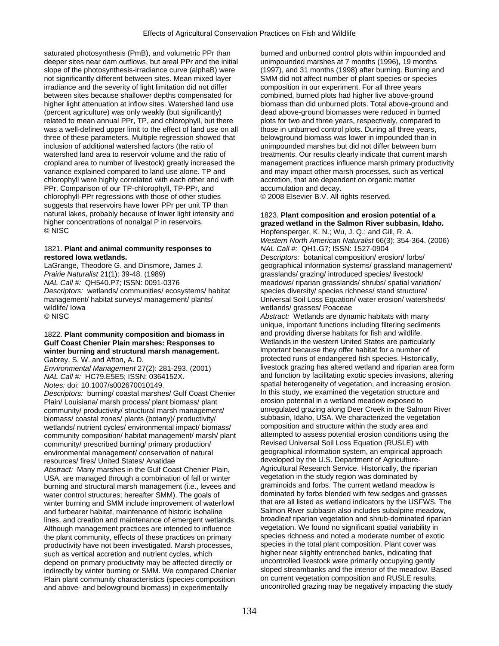saturated photosynthesis (PmB), and volumetric PPr than burned and unburned control plots within impounded and deeper sites near dam outflows, but areal PPr and the initial unimpounded marshes at 7 months (1996), 19 months slope of the photosynthesis-irradiance curve (alphaB) were (1997), and 31 months (1998) after burning. Burning and not significantly different between sites. Mean mixed layer SMM did not affect number of plant species or species irradiance and the severity of light limitation did not differ composition in our experiment. For all three years between sites because shallower depths compensated for combined, burned plots had higher live above-ground higher light attenuation at inflow sites. Watershed land use biomass than did unburned plots. Total above-ground and<br>(percent agriculture) was only weakly (but significantly) dead above-ground biomasses were reduced in bur related to mean annual PPr, TP, and chlorophyll, but there was a well-defined upper limit to the effect of land use on all those in unburned control plots. During all three years, three of these parameters. Multiple regression showed that belowground biomass was lower in impounded than in inclusion of additional watershed factors (the ratio of unimpounded marshes but did not differ between burn watershed land area to reservoir volume and the ratio of treatments. Our results clearly indicate that current marsh cropland area to number of livestock) greatly increased the management practices influence marsh primary productivity variance explained compared to land use alone. TP and and may impact other marsh processes, such as vertical chlorophyll were highly correlated with each other and with accretion, that are dependent on organic matter PPr. Comparison of our TP-chlorophyll, TP-PPr, and accumulation and decay.<br>
chlorophyll-PPr regressions with those of other studies 
© 2008 Elsevier B.V. All rights reserved. chlorophyll-PPr regressions with those of other studies suggests that reservoirs have lower PPr per unit TP than natural lakes, probably because of lower light intensity and 1823. **Plant composition and erosion potential of a**  higher concentrations of nonalgal P in reservoirs. **grazed wetland in the Salmon River subbasin, Idaho.**<br>
© NISC **Dependent COLOCO BILLS** 

### 1821. **Plant and animal community responses to** *NAL Call #:* QH1.G7; ISSN: 1527-0904 **restored Iowa wetlands.** *Descriptors:* botanical composition/ erosion/ forbs/

*Prairie Naturalist* 21(1): 39-48. (1989) grasslands/ grazing/ introduced species/ livestock/ *NAL Call #:* QH540.P7; ISSN: 0091-0376 meadows/ riparian grasslands/ shrubs/ spatial variation/<br>Descriptors: wetlands/ communities/ ecosystems/ habitat species diversity/ species richness/ stand structure/ *Descriptors:* wetlands/ communities/ ecosystems/ habitat management/ habitat surveys/ management/ plants/ wildlife/ Iowa wetlands/ grasses/ Poaceae

### 1822. **Plant community composition and biomass in** and providing diverse habitats for fish and wildlife. Gulf Coast Chenier Plain marshes: Responses to **Wetlands in the western United States are particularly**<br>
winter burning and structural marsh management. **The important because they offer habitat for a number of** winter burning and structural marsh management.

*Descriptors:* burning/ coastal marshes/ Gulf Coast Chenier In this study, we examined the vegetation structure<br>Plain/ Louisiana/ marsh process/ plant biomass/ plant and all prosion potential in a wetland meadow exposed to Plain/ Louisiana/ marsh process/ plant biomass/ plant community/ productivity/ structural marsh management/ unregulated grazing along Deer Creek in the Salmon River<br>biomass/ coastal zones/ plants (botany)/ productivity/ subbasin, Idaho, USA. We characterized the vegetation biomass/ coastal zones/ plants (botany)/ productivity/ subbasin, Idaho, USA. We characterized the vegetation<br>wetlands/ nutrient cycles/ environmental impact/ biomass/ composition and structure within the study area and wetlands/ nutrient cycles/ environmental impact/ biomass/ composition and structure within the study area and<br>community composition/ habitat management/ marsh/ plant attempted to assess potential erosion conditions using t community composition/ habitat management/ marsh/ plant attempted to assess potential erosion conditions using the community prescribed burning orimary production/ community/ prescribed burning/ primary production/ Revised Universal Soil Loss Equation (RUSLE) with environmental management/ conservation of natural resources/ fires/ United States/ Anatidae developed by the U.S. Department of Agriculture-<br>Abstract: Many marshes in the Gulf Coast Chenier Plain. Agricultural Research Service. Historically, the riparian *Abstract:* Many marshes in the Gulf Coast Chenier Plain, Agricultural Research Service. Historically, the rip<br>LISA are managed through a combination of fall or winter vegetation in the study region was dominated by USA, are managed through a combination of fall or winter vegetation in the study region was dominated by<br>burning and structural marsh management (i.e., levees and graminoids and forbs. The current wetland meadow is burning and structural marsh management (i.e., levees and water control structures; hereafter SMM). The goals of dominated by forbs blended with few sedges and grasses<br>winter burning and SMM include improvement of waterfowl that are all listed as wetland indicators by the USFWS. winter burning and SMM include improvement of waterfowl that are all listed as wetland indicators by the USFWS. The<br>Salmon River subbasin also includes subalpine meadow, and furbearer habitat, maintenance of historic isohaline Salmon River subbasin also includes subalpine meadow,<br>Salmon River subbasine meand maintenance of emergent wetlands broadleaf riparian vegetation and shrub-dominated lines, and creation and maintenance of emergent wetlands. broadleaf riparian vegetation and shrub-dominated ripa<br>Although management practices are intended to influence vegetation. We found no significant spatial variabili Although management practices are intended to influence vegetation. We found no significant spatial variability in<br>the plant community, effects of these practices on primary species richness and noted a moderate number of the plant community, effects of these practices on primary species richness and noted a moderate number of exo<br>productivity have not been investigated. Marsh processes. Success in the total plant composition. Plant cover w productivity have not been investigated. Marsh processes, species in the total plant composition. Plant cover was<br>such as vertical accretion and nutrient cycles, which shigher near slightly entrenched banks, indicating tha such as vertical accretion and nutrient cycles, which higher near slightly entrenched banks, indicating that<br>depend on primary productivity may be affected directly or uncontrolled livestock were primarily occupying gently depend on primary productivity may be affected directly or uncontrolled livestock were primarily occupying gently<br>indirectly by winter burning or SMM. We compared Chenier sloped streambanks and the interior of the meadow. indirectly by winter burning or SMM. We compared Chenier sloped streambanks and the interior of the meadow. Ba<br>Plain plant community characteristics (species composition on current vegetation composition and RUSLE results, Plain plant community characteristics (species composition on current vegetation composition and RUSLE results,<br>and above- and belowground biomass) in experimentally and uncontrolled grazing may be negatively impacting the and above- and belowground biomass) in experimentally

dead above-ground biomasses were reduced in burned<br>plots for two and three years, respectively, compared to

Hopfensperger, K. N.; Wu, J. Q.; and Gill, R. A. *Western North American Naturalist* 66(3): 354-364. (2006) LaGrange, Theodore G. and Dinsmore, James J. entitled and prographical information systems/ grassland management/ Universal Soil Loss Equation/ water erosion/ watersheds/

© NISC *Abstract:* Wetlands are dynamic habitats with many unique, important functions including filtering sediments Gabrey, S. W. and Afton, A. D. protected runs of endangered fish species. Historically, *Environmental Management* 27(2): 281-293. (2001) livestock grazing has altered wetland and riparian area form *NAL Call #:* HC79.E5E5; ISSN: 0364152X. and function by facilitating exotic species invasions, altering *Notes:* doi: 10.1007/s002670010149.<br>Descriptors: burning/coastal marshes/ Gulf Coast Chenier ln this study, we examined the vegetation structure and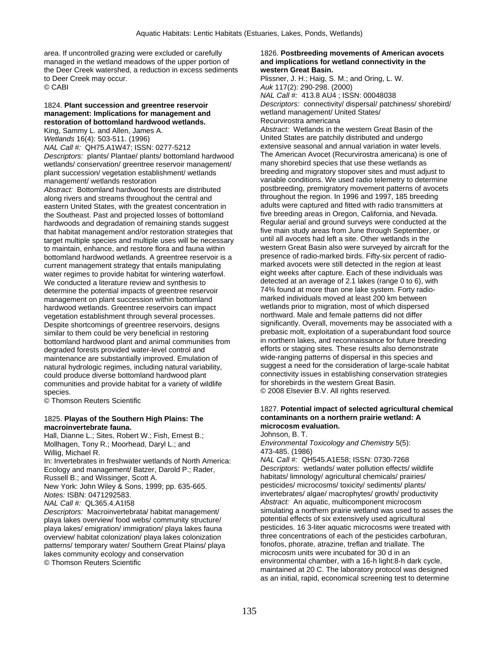area. If uncontrolled grazing were excluded or carefully 1826. **Postbreeding movements of American avocets**  managed in the wetland meadows of the upper portion of **and implications for wetland connectivity in the**  the Deer Creek watershed, a reduction in excess sediments **western Great Basin.**  to Deer Creek may occur. The example of the Plissner, J. H.; Haig, S. M.; and Oring, L. W. © CABI *Auk* 117(2): 290-298. (2000)

## **management: Implications for management and management and management of United States**<br> **restoration of bottomland hardwood wetlands**<br> **Recurvirostra americana** restoration of bottomland hardwood wetlands.

*Descriptors:* plants/ Plantae/ plants/ bottomland hardwood The American Avocet (Recurvirostra americana) is one<br>Metlands/ conservation/ greentree reservoir management/ many shorebird species that use these wetlands as wetlands/ conservation/ greentree reservoir management/ plant succession/ vegetation establishment/ wetlands breeding and migratory stopover sites and must adjust to management/ wetlands restoration variable conditions. We used radio telemetry to determine

along rivers and streams throughout the central and throughout the region. In 1996 and 1997, 185 breeding<br>eastern United States, with the greatest concentration in adults were captured and fitted with radio transmitters at eastern United States, with the greatest concentration in adults were captured and fitted with radio transmitters at<br>the Southeast Past and projected losses of bottomland five breeding areas in Oregon, California, and Neva the Southeast. Past and projected losses of bottomland five breeding areas in Oregon, California, and Nevada.<br>hardwoods and degradation of remaining stands suggest Regular aerial and ground surveys were conducted at the hardwoods and degradation of remaining stands suggest Regular aerial and ground surveys were conducted at the<br>that habitat management and/or restoration strategies that five main study areas from June through September, or that habitat management and/or restoration strategies that five main study areas from June through September,<br>target multiple species and multiple uses will be necessary funtil all avocets had left a site. Other wetlands i to maintain, enhance, and restore flora and fauna within western Great Basin also were surveyed by aircraft for the<br>bottomland hardwood wetlands. A greentree reservoir is a were presence of radio-marked birds. Fifty-six pe bottomland hardwood wetlands. A greentree reservoir is a presence of radio-marked birds. Fifty-six percent of radio<br>current management strategy that entails manipulating marked avocets were still detected in the region at current management strategy that entails manipulating marked avocets were still detected in the region at least water regimes to provide habitat for wintering waterfowl.<br>We conducted a literature review and synthesis to determine the potential impacts of greentree reservoir 74% found at more than one lake system. Forty radio-<br>management on plant succession within bottomland marked individuals moved at least 200 km between management on plant succession within bottomland marked individuals moved at least 200 km between<br>hardwood wetlands. Greentree reservoirs can impact wetlands prior to migration, most of which dispersed hardwood wetlands. Greentree reservoirs can impact wetlands prior to migration, most of which disperse<br>weretation establishment through several processes of the morthward. Male and female patterns did not differ similar to them could be very beneficial in restoring entity prebasic molt, exploitation of a superabundant food source<br>hottomland hardwood plant and animal communities from entity in northern lakes, and reconnaissance for bottomland hardwood plant and animal communities from in northern lakes, and reconnaissance for future breedin<br>degraded forests provided water-level control and efforts or staging sites. These results also demonstrate degraded forests provided water-level control and efforts or staging sites. These results also demonstrate<br>maintenance are substantially improved. Fmulation of wide-ranging patterns of dispersal in this species and natural hydrologic regimes, including natural variability, suggest a need for the consideration of large-scale habitat<br>could produce diverse bottomland hardwood plant connectivity issues in establishing conservation strate could produce diverse bottomland hardwood plant connectivity issues in establishing conservation communities and provide habitat for a variety of wildlife strategies for shorebirds in the western Great Basin. communities and provide habitat for a variety of wildlife species. Construction of the constraint of the construction of the construction of 2008 Elsevier B.V. All rights reserved.

© Thomson Reuters Scientific

# **macroinvertebrate fauna.** microcosm evaluation. The microcosm evaluation of the microcosm evaluation. **microcosm evaluation. Hall** Dianne L. Sites Robert W. Fish Frnest B.

Hall, Dianne L.; Sites, Robert W.; Fish, Ernest B.; Mollhagen, Tony R.; Moorhead, Daryl L.; and Willig, Michael R.<br>In: Invertebrates in freshwater wetlands of North America: MAL Call #: QH545.A1E58; ISSN: 0730-7268

In: Invertebrates in freshwater wetlands of North America: *NAL Call #:* QH545.A1E58; ISSN: 0730-7268 Ecology and management/ Batzer, Darold P.; Rader,

New York: John Wiley & Sons, 1999; pp. 635-665.

*Descriptors:* Macroinvertebrata/ habitat management/ simulating a northern prairie wetland was used to a<br>playa lakes overview/ food webs/ community structure/ potential effects of six extensively used agricultural overview/ habitat colonization/ playa lakes colonization three concentrations of each of the pesticides carbo<br>natterns/ temporary water/ Southern Great Plains/ playa fonofos, phorate, atrazine, treflan and triallate. The patterns/ temporary water/ Southern Great Plains/ playa fonofos, phorate, atrazine, treflan and triallate.<br>Iakes community ecology and conservation microcosm units were incubated for 30 d in an lakes community ecology and conservation<br>© Thomson Reuters Scientific

*NAL Call #:* 413.8 AU4 ; ISSN: 00048038 1824. **Plant succession and greentree reservoir** *Descriptors:* connectivity/ dispersal/ patchiness/ shorebird/

King, Sammy L. and Allen, James A. *Abstract:* Wetlands in the western Great Basin of the Wetlands 16(4): 503-511. (1996)<br>
Wetlands 16(4): 503-511. (1996) United States are patchily distributed and undergo<br>extensive seasonal and annual variation in water levels. *NAL Call #:* QH75.A1W47; ISSN: 0277-5212 extensive seasonal and annual variation in water levels.<br>Descriptors: plants/ Plantae/ plants/ bottomland hardwood The American Avocet (Recurvirostra americana) is one of Abstract: Bottomland hardwood forests are distributed postbreeding, premigratory movement patterns of avocets<br>along rivers and streams throughout the central and throughout the region. In 1996 and 1997, 185 breeding target multiple species and multiple uses will be necessary until all avocets had left a site. Other wetlands in the<br>to maintain, enhance, and restore flora and fauna within western Great Basin also were surveyed by aircra detected at an average of 2.1 lakes (range 0 to 6), with<br>74% found at more than one lake system. Forty radiovegetation establishment through several processes. The morthward. Male and female patterns did not differ<br>Despite shortcomings of greentree reservoirs, designs significantly. Overall, movements may be associated with a Despite shortcomings of greentree reservoirs, designs significantly. Overall, movements may be associated with a<br>similar to them could be very beneficial in restoring prebasic molt, exploitation of a superabundant food sou maintenance are substantially improved. Emulation of wide-ranging patterns of dispersal in this species and<br>
natural hydrologic regimes, including natural variability. Suggest a need for the consideration of large-scale ha

## 1827. **Potential impact of selected agricultural chemical**  1825. Playas of the Southern High Plains: The contaminants on a northern prairie wetland: A **macroinvertebrate failed**<br>microcosm evaluation.

Environmental Toxicology and Chemistry 5(5):<br>473-485. (1986)

Russell B.; and Wissinger, Scott A. habitats/ limnology/ agricultural chemicals/ prairies/<br>New York: John Wiley & Sons. 1999: pp. 635-665 exercitives/ protections/ prairies/ prairies/ prairies/ prairie *Notes:* ISBN: 0471292583. invertebrates/ algae/ macrophytes/ growth/ productivity *NAL Call #:* QL365.4.A1I58 *Abstract:* An aquatic, multicomponent microcosm playa lakes overview/ food webs/ community structure/ potential effects of six extensively used agricultural<br>playa lakes/ emigration/ immigration/ playa lakes fauna pesticides. 16 3-liter aquatic microcosms were treated wi playa lakes/ emigration/ immigration/ playa lakes fauna pesticides. 16 3-liter aquatic microcosms were treated with<br>overview/ habitat colonization/ playa lakes colonization three concentrations of each of the pesticides ca environmental chamber, with a 16-h light:8-h dark cycle, maintained at 20 C. The laboratory protocol was designed as an initial, rapid, economical screening test to determine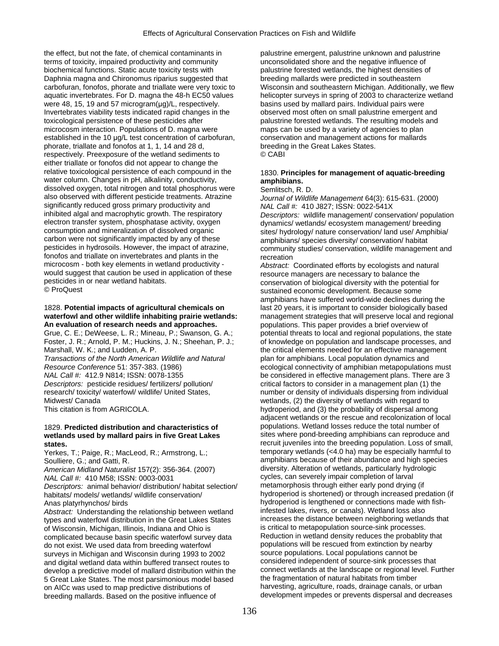the effect, but not the fate, of chemical contaminants in palustrine emergent, palustrine unknown and palustrine terms of toxicity, impaired productivity and community unconsolidated shore and the negative influence of biochemical functions. Static acute toxicity tests with palustrine forested wetlands, the highest densities of Daphnia magna and Chironomus riparius suggested that breeding mallards were predicted in southeastern were 48, 15, 19 and 57 microgram(µg)/L, respectively. Invertebrates viability tests indicated rapid changes in the observed most often on small palustrine emergent and<br>
toxicological persistence of these pesticides after polynomial palustrine forested wetlands. The resulting microcosm interaction. Populations of D. magna were maps can be used by a variety of agencies to plan established in the 10 μg/L test concentration of carbofuran, conservation and management actions for mallards phorate, triallate and fonofos at 1, 1, 14 and 28 d, breeding in the Great Lakes States. respectively. Preexposure of the wetland sediments to © CABI either triallate or fonofos did not appear to change the relative toxicological persistence of each compound in the 1830. **Principles for management of aquatic-breeding**  water column. Changes in pH, alkalinity, conductivity, **amphibians.** dissolved oxygen, total nitrogen and total phosphorus were Semlitsch, R. D. also observed with different pesticide treatments. Atrazine *Journal of Wildlife Management* 64(3): 615-631. (2000) significantly reduced gross primary productivity and *NAL Call #:* 410 J827; ISSN: 0022-541X<br>
inhibited algal and macrophytic growth. The respiratory *Descriptors:* wildlife management/ conse electron transfer system, phosphatase activity, oxygen dynamics/ wetlands/ ecosystem management/ breeding<br>consumption and mineralization of dissolved organic sites/ bydrology/ pature conservation/ land use/ Amphibi carbon were not significantly impacted by any of these amphibians/ species diversity/ conservation/ habitat<br>
pesticides in hydrosoils. However, the impact of atrazine, community studies/ conservation, wildlife manageme fonofos and triallate on invertebrates and plants in the recreation<br>microcosm - both key elements in wetland productivity - Abstract: would suggest that caution be used in application of these resource managers are necessary to balance the pesticides in or near wetland habitats. pesticides in or near wetland habitats.<br>
© ProQuest conservation of biological diversity with the potential for conservation of biological diversity with the potential for

## 1828. **Potential impacts of agricultural chemicals on** last 20 years, it is important to consider biologically based **An evaluation of research needs and approaches.** populations. This paper provides a brief overview of

Marshall, W. K.; and Ludden, A. P. the critical elements needed for an effective management *Transactions of the North American Wildlife and Natural* plan for amphibians. Local population dynamics and *Descriptors:* pesticide residues/ fertilizers/ pollution/ critical factors to consider in a management plan (1) the Midwest/ Canada wetlands, (2) the diversity of wetlands with regard to This citation is from AGRICOLA. https://www.material.com/hydroperiod, and (3) the probability of dispersal among

# wetlands used by mallard pairs in five Great Lakes

Yerkes, T.; Paige, R.; MacLeod, R.; Armstrong, L.;

*American Midland Naturalist* 157(2): 356-364. (2007) *NAL Call #:* 410 M58; ISSN: 0003-0031 cycles, can severely impair completion of larval *Descriptors:* animal behavior/ distribution/ habitat selection/

Abstract: Understanding the relationship between wetland infested lakes, rivers, or canals). Wetland loss also<br>types and waterfowl distribution in the Great Lakes States increases the distance between neighboring wetlands types and waterfowl distribution in the Great Lakes States increases the distance between neighboring wetlan<br>of Wisconsin, Michigan, Illinois, Indiana and Ohio is in that is critical to metapopulation source-sink processes of Wisconsin, Michigan, Illinois, Indiana and Ohio is is critical to metapopulation source-sink processes.<br>Complicated because basin specific waterfowl survey data Reduction in wetland density reduces the probablity that complicated because basin specific waterfowl survey data Reduction in wetland density reduces the probablity th<br>do not exist. We used data from breeding waterfowl<br>populations will be rescued from extinction by nearby do not exist. We used data from breeding waterfowl<br>surveys in Michigan and Wisconsin during 1993 to 2002 source populations. Local populations cannot be surveys in Michigan and Wisconsin during 1993 to 2002 source populations. Local populations cannot be<br>and digital wetland data within buffered transect routes to sonsidered independent of source-sink processes that develop a predictive model of mallard distribution within the connect wetlands at the landscape or regional le<br>5 Great Lake States. The most parsimoniqus model based the fragmentation of natural habitats from timber 5 Great Lake States. The most parsimonious model based the fragmentation of natural habitats from timber<br>on AICc was used to map predictive distributions of harvesting, agriculture, roads, drainage canals, or urban on AICc was used to map predictive distributions of breeding mallards. Based on the positive influence of development impedes or prevents dispersal and decreases

carbofuran, fonofos, phorate and triallate were very toxic to Wisconsin and southeastern Michigan. Additionally, we flew aquatic invertebrates. For D. magna the 48-h EC50 values helicopter surveys in spring of 2003 to characterize wetland<br>were 48, 15, 19 and 57 microgram(µg)/L, respectively. basins used by mallard pairs. Individual pairs wer palustrine forested wetlands. The resulting models and

inhibited algal and macrophytic growth. The respiratory *Descriptors:* wildlife management/ conservation/ population sites/ hydrology/ nature conservation/ land use/ Amphibia/ community studies/ conservation, wildlife management and

Abstract: Coordinated efforts by ecologists and natural sustained economic development. Because some amphibians have suffered world-wide declines during the **waterfowl and other wildlife inhabiting prairie wetlands:** management strategies that will preserve local and regional Grue, C. E.; DeWeese, L. R.; Mineau, P.; Swanson, G. A.; potential threats to local and regional populations, the state Foster, J. R.; Arnold, P. M.; Huckins, J. N.; Sheehan, P. J.; of knowledge on population and landscape processes, and *Resource Conference* 51: 357-383. (1986) ecological connectivity of amphibian metapopulations must *NAL Call #:* 412.9 N814; ISSN: 0078-1355 be considered in effective management plans. There are 3 research/ toxicity/ waterfowl/ wildlife/ United States, metally number or density of individuals dispersing from individual adjacent wetlands or the rescue and recolonization of local 1829. **Predicted distribution and characteristics of** populations. Wetland losses reduce the total number of **states.**<br> **recruit juveniles into the breeding population.** Loss of small,<br> **Parkes. T.: Paige. R.: Macl eod. R.: Armstrong. I.: remporary wetlands (<4.0 ha) may be especially harmful to** Soulliere, G.; and Gatti, R. and Gatti, R. amphibians because of their abundance and high species<br>American Midland Naturalist 157(2): 356-364. (2007) diversity. Alteration of wetlands, particularly hydrologic habitats/ models/ wetlands/ wildlife conservation/ hydroperiod is shortened) or through increased predation (if Anas platyrhynchos/ birds<br>Abstract: Understanding the relationship between wetland infested lakes, rivers, or canals). Wetland loss also and digital wetland data within buffered transect routes to considered independent of source-sink processes that<br>develop a predictive model of mallard distribution within the connect wetlands at the landscape or regional l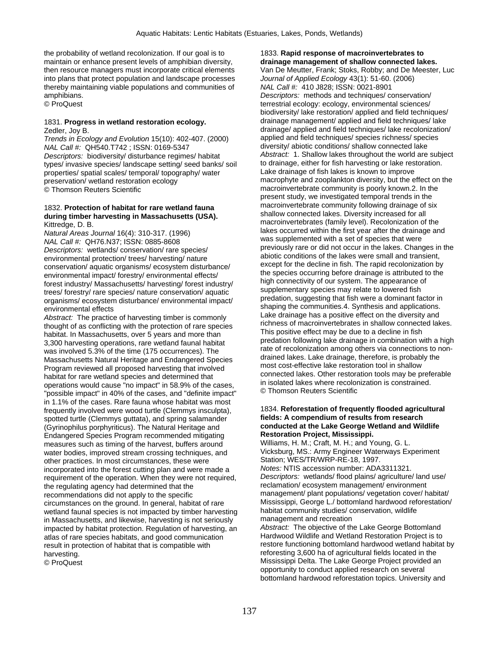the probability of wetland recolonization. If our goal is to 1833. **Rapid response of macroinvertebrates to**  maintain or enhance present levels of amphibian diversity, **drainage management of shallow connected lakes.**  into plans that protect population and landscape processes *Journal of Applied Ecology* 43(1): 51-60.<br>
thereby maintaining viable populations and communities of MAL Call #: 410 J828; ISSN: 0021-8901 thereby maintaining viable populations and communities of

## 1831. Progress in wetland restoration ecology.

*Trends in Ecology and Evolution* 15(10): 402-407. (2000) applied and field techniques/ species richness/ species *Descriptors:* biodiversity/ disturbance regimes/ habitat *Abstract:* 1. Shallow lakes throughout the world are subjection.<br>types/ invasive species/ landscane setting/ seed banks/ soil to drainage, either for fish harvesti types/ invasive species/ landscape setting/ seed banks/ soil to drainage, either for fish harvesting or lake res<br>to the drainage of fish lakes is known to improve properties/ spatial scales/ temporal/ topography/ water © Thomson Reuters Scientific macroinvertebrate community is poorly known.2. In the

was involved 5.3% of the time (175 occurrences). The the matte of recolonization among others via connections to n<br>Massachusetts Natural Heritage and Endangered Species drained lakes. Lake drainage, therefore, is probably Program reviewed all proposed harvesting that involved<br>
habitat for rare wetland species and determined that<br>
operations would cause "no impact" in 58.9% of the cases,<br>
"possible impact" in 40% of the cases, and "definite in 1.1% of the cases. Rare fauna whose habitat was most frequently involved were wood turtle (Clemmys insculpta), 1834. **Reforestation of frequently flooded agricultural**  spotted turtle (Clemmys guttata), and spring salamander **fields: A compendium of results from research**<br>(Gyrinophilus porphyriticus). The Natural Heritage and **conducted at the Lake George Wetland and Wildlife** (Gyrinophilus porphyriticus). The Natural Heritage and **conducted at the Lake George Wilfe and Millipe and Millipe** *Conducted* **at the Lake George Wilfe <b>Endangeries** Conducted at the Lake George Wilfe **Endangeries** Conduct Endangered Species Program recommended mitigating **Restoration Project, Mississippi.**  measures such as timing of the harvest, buffers around Williams, H. M.; Craft, M. H.; and Young, G. L.<br>water bodies, improved stream crossing techniques, and Vicksburg, MS.: Army Engineer Waterways Experiment water bodies, improved stream crossing techniques, and Vicksburg, MS.: Army Engineer Wate<br>other practices, In most circumstances, these were<br>Station; WES/TR/WRP-RE-18, 1997. other practices. In most circumstances, these were Station; WES/TR/WRP-RE-18, 1997.<br>
incorporated into the forest cutting plan and were made a Notes: NTIS accession number: ADA3311321. incorporated into the forest cutting plan and were made a *Notes:* NTIS accession number: ADA3311321. requirement of the operation. When they were not required, the regulating agency had determined that the reclamation/ ecosystem management/ environment recommendations did not apply to the specific<br>
recommendations did not apply to the specific<br>
recommendations did not apply to the specific<br>
management/ plant populations/ vegetation cover/ habitat/<br>
management/ plant popu circumstances on the ground. In general, habitat of rare Mississippi, George L./ bottomland hardwood ref<br>wetland faunal species is not impacted by timber harvesting habitat community studies/ conservation, wildlife wetland faunal species is not impacted by timber harvesting habitat community studies/ conservation, wildlife<br>in Massachusetts, and likewise, harvesting is not seriously hard management and recreation in Massachusetts, and likewise, harvesting is not seriously management and recreation<br>
impacted by habitat protection Requisition of harvesting an Abstract: The objective of the Lake George Bottomland impacted by habitat protection. Regulation of harvesting, an *Abstract:* The objective of the Lake George Bottomland atlas of rare species habitats, and good communication result in protection of habitat that is compatible with restore functioning bottomland hardwood wetland habitat by harvesting but the harvesting 3,600 has been also the reforesting 3,600 ha of agricultural fields located in the

then resource managers must incorporate critical elements Van De Meutter, Frank; Stoks, Robby; and De Meester, Luc<br>into plans that protect population and landscape processes Journal of Applied Ecology 43(1): 51-60. (2006) amphibians. *Descriptors:* methods and techniques/ conservation/ terrestrial ecology: ecology, environmental sciences/ biodiversity/ lake restoration/ applied and field techniques/<br>drainage management/ applied and field techniques/ lake Zedler, Joy B.<br>
Trends in Ecology and Evolution 15(10): 402-407 (2000) applied and field techniques/ species richness/ species *NAL Call #:* QH540.T742 ; ISSN: 0169-5347 diversity/ abiotic conditions/ shallow connected lake<br>Descriptors: biodiversity/ disturbance regimes/ habitat *Abstract:* 1. Shallow lakes throughout the world are subject preservation/ wetland restoration ecology macrophyte and zooplankton diversity, but the effect on the present study, we investigated temporal trends in the 1832. Protection of habitat for rare wetland fauna macroinvertebrate community following drainage of six during timber harvesting in Massachusetts (USA). during timber harvesting in Massachusetts (USA).<br>
Kittredge, D. B.<br>
Kittredge, D. B.<br>
Kittredge, D. B.<br>
Matural Areas Journal 16(4): 310-317. (1996)<br>
Matural Areas Journal 16(4): 310-317. (1996)<br>
Matural Areas Journal 16(4 Abstract: The practice of harvesting timber is commonly<br>
thought of as conflicting with the protection of rare species<br>
thought of as conflicting with the protection of rare species<br>
habitat. In Massachusetts, over 5 years

narvesmig.<br>© ProQuest Mississippi Delta. The Lake George Project provided an opportunity to conduct applied research on several bottomland hardwood reforestation topics. University and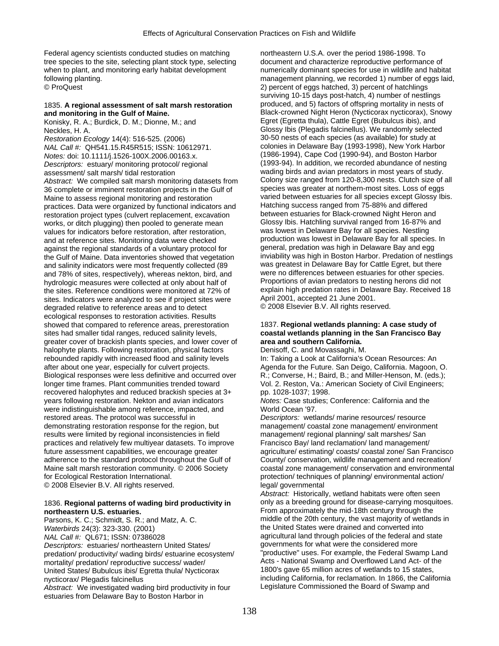Federal agency scientists conducted studies on matching northeastern U.S.A. over the period 1986-1998. To tree species to the site, selecting plant stock type, selecting document and characterize reproductive performance of when to plant, and monitoring early habitat development numerically dominant species for use in wildlife and habitat

*Restoration Ecology* 14(4): 516-525. (2006) 30-50 nests of each species (as available) for study at *NAL Call #:* QH541.15.R45R515; ISSN: 10612971. colonies in Delaware Bay (1993-1998), New York Harbor *Notes:* doi: 10.1111/j.1526-100X.2006.00163.x. (1986-1994), Cape Cod (1990-94), and Boston Harbor *Descriptors:* estuary/ monitoring protocol/ regional assessment/ salt marsh/ tidal restoration wading birds and avian predators in most years of study.<br>Abstract: We compiled salt marsh monitoring datasets from Colony size ranged from 120-8,300 nests. Clutch size of all *Abstract:* We compiled salt marsh monitoring datasets from Colony size ranged from 120-8,300 nests. Clutch size of all 36 complete or imminent restoration projects in the Gulf of species was greater at northern-most sites 36 complete or imminent restoration projects in the Gulf of Maine to assess regional monitoring and restoration varied between estuaries for all species except Glossy Ibis.<br>
practices. Data were organized by functional indicators and Hatching success ranged from 75-88% and differed practices. Data were organized by functional indicators and Hatching success ranged from 75-88% and differed<br>Testoration project types (culvert replacement excavation between estuaries for Black-crowned Night Heron and restoration project types (culvert replacement, excavation between estuaries for Black-crowned Night Heron and<br>works, or ditch plugging) then pooled to generate mean Glossy Ibis. Hatchling survival ranged from 16-87% and works, or ditch plugging) then pooled to generate mean Glossy Ibis. Hatchling survival ranged from 16-87% and the<br>Manues for indicators before restoration, after restoration was lowest in Delaware Bay for all species. Nest values for indicators before restoration, after restoration, and at reference sites. Monitoring data were checked production was lowest in Delaware Bay for all species. In<br>against the regional standards of a voluntary protocol for general, predation was high in Delaware Bay and egg against the regional standards of a voluntary protocol for general, predation was high in Delaware Bay and egg<br>the Gulf of Maine, Data inventories showed that vegetation inviability was high in Boston Harbor. Predation of the Gulf of Maine. Data inventories showed that vegetation inviability was high in Boston Harbor. Predation of nestlin<br>and salinity indicators were most frequently collected (89 vas greatest in Delaware Bay for Cattle Egre and salinity indicators were most frequently collected (89 was greatest in Delaware Bay for Cattle Egret, but there<br>and 78% of sites respectively) whereas nekton bird and were no differences between estuaries for other spe and 78% of sites, respectively), whereas nekton, bird, and were no differences between estuaries for other species.<br>hydrologic measures were collected at only about half of Proportions of avian predators to nesting herons hydrologic measures were collected at only about half of the sites. Reference conditions were monitored at 72% of explain high predation rates in Delaware Bay. Received 18<br>sites. Indicators were analyzed to see if project sites were April 2001, accepted 21 June 2001. sites. Indicators were analyzed to see if project sites were  $\Box$  April 2001, accepted 21 June 2001.<br>
degraded relative to reference areas and to detect  $\Box$  2008 Elsevier B.V. All rights reserved. degraded relative to reference areas and to detect ecological responses to restoration activities. Results showed that compared to reference areas, prerestoration 1837. **Regional wetlands planning: A case study of** sites had smaller tidal ranges, reduced salinity levels, **coastal wetlands planning in the San Francisco Bay**  greater cover of brackish plants species, and lower cover of **area and southern California.** halophyte plants. Following restoration, physical factors Denisoff, C. and Movassaghi, M.<br>
rebounded rapidly with increased flood and salinity levels In: Taking a Look at California's ( after about one year, especially for culvert projects. Agenda for the Future. San Deigo, California. Magoon, O. Biological responses were less definitive and occurred over R.; Converse, H.; Baird, B.; and Miller-Henson, M. (eds.); longer time frames. Plant communities trended toward Vol. 2. Reston, Va.: American Society of Civil Engineers; recovered halophytes and reduced brackish species at 3+ pp. 1028-1037; 1998. years following restoration. Nekton and avian indicators *Notes:* Case studies; Conference: California and the were indistinguishable among reference, impacted, and World Ocean '97. restored areas. The protocol was successful in *Descriptors:* wetlands/ marine resources/ resource demonstrating restoration response for the region, but management/ coastal zone management/ environment results were limited by regional inconsistencies in field management/ regional planning/ salt marshes/ San practices and relatively few multiyear datasets. To improve Francisco Bay/ land reclamation/ land management/ future assessment capabilities, we encourage greater agriculture/ estimating/ coasts/ coastal zone/ San Francisco adherence to the standard protocol throughout the Gulf of County/ conservation, wildlife management and recreation/ Maine salt marsh restoration community. © 2006 Society coastal zone management/ conservation and environmental for Ecological Restoration International. expansion international protection/ techniques of planning/ environmental action/ © 2008 Elsevier B.V. All rights reserved. legal/ governmental

Parsons, K. C.; Schmidt, S. R.; and Matz, A. C. Waterbirds 24(3): 323-330. (2001) *NAL Call #:* QL671; ISSN: 07386028 agricultural land through policies of the federal and state<br>Descriptors: estuaries/ northeastern United States/ governments for what were the considered more *Descriptors:* estuaries/ northeastern United States/ governments for what were the considered more predation/ productivity/ wading birds/ estuarine ecosystem/ mortality/ predation/ reproductive success/ wader/ <br>
United States/ Bubulcus ibis/ Egretta thula/ Nycticorax 1800's gave 65 million acres of wetlands to 15 states, United States/ Bubulcus ibis/ Egretta thula/ Nycticorax

*Abstract:* We investigated wading bird productivity in four estuaries from Delaware Bay to Boston Harbor in

following planting. management planning, we recorded 1) number of eggs laid, © ProQuest 2) percent of eggs hatched, 3) percent of hatchlings surviving 10-15 days post-hatch, 4) number of nestlings 1835. **A regional assessment of salt marsh restoration** produced, and 5) factors of offspring mortality in nests of **and monitoring in the Gulf of Maine.** Black-crowned Night Heron (Nycticorax nycticorax), Snowy Konisky, R. A.; Burdick, D. M.; Dionne, M.; and Egret (Egretta thula), Cattle Egret (Bubulcus ibis), and Neckles, H. A. Glossy Ibis (Plegadis falcinellus). We randomly selected

In: Taking a Look at California's Ocean Resources: An

*Abstract:* Historically, wetland habitats were often seen 1836. **Regional patterns of wading bird productivity in** only as a breeding ground for disease-carrying mosquitoes. **northeastern U.S. estuaries. From approximately the mid-18th century through the Parsons K. C.: Schmidt S. R.: and Matz. A. C. Middle of the 20th century, the vast majority of wetlands in** the United States were drained and converted into nycticorax/ Plegadis falcinellus including California, for reclamation. In 1866, the California<br>Abstract: We investigated wading bird productivity in four<br>Abstract: We investigated wading bird productivity in four<br>Legislat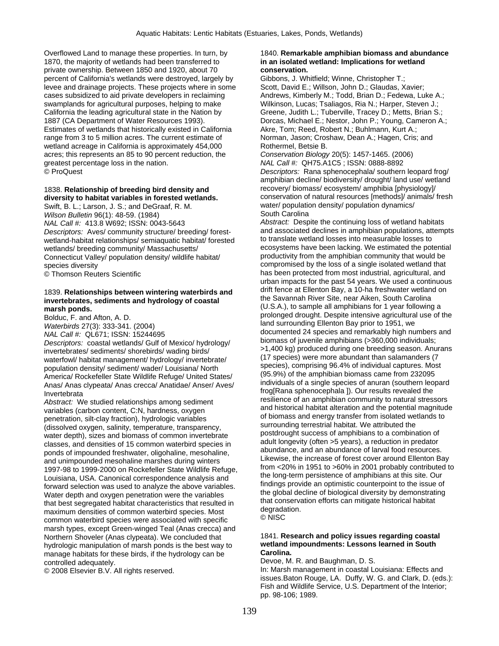Overflowed Land to manage these properties. In turn, by 1840. **Remarkable amphibian biomass and abundance**  1870, the majority of wetlands had been transferred to **in an isolated wetland: Implications for wetland**  private ownership. Between 1850 and 1920, about 70 **conservation.**  percent of California's wetlands were destroyed, largely by Gibbons, J. Whitfield; Winne, Christopher T.; levee and drainage projects. These projects where in some Scott, David E.; Willson, John D.; Glaudas, Xavier; cases subsidized to aid private developers in reclaiming **Andrews, Kimberly M.; Todd, Brian D.; Fedewa**, Luke A.; swamplands for agricultural purposes, helping to make Wilkinson, Lucas; Tsaliagos, Ria N.; Harper, Steven J.; California the leading agricultural state in the Nation by Greene, Judith L.; Tuberville, Tracey D.; Metts, Brian S.; 1887 (CA Department of Water Resources 1993). Dorcas, Michael E.; Nestor, John P.; Young, Cameron A.; Estimates of wetlands that historically existed in California Akre, Tom; Reed, Robert N.; Buhlmann, Kurt A.; range from 3 to 5 million acres. The current estimate of Norman, Jason; Croshaw, Dean A.; Hagen, Cris; and wetland acreage in California is approximately 454,000 Rothermel, Betsie B. acres; this represents an 85 to 90 percent reduction, the *Conservation Biology* 20(5): 1457-1465. (2006) greatest percentage loss in the nation. *NAL Call #:* QH75.A1C5 ; ISSN: 0888-8892

Swift, B. L.; Larson, J. S.; and DeGraaf, R. M. water/ population density/ population dynamics/<br>Wilson Bulletin 96(1): 48-59 (1984)<br>Wilson Bulletin 96(1): 48-59 (1984) *Wilson Bulletin* 96(1): 48-59. (1984) *NAL Call #:* 413.8 W692; ISSN: 0043-5643 *Abstract:* Despite the continuing loss of wetland habitats *Descriptors:* Aves/ community structure/ breeding/ forest- and associated declines in amphibian populations, att<br>wetland-habitat relationships/ semiaguatic habitat/ forested to translate wetland losses into measurable los wetland-habitat relationships/ semiaquatic habitat/ forested Connecticut Valley/ population density/ wildlife habitat/ species diversity compromised by the loss of a single isolated wetland that

# must condition conditions and try at order of conditions.<br>
(U.S.A.), to sample all amphibians for 1 year following a marsh ponds.

forward selection was used to analyze the above variables.<br>Water depth and oxygen penetration were the variables the global decline of biological diversity by demonstrating<br>that best sequenced behitat characteristics that that best segregated habitat characteristics that resulted in That conservation in the maximum densities of common waterbird species. Most maximum densities of common waterbird species. Most <sup>degrada</sup> common waterbird species were associated with specific  $\otimes$  NISC marsh types, except Green-winged Teal (Anas crecca) and Northern Shoveler (Anas clypeata). We concluded that 1841. **Research and policy issues regarding coastal** <br>
hydrologic manipulation of marsh ponds is the best way to **wetland impoundments: Lessons learned in South** hydrologic manipulation of marsh ponds is the best way to **wetland in wetland in South Australian**<br>manage habitats for these birds, if the hydrology can be manage habitats for these birds, if the hydrology can be controlled adequately. Devoe, M. R. and Baughman, D. S.

© ProQuest *Descriptors:* Rana sphenocephala/ southern leopard frog/ amphibian decline/ biodiversity/ drought/ land use/ wetland 1838. **Relationship of breeding bird density and** recovery/ biomass/ ecosystem/ amphibia [physiology]/ **diversity to habitat variables in forested wetlands.** conservation of natural resources [methods]/ animals/ fresh

wetlands/ breeding community/ Massachusetts/ ecosystems have been lacking. We estimated the potential<br>Connecticut Valley/ population density/ wildlife habitat/ productivity from the amphibian community that would be © Thomson Reuters Scientific has been protected from most industrial, agricultural, and urban impacts for the past 54 years. We used a continuous 1839. Relationships between wintering waterbirds and drift fence at Ellenton Bay, a 10-ha freshwater wetland on<br>
invertebrates, sediments and hydrology of coastal the Savannah River Site, near Aiken, South Carolina prolonged drought. Despite intensive agricultural use of the Bolduc, F. and Afton, A. D.<br>Bolduc, F. and Afton, A. D. S. (2004) **Example 2** and surrounding Ellenton Bay prior to 1951, we Waterbirds 27(3): 333-341. (2004)<br>
MAL Call #: QL671; ISSN: 15244695<br>
Descriptors: coastal wetlands/ Gulf of Mexico/ hydrology/<br>
Descriptors: coastal wetlands/ Gulf of Mexico/ hydrology/<br>
invertebrates sediments shorebirds Abstract: We studied relationships among sediment<br>
variables (carbon content, C:N, hardness, oxygen<br>
penetration, silt-clay fraction), hydrologic variables<br>
penetration, silt-clay fraction), hydrologic variables<br>
(dissolve

© 2008 Elsevier B.V. All rights reserved. In: Marsh management in coastal Louisiana: Effects and issues.Baton Rouge, LA. Duffy, W. G. and Clark, D. (eds.): Fish and Wildlife Service, U.S. Department of the Interior; pp. 98-106; 1989.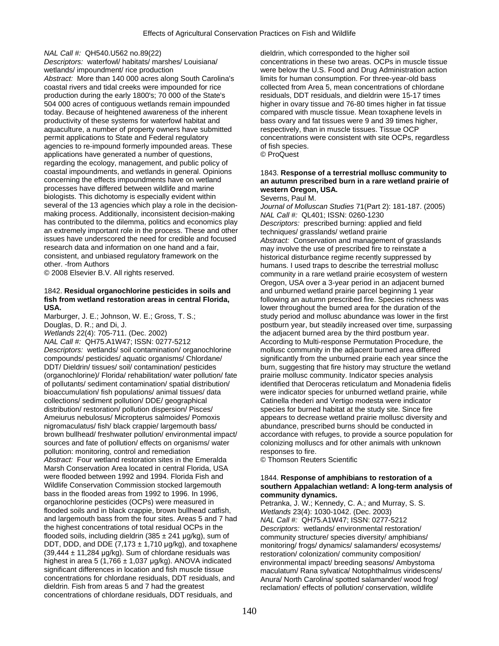*Abstract:* More than 140 000 acres along South Carolina's coastal rivers and tidal creeks were impounded for rice collected from Area 5, mean concentrations of chlordane production during the early 1800's; 70 000 of the State's residuals, DDT residuals, and dieldrin were 15-17 times 504 000 acres of contiguous wetlands remain impounded higher in ovary tissue and 76-80 times higher in fat tissue<br>today. Because of heightened awareness of the inherent compared with muscle tissue. Mean toxaphene levels in today. Because of heightened awareness of the inherent productivity of these systems for waterfowl habitat and aquaculture, a number of property owners have submitted respectively, than in muscle tissues. Tissue OCP permit applications to State and Federal regulatory concentrations were consistent with site OCPs, regardless agencies to re-impound formerly impounded areas. These of fish species. applications have generated a number of questions, © ProQuest regarding the ecology, management, and public policy of coastal impoundments, and wetlands in general. Opinions 1843. **Response of a terrestrial mollusc community to**  processes have differed between wildlife and marine **western Oregon, USA.**  biologists. This dichotomy is especially evident within Severns, Paul M.<br>several of the 13 agencies which play a role in the decision-<br>Journal of Molluse making process. Additionally, inconsistent decision-making<br>*has contributed to the dilemma, politics and economics play* an extremely important role in the process. These and other issues have underscored the need for credible and focused *Abstract:* Conservation and management of grasslands research data and information on one hand and a fair, research data and information on one hand and a fair,<br>consistent, and unbiased regulatory framework on the historical disturbance regime recently suppressed by consistent, and unbiased regulatory framework on the historical disturbance regime recently suppressed by<br>humans I used trans to describe the terrestrial mollus

## 1842. Residual organochlorine pesticides in soils and **USA.** lower throughout the burned area for the duration of the

Douglas, D. R.; and Di, J. postburn year, but steadily increased over time, surpassing *Wetlands* 22(4): 705-711. (Dec. 2002) **the adjacent burned area by the third postburn year.**<br> *NAL Call #:* QH75.A1W47; ISSN: 0277-5212 **According to Multi-response Permutation Procedure**, *Descriptors:* wetlands/ soil contamination/ organochlorine mollusc community in the adjacent burned area differed compounds/ pesticides/ aquatic organisms/ Chlordane/ significantly from the unburned prairie each year sinc DDT/ Dieldrin/ tissues/ soil/ contamination/ pesticides burn, suggesting that fire history may structure the wetland (organochlorine)/ Florida/ rehabilitation/ water pollution/ fate prairie mollusc community. Indicator species analysis of pollutants/ sediment contamination/ spatial distribution/ identified that Deroceras reticulatum and Monadenia fidelis bioaccumulation/ fish populations/ animal tissues/ data were indicator species for unburned wetland prairie, while collections/ sediment pollution/ DDE/ geographical Catinella rhederi and Vertigo modesta were indicator distribution/ restoration/ pollution dispersion/ Pisces/ species for burned habitat at the study site. Since fire Ameiurus nebulosus/ Micropterus salmoides/ Pomoxis appears to decrease wetland prairie mollusc diversity and nigromaculatus/ fish/ black crappie/ largemouth bass/ abundance, prescribed burns should be conducted in brown bullhead/ freshwater pollution/ environmental impact/ accordance with refuges, to provide a source population for sources and fate of pollution/ effects on organisms/ water colonizing molluscs and for other animals with unknown pollution: monitoring, control and remediation responses to fire. *Abstract:* Four wetland restoration sites in the Emeralda © Thomson Reuters Scientific Marsh Conservation Area located in central Florida, USA were flooded between 1992 and 1994. Florida Fish and 1844. **Response of amphibians to restoration of a**<br>Wildlife Conservation Commission stocked largemouth southern Appalachian wetland: A long-term analy bass in the flooded areas from 1992 to 1996. In 1996, **community dynamics.**<br>
organochlorine pesticides (OCPs) were measured in Petranka, J. W.: Kenned flooded soils and in black crappie, brown bullhead catfish, *Wetlands* 23(4): 1030-1042. (Dec. 2003) and largemouth bass from the four sites. Areas 5 and 7 had the highest concentrations of total residual OCPs in the the highest concentrations of total residual OCPs in the *Descriptors:* wetlands/ environmental restoration/<br>flooded soils, including dieldrin (385 ± 241 µg/kg), sum of community structure/ species diversity/ amphibians flooded soils, including dieldrin (385 ± 241 µg/kg), sum of community structure/ species diversity/ amphibians/<br>DDT, DDD, and DDE (7,173 ± 1,710 µg/kg), and toxaphene monitoring/ frogs/ dynamics/ salamanders/ ecosyste (39,444 ± 11,284 μg/kg). Sum of chlordane residuals was restoration/ colonization/ community composition/ highest in area 5 (1,766 ± 1,037 μg/kg). ANOVA indicated environmental impact/ breeding seasons/ Ambystoma<br>significant differences in location and fish muscle tissue maculatum/ Rana svlvatica/ Notophthalmus viridescen significant differences in location and fish muscle tissue maculatum/ Rana sylvatica/ Notophthalmus viridescens/<br>Concentrations for chlordane residuals, DDT residuals, and animal North Carolinal spotted salamander/ wood fr concentrations for chlordane residuals, DDT residuals, and Anura/ North Carolina/ spotted salamander/ wood frog/<br>dieldrin. Fish from areas 5 and 7 had the greatest reclamation/ effects of pollution/ conservation, wildlife concentrations of chlordane residuals, DDT residuals, and

*NAL Call #:* QH540.U562 no.89(22) dieldrin, which corresponded to the higher soil *Descriptors:* waterfowl/ habitats/ marshes/ Louisiana/ concentrations in these two areas. OCPs in muscle tissue wetlands/ impoundment/ rice production were below the U.S. Food and Drug Administration action<br>
Abstract: More than 140 000 acres along South Carolina's limits for human consumption. For three-year-old bass bass ovary and fat tissues were 9 and 39 times higher,

# an autumn prescribed burn in a rare wetland prairie of

Journal of Molluscan Studies 71 (Part 2): 181-187. (2005)<br>NAL Call #: QL401; ISSN: 0260-1230 Descriptors: prescribed burning: applied and field techniques/ grasslands/ wetland prairie other. -from Authors<br>
© 2008 Elsevier B.V. All rights reserved.<br>
Community in a rare wetland prairie ecosystem of weste community in a rare wetland prairie ecosystem of western Oregon, USA over a 3-year period in an adjacent burned **fish from wetland restoration areas in central Florida,** following an autumn prescribed fire. Species richness was Marburger, J. E.; Johnson, W. E.; Gross, T. S.; study period and mollusc abundance was lower in the first According to Multi-response Permutation Procedure, the significantly from the unburned prairie each year since the

# southern Appalachian wetland: A long-term analysis of

Petranka, J. W.; Kennedy, C. A.; and Murray, S. S. monitoring/ frogs/ dynamics/ salamanders/ ecosystems/ reclamation/ effects of pollution/ conservation, wildlife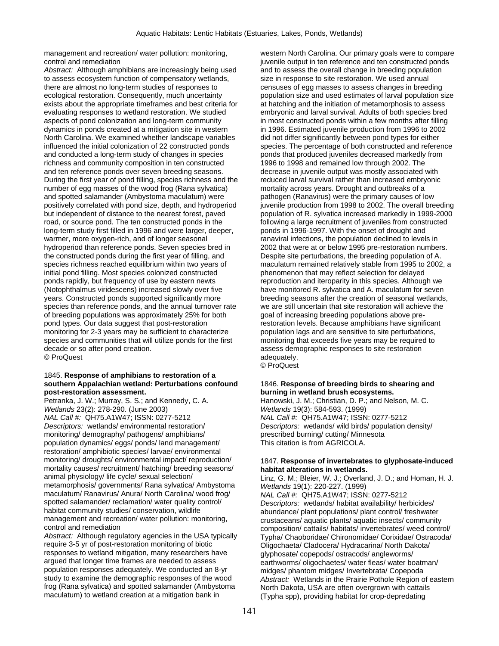management and recreation/ water pollution: monitoring, western North Carolina. Our primary goals were to compare

*Abstract:* Although amphibians are increasingly being used and to assess the overall change in breeding population to assess ecosystem function of compensatory wetlands, size in response to site restoration. We used annual there are almost no long-term studies of responses to censuses of egg masses to assess changes in breeding ecological restoration. Consequently, much uncertainty population size and used estimates of larval population size exists about the appropriate timeframes and best criteria for at hatching and the initiation of metamorphosis to assess evaluating responses to wetland restoration. We studied embryonic and larval survival. Adults of both species bred aspects of pond colonization and long-term community in most constructed ponds within a few months after filling dynamics in ponds created at a mitigation site in western in 1996. Estimated juvenile production from 1996 to 2002 North Carolina. We examined whether landscape variables did not differ significantly between pond types for either influenced the initial colonization of 22 constructed ponds species. The percentage of both constructed and reference and conducted a long-term study of changes in species ponds that produced juveniles decreased markedly from richness and community composition in ten constructed 1996 to 1998 and remained low through 2002. The and ten reference ponds over seven breeding seasons. decrease in juvenile output was mostly associated with During the first year of pond filling, species richness and the reduced larval survival rather than increased embryonic number of egg masses of the wood frog (Rana sylvatica) mortality across years. Drought and outbreaks of a and spotted salamander (Ambystoma maculatum) were pathogen (Ranavirus) were the primary causes of low positively correlated with pond size, depth, and hydroperiod juvenile production from 1998 to 2002. The overall breeding but independent of distance to the nearest forest, paved population of R. sylvatica increased markedly in 1999-2000 road, or source pond. The ten constructed ponds in the following a large recruitment of juveniles from constructed long-term study first filled in 1996 and were larger, deeper, ponds in 1996-1997. With the onset of drought and warmer, more oxygen-rich, and of longer seasonal ranaviral infections, the population declined to levels in hydroperiod than reference ponds. Seven species bred in 2002 that were at or below 1995 pre-restoration numbers. the constructed ponds during the first year of filling, and Despite site perturbations, the breeding population of A. species richness reached equilibrium within two years of maculatum remained relatively stable from 1995 to 2002, a initial pond filling. Most species colonized constructed phenomenon that may reflect selection for delayed ponds rapidly, but frequency of use by eastern newts reproduction and iteroparity in this species. Although we (Notophthalmus viridescens) increased slowly over five have monitored R. sylvatica and A. maculatum for seven years. Constructed ponds supported significantly more breeding seasons after the creation of seasonal wetlands, species than reference ponds, and the annual turnover rate we are still uncertain that site restoration will achieve the of breeding populations was approximately 25% for both goal of increasing breeding populations above prepond types. Our data suggest that post-restoration restoration restoration levels. Because amphibians have significant monitoring for 2-3 years may be sufficient to characterize population lags and are sensitive to site perturbations, species and communities that will utilize ponds for the first monitoring that exceeds five years may be required to decade or so after pond creation. assess demographic responses to site restoration © ProQuest adequately.

## 1845. **Response of amphibians to restoration of a southern Appalachian wetland: Perturbations confound** 1846. **Response of breeding birds to shearing and post-restoration assessment. burning in wetland brush ecosystems.**

Petranka, J. W.; Murray, S. S.; and Kennedy, C. A. Hanowski, J. M.; Christian, D. P.; and Nelson, M. C. *Wetlands* 23(2): 278-290. (June 2003) *Wetlands* 19(3): 584-593. (1999) *NAL Call #:* QH75.A1W47; ISSN: 0277-5212 *NAL Call #:* QH75.A1W47; ISSN: 0277-5212 *Descriptors:* wetlands/ environmental restoration/ *Descriptors:* wetlands/ wild birds/ population density/ monitoring/ demography/ pathogens/ amphibians/ prescribed burning/ cutting/ Minnesota population dynamics/ eggs/ ponds/ land management/ This citation is from AGRICOLA. restoration/ amphibiotic species/ larvae/ environmental monitoring/ droughts/ environmental impact/ reproduction/ 1847. **Response of invertebrates to glyphosate-induced**  mortality causes/ recruitment/ hatching/ breeding seasons/ **habitat alterations in wetlands.**<br>animal physiology/life cycle/ sexual selection/ **habitat alterations in wetlands.** metamorphosis/ governments/ Rana sylvatica/ Ambystoma *Wetlands* 19(1): 220-227. (1999) maculatum/ Ranavirus/ Anura/ North Carolina/ wood frog/ *NAL Call #:* QH75.A1W47; ISSN: 0277-5212 spotted salamander/ reclamation/ water quality control/ *Descriptors:* wetlands/ habitat availability/ herbicides/ habitat community studies/ conservation, wildlife abundance/ plant populations/ plant control/ freshwater<br>management and recreation/ water pollution: monitoring, and crustaceans/ aquatic plants/ aquatic insects/ community management and recreation/ water pollution: monitoring, expression crustaceans/ aquatic plants/ aquatic insects/ community<br>commosition/ cattails/ habitats/ invertebrates/ weed control

*Abstract:* Although regulatory agencies in the USA typically Typha/ Chaoboridae/ Chironomidae/ Corixidae/ Ostracoda/<br>
require 3-5 yr of post-restoration monitoring of biotic **Clication** Cladocera/ Hydracarina/ North Dakot responses to wetland mitigation, many researchers have glyphosate/ copepods/ ostracods/ angleworms/ argued that longer time frames are needed to assess earthworms/ oligochaetes/ water fleas/ water both population responses adequately. We conducted an 8-yr midges/ phantom midges/ Invertebrata/ Copepoda<br>study to examine the demographic responses of the wood Abstract: Wetlands in the Prairie Pothole Region o frog (Rana sylvatica) and spotted salamander (Ambystoma North Dakota, USA are often overgrown with cattails maculatum) to wetland creation at a mitigation bank in (Typha spp), providing habitat for crop-depredating

control and remediation in the intensity of the state of the intensity of the intensity of the intensity of the intensity of the intensity of the intensity of the intensity of the intensity of the intensity of the intensit © ProQuest

Linz, G. M.; Bleier, W. J.; Overland, J. D.; and Homan, H. J. control and remediation<br>Abstract: Although regulatory agencies in the USA typically composition/ cattails/ habitats/ invertebrates/ weed control/<br>Controllatory agencies in the USA typically Typha/ Chapporidae/ Chironomidae Oligochaeta/ Cladocera/ Hydracarina/ North Dakota/ earthworms/ oligochaetes/ water fleas/ water boatman/ Abstract: Wetlands in the Prairie Pothole Region of eastern (Typha spp), providing habitat for crop-depredating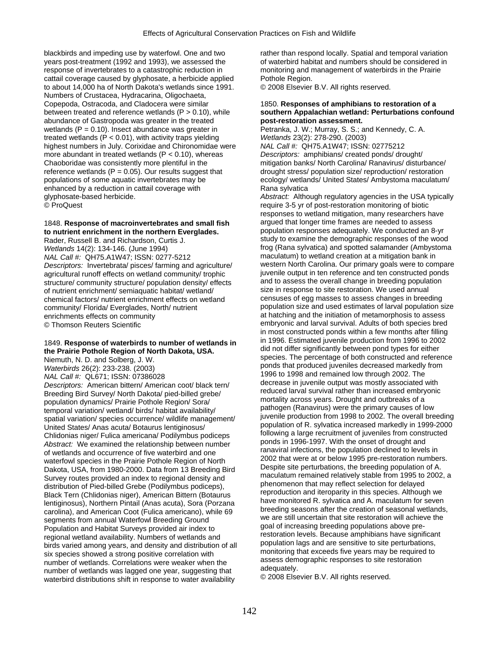blackbirds and impeding use by waterfowl. One and two rather than respond locally. Spatial and temporal variation years post-treatment (1992 and 1993), we assessed the of waterbird habitat and numbers should be considered in response of invertebrates to a catastrophic reduction in monitoring and management of waterbirds in the Prairie cattail coverage caused by glyphosate, a herbicide applied Pothole Region. to about 14,000 ha of North Dakota's wetlands since 1991. © 2008 Elsevier B.V. All rights reserved. Numbers of Crustacea, Hydracarina, Oligochaeta, Copepoda, Ostracoda, and Cladocera were similar 1850. **Responses of amphibians to restoration of a**<br>between treated and reference wetlands (P > 0.10), while **southern Appalachian wetland: Perturbations conformation** abundance of Gastropoda was greater in the treated wetlands (P = 0.10). Insect abundance was greater in Petranka, J. W.; Murray, S. S.; and Kennedy, C. A. treated wetlands (P < 0.01), with activity traps yielding *Wetlands* 23(2): 278-290. (2003) highest numbers in July. Corixidae and Chironomidae were *NAL Call #:* QH75.A1W47; ISSN: 02775212 more abundant in treated wetlands (P < 0.10), whereas *Descriptors:* amphibians/ created ponds/ drought/<br>Chaoboridae was consistently more plentiful in the mitigation banks/ North Carolina/ Ranavirus/ distur Chaoboridae was consistently more plentiful in the mitigation banks/ North Carolina/ Ranavirus/ disturbance/ reference wetlands ( $P = 0.05$ ). Our results suggest that drought stress/ population size/ reproduction/ restorat reference wetlands (P = 0.05). Our results suggest that drought stress/ population size/ reproduction/ restoration<br>populations of some aquatic invertebrates may be ecology/ wetlands/ United States/ Ambystoma maculatum enhanced by a reduction in cattail coverage with glyphosate-based herbicide. © ProQuest require 3-5 yr of post-restoration monitoring of biotic

## to nutrient enrichment in the northern Everglades.

agricultural runoff effects on wetland community/ trophic juvenile output in ten reference and ten constructed pond<br>structure/ community structure/ population density/ effects and to assess the overall change in breeding p structure/ community structure/ population density/ effects and to assess the overall change in breeding popula<br>of nutrient enrichment/ semiaquatic habitat/ wetland/ size in response to site restoration. We used annual of nutrient enrichment/ semiaquatic habitat/ wetland/ chemical factors/ nutrient enrichment effects on wetland censuses of egg masses to assess changes in breeding enrichments effects on community at hatching and the initiation of metamorphosis to assess

waterfowl species in the Prairie Pothole Region of North<br>
Dakota, USA, from 1980-2000. Data from 13 Breeding Bird<br>
Despite site perturbations, the breeding opulation of A.<br>
Survey routes provided a index to regional densit number of wetlands was lagged one year, suggesting that adequately.<br>waterbird distributions shift in response to water availability © 2008 Elsevier B.V. All rights reserved.

# southern Appalachian wetland: Perturbations confound<br>post-restoration assessment.

ecology/ wetlands/ United States/ Ambystoma maculatum/<br>Rana sylvatica

Abstract: Although regulatory agencies in the USA typically responses to wetland mitigation, many researchers have 1848. **Response of macroinvertebrates and small fish** argued that longer time frames are needed to assess Rader, Russell B. and Richardson, Curtis J. Study to examine the demographic responses of the wood<br>Wetlands 14(2): 134-146. (June 1994) Transference of the wood frog (Rana sylvatica) and spotted salamander (Ambystoma *Wetlands* 14(2): 134-146. (June 1994) **frog (Rana sylvatica) and spotted salamander (Ambystoma<br>** *NAL Call #:* **QH75.A1W47: ISSN: 0277-5212 <b>for an aculatum** to wetland creation at a mitigation bank in maculatum) to wetland creation at a mitigation bank in<br>western North Carolina. Our primary goals were to compare *Descriptors:* Invertebrata/ pisces/ farming and agriculture/ western North Carolina. Our primary goals were to compar<br>agricultural runoff effects on wetland community/ trophic in the surput in ten reference and ten constr community/ Florida/ Everglades, North/ nutrient population size and used estimates of larval population size © Thomson Reuters Scientific embryonic and larval survival. Adults of both species bred in most constructed ponds within a few months after filling 1849. Response of waterbirds to number of wetlands in in 1996. Estimated juvenile production from 1996 to 2002<br>
the Prairie Pothole Region of North Dakota, USA.<br>
Niemuth, N. D. and Solberg, J. W.<br>
Materbirds 26(2): 233-238 Waterbirds 26(2): 233-238. (2003)<br>
MAL Call #: QL671; ISSN: 07386028<br>
Descriptors: American bittern/ American coot/ black tern/<br>
Descriptors: American bittern/ American coot/ black tern/<br>
Reeding Bird Survey/ North Dakota/ Breeding Bird Survey/North Dakota/ pied-billed grebe/<br>
population dynamics/ Prairie Pothole Region/Sora/
temporal variation/ wetland/ birds/ habitat availability<br>
spatial variation/ species occurrence/ wildlife management/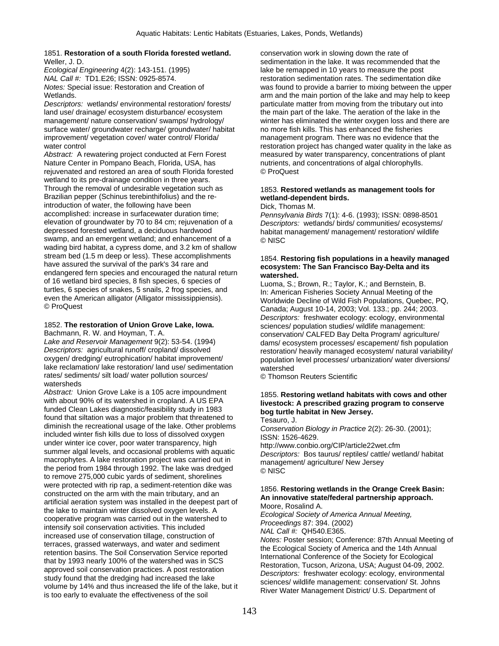## 1851. **Restoration of a south Florida forested wetland.** conservation work in slowing down the rate of Weller, J. D. Sedimentation in the lake. It was recommended that the unit of the lake. It was recommended that the

*Descriptors:* wetlands/ environmental restoration/ forests/ particulate matter from moving from the tributary out into land use/ drainage/ ecosystem disturbance/ ecosystem the main part of the lake. The aeration of the lake in the<br>management/ nature conservation/ swamps/ hydrology/ winter has eliminated the winter oxygen loss and there a surface water/ groundwater recharge/ groundwater/ habitat no more fish kills. This has enhanced the fisheries improvement/ vegetation cover/ water control/ Florida/ management program. There was no evidence that the

*Abstract:* A rewatering project conducted at Fern Forest measured by water transparency, concentrations of plant Nature Center in Pompano Beach, Florida, USA, has nutrients, and concentrations of algal chlorophylls. rejuvenated and restored an area of south Florida forested © ProQuest wetland to its pre-drainage condition in three years. Through the removal of undesirable vegetation such as 1853. **Restored wetlands as management tools for**  Brazilian pepper (Schinus terebinthifolius) and the re- **wetland-dependent birds.**  introduction of water, the following have been Dick, Thomas M.<br>accomplished: increase in surfacewater duration time: Pennsylvania Bir accomplished: increase in surfacewater duration time; *Pennsylvania Birds* 7(1): 4-6. (1993); ISSN: 0898-8501<br>
elevation of groundwater by 70 to 84 cm: reiuvenation of a Descriptors: wetlands/ birds/ communities/ ecosystem elevation of groundwater by 70 to 84 cm; rejuvenation of a *Descriptors:* wetlands/ birds/ communities/ ecosystems/ swamp, and an emergent wetland; and enhancement of a  $\heartsuit$  NISC wading bird habitat, a cypress dome, and 3.2 km of shallow stream bed (1.5 m deep or less). These accomplishments<br>have assured the survival of the park's 34 rare and<br>endangered fern species and encouraged the natural return<br>of 16 wetland bird species, 8 fish species, 6 species of

## 1852. **The restoration of Union Grove Lake, Iowa.** sciences/ population studies/ wildlife management:

*Lake and Reservoir Management* 9(2): 53-54. (1994) dams/ ecosystem processes/ escapement/ fish population lake reclamation/ lake restoration/ land use/ sedimentation watershed rates/ sediments/ silt load/ water pollution sources/ © Thomson Reuters Scientific watersheds

Abstract: Union Grove Lake is a 105 acre impoundment<br>with about 90% of its watershed in cropland. A US EPA<br>funded Clean Lakes diagnostic/feasibility study in 1983<br>found that siltation was a major problem that threatened to included winter fish kills due to loss of dissolved oxygen<br>under winter ice cover, poor water transparency, high http://www.conbio.org/CIP/article22wet.cfm<br>summer algal levels, and occasional problems with aquatic Descript summer algal levels, and occasional problems with aquatic<br>macrophytes. A lake restoration project was carried out in<br>the period from 1984 through 1992. The lake was dredged<br>
© NISC<br>
© NISC to remove 275,000 cubic yards of sediment, shorelines were protected with rip rap, a sediment-retention dike was<br>
constructed on the arm with the main tribulary, and an<br>
artificial aeration system was installed in the deepest part of<br>
the lake to maintain winter dissolved oxy

*Ecological Engineering* 4(2): 143-151. (1995) lake be remapped in 10 years to measure the post in MAL Call #: TD1.E26; ISSN: 0925-8574. *NAL Call #:* TD1.E26; ISSN: 0925-8574.<br>*Notes:* Special issue: Restoration and Creation of *maximum* was found to provide a barrier to mixing between the up was found to provide a barrier to mixing between the upper Wetlands. **Arm and the main portion of the lake and may help to keep** arm and the main portion of the lake and may help to keep winter has eliminated the winter oxygen loss and there are water control water control restoration project has changed water quality in the lake as

habitat management/ management/ restoration/ wildlife

of 16 wetland bird species, 8 fish species, 6 species of<br>turtles, 6 species of snakes, 5 snails, 2 frog species, and<br>even the American alligator (Alligator mississippiensis).<br>
The American Fisheries Society Annual Meeting *Descriptors:* freshwater ecology: ecology, environmental Bachmann, R. W. and Hoyman, T. A. conservation/ CALFED Bay Delta Program/ agriculture/<br>Lake and Reservoir Management 9(2): 53-54. (1994) conservation/ ecosystem processes/ escapement/ fish populati *Descriptors:* agricultural runoff/ cropland/ dissolved restoration/ heavily managed ecosystem/ natural variability/ oxygen/ dredging/ eutrophication/ habitat improvement/ population level processes/ urbanization/ water di population level processes/ urbanization/ water diversions/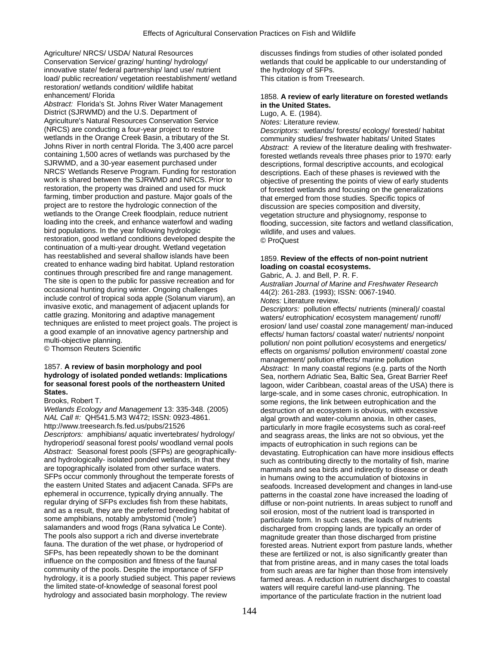Agriculture/ NRCS/ USDA/ Natural Resources discusses findings from studies of other isolated ponded Conservation Service/ grazing/ hunting/ hydrology/ wetlands that could be applicable to our understanding of innovative state/ federal partnership/ land use/ nutrient the hydrology of SFPs. load/ public recreation/ vegetation reestablishment/ wetland This citation is from Treesearch. restoration/ wetlands condition/ wildlife habitat

*Abstract:* Florida's St. Johns River Water Management **in the United States.**  District (SJRWMD) and the U.S. Department of Lugo, A. E. (1984). Agriculture's Natural Resources Conservation Service *Notes:* Literature review.<br>(NRCS) are conducting a four-year project to restore *Descriptors:* wetlands/fo wetlands in the Orange Creek Basin, a tributary of the St. community studies/ freshwater habitats/ United States<br>Johns River in north central Florida. The 3,400 acre parcel *Abstract: A review of the literature dealing wit* Johns River in north central Florida. The 3,400 acre parcel *Abstract:* A review of the literature dealing with freshwatercontaining 1,500 acres of wetlands was purchased by the forested wetlands reveals three phases prior to 1970: early<br>SJRWMD, and a 30-year easement purchased under for the enterprisons, formal descriptive accounts, and ecol NRCS' Wetlands Reserve Program. Funding for restoration descriptions. Each of these phases is reviewed with the work is shared between the SJRWMD and NRCS. Prior to objective of presenting the points of view of early stude work is shared between the SJRWMD and NRCS. Prior to objective of presenting the points of view of early students<br>
restoration, the property was drained and used for muck of forested wetlands and focusing on the generaliza farming, timber production and pasture. Major goals of the that emerged from those studies. Specific topics of project are to restore the hydrologic connection of the discussion are species composition and diversity. project are to restore the hydrologic connection of the discussion are species composition and diversity,<br>wetlands to the Orange Creek floodplain, reduce nutrient vegetation structure and physiognomy response to wetlands to the Orange Creek floodplain, reduce nutrient vegetation structure and physiognomy, response to<br>Ioading into the creek, and enhance waterfowl and wading vertional succession, site factors and wetland classi bird populations. In the year following hydrologic wildlife, and uses and values. restoration, good wetland conditions developed despite the  $\heartsuit$  ProQuest continuation of a multi-year drought. Wetland vegetation has reestablished and several shallow islands have been<br>
created to enhance wading bird habitat. Upland restoration<br>
continues through prescribed fire and range management.<br>
The site is open to the public for passive recre occasional hunting during winter. Ongoing challenges 44(2): 261-283. (1993); ISSN: 0067-1940. include control of tropical soda apple (Solanum viarum), an *Notes:* Literature review.

*NAL Call #:* QH541.5.M3 W472; ISSN: 0923-4861.<br>http://www.treesearch.fs.fed.us/pubs/21526 **and an**oricularly in more fraqile ecosystems such as coral-re http://www.treesearch.fs.fed.us/pubs/21526 particularly in more fragile ecosystems such as coral-reef<br>Descriptors: amphibians/ aquatic invertebrates/ hydrology/ and seagrass areas, the links are not so obvious, vet the hydroperiod/ seasonal forest pools/ woodland vernal pools impacts of eutrophication in such regions can be<br>Abstract: Seasonal forest pools (SFPs) are geographically-<br>devastating. Eutrophication can have more insidi *Abstract:* Seasonal forest pools (SFPs) are geographically- devastating. Eutrophication can have more insidious effects and hydrologically- isolated ponded wetlands, in that they such as contributing directly to the mortality of fish, marine<br>are topographically isolated from other surface waters. The mammals and sea birds and indirectly to SFPs occur commonly throughout the temperate forests of in humans owing to the accumulation of biotoxins in the eastern United States and adjacent Canada. SFPs are seafoods. Increased development and changes in land-use<br>ephemeral in occurrence, typically drying annually. The parterns in the coastal zone have increased the loadin ephemeral in occurrence, typically drying annually. The patterns in the coastal zone have increased the loading of<br>
regular drying of SFPs excludes fish from these habitats, and diffuse or non-point nutrients. In areas sub and as a result, they are the preferred breeding habitat of soil erosion, most of the nutrient load is transported in<br>some amphibians, notably ambystomid ('mole') some amphibians is the loads of nutrients some amphibians, notably ambystomid ('mole') enticulate form. In such cases, the loads of nutrients<br>salamanders and wood frogs (Rana sylvatica Le Conte). This discharged from cropping lands are typically an order salamanders and wood frogs (Rana sylvatica Le Conte). discharged from cropping lands are typically an order of<br>The pools also support a rich and diverse invertebrate magnitude or eater than those discharged from pristine The pools also support a rich and diverse invertebrate magnitude greater than those discharged from pristine<br>
fauna. The duration of the wet phase, or hydroperiod of forested areas. Nutrient export from pasture lands, whe fauna. The duration of the wet phase, or hydroperiod of forested areas. Nutrient export from pasture lands, whether<br>SFPs, has been repeatedly shown to be the dominant these are fertilized or not, is also significantly grea SFPs, has been repeatedly shown to be the dominant these are fertilized or not, is also significantly greater than<br>influence on the composition and fitness of the faunal that from pristine areas, and in many cases the tota influence on the composition and fitness of the faunal that from pristine areas, and in many cases the total loads<br>community of the pools. Despite the importance of SFP from such areas are far higher than those from intens community of the pools. Despite the importance of SFP from such areas are far higher than those from intensively<br>hydrology, it is a poorly studied subject. This paper reviews farmed areas. A reduction in nutrient discharge the limited state-of-knowledge of seasonal forest pool waters will require careful land-use planning. The hydrology and associated basin morphology. The review importance of the particulate fraction in the nutrier

## enhancement/ Florida 1858. **A review of early literature on forested wetlands**

Descriptors: wetlands/ forests/ ecology/ forested/ habitat descriptions, formal descriptive accounts, and ecological of forested wetlands and focusing on the generalizations flooding, succession, site factors and wetland classification,

invasive exotic, and management of adjacent uplands for<br>cattle grazing. Monitoring and adaptive management<br>techniques are enlisted to meet project goals. The project is<br>a good example of an innovative agency partnership an management/ pollution effects/ marine pollution 1857. **A review of basin morphology and pool** *Abstract:* In many coastal regions (e.g. parts of the North **hydrology of isolated ponded wetlands: Implications** Sea, northern Adriatic Sea, Baltic Sea, Great Barrier Reef<br>**for seasonal forest pools of the northeastern United** and a lagoon, wider Caribbean, coastal areas of the US **for seasonal forest pools of the northeastern United** lagoon, wider Caribbean, coastal areas of the USA) there is **States.** large-scale, and in some cases chronic, eutrophication. In some regions, the link between eutrophication and the *Wetlands Ecology and Management* 13: 335-348. (2005) destruction of an ecosystem is obvious, with excessive and seagrass areas, the links are not so obvious, yet the mammals and sea birds and indirectly to disease or death diffuse or non-point nutrients. In areas subject to runoff and farmed areas. A reduction in nutrient discharges to coastal importance of the particulate fraction in the nutrient load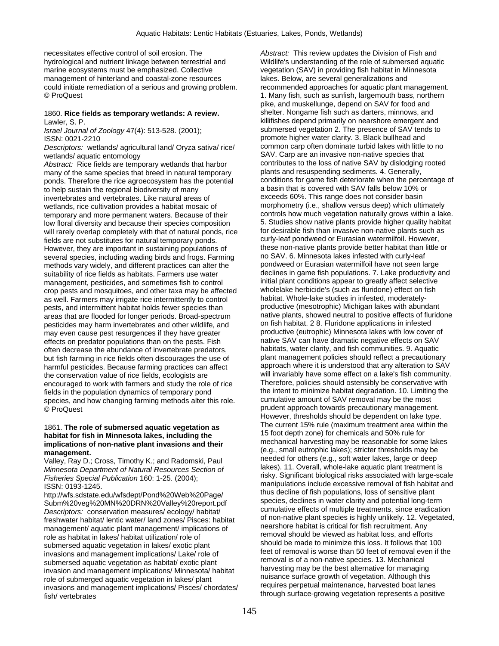necessitates effective control of soil erosion. The *Abstract:* This review updates the Division of Fish and hydrological and nutrient linkage between terrestrial and Wildlife's understanding of the role of submersed aquatic marine ecosystems must be emphasized. Collective vegetation (SAV) in providing fish habitat in Minnesota management of hinterland and coastal-zone resources lakes. Below, are several generalizations and could initiate remediation of a serious and growing problem. recommended approaches for aquatic plant management. © ProQuest 1. Many fish, such as sunfish, largemouth bass, northern

## 1860. Rice fields as temporary wetlands: A review.

*Israel Journal of Zoology* 47(4): 513-528. (2001);

*Descriptors:* wetlands/ agricultural land/ Oryza sativa/ rice/ wetlands/ aquatic entomology

*Abstract:* Rice fields are temporary wetlands that harbor contributes to the loss of native SAV by dislodging many of the same species that breed in natural temporary plants and resuspending sediments. 4. Generally, ponds. Therefore the rice agroecosystem has the potential conditions for game fish deteriorate when the percentage or<br>to help sustain the regional biodiversity of many a basin that is covered with SAV falls below 10% or to help sustain the regional biodiversity of many a basin that is covered with SAV falls below 10% or<br>invertebrates and vertebrates. Like natural areas of exceeds 60%. This range does not consider basin invertebrates and vertebrates. Like natural areas of exceeds 60%. This range does not consider basin<br>wetlands, rice cultivation provides a habitat mosaic of example of morphometry (i.e., shallow versus deep) which ultimate wetlands, rice cultivation provides a habitat mosaic of morphometry (i.e., shallow versus deep) which ultimately<br>temporary and more permanent waters. Because of their controls how much vegetation naturally grows within a l temporary and more permanent waters. Because of their controls how much vegetation naturally grows within a lake.<br>Iow floral diversity and because their species composition 5. Studies show native plants provide higher qual low floral diversity and because their species composition 5. Studies show native plants provide higher quality habit<br>Mill rarely overlan completely with that of natural ponds, rice for desirable fish than invasive non-nat will rarely overlap completely with that of natural ponds, rice fields are not substitutes for natural temporary ponds. Curly-leaf pondweed or Eurasian watermilfoil. However,<br>However, they are important in sustaining populations of these non-native plants provide better habitat than li However, they are important in sustaining populations of these non-native plants provide better habitat than little several species, including wading birds and frogs. Farming the order No SAV, 6. Minnesota lakes infested w several species, including wading birds and frogs. Farming no SAV. 6. Minnesota lakes infested with curly-leaf<br>methods vary widely, and different practices can alter the pondweed or Eurasian watermilfoil have not seen larg methods vary widely, and different practices can alter the pondweed or Eurasian watermilfoil have not seen large<br>suitability of rice fields as habitats. Farmers use water declines in game fish populations. 7. Lake producti suitability of rice fields as habitats. Farmers use water declines in game fish populations. 7. Lake productivity and sometimes fish to control initial plant conditions appear to greatly affect selective management, pesticides, and sometimes fish to control initial plant conditions appear to greatly affect selective<br>crop pests and mosquitoes, and other taxa may be affected wholelake herbicide's (such as fluridone) effect o crop pests and mosquitoes, and other taxa may be affected wholelake herbicide's (such as fluridone) effect on fi<br>as well. Farmers may irrigate rice intermittently to control habitat. Whole-lake studies in infested, moderat as well. Farmers may irrigate rice intermittently to control habitat. Whole-lake studies in infested, moderately-<br>nests, and intermittent habitat holds fewer species than productive (mesotrophic) Michigan lakes with abunda pests, and intermittent habitat holds fewer species than productive (mesotrophic) Michigan lakes with abundant<br>areas that are flooded for longer periods. Broad-spectrum hative plants, showed neutral to positive effects of areas that are flooded for longer periods. Broad-spectrum native plants, showed neutral to positive effects of flu<br>nesticides may harm invertebrates and other wildlife, and on fish habitat. 2 8. Fluridone applications in i pesticides may harm invertebrates and other wildlife, and on fish habitat. 2 8. Fluridone applications in infested<br>may even cause pest resurgences if they have greater on a productive (eutrophic) Minnesota lakes with low c may even cause pest resurgences if they have greater productive (eutrophic) Minnesota lakes with low cover of<br>effects on predator populations than on the pests. Fish have SAV can have dramatic negative effects on SAV effects on predator populations than on the pests. Fish native SAV can have dramatic negative effects on SAV<br>
often decrease the abundance of invertebrate predators habitats, water clarity, and fish communities. 9. Aquatic often decrease the abundance of invertebrate predators, habitats, water clarity, and fish communities. 9. Aquatic<br>but fish farming in rice fields often discourages the use of plant management policies should reflect a prec but fish farming in rice fields often discourages the use of plant management policies should reflect a precautionary<br>harmful pesticides. Because farming practices can affect approach where it is understood that any altera harmful pesticides. Because farming practices can affect approach where it is understood that any alteration to SAV<br>the conservation value of rice fields, ecologists are will invariably have some effect on a lake's fish co the conservation value of rice fields, ecologists are will invariably have some effect on a lake's fish community.<br>Therefore, policies should ostensibly be conservative with the result of the role of rice. encouraged to work with farmers and study the role of rice fields in the population dynamics of temporary pond the intent to minimize habitat degradation. 10. Limiting the<br>species, and how changing farming methods alter this role. cumulative amount of SAV removal may be the most species, and how changing farming methods alter this role. © ProQuest prudent approach towards precautionary management.

Valley, Ray D.; Cross, Timothy K.; and Radomski, Paul

management/ aquatic plant management/ implications of nearshore habitat is critical for fish recruitment. Any<br>rele as habitat in lakes/ habitat utilization/ rele of record netword should be viewed as habitat loss, and effo removal should be viewed as habitat loss, and efforts role as habitat in lakes/ habitat utilization/ role of role of removal should be made to minimize this loss. It follows that 100 submersed aquatic vegetation in lakes/ exotic plant<br>invasions and management implications/ Lake/ role of<br>submersed aquatic vegetation as habitat/ exotic plant<br>invasion and management implications/ Minnesota/ habitat<br>role o

pike, and muskellunge, depend on SAV for food and<br>shelter. Nongame fish such as darters, minnows, and Lawler, S. P.<br>
Israel Journal of Zoology 47(4): 513-528 (2001): The presence of SAV tends to ISSN: 0021-2210<br>Descriptors: wetlands/ agricultural land/ Orvza sativa/ rice/ common carp often dominate turbid lakes with little to no SAV. Carp are an invasive non-native species that<br>contributes to the loss of native SAV by dislodging rooted many of the same species that breed in natural temporary entity plants and resuspending sediments. 4. Generally,<br>ponds. Therefore the rice agroecosystem has the potential conditions for game fish deteriorate when the perce However, thresholds should be dependent on lake type. 1861. The role of submersed aquatic vegetation as<br>
habitat for fish in Minnesota lakes, including the<br>
implications of non-native plant invasions and their<br>
mechanical harvesting may be reasonable for some lakes<br>
mechanica **management. management**<br>
(e.g., small eutrophic lakes); stricter thresholds may be<br>
valley Ray D: Cross Timothy K: and Radomski Paul needed for others (e.g., soft water lakes, large or deep *Minnesota Department of Natural Resources Section of* lakes). 11. Overall, whole-lake aquatic plant treatment is<br>*Kinnesota Department of Natural Resources Section of* risky. Significant biological risks associated with l risky. Significant biological risks associated with large-scale *Fisheries Special Publication* 160: 1-25. (2004); manipulations include excessive removal of fish habitat and ISSN: 0193-1245. http://wfs.sdstate.edu/wfsdept/Pond%20Web%20Page/<br>
Subm%20veg%20MN%20DRN%20Valley%20report.pdf<br>
Descriptors: conservation measures/ecology/ habitat/<br>
reshwater habitat/ lentic water/ land zones/ Pisces: habitat<br>
management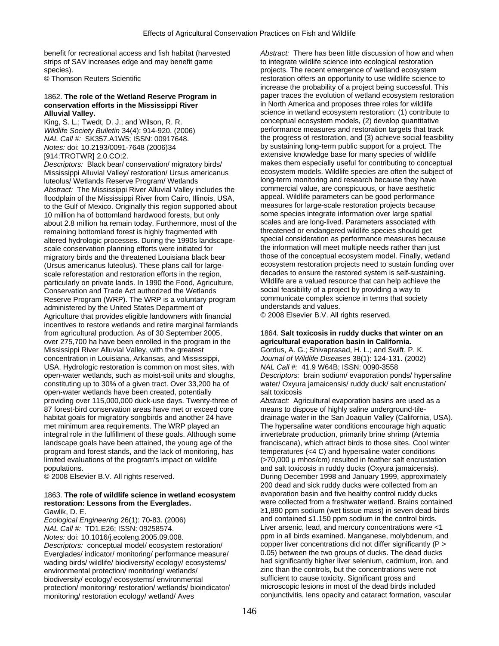benefit for recreational access and fish habitat (harvested *Abstract:* There has been little discussion of how and when strips of SAV increases edge and may benefit game to integrate wildlife science into ecological restoration

*Wildlife Society Bulletin* 34(4): 914-920. (2006)

*Descriptors: Black bear/ conservation/ migratory birds/* Mississippi Alluvial Valley/ restoration/ Ursus americanus ecosystem models. Wildlife species are often the subject of luteolus<sup>/</sup> Wetlands Reserve Program/ Wetlands long-term monitoring and research because they have<br>Abstract: The Mississippi River Alluvial Valley includes the commercial value, are conspicuous, or have aesthetic Abstract: The Mississippi River Alluvial Valley includes the commercial value, are conspicuous, or have aesthetic<br>floodplain of the Mississippi River from Cairo, Illinois, USA. appeal. Wildlife parameters can be good perfo floodplain of the Mississippi River from Cairo, Illinois, USA, appeal. Wildlife parameters can be good performance<br>to the Gulf of Mexico, Originally this region supported about measures for large-scale restoration projects to the Gulf of Mexico. Originally this region supported about measures for large-scale restoration projects because<br>10 million ha of bottomland hardwood forests, but only some species integrate information over large spati 10 million ha of bottomland hardwood forests, but only some species integrate information over large spatial<br>About 2.8 million ha remain today. Furthermore, most of the scales and are long-lived. Parameters associated with about 2.8 million ha remain today. Furthermore, most of the scales and are long-lived. Parameters associated with remaining bottomland forest is highly fragmented with threatened or endangered wildlife species should get<br>altered hydrologic processes. During the 1990s landscape-<br>special consideration as performance measures because altered hydrologic processes. During the 1990s landscapescale conservation planning efforts were initiated for the information will meet multiple needs rather than just<br>migratory birds and the threatened Louisiana black bear those of the conceptual ecosystem model. Finally, wet migratory birds and the threatened Louisiana black bear those of the conceptual ecosystem model. Finally, wetland<br>(Ursus americanus luteolus). These plans call for large-<br>ecosystem restoration projects need to sustain fund (Ursus americanus luteolus). These plans call for large-<br>scale reforestation and restoration efforts in the region<br>decades to ensure the restored system is self-sustaining. scale reforestation and restoration efforts in the region, decades to ensure the restored system is self-sustaining<br>
particularly on private lands. In 1990 the Food, Agriculture. Wildlife are a valued resource that can hel particularly on private lands. In 1990 the Food, Agriculture, Wildlife are a valued resource that can help achieve that can help achieve that can help achieve that can help achieve the Wetlands of the Wetlands of the socia Conservation and Trade Act authorized the Wetlands social feasibility of a project by providing a way to<br>Reserve Program (WRP). The WRP is a voluntary program communicate complex science in terms that society Reserve Program (WRP). The WRP is a voluntary program communicate complex society in terms that society in terms that society administered by the United States Department of the understands and values. administered by the United States Department of entity and the understands and values.<br>Agriculture that provides eligible landowners with financial  $\degree$  2008 Elsevier B.V. All rights reserved. Agriculture that provides eligible landowners with financial incentives to restore wetlands and retire marginal farmlands from agricultural production. As of 30 September 2005, 1864. **Salt toxicosis in ruddy ducks that winter on an** over 275,700 ha have been enrolled in the program in the **agricultural evaporation basin in California.**  Mississippi River Alluvial Valley, with the greatest Gordus, A. G.; Shivaprasad, H. L.; and Swift, P. K. concentration in Louisiana, Arkansas, and Mississippi, *Journal of Wildlife Diseases* 38(1): 124-131. (2002) USA. Hydrologic restoration is common on most sites, with *NAL Call #:* 41.9 W64B; ISSN: 0090-3558 open-water wetlands, such as moist-soil units and sloughs, *Descriptors:* brain sodium/ evaporation ponds/ hypersaline constituting up to 30% of a given tract. Over 33,200 ha of water/ Oxyura jamaicensis/ ruddy duck/ salt encrustation/ open-water wetlands have been created, potentially salt toxicosis providing over 115,000,000 duck-use days. Twenty-three of *Abstract:* Agricultural evaporation basins are used as a 87 forest-bird conservation areas have met or exceed core means to dispose of highly saline underground-tilehabitat goals for migratory songbirds and another 24 have drainage water in the San Joaquin Valley (California, USA). met minimum area requirements. The WRP played an The hypersaline water conditions encourage high aquatic integral role in the fulfillment of these goals. Although some invertebrate production, primarily brine shrimp (Artemia landscape goals have been attained, the young age of the franciscana), which attract birds to those sites. Cool winter program and forest stands, and the lack of monitoring, has temperatures (<4 C) and hypersaline water conditions limited evaluations of the program's impact on wildlife (>70,000 μ mhos/cm) resulted in feather salt encrustation<br>
and salt toxicosis in ruddy ducks (Oxyura iamaicensis).

# restoration: Lessons from the Everglades.

*Ecological Engineering* 26(1): 70-83. (2006) *NAL Call #:* TD1.E26; ISSN: 09258574. Liver arsenic, lead, and mercury concentrations were <1 *Descriptors:* conceptual model/ ecosystem restoration/ copper liver concentrations did not differ significantly (P > Everglades/ indicator/ monitoring/ performance measure/ environmental protection/ monitoring/ wetlands/<br>
biodiversity/ ecology/ ecosystems/ environmental example and sufficient to cause toxicity. Significant gross and biodiversity/ ecology/ ecosystems/ environmental sufficient to cause toxicity. Significant gross and<br>protection/ monitoring/ restoration/ wetlands/ bioindicator/ microscopic lesions in most of the dead birds included protection/ monitoring/ restoration/ wetlands/ bioindicator/ monitoring/ restoration ecology/ wetland/ Aves conjunctivitis, lens opacity and cataract formation, vascular

species).<br>
© Thomson Reuters Scientific **and the recent emergence of wetland ecosystem**<br>
estoration offers an opportunity to use wildlife science restoration offers an opportunity to use wildlife science to increase the probability of a project being successful. This 1862. **The role of the Wetland Reserve Program in** paper traces the evolution of wetland ecosystem restoration **conservation efforts in the Mississippi River** in North America and proposes three roles for wildlife **Alluvial Valley.** science in wetland ecosystem restoration: (1) contribute to King, S. L.; Twedt, D. J.; and Wilson, R. R. conceptual ecosystem models, (2) develop quantitative<br>Wildlife Society Bulletin 34(4): 914-920 (2006) enformance measures and restoration targets that track *NAL Call #:* SK357.A1W5; ISSN: 00917648. the progress of restoration, and (3) achieve social feasibility *Notes:* doi: 10.2193/0091-7648 (2006)34 by sustaining long-term public support for a project. The [914:TROTWR] 2.0.CO;2.<br>Descriptors: Black bear/ conservation/ migratory birds/ extensive knowledge base for many species of wildlife

and salt toxicosis in ruddy ducks (Oxyura jamaicensis). © 2008 Elsevier B.V. All rights reserved. During December 1998 and January 1999, approximately 200 dead and sick ruddy ducks were collected from an 1863. **The role of wildlife science in wetland ecosystem** evaporation basin and five healthy control ruddy ducks Gawlik, D. E.<br>  $E_{\text{colorical}\text{ Encineering 26(1)}:\text{70-83}$  (2006) 21,890 ppm sodium (wet tissue mass) in seven dead birds. *Notes:* doi: 10.1016/j.ecoleng.2005.09.008.<br>*Descriptors:* conceptual model/ecosystem restoration/ copper liver concentrations did not differ significantly (P > wading birds/ wildlife/ biodiversity/ ecology/ ecosystems/ had significantly higher liver selenium, cadmium, iron, and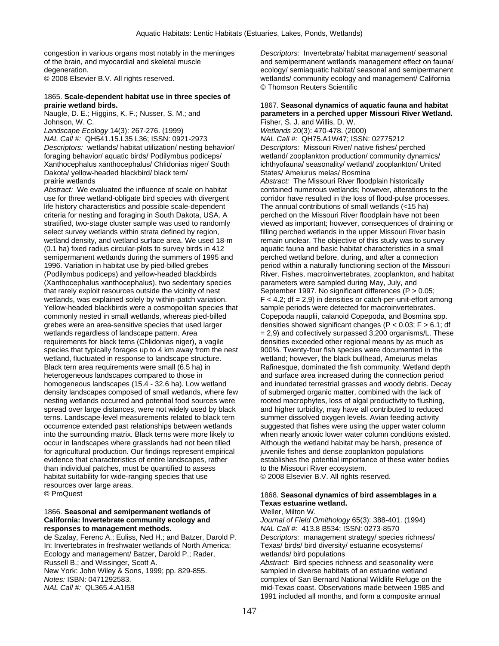## 1865. **Scale-dependent habitat use in three species of**

Johnson, W. C. Fisher, S. J. and Willis, D. W.

*Landscape Ecology* 14(3): 267-276. (1999) *Wetlands* 20(3): 470-478. (2000) *NAL Call #:* QH541.15.L35 L36; ISSN: 0921-2973 *NAL Call #:* QH75.A1W47; ISSN: 02775212 *Descriptors:* wetlands/ habitat utilization/ nesting behavior/ *Descriptors:* Missouri River/ native fishes/ perched foraging behavior/ aquatic birds/ Podilymbus podiceps/ wetland/ zooplankton production/ community dynamics/ Xanthocephalus xanthocephalus/ Chlidonias niger/ South ichthyofauna/ seasonality/ wetland/ zooplankton/ United Dakota/ yellow-headed blackbird/ black tern/ States/ Ameiurus melas/ Bosmina prairie wetlands *Abstract:* The Missouri River floodplain historically

*Abstract:* We evaluated the influence of scale on habitat contained numerous wetlands; however, alterations to the use for three wetland-obligate bird species with divergent corridor have resulted in the loss of flood-pulse processes. life history characteristics and possible scale-dependent The annual contributions of small wetlands (<15 ha) criteria for nesting and foraging in South Dakota, USA. A perched on the Missouri River floodplain have not been select survey wetlands within strata defined by region, filling perched wetlands in the upper Missouri River basin wetland density, and wetland surface area. We used 18-m remain unclear. The objective of this study was to survey (0.1 ha) fixed radius circular-plots to survey birds in 412 aquatic fauna and basic habitat characteristics in a small semipermanent wetlands during the summers of 1995 and perched wetland before, during, and after a connection 1996. Variation in habitat use by pied-billed grebes period within a naturally functioning section of the Missouri (Xanthocephalus xanthocephalus), two sedentary species parameters were sampled during May, July, and<br>that rarely exploit resources outside the vicinity of nest September 1997. No significant differences (P > 0.05; that rarely exploit resources outside the vicinity of nest wetlands, was explained solely by within-patch variation.  $F < 4.2$ ; df = 2,9) in densities or catch-per-unit-effort among Yellow-headed blackbirds were a cosmopolitan species that sample periods were detected for macroinvertebrates. commonly nested in small wetlands, whereas pied-billed Copepoda nauplii, calanoid Copepoda, and Bosmina spp. grebes were an area-sensitive species that used larger densities showed significant changes ( $P < 0.03$ ;  $F > 6.1$ ; df requirements for black terns (Chlidonias niger), a vagile densities exceeded other regional means by as much as species that typically forages up to 4 km away from the nest 900%. Twenty-four fish species were documented in the wetland, fluctuated in response to landscape structure. wetland; however, the black bullhead, Ameiurus melas<br>Black tern area requirements were small (6.5 ha) in Rafinesque, dominated the fish community. Wetland de heterogeneous landscapes compared to those in and surface area increased during the connection period homogeneous landscapes (15.4 - 32.6 ha). Low wetland and inundated terrestrial grasses and woody debris. Decay density landscapes composed of small wetlands, where few of submerged organic matter, combined with the lack of nesting wetlands occurred and potential food sources were rooted macrophytes, loss of algal productivity to flushing, spread over large distances, were not widely used by black and higher turbidity, may have all contributed to reduced terns. Landscape-level measurements related to black tern summer dissolved oxygen levels. Avian feeding activity occurrence extended past relationships between wetlands suggested that fishes were using the upper water column into the surrounding matrix. Black terns were more likely to when nearly anoxic lower water column conditions existed. occur in landscapes where grasslands had not been tilled Although the wetland habitat may be harsh, presence of for agricultural production. Our findings represent empirical juvenile fishes and dense zooplankton populations evidence that characteristics of entire landscapes, rather establishes the potential importance of these water bodies than individual patches, must be quantified to assess to the Missouri River ecosystem. habitat suitability for wide-ranging species that use  $\heartsuit$  2008 Elsevier B.V. All rights reserved. resources over large areas. © ProQuest 1868. **Seasonal dynamics of bird assemblages in a** 

## 1866. Seasonal and semipermanent wetlands of Weller, Milton W. **California: Invertebrate community ecology and** *Journal of Field Ornithology* 65(3): 388-401. (1994) **responses to management methods.** *NAL Call #:* 413.8 B534; ISSN: 0273-8570

de Szalay, Ferenc A.; Euliss, Ned H.; and Batzer, Darold P. *Descriptors:* management strategy/ species richness/ In: Invertebrates in freshwater wetlands of North America: Texas/ birds/ bird diversity/ estuarine ecosystems/ Ecology and management/ Batzer, Darold P.; Rader, wetlands/ bird populations Russell B.; and Wissinger, Scott A. *Abstract:* Bird species richness and seasonality were New York: John Wiley & Sons, 1999; pp. 829-855. Sampled in diverse habitats of an estuarine wetland *Notes:* ISBN: 0471292583. complex of San Bernard National Wildlife Refuge on the *NAL Call #:* QL365.4.A1I58 mid-Texas coast. Observations made between 1985 and

congestion in various organs most notably in the meninges *Descriptors:* Invertebrata/ habitat management/ seasonal of the brain, and myocardial and skeletal muscle and semipermanent wetlands management effect on fauna/ degeneration.<br>
© 2008 Elsevier B.V. All rights reserved. entitled and seminage wetlands/ community ecology and management/ California wetlands/ community ecology and management/ California © Thomson Reuters Scientific

## **prairie wetland birds.** 1867. **Seasonal dynamics of aquatic fauna and habitat**  Naugle, D. E.; Higgins, K. F.; Nusser, S. M.; and **parameters in a perched upper Missouri River Wetland.**

stratified, two-stage cluster sample was used to randomly viewed as important; however, consequences of draining or (Podilymbus podiceps) and yellow-headed blackbirds River. Fishes, macroinvertebrates, zooplankton, and habitat wetlands regardless of landscape pattern. Area  $= 2.9$  and collectively surpassed 3,200 organisms/L. These Rafinesque, dominated the fish community. Wetland depth

## **Texas estuarine wetland.**

1991 included all months, and form a composite annual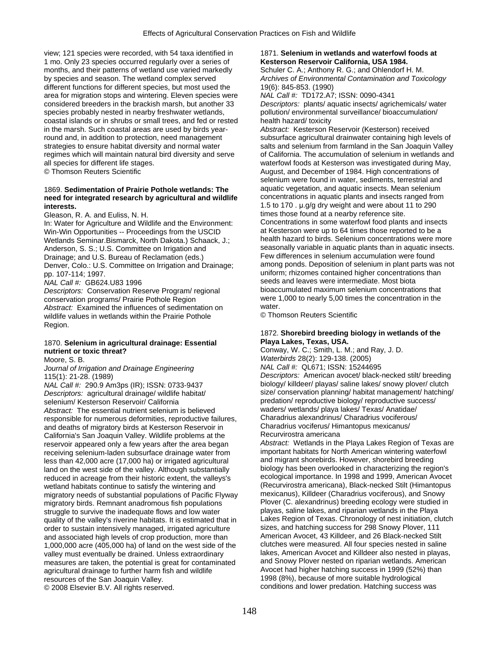view; 121 species were recorded, with 54 taxa identified in 1871. **Selenium in wetlands and waterfowl foods at**  1 mo. Only 23 species occurred regularly over a series of **Kesterson Reservoir California, USA 1984.**  months, and their patterns of wetland use varied markedly Schuler C. A.; Anthony R. G.; and Ohlendorf H. M. by species and season. The wetland complex served *Archives of Environmental Contamination and Toxicology* different functions for different species, but most used the area for migration stops and wintering. Eleven species were *NAL Call #:* TD172.A7; ISSN: 0090-4341 considered breeders in the brackish marsh, but another 33 *Descriptors:* plants/ aquatic insects/ agrichemicals/ water species probably nested in nearby freshwater wetlands, coastal islands or in shrubs or small trees, and fed or rested health hazard/ toxicity in the marsh. Such coastal areas are used by birds year- *Abstract:* Kesterson Reservoir (Kesterson) received round and, in addition to protection, need management subsurface agricultural drainwater containing high levels of strategies to ensure habitat diversity and normal water salts and selenium from farmland in the San Joaquin Valley regimes which will maintain natural bird diversity and serve of California. The accumulation of selenium in wetlands and all species for different life stages. waterfowl foods at Kesterson was investigated during May,

## **need for integrated research by agricultural and wildlife interests.** 1.5 to 170 . μ.g/g dry weight and were about 11 to 290

In: Water for Agriculture and Wildlife and the Environment: Concentrations in some waterfowl food plants and insections in some waterfowl food plants and insections of the Environment: Concentrations and insects and insect Win-Win Opportunities -- Proceedings from the USCID Denver, Colo.: U.S. Committee on Irrigation and Drainage;

*Descriptors: Conservation Reserve Program/ regional* Abstract: Examined the influences of sedimentation on water.<br>Wildlife values in wetlands within the Prairie Pothole **C** Thomson Reuters Scientific wildlife values in wetlands within the Prairie Pothole Region.

## 1870. **Selenium in agricultural drainage: Essential Playa Lakes, Texas, USA. nutrient or toxic threat? Conway, W. C.; Smith, L. M.; and Ray, J. D.**

*Journal of Irrigation and Drainage Engineering* 

Abstract: The essential nutrient selenium is believed waders/ wetlands/ playa lakes/ Texas/ Anatidae/<br>Tesponsible for numerous deformities, reproductive failures. Charadrius alexandrinus/ Charadrius vociferous/ responsible for numerous deformities, reproductive failures, Charadrius alexandrinus/ Charadrius vociferous/<br>Charadrius vociferus/ Himantopus mexicanus/<br>Charadrius vociferus/ Himantopus mexicanus/ and deaths of migratory birds at Kesterson Reservoir in Charadrius vociferus/ Himantopus mexicanus/ California's San Joaquin Valley. Wildlife problems at the Recurvirostra americana<br>
reservoir appeared only a few years after the area began Abstract: Wetlands in the Playa Lakes Region of Texas are reservoir appeared only a few years after the area began *Abstract:* Wetlands in the Playa Lakes Region of Texas are<br>
receiving selenium-laden subsurface drainage water from important habitats for North American wintering receiving selenium-laden subsurface drainage water from important habitats for North American wintering water<br>Iess than 42.000 acre (17.000 ha) or irrigated agricultural and migrant shorebirds. However, shorebird breeding less than 42,000 acre (17,000 ha) or irrigated agricultural land on the west side of the valley. Although substantially biology has been overlooked in characterizing the region's<br>
reduced in acreage from their historic extent the valleys's ecological importance. In 1998 and 1999, A reduced in acreage from their historic extent, the valleys's wetland habitats continue to satisfy the wintering and (Recurvirostra americana), Black-necked Stilt (Himantopus<br>migratory needs of substantial populations of Pacific Flyway mexicanus), Killdeer (Charadrius vociferous), an migratory needs of substantial populations of Pacific Flyway migratory birds. Remnant anadromous fish populations Plover (C. alexandrinus) breeding ecology were studied in<br>
struggle to survive the inadequate flows and low water playas, saline lakes, and riparian wetlands in the Play struggle to survive the inadequate flows and low water playas, saline lakes, and riparian wetlands in the Playa<br>In the valley's riverine habitats It is estimated that in Lakes Region of Texas. Chronology of nest initiation quality of the valley's riverine habitats. It is estimated that in Lakes Region of Texas. Chronology of nest initiation, clu<br>order to sustain intensively managed irrigated agriculture sizes, and hatching success for 298 Sn order to sustain intensively managed, irrigated agriculture sizes, and hatching success for 298 Snowy Plover, 111<br>and associated high levels of crop production, more than American Avocet, 43 Killdeer, and 26 Black-necked S and associated high levels of crop production, more than American Avocet, 43 Killdeer, and 26 Black-necked Stilt<br>1.000.000 acre (405.000 ha) of land on the west side of the clutches were measured. All four species nested i 1,000,000 acre (405,000 ha) of land on the west side of the clutches were measured. All four species nested in saline<br>valley must eventually be drained. Unless extraordinary lakes, American Avocet and Killdeer also nested valley must eventually be drained. Unless extraordinary measures are taken, the potential is great for contaminated and Snowy Plover nested on riparian wetlands. American agricultural drainage to further harm fish and wildlife Avocet had higher hatching success in 1999 (52%) than resources of the San Joaquin Valley. 1998 (8%), because of more suitable hydrological © 2008 Elsevier B.V. All rights reserved. conditions and lower predation. Hatching success was

© Thomson Reuters Scientific **August, and December of 1984. High concentrations of** August, and December of 1984. High concentrations of selenium were found in water, sediments, terrestrial and 1869. **Sedimentation of Prairie Pothole wetlands: The** aquatic vegetation, and aquatic insects. Mean selenium Gleason, R. A. and Euliss, N. H. (Gleason, R. A. and Euliss, N. H. times those found at a nearby reference site.<br>In: Water for Agriculture and Wildlife and the Environment: Concentrations in some waterfowl food plants and Wetlands Seminar.Bismarck, North Dakota.) Schaack, J.; health hazard to birds. Selenium concentrations were more Anderson, S. S.; U.S. Committee on Irrigation and seasonally variable in aquatic plants than in aquatic insects. Drainage; and U.S. Bureau of Reclamation (eds.) Few differences in selenium accumulation were found<br>Denver, Colo.: U.S. Committee on Irrigation and Drainage: among ponds. Deposition of selenium in plant parts was not pp. 107-114; 1997.<br>
MAL Call #: GB624.U83 1996 **by the secure of the secure of the secure of the secure intermediate.** Most biota seeds and leaves were intermediate. Most biota<br>bioaccumulated maximum selenium concentrations that conservation programs/ Prairie Pothole Region were 1,000 to nearly 5,00 times the concentration in the<br>Abstract: Examined the influences of sedimentation on water

## 1872. **Shorebird breeding biology in wetlands of the**

Moore, S. B. *Waterbirds* 28(2): 129-138. (2005) 115(1): 21-28. (1989) *Descriptors:* American avocet/ black-necked stilt/ breeding *NAL Call #:* 290.9 Am3ps (IR); ISSN: 0733-9437 biology/ killdeer/ playas/ saline lakes/ snowy plover/ clutch *Descriptors:* agricultural drainage/ wildlife habitat/ size/ conservation planning/ habitat management/ hatching/ selenium/ Kesterson Reservoir/ California predation/ reproductive biology/ reproductive success/<br>Abstract: The essential nutrient selenium is believed waders/ wetlands/ playa lakes/ Texas/ Anatidae/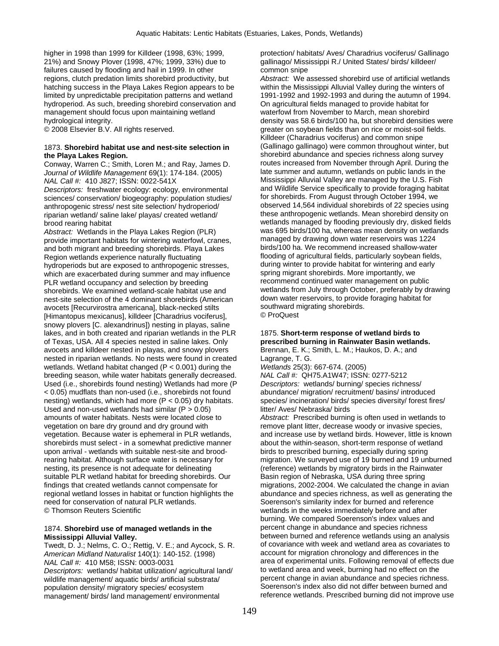higher in 1998 than 1999 for Killdeer (1998, 63%; 1999, protection/ habitats/ Aves/ Charadrius vociferus/ Gallinago 21%) and Snowy Plover (1998, 47%; 1999, 33%) due to gallinago/ Mississippi R./ United States/ birds/ killdeer/ failures caused by flooding and hail in 1999. In other common snipe regions, clutch predation limits shorebird productivity, but *Abstract:* We assessed shorebird use of artificial wetlands hatching success in the Playa Lakes Region appears to be within the Mississippi Alluvial Valley during the winters of limited by unpredictable precipitation patterns and wetland 1991-1992 and 1992-1993 and during the autumn of 1994. hydroperiod. As such, breeding shorebird conservation and On agricultural fields managed to provide habitat for management should focus upon maintaining wetland waterfowl from November to March, mean shorebird

*Journal of Wildlife Management* 69(1): 174-184. (2005)

*Descriptors:* freshwater ecology: ecology, environmental and Wildlife Service specifically to provide foraging hab<br>sciences/ conservation/ biogeography: population studies/ for shorebirds. From August through October 1994 sciences/ conservation/ biogeography: population studies/ for shorebirds. From August through October 1994, we<br>
anthropogenic stress/ nest site selection/ hydroperiod/ boserved 14,564 individual shorebirds of 22 species us anthropogenic stress/ nest site selection/ hydroperiod/ observed 14,564 individual shorebirds of 22 species using riparian wetland/ saline lake/ playas/ created wetland/

provide important habitats for wintering waterfowl, cranes, managed by drawing down water reservoirs was 1224<br>and both migrant and breeding shorebirds, Playa Lakes birds/100 ha. We recommend increased shallow-water and both migrant and breeding shorebirds. Playa Lakes Region wetlands experience naturally fluctuating flooding of agricultural fields, particularly soybean fields, by the hydroperiods but are exposed to anthropogenic stresses during winter to provide habitat for wintering an hydroperiods but are exposed to anthropogenic stresses, during winter to provide habitat for wintering and which are exacerbated during summer and may influence which are exacerbated during summer and may influence spring migrant shorebirds. More importantly, we<br>PLR wetland occupancy and selection by breeding recommend continued water management on public PLR wetland occupancy and selection by breeding shorebirds. We examined wetland-scale habitat use and wetlands from July through October, preferably by drawing<br>nest-site selection of the 4 dominant shorebirds (American down water reservoirs, to provide foraging habitat nest-site selection of the 4 dominant shorebirds (American down water reservoirs, to provide for a down water<br>Avocets IRecurvirostra americanal black-necked stilts southward migrating shorebirds. avocets [Recurvirostra americana], black-necked stilts southward migration short in short and the short manima<br>International short characterius vociferius in Septendent [Himantopus mexicanus], killdeer [Charadrius vociferus], snowy plovers [C. alexandrinus]) nesting in playas, saline lakes, and in both created and riparian wetlands in the PLR 1875. **Short-term response of wetland birds to** of Texas, USA. All 4 species nested in saline lakes. Only **prescribed burning in Rainwater Basin wetlands.**  avocets and killdeer nested in playas, and snowy plovers Brennan, E. K.; Smith, L. M.; Haukos, D. A.; and nested in riparian wetlands. No nests were found in created Lagrange, T. G. wetlands. Wetland habitat changed (P < 0.001) during the *Wetlands* 25(3): 667-674. (2005) breeding season, while water habitats generally decreased. *NAL Call #:* QH75.A1W47; ISSN: 0277-5212 Used (i.e., shorebirds found nesting) Wetlands had more (P *Descriptors:* wetlands/ burning/ species richness/ < 0.05) mudflats than non-used (i.e., shorebirds not found abundance/ migration/ recruitment/ basins/ introduced nesting) wetlands, which had more ( $P < 0.05$ ) dry habitats. species/ incineration/ birds/ species diversity/ forest fires/ Used and non-used wetlands had similar  $(P > 0.05)$  litter/ Aves/ Nebraska/ birds amounts of water habitats. Nests were located close to *Abstract:* Prescribed burning is often used in wetlands to vegetation on bare dry ground and dry ground with remove plant litter, decrease woody or invasive species, shorebirds must select - in a somewhat predictive manner about the within-season, short-term response of wetland upon arrival - wetlands with suitable nest-site and brood- birds to prescribed burning, especially during spring nesting, its presence is not adequate for delineating (reference) wetlands by migratory birds in the Rainwater suitable PLR wetland habitat for breeding shorebirds. Our Basin region of Nebraska, USA during three spring findings that created wetlands cannot compensate for migrations, 2002-2004. We calculated the change in avian need for conservation of natural PLR wetlands.<br>
© Thomson Reuters Scientific<br>
© Thomson Reuters Scientific

Twedt, D. J.; Nelms, C. O.; Rettig, V. E.; and Aycock, S. R. of covariance with week and wetland area as covariates to a form of covariance with week and wetland area as covariates to the analytican Midland Naturalist 140( *American Midland Naturalist* 140(1): 140-152. (1998) *Descriptors:* wetlands/ habitat utilization/ agricultural land/ to wetland area and week, burning had no effect on the wildlife management/ aquatic birds/ artificial substrata/ population density/ migratory species/ ecosystem Soerenson's index also did not differ between burned and management/ birds/ land management/ environmental reference wetlands. Prescribed burning did not improve use

hydrological integrity.  $\blacksquare$  density was 58.6 birds/100 ha, but shorebird densities were © 2008 Elsevier B.V. All rights reserved. Greater on soybean fields than on rice or moist-soil fields. Killdeer (Charadrius vociferus) and common snipe 1873. **Shorebird habitat use and nest-site selection in** (Gallinago gallinago) were common throughout winter, but **the Playa Lakes Region.** shorebird abundance and species richness along survey Conway, Warren C.; Smith, Loren M.; and Ray, James D. routes increased from November through April. During the<br>Journal of Wildlife Management 69(1): 174-184. (2005) late summer and autumn, wetlands on public lands in the *NAL Call #:* 410 J827; ISSN: 0022-541X<br>Descriptors: freshwater ecology: ecology, environmental and Wildlife Service specifically to provide foraging habitat brood rearing habitat<br>
Abstract: Wetlands in the Playa Lakes Region (PLR) was 695 birds/100 ha. whereas mean density on wetlands<br>
Abstract: Wetlands in the Playa Lakes Region (PLR) was 695 birds/100 ha. whereas mean densit *Abstract:* Wetlands in the Playa Lakes Region (PLR) was 695 birds/100 ha, whereas mean density on wetla<br>1224 novide important habitats for wintering waterfowl, cranes. The managed by drawing down water reservoirs was

vegetation. Because water is ephemeral in PLR wetlands, and increase use by wetland birds. However, little is known rearing habitat. Although surface water is necessary for migration. We surveyed use of 19 burned and 19 unburned regional wetland losses in habitat or function highlights the abundance and species richness, as well as generating the need for conservation of natural PLR wetlands.<br>Soerenson's similarity index for burned and reference wetlands in the weeks immediately before and after burning. We compared Soerenson's index values and 1874. **Shorebird use of managed wetlands in the** percent change in abundance and species richness **Mississippi Alluvial Valley.**  $\overline{a}$  between burned and reference wetlands using an analysis<br>
Twedt, D. J.: Nelms, C. O.: Rettig, V. F.: and Avcock, S. R. of covariance with week and wetland area as covariates to *NAL Call #:* 410 M58; ISSN: 0003-0031 area of experimental units. Following removal of effects due<br>Descriptors: wetlands/ habitat utilization/ agricultural land/ to wetland area and week, burning had no effect on the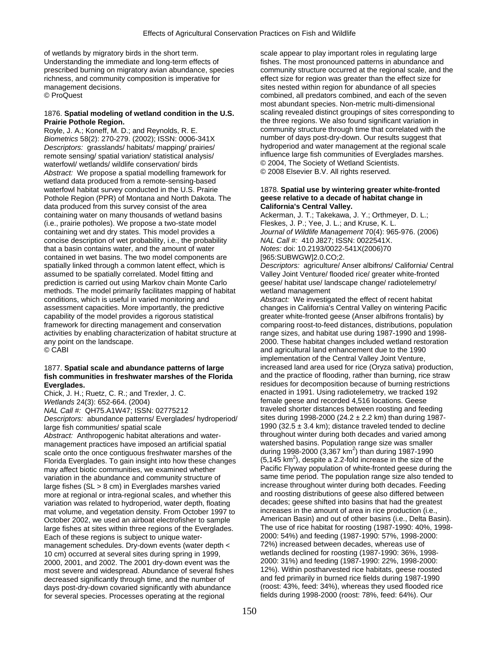of wetlands by migratory birds in the short term. Scale appear to play important roles in regulating large Understanding the immediate and long-term effects of fishes. The most pronounced patterns in abundance and richness, and community composition is imperative for effect size for region was greater than the effect size for management decisions. strategies nested within region for abundance of all species

Royle, J. A.; Koneff, M. D.; and Reynolds, R. E. community structure through time that correlated with the<br>Riometrics 58(2): 270-279 (2002): ISSN: 0006-341X<br>Riometrics 58(2): 270-279 (2002): ISSN: 0006-341X *Biometrics* 58(2): 270-279. (2002); ISSN: 0006-341X number of days post-dry-down. Our results suggest that<br>Descriptors: grasslands/ habitats/ mapping/ prairies/ hydroperiod and water management at the regional scale *Descriptors:* grasslands/ habitats/ mapping/ prairies/ hydroperiod and water management at the regional scale remote sensing/ spatial variation/ statistical analysis/ influence large fish communities of Everglades materion intervals.<br>
© 2004, The Society of Wetland Scientists. waterfowl/ wetlands/ wildlife conservation/ birds © 2004, The Society of Wetland Scientis<br>Abstract: We propose a spatial modelling framework for © 2008 Elsevier B.V. All rights reserved. *Abstract:* We propose a spatial modelling framework for wetland data produced from a remote-sensing-based waterfowl habitat survey conducted in the U.S. Prairie 1878. **Spatial use by wintering greater white-fronted** Pothole Region (PPR) of Montana and North Dakota. The **geese relative to a decade of habitat change in**  data produced from this survey consist of the area **California's Central Valley.**<br>
containing water on many thousands of wetland basins Ackerman, J. T.; Takekawa, J. Y.; Orthmeyer, D. L.; containing water on many thousands of wetland basins Ackerman, J. T.; Takekawa, J. Y.; Orthme<br>(i.e., prairie potholes). We propose a two-state model Fleskes, J. P.; Yee, J. L.; and Kruse, K. L. (i.e., prairie potholes). We propose a two-state model containing wet and dry states. This model provides a *Journal of Wildlife Management* 70(4): 965-976. (2006) concise description of wet probability, *i.e.*, the probability that a basin contains water, and the amount of water *Notes:* doi: 10.2193/0022-541X(2006)70 contained in wet basins. The two model components are [965:SUBWGW]2.0.CO;2. spatially linked through a common latent effect, which is *Descriptors:* agriculture/ Anser albifrons/ California/ Central assumed to be spatially correlated. Model fitting and Valley Joint Venture/ flooded rice/ greater white-fronted<br>prediction is carried out using Markov chain Monte Carlo geese/ habitat use/ landscape change/ radiotelemetry/ prediction is carried out using Markov chain Monte Carlo methods. The model primarily facilitates mapping of habitat wetland management conditions, which is useful in varied monitoring and *Abstract:* We investigated the effect of recent habitat assessment capacities. More importantly, the predictive changes in California's Central Valley on wintering Pacific capability of the model provides a rigorous statistical greater white-fronted geese (Anser albifrons frontalis) by framework for directing management and conservation comparing roost-to-feed distances, distributions, population activities by enabling characterization of habitat structure at range sizes, and habitat use during 1987-1990 and 1998any point on the landscape. 2000. These habitat changes included wetland restoration

*Descriptors:* abundance patterns/ Everglades/ hydroperiod/

*Abstract:* Anthropogenic habitat alterations and water-<br>management practices have imposed an artificial spatial watershed basins. Population range size was smaller management practices have imposed an artificial spatial watershed basins. Population range size was smaller scale onto the once contiguous freshwater marshes of the during 1998-2000 (3,367 km<sup>2</sup>) than during 1987-1990 scale onto the once contiguous freshwater marshes of the Florida Everglades. To gain insight into how these changes may affect biotic communities, we examined whether Pacific Flyway population of white-fronted geese during the large fishes (SL > 8 cm) in Everglades marshes varied increase throughout winter during both decades. Feeding<br>more at regional or intra-regional scales, and whether this and roosting distributions of geese also differed be more at regional or intra-regional scales, and whether this and roosting distributions of geese also differed between<br>variation was related to hydroperiod, water depth, floating decades; geese shifted into basins that had variation was related to hydroperiod, water depth, floating decades; geese shifted into basins that had the greates<br>mat volume, and vegetation density. From October 1997 to increases in the amount of area in rice productio mat volume, and vegetation density. From October 1997 to increases in the amount of area in rice production (i.e.,<br>October 2002, we used an airboat electrofisher to sample American Basin) and out of other basins (i.e., Del October 2002, we used an airboat electrofisher to sample American Basin) and out of other basins (i.e., Delta Basin).<br>Iarge fishes at sites within three regions of the Everglades The use of rice habitat for roosting (1987large fishes at sites within three regions of the Everglades. The use of rice habitat for roosting (1987-1990: 40%, 1998- Each of these regions is subject to unique water-<br>management schedules. Dry-down events (water depth < 72%) increased between decades, whereas use of management schedules. Dry-down events (water depth < 10 cm) occurred at several sites during spring in 1999, wetlands declined for roosting (1987-1990: 36%, 1998- 2000, 2001, and 2002. The 2001 dry-down event was the 2000: 31%) and feeding (1987-1990: 22%, 1998-2000: most severe and widespread. Abundance of several fishes 12%). Within postharvested rice habitats, geese roosted<br>decreased significantly through time, and the number of and fed primarily in burned rice fields during 1987-19 decreased significantly through time, and the number of and fed primarily in burned rice fields during 1987-1990<br>days post-dry-down covaried significantly with abundance (roost: 43%, feed: 34%), whereas they used flooded r days post-dry-down covaried significantly with abundance (roost: 43%, feed: 34%), whereas they used flooded r<br>fields during 1998-2000 (roost: 78%, feed: 64%). Our for several species. Processes operating at the regional

prescribed burning on migratory avian abundance, species community structure occurred at the regional scale, and the © ProQuest combined, all predators combined, and each of the seven most abundant species. Non-metric multi-dimensional 1876. **Spatial modeling of wetland condition in the U.S.** scaling revealed distinct groupings of sites corresponding to **Prairie Pothole Region. the three regions.** We also found significant variation in<br>
Royle J. A : Koneff M. D.: and Reynolds R. F. **S.: Community structure through time that correlated with the** 

© CABI and agricultural land enhancement due to the 1990 implementation of the Central Valley Joint Venture, 1877. **Spatial scale and abundance patterns of large** increased land area used for rice (Oryza sativa) production, **fish communities in freshwater marshes of the Florida** and the practice of flooding, rather than burning, rice straw **Everglades.** residues for decomposition because of burning restrictions Chick, J. H.; Ruetz, C. R.; and Trexler, J. C. enacted in 1991. Using radiotelemetry, we tracked 192 *Wetlands* 24(3): 652-664. (2004) female geese and recorded 4,516 locations. Geese *NAL Call #:* QH75.A1W47; ISSN: 02775212 traveled shorter distances between roosting and feeding<br>Descriptors: abundance patterns/ Everglades/ hydroperiod/ sites during 1998-2000 (24.2 ± 2.2 km) than during 1987large fish communities/ spatial scale  $\frac{1990}{32.5 \pm 3.4}$  km); distance traveled tended to decline<br>Abstract: Anthropogenic habitat alterations and water-<br>throughout winter during both decades and varied among  $(5,145 \text{ km}^2)$ , despite a 2.2-fold increase in the size of the variation in the abundance and community structure of same time period. The population range size also tended to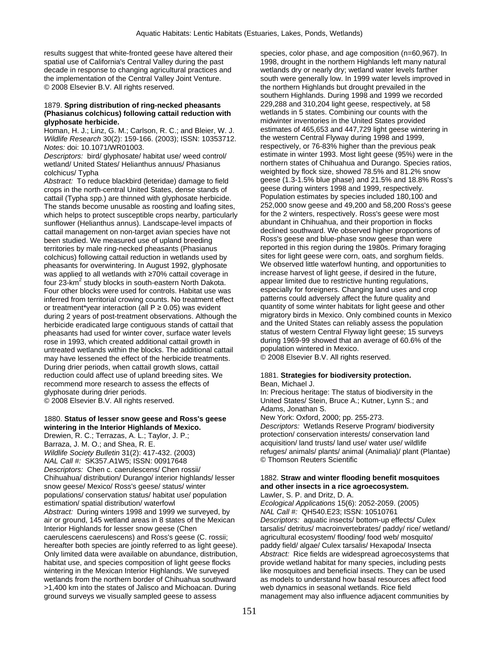results suggest that white-fronted geese have altered their species, color phase, and age composition (n=60,967). In spatial use of California's Central Valley during the past 1998, drought in the northern Highlands left many natural decade in response to changing agricultural practices and wetlands dry or nearly dry; wetland water levels farther © 2008 Elsevier B.V. All rights reserved. the northern Highlands but drought prevailed in the

## 1879. **Spring distribution of ring-necked pheasants** 229,288 and 310,204 light geese, respectively, at 58 (Phasianus colchicus) following cattail reduction with

Homan, H. J.; Linz, G. M.; Carlson, R. C.; and Bleier, W. J. estimates of 465,653 and 447,729 light geese winte<br>Wildlife Research 30(2): 159-166 (2003): ISSN: 10353712 the western Central Flyway during 1998 and 1999. *Wildlife Research* 30(2): 159-166. (2003); ISSN: 10353712.

*Descriptors: bird/ glyphosate/ habitat use/ weed control/* colchicus/ Typha weighted by flock size, showed 78.5% and 81.2% snow

crops in the north-central United States, dense stands of geese during winters 1998 and 1999, respectively.<br>Cattail (Typha spp.) are thinned with glyphosate herbicide. Population estimates by species included 180,100 and cattail (Typha spp.) are thinned with glyphosate herbicide. Population estimates by species included 180,100 and<br>The stands become unusable as roosting and loafing sites. 252,000 snow geese and 49,200 and 58,200 Ross's gee The stands become unusable as roosting and loafing sites, 252,000 snow geese and 49,200 and 58,200 Ross's gee<br>which helps to protect susceptible crops pearby, particularly for the 2 winters, respectively. Ross's geese were which helps to protect susceptible crops nearby, particularly for the 2 winters, respectively. Ross's geese were mo<br>sunflower (Helianthus annus), Landscape-level impacts of abundant in Chihuahua, and their proportion in fl sunflower (Helianthus annus). Landscape-level impacts of abundant in Chihuahua, and their proportion in flocks cattail management on non-target avian species have not been studied. We measured use of upland breeding Ross's geese and blue-phase snow geese than were territories by male ring-necked pheasants (Phasianus reported in this region during the 1980s. Primary foraging<br>colchicus) following cattail reduction in wetlands used by sites for light geese were corn, oats, and sorghum colchicus) following cattail reduction in wetlands used by sites for light geese were corn, oats, and sorghum fields.<br>pheasants for overwintering. In August 1992, glyphosate We observed little waterfowl hunting, and opport pheasants for overwintering. In August 1992, glyphosate We observed little waterfowl hunting, and opportunities vas applied to all wetlands with  $\geq 70\%$  cattail coverage in increase harvest of light geese, if desired in was applied to all wetlands with ≥70% cattail coverage in four 23-km<sup>2</sup> study blocks in south-eastern North Dakota. Four other blocks were used for controls. Habitat use was especially for foreigners. Changing land uses and cro<br>inferred from territorial crowing counts. No treatment effect patterns could adversely affect the future quali inferred from territorial crowing counts. No treatment effect patterns could adversely affect the future quality and<br>or treatment\*vear interaction (all P  $\geq$  0.05) was evident quantity of some winter habitats for light or treatment\*year interaction (all P ≥ 0.05) was evident quantity of some winter habitats for light geese and other<br>during 2 years of post-treatment observations. Although the migratory birds in Mexico. Only combined coun during 2 years of post-treatment observations. Although the migratory birds in Mexico. Only combined counts in Mexi<br>herbicide eradicated large contiguous stands of cattail that and the United States can reliably assess the herbicide eradicated large contiguous stands of cattail that and the United States can reliably assess the population pheasants had used for winter cover, surface water levels status of western Central Flyway light geese; 15 surveys<br>These in 1993, which created additional cattail growth in status of during 1969-99 showed that an average o rose in 1993, which created additional cattail growth in during 1969-99 showed that an average of 60.6% of 60.6% of that are untreated wetlands within the blocks. The additional cattail population wintered in Mexico. untreated wetlands within the blocks. The additional cattail population wintered in Mexico.<br>may have lessened the effect of the herbicide treatments. © 2008 Elsevier B.V. All rights reserved. may have lessened the effect of the herbicide treatments. During drier periods, when cattail growth slows, cattail reduction could affect use of upland breeding sites. We 1881. **Strategies for biodiversity protection.** recommend more research to assess the effects of **Bean, Michael J.** glyphosate during drier periods. In: Precious heritage: The status of biodiversity in the

1880. **Status of lesser snow geese and Ross's geese** New York: Oxford, 2000; pp. 255-273.

Barraza, J. M. O.; and Shea, R. E. **Access 20 acquisition/ land trusts/ land use/ water use/ wildlife** *Wildlife Society Bulletin* 31(2): 417-432. (2003) refuges/ animals/ plants/ animal (Animalia)/ plant (Plantae) *Wildlife* Society Bulletin 31(2): 417-432. (2003) refuges/ animals/ plants/ animal (Animalia)/ plant (Plantae *NAL Call #: SK357.A1W5: ISSN: 00917648 Descriptors:* Chen c. caerulescens/ Chen rossii/ Chihuahua/ distribution/ Durango/ interior highlands/ lesser 1882. **Straw and winter flooding benefit mosquitoes**  snow geese/ Mexico/ Ross's geese/ status/ winter **and other insects in a rice agroecosystem.**  populations/ conservation status/ habitat use/ population Lawler, S. P. and Dritz, D. A. estimation/ spatial distribution/ waterfowl *Ecological Applications* 15(6): 2052-2059. (2005) *Abstract:* During winters 1998 and 1999 we surveyed, by *NAL Call #:* QH540.E23; ISSN: 10510761 air or ground, 145 wetland areas in 8 states of the Mexican *Descriptors:* aquatic insects/ bottom-up effects/ Culex Interior Highlands for lesser snow geese (Chen tarsalis/ detritus/ macroinvertebrates/ paddy/ rice/ wetland/ caerulescens caerulescens) and Ross's geese (C. rossii; agricultural ecosystem/ flooding/ food web/ mosquito/ hereafter both species are jointly referred to as light geese). paddy field/ algae/ Culex tarsalis/ Hexapoda/ Insecta Only limited data were available on abundance, distribution, *Abstract:* Rice fields are widespread agroecosystems that habitat use, and species composition of light geese flocks provide wetland habitat for many species, including pests wintering in the Mexican Interior Highlands. We surveyed like mosquitoes and beneficial insects. They can be used wetlands from the northern border of Chihuahua southward as models to understand how basal resources affect food >1,400 km into the states of Jalisco and Michoacan. During web dynamics in seasonal wetlands. Rice field ground surveys we visually sampled geese to assess management may also influence adjacent communities by

the implementation of the Central Valley Joint Venture. south were generally low. In 1999 water levels improved in southern Highlands. During 1998 and 1999 we recorded **glyphosate herbicide.**<br> **glyphosate herbicide.** The United States provided<br> **Homan H.J. Linz G. M.: Carlson R. C.: and Bleier W. J. estimates of 465,653 and 447,729 light geese wintering in** *Notes:* doi: 10.1071/WR01003.<br>Descriptors: bird/ glyphosate/ habitat use/ weed control/ estimate in winter 1993. Most light geese (95%) were in the wetland/ United States/ Helianthus annuus/ Phasianus northern states of Chihuahua and Durango. Species ratios, Abstract: To reduce blackbird (leteridae) damage to field geese (1.3-1.5% blue phase) and 21.5% and 18.8% Ross's crops in the north-central United States, dense stands of geese during winters 1998 and 1999, respectively. appear limited due to restrictive hunting regulations,<br>especially for foreigners. Changing land uses and crop

© 2008 Elsevier B.V. All rights reserved. United States/ Stein, Bruce A.; Kutner, Lynn S.; and Adams, Jonathan S.

**wintering in the Interior Highlands of Mexico.** *Descriptors:* Wetlands Reserve Program/ biodiversity<br>Drewien, R. C.; Terrazas, A. L.; Taylor, J. P.; **Discussed Accident** protection/ conservation interests/ conservation l protection/ conservation interests/ conservation land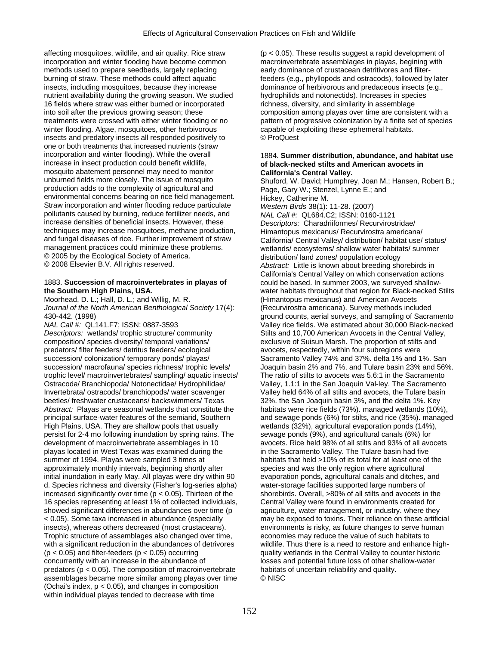affecting mosquitoes, wildlife, and air quality. Rice straw (p < 0.05). These results suggest a rapid development of incorporation and winter flooding have become common macroinvertebrate assemblages in playas, begining with methods used to prepare seedbeds, largely replacing early dominance of crustacean detritivores and filter-<br>burning of straw. These methods could affect aquatic feeders (e.g., phyllopods and ostracods), followed by insects, including mosquitoes, because they increase dominance of herbivorous and predaceous insects (e.g., nutrient availability during the growing season. We studied hydrophilids and notonectids). Increases in species 16 fields where straw was either burned or incorporated richness, diversity, and similarity in assemblage into soil after the previous growing season; these composition among playas over time are consistent with a treatments were crossed with either winter flooding or no pattern of progressive colonization by a finite set of s winter flooding. Algae, mosquitoes, other herbivorous capable of exploiting these ephemeral habitats. insects and predatory insects all responded positively to © ProQuest one or both treatments that increased nutrients (straw incorporation and winter flooding). While the overall 1884. **Summer distribution, abundance, and habitat use** increase in insect production could benefit wildlife, **on the of black-necked stilts and American avocets in** mosquito abatement personnel may need to monitor **California's Central Valley.** mosquito abatement personnel may need to monitor unburned fields more closely. The issue of mosquito production adds to the complexity of agricultural and Page, Gary W.; Stenzel, Lynne E.; and environmental concerns bearing on rice field management. Hickey, Catherine M. Straw incorporation and winter flooding reduce particulate *Western Birds* 38(1): 11-28. (2007)<br>
pollutants caused by burning, reduce fertilizer needs, and *NAL Call #:* QL684.C2; ISSN: 0160-1121 pollutants caused by burning, reduce fertilizer needs, and *increase densities of beneficial insects*. However, these increase densities of beneficial insects. However, these *Descriptors:* Charadriiformes/ Recurvirostridae/ techniques may increase mosquitoes, methane production, Himantopus mexicanus/ Recurvirostra americana/<br>and fungal diseases of rice. Further improvement of straw California/ Central Valley/ distribution/ habitat use and fungal diseases of rice. Further improvement of straw California/ Central Valley/ distribution/ habitat use/ status/<br>management practices could minimize these problems. wetlands/ ecosystems/ shallow water habitats/ sum management practices could minimize these problems.<br>© 2005 by the Ecological Society of America. example material distribution/ land zones/ population ecology © 2005 by the Ecological Society of America. distribution/ land zones/ population ecology<br>© 2008 Elsevier B.V. All rights reserved. distribution abstract: Little is known about breeding sh

Moorhead, D. L.; Hall, D. L.; and Willig, M. R. (Himantopus mexicanus) and American Avocets *Journal of the North American Benthological Society* 17(4): (Recurvirostra americana). Survey methods included

*Descriptors:* wetlands/ trophic structure/ community Stilts and 10,700 American Avocets in the Central Valley, composition/ species diversity/ temporal variations/ exclusive of Suisun Marsh. The proportion of stilts and predators/ filter feeders/ detritus feeders/ ecological avocets, respectedly, within four subregions were<br>succession/ colonization/ temporary ponds/ playas/ Sacramento Valley 74% and 37%. delta 1% and 1 succession/ macrofauna/ species richness/ trophic levels/ Joaquin basin 2% and 7%, and Tulare basin 23% and 56%. trophic level/ macroinvertebrates/ sampling/ aquatic insects/ The ratio of stilts to avocets was 5.6:1 in the Sacramento Ostracoda/ Branchiopoda/ Notonectidae/ Hydrophilidae/ Valley, 1.1:1 in the San Joaquin Val-ley. The Sacramento Invertebrata/ ostracods/ branchiopods/ water scavenger Valley held 64% of all stilts and avocets, the Tulare basin beetles/ freshwater crustaceans/ backswimmers/ Texas 32%. the San Joaquin basin 3%, and the delta 1%. Key Abstract: Playas are seasonal wetlands that constitute the habitats were rice fields (73%). managed wetlands (10%), principal surface-water features of the semiarid, Southern and sewage ponds (6%) for stilts, and rice (35%). managed High Plains, USA. They are shallow pools that usually wetlands (32%), agricultural evaporation ponds (14%), persist for 2-4 mo following inundation by spring rains. The sewage ponds (9%), and agricultural canals (6%) for development of macroinvertebrate assemblages in 10 avocets. Rice held 98% of all stilts and 93% of all avocets playas located in West Texas was examined during the in the Sacramento Valley. The Tulare basin had five summer of 1994. Playas were sampled 3 times at habitats that held >10% of its total for at least one of the approximately monthly intervals, beginning shortly after species and was the only region where agricultural initial inundation in early May. All playas were dry within 90 evaporation ponds, agricultural canals and ditches, and d. Species richness and diversity (Fisher's log-series alpha) water-storage facilities supported large numbers of increased significantly over time ( $p < 0.05$ ). Thirteen of the shorebirds. Overall, >80% of all stilts and increased significantly over time ( $p < 0.05$ ). Thirteen of the shorebirds. Overall,  $>80\%$  of all stilts and avocets in the shorebirds. Shore is a shore in the shore is and avocets in the shore is a shore in the shore is 16 species representing at least 1% of collected individuals, Central Valley were found in environments created for<br>
showed significant differences in abundances over time (p agriculture, water management, or industry, whe showed significant differences in abundances over time (p < 0.05). Some taxa increased in abundance (especially may be exposed to toxins. Their reliance on these artificial insects), whereas others decreased (most crustaceans). environments is risky, as future changes to serve human Trophic structure of assemblages also changed over time, economies may reduce the value of such habitats to with a significant reduction in the abundances of detrivores wildlife. Thus there is a need to restore and enhance high-<br>( $p < 0.05$ ) and filter-feeders ( $p < 0.05$ ) occurring quality wetlands in the Central Valley to count concurrently with an increase in the abundance of losses and potential future loss of other shallow-water predators (p < 0.05). The composition of macroinvertebrate habitats of uncertain reliability and quality.<br>assemblages became more similar among playas over time  $\circ$  NISC assemblages became more similar among playas over time (Ochai's index,  $p < 0.05$ ), and changes in composition within individual playas tended to decrease with time

feeders (e.g., phyllopods and ostracods), followed by later pattern of progressive colonization by a finite set of species

Shuford, W. David; Humphrey, Joan M.; Hansen, Robert B.;

Abstract: Little is known about breeding shorebirds in California's Central Valley on which conservation actions 1883. **Succession of macroinvertebrates in playas of** could be based. In summer 2003, we surveyed shallowwater habitats throughout that region for Black-necked Stilts 430-442. (1998)<br>
MAL Call #: QL141.F7; ISSN: 0887-3593 (Valley rice fields. We estimated about 30,000 Black-necked Valley rice fields. We estimated about 30,000 Black-necked Sacramento Valley 74% and 37%. delta 1% and 1%. San quality wetlands in the Central Valley to counter historic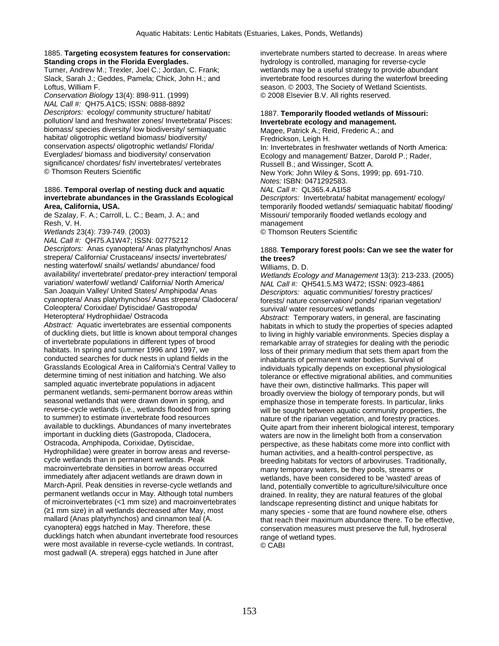## 1885. **Targeting ecosystem features for conservation:** invertebrate numbers started to decrease. In areas where **Standing crops in the Florida Everglades.** hydrology is controlled, managing for reverse-cycle

Loftus, William F. Season. © 2003, The Society of Wetland Scientists.

*Conservation Biology* 13(4): 898-911. (1999) © 2008 Elsevier B.V. All rights reserved. *NAL Call #: QH75.A1C5; ISSN: 0888-8892<br><i>Descriptors: ecology/ community structure/ habitat/* pollution/ land and freshwater zones/ Invertebrata/ Pisces: **Invertebrate ecology and management.**  biomass/ species diversity/ low biodiversity/ semiaquatic Magee, Patrick A.; Reid, Frederic A.; and habitat/ oligotrophic wetland biomass/ biodiversity/ Fredrickson, Leigh H. conservation aspects/ oligotrophic wetlands/ Florida/ [n: Invertebrates in frequency conservation aspects/ oligotrophic wetlands/ Florida/ In: Invertebrates in freshwater wetlands of North America:<br>Everglades/ biomass and biodiversity/ conservation Feology and management/ Batzer. Darold P.: Rader. significance/ chordates/ fish/ invertebrates/ vertebrates Russell B.; and Wissinger, Scott A.<br>© Thomson Reuters Scientific Russell B.; and Wissinger, Scott A.

## 1886. **Temporal overlap of nesting duck and aquatic** *NAL Call #:* QL365.4.A1I58 **invertebrate abundances in the Grasslands Ecological** *Descriptors:* Invertebrata/ habitat management/ ecology/ **Area, California, USA.** temporarily flooded wetlands/ semiaquatic habitat/ flooding/

Resh, V. H. management

*NAL Call #: QH75.A1W47; ISSN: 02775212<br><i>Descriptors: Anas cyanoptera/ Anas platyrhynchos/ Anas* strepera/ California/ Crustaceans/ insects/ invertebrates/ **the trees?**  nesting waterfowl/ snails/ wetlands/ abundance/ food Williams, D. D.<br>availability/ invertebrate/ predator-prey interaction/ temporal Wetlands Fool availability/ invertebrate/ predator-prey interaction/ temporal *Wetlands Ecology and Management* 13(3): 213-233. (2005) variation/ waterfowl/ wetland/ California/ North America/ *NAL Call #:* QH541.5.M3 W472; ISSN: 0923-4861<br>San Joaquin Valley/ United States/ Amphipoda/ Anas *Descriptors: aquatic communities/ forestry practice* San Joaquin Valley/ United States/ Amphipoda/ Anas *Descriptors:* aquatic communities/ forestry practices/ Coleoptera/ Corixidae/ Dytiscidae/ Gastropoda/ survival/ water resources/ wetlands<br>
Heteroptera/ Hydrophiidae/ Ostracoda<br>
Abstract: Temporary waters in gen

*Abstract:* Aquatic invertebrates are essential components habitats in which to study the properties of species adapted of duckling diets, but little is known about temporal changes to living in highly variable environment of duckling diets, but little is known about temporal changes to living in highly variable environments. Species display a<br>of invertebrate populations in different types of brood remarkable array of strategies for dealing of invertebrate populations in different types of brood remarkable array of strategies for dealing with the periodic<br>habitats. In spring and summer 1996 and 1997, we loss of their primary medium that sets them apart from t conducted searches for duck nests in upland fields in the inhabitants of permanent water bodies. Survival of<br>Grasslands Ecological Area in California's Central Valley to individuals typically depends on exceptional physic Grasslands Ecological Area in California's Central Valley to individuals typically depends on exceptional physiological<br>determine timing of nest initiation and hatching. We also interance or effective migrational abilities determine timing of nest initiation and hatching. We also tolerance or effective migrational abilities, and communities sampled aquatic invertebrate populations in adjacent sampled aquatic invertebrate populations in adjacent have their own, distinctive hallmarks. This paper will<br>1. permanent wetlands, semi-permanent borrow areas within have broadly overview the biology of temporary ponds permanent wetlands, semi-permanent borrow areas within broadly overview the biology of temporary ponds, but will<br>seasonal wetlands that were drawn down in spring, and been perphasize those in temperate forests. In particul seasonal wetlands that were drawn down in spring, and emphasize those in temperate forests. In particular, links<br>
reverse-cycle wetlands (i.e., wetlands flooded from spring will be sought between aquatic community properti reverse-cycle wetlands (i.e., wetlands flooded from spring will be sought between aquatic community properties, the<br>to summer) to estimate invertebrate food resources hatture of the riparian vegetation, and forestry practi to summer) to estimate invertebrate food resources hature of the riparian vegetation, and forestry practices.<br>
available to ducklings. Abundances of many invertebrates Ouite apart from their inherent biological interest available to ducklings. Abundances of many invertebrates Quite apart from their inherent biological interest, temporary<br>important in duckling diets (Gastropoda, Cladocera, waters are now in the limelight both from a conser important in duckling diets (Gastropoda, Cladocera, waters are now in the limelight both from a conservation<br>Ostracoda, Amphipoda, Corixidae, Dytiscidae, example are prespective as these habitats come more into conflict wi Ostracoda, Amphipoda, Corixidae, Dytiscidae, etc. perspective, as these habitats come more into conflict with<br>Hydrophilidae) were greater in borrow areas and reverse-Hydrophilidae) were greater in borrow areas and reverse- human activities, and a health-control perspective, as cycle wetlands than in permanent wetlands. Peak breeding habitats for vectors of arboviruses. Traditionally, macroinvertebrate densities in borrow areas occurred many temporary waters he they pools streams or macroinvertebrate densities in borrow areas occurred many temporary waters, be they pools, streams or<br>immediately after adjacent wetlands are drawn down in wetlands, have been considered to be 'wasted' are immediately after adjacent wetlands are drawn down in wetlands, have been considered to be 'wasted' areas of<br>March-April. Peak densities in reverse-cycle wetlands and and and potentially convertible to agriculture/silvicul March-April. Peak densities in reverse-cycle wetlands and land, potentially convertible to agriculture/silviculture once<br>Permanent wetlands occur in May. Although total numbers drained the reality they are natural features permanent wetlands occur in May. Although total numbers drained. In reality, they are natural features of the global<br>of microinvertebrates (<1 mm size) and macroinvertebrates and sandscape representing distinct and unique of microinvertebrates (<1 mm size) and macroinvertebrates landscape representing distinct and unique habitats for<br>(21 mm size) in all wetlands decreased after May, most many species - some that are found nowhere else, othe (≥1 mm size) in all wetlands decreased after May, most many species - some that are found nowhere else, others<br>mallard (Anas platyrhynchos) and cinnamon teal (A. example that reach their maximum abundance there. To be eff ducklings hatch when abundant invertebrate food resources range of wetland types. were most available in reverse-cycle wetlands. In contrast,  $\circ$  CABI most gadwall (A. strepera) eggs hatched in June after

Turner, Andrew M.; Trexler, Joel C.; Jordan, C. Frank; wetlands may be a useful strategy to provide abundant<br>Slack, Sarah J.; Geddes, Pamela; Chick, John H.; and vertebrate food resources during the waterfowl breedi invertebrate food resources during the waterfowl breeding

## **1887. Temporarily flooded wetlands of Missouri:**

Ecology and management/ Batzer, Darold P.; Rader, New York: John Wiley & Sons, 1999; pp. 691-710. *Notes:* ISBN: 0471292583. de Szalay, F. A.; Carroll, L. C.; Beam, J. A.; and Missouri/ temporarily flooded wetlands ecology and

*Wetlands* 23(4): 739-749. (2003) © Thomson Reuters Scientific

## 1888. Temporary forest pools: Can we see the water for

forests/ nature conservation/ ponds/ riparian vegetation/

Heteroptera/ Hydrophiidae/ Ostracoda<br>Abstract: Aquatic invertebrates are essential components habitats in which to study the properties of species adap loss of their primary medium that sets them apart from the mallard (Anas platyrhynchos) and cinnamon teal (A. that reach their maximum abundance there. To be effective,<br>cyanoptera) eggs hatched in May. Therefore, these conservation measures must preserve the full hydroseral conservation measures must preserve the full, hydroseral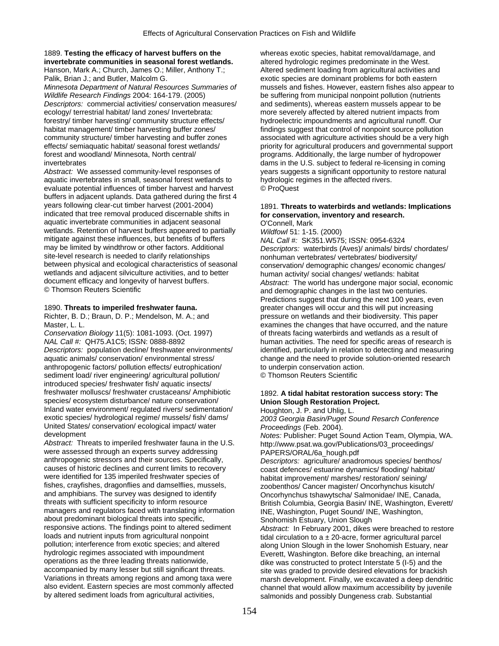## 1889. **Testing the efficacy of harvest buffers on the** whereas exotic species, habitat removal/damage, and **invertebrate communities in seasonal forest wetlands.** altered hydrologic regimes predominate in the West.

*Wildlife Research Findings* 2004: 164-179. (2005) be suffering from municipal nonpoint pollution (nutrients *Descriptors:* commercial activities/ conservation measures/ and sediments), whereas eastern mussels appear to be ecology/ terrestrial habitat/ land zones/ Invertebrata: more severely affected by altered nutrient impacts from forestry/ timber harvesting/ community structure effects/ hydroelectric impoundments and agricultural runoff. Our habitat management/ timber harvesting buffer zones/ findings suggest that control of nonpoint source pollution community structure/ timber harvesting and buffer zones associated with agriculture activities should be a very high effects/ semiaquatic habitat/ seasonal forest wetlands/ priority for agricultural producers and governmental support forest and woodland/ Minnesota, North central/ programs. Additionally, the large number of hydropower invertebrates dams in the U.S. subject to federal re-licensing in coming

*Abstract:* We assessed community-level responses of years suggests a significant opportunity to restore natural aquatic invertebrates in small, seasonal forest wetlands to hydrologic regimes in the affected rivers. evaluate potential influences of timber harvest and harvest © ProQuest buffers in adjacent uplands. Data gathered during the first 4 years following clear-cut timber harvest (2001-2004) 1891. **Threats to waterbirds and wetlands: Implications**  indicated that tree removal produced discernable shifts in **for conservation, inventory and research.** aquatic invertebrate communities in adjacent seasonal **O'Connell**, Mark wetlands. Retention of harvest buffers appeared to partially *Wildfowl* 51: 1-15. (2000) mitigate against these influences, but benefits of buffers *NAL Call #:* SK351.W575; ISSN: 0954-6324 may be limited by windthrow or other factors. Additional *Descriptors: waterbirds (Aves)/ animals/ bird* may be limited by windthrow or other factors. Additional *Descriptors:* waterbirds (Aves)/ animals/ birds/ chordates/ site-level research is needed to clarify relationships nonhuman vertebrates/ vertebrates/ biodiversity/<br>between physical and ecological characteristics of seasonal conservation/ demographic changes/ economic c between physical and ecological characteristics of seasonal conservation/ demographic changes/ economic changes/<br>wetlands and adjacent silviculture activities, and to better human activity/ social changes/ wetlands: habita wetlands and adjacent silviculture activities, and to better human activity/ social changes/ wetlands: habitat<br>document efficacy and longevity of harvest buffers.<br>Abstract: The world has undergone major social. document efficacy and longevity of harvest buffers. *Abstract:* The world has undergone major social, economic

anthropogenic factors/ pollution effects/ eutrophication/ sediment load/ river engineering/ agricultural pollution/ © Thomson Reuters Scientific introduced species/ freshwater fish/ aquatic insects/ species/ ecosystem disturbance/ nature conservation/ **Union Slough Restoration Project.**  Inland water environment/ regulated rivers/ sedimentation/ Houghton, J. P. and Uhlig, L. exotic species/ hydrological regime/ mussels/ fish/ dams/ 2003 Georgia Basin/Puget S United States/ conservation/ ecological impact/ water *Proceedings* (Feb. 2004).

were assessed through an experts survey addressing PAPERS/ORAL/6a\_hough.pdf<br>anthropogenic stressors and their sources. Specifically, *Descriptors: agriculture/ anade* causes of historic declines and current limits to recovery coast defences/ estuarine dynamics/ flooding/ habitat/<br>were identified for 135 imperiled freshwater species of habitatimprovement/ marshes/ restoration/ seining/ fishes, crayfishes, dragonflies and damselflies, mussels, zoobenthos/ Cancer magister/ Oncorhynchus kisutch/<br>and amphibians. The survey was designed to identify Concorhynchus tshawytscha/ Salmonidae/ INF Canada and amphibians. The survey was designed to identify Chronichus tshawytscha/ Salmonidae/ INE, Canada, threats with sufficient specificity to inform resource Burnich British Columbia. Georgia Basin/ INE, Washington, Even threats with sufficient specificity to inform resource British Columbia, Georgia Basin/ INE, Washington, Everett/<br>managers and regulators faced with translating information BUNE, Washington, Puget Sound/ INE, Washington about predominant biological threats into specific,<br>responsive actions. The findings point to altered sediment loads and nutrient inputs from agricultural nonpoint tidal circulation to a ± 20-acre, former agricultural parcel<br>
pollution; interference from exotic species; and altered along Union Slough in the lower Snohomish Estuary, pollution; interference from exotic species; and altered along Union Slough in the lower Snohomish Estuary, near<br>hydrologic regimes associated with impoundment<br>Fyerett, Washington, Before dike breaching, an internal hydrologic regimes associated with impoundment<br>
operations as the three leading threats nationwide,<br>
dike was constructed to protect Interstate 5 (I-5) and the operations as the three leading threats nationwide, dike was constructed to protect Interstate 5 (I-5) and the<br>accompanied by many lesser but still significant threats. accompanied by many lesser but still significant threats. site was graded to provide desired elevations for brackish<br>Variations in threats among regions and among taxa were strates in marsh development. Finally, we excavat also evident. Eastern species are most commonly affected channel that would allow maximum accessibility by juvenile<br>by altered sediment loads from agricultural activities, salmonids and possibly Dungeness crab. Substantial

Hanson, Mark A.; Church, James O.; Miller, Anthony T.; Altered sediment loading from agricultural activities and<br>Palik, Brian J.; and Butler, Malcolm G. (Paller, Anthony T.; exotic species are dominant problems for both ea exotic species are dominant problems for both eastern *Minnesota Department of Natural Resources Summaries of* mussels and fishes. However, eastern fishes also appear to

and demographic changes in the last two centuries. Predictions suggest that during the next 100 years, even 1890. **Threats to imperiled freshwater fauna.** greater changes will occur and this will put increasing Richter, B. D.; Braun, D. P.; Mendelson, M. A.; and pressure on wetlands and their biodiversity. This paper Master, L. L. L. examines the changes that have occurred, and the nature *Conservation Biology* 11(5): 1081-1093. (Oct. 1997) of threats facing waterbirds and wetlands as a result of *NAL Call #:* QH75.A1C5; ISSN: 0888-8892 human activities. The need for specific areas of research is *Descriptors:* population decline/ freshwater environments/ identified, particularly in relation to detecting and measuring aquatic animals/ conservation/ environmental stress/ change and the need to provide solution-oriented research<br>anthropogenic factors/ pollution effects/ eutrophication/ to underpin conservation action.

## 1892. A tidal habitat restoration success story: The

2003 Georgia Basin/ Puget Sound Resarch Conference

development<br>*Abstract:* Threats to imperiled freshwater fauna in the U.S. <br>*Abstract:* Threats to imperiled freshwater fauna in the U.S. *http://www.psat.wa.gov/Publications/03.proceedings/* http://www.psat.wa.gov/Publications/03\_proceedings/

> Descriptors: agriculture/ anadromous species/ benthos/ habitat improvement/ marshes/ restoration/ seining/ INE, Washington, Puget Sound/ INE, Washington, Snohomish Estuary, Union Slough

responsive actions. The findings point to altered sediment *Abstract:* In February 2001, dikes were breached to restore loads and nutrient inputs from agricultural nonpoint *infiel* eigenal of the store former agricultural Variations in threats among regions and among taxa were marsh development. Finally, we excavated a deep dendritic<br>also evident. Eastern species are most commonly affected channel that would allow maximum accessibility by i salmonids and possibly Dungeness crab. Substantial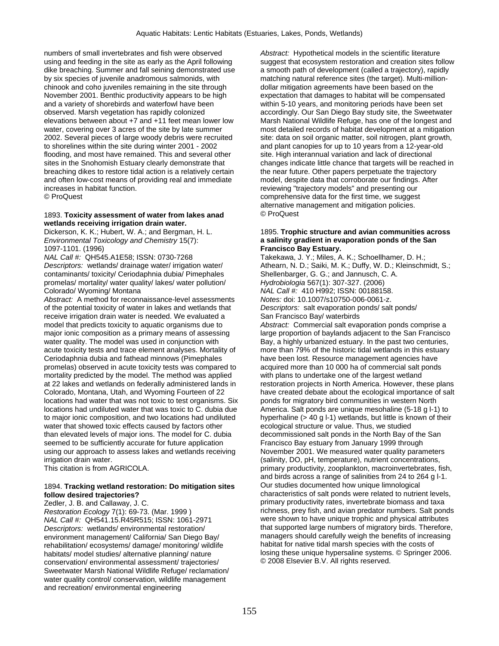numbers of small invertebrates and fish were observed *Abstract:* Hypothetical models in the scientific literature dike breaching. Summer and fall seining demonstrated use a smooth path of development (called a trajectory), rapidly by six species of juvenile anadromous salmonids, with matching natural reference sites (the target). Multi-millionchinook and coho juveniles remaining in the site through dollar mitigation agreements have been based on the November 2001. Benthic productivity appears to be high expectation that damages to habitat will be compensated<br>and a variety of shorebirds and waterfowl have been within 5-10 years, and monitoring periods have been set and a variety of shorebirds and waterfowl have been within 5-10 years, and monitoring periods have been set<br>observed. Marsh vegetation has rapidly colonized accordingly. Our San Diego Bay study site, the Sweetwa observed. Marsh vegetation has rapidly colonized accordingly. Our San Diego Bay study site, the Sweetwater<br>
elevations between about +7 and +11 feet mean lower low Marsh National Wildlife Refuge, has one of the longest and 2002. Several pieces of large woody debris were recruited site: data on soil organic matter, soil nitrogen, plant growth, to shorelines within the site during winter 2001 - 2002 and plant canopies for up to 10 years from a 12-year-old flooding, and most have remained. This and several other site. High interannual variation and lack of directional breaching dikes to restore tidal action is a relatively certain the near future. Other papers perpetuate the trajectory and often low-cost means of providing real and immediate model, despite data that corroborate our findings. After<br>
reviewing "traiectory models" and presenting our increases in habitat function.<br>
© ProQuest
© ProQuest
Comprehensive data for the first time, we suggest

## 1893. **Toxicity assessment of water from lakes anad** © ProQuest **wetlands receiving irrigation drain water.**

1097-1101. (1996) **Francisco Bay Estuary.** 

contaminants/ toxicity/ Ceriodaphnia dubia/ Pimephales Shellenbarger, G. G.; and Jannusch, C. A.<br>promelas/ mortality/ water quality/ lakes/ water pollution/ Hydrobiologia 567(1): 307-327. (2006) promelas/ mortality/ water quality/ lakes/ water pollution/<br>Colorado/ Wyoming/ Montana

*Abstract:* A method for reconnaissance-level assessments *Notes:* doi: 10.1007/s10750-006-0061-z. of the potential toxicity of water in lakes and wetlands that *Descriptors:* salt evaporation ponds/ salt ponds/ receive irrigation drain water is needed. We evaluated a San Francisco Bay/ waterbirds model that predicts toxicity to aquatic organisms due to *Abstract:* Commercial salt evaporation ponds comprise a major ionic composition as a primary means of assessing large proportion of baylands adjacent to the San Francisco water quality. The model was used in conjunction with Bay, a highly urbanized estuary. In the past two centuries, acute toxicity tests and trace element analyses. Mortality of more than 79% of the historic tidal wetlands in this estuary<br>Ceriodaphnia dubia and fathead minnows (Pimephales have been lost. Resource management agencies hav promelas) observed in acute toxicity tests was compared to acquired more than 10 000 ha of commercial salt ponds mortality predicted by the model. The method was applied with plans to undertake one of the largest wetland at 22 lakes and wetlands on federally administered lands in restoration projects in North America. However, these plans Colorado, Montana, Utah, and Wyoming Fourteen of 22 have created debate about the ecological importance of salt locations had water that was not toxic to test organisms. Six ponds for migratory bird communities in western North locations had undiluted water that was toxic to C. dubia due America. Salt ponds are unique mesohaline (5-18 g l-1) to to major ionic composition, and two locations had undiluted hyperhaline (> 40 g l-1) wetlands, but little is known of their water that showed toxic effects caused by factors other ecological structure or value. Thus, we studied than elevated levels of major ions. The model for C. dubia decommissioned salt ponds in the North Bay of the San seemed to be sufficiently accurate for future application Francisco Bay estuary from January 1999 through using our approach to assess lakes and wetlands receiving November 2001. We measured water quality parameters

## 1894. **Tracking wetland restoration: Do mitigation sites** Our studies documented how unique limnological **follow desired trajectories? characteristics of salt ponds were related to nutrient levels,**

environment management/ California/ San Diego Bay/ managers should carefully weigh the benefits of increasing control increasing managers should carefully weigh the benefits of increasing rehabilitation/ ecosystems/ damage rehabilitation/ ecosystems/ damage/ monitoring/ wildlife conservation/ environmental assessment/ trajectories/ Sweetwater Marsh National Wildlife Refuge/ reclamation/ water quality control/ conservation, wildlife management and recreation/ environmental engineering

using and feeding in the site as early as the April following suggest that ecosystem restoration and creation sites follow Marsh National Wildlife Refuge, has one of the longest and water, covering over 3 acres of the site by late summer most detailed records of habitat development at a mitigation sites in the Snohomish Estuary clearly demonstrate that changes indicate little chance that targets will be reached in comprehensive data for the first time, we suggest alternative management and mitigation policies.

## Dickerson, K. K.; Hubert, W. A.; and Bergman, H. L. 1895. **Trophic structure and avian communities across**  *Environmental Toxicology and Chemistry* 15(7): **a salinity gradient in evaporation ponds of the San**

Takekawa, J. Y.; Miles, A. K.; Schoellhamer, D. H.; *Descriptors:* wetlands/ drainage water/ irrigation water/ Athearn, N. D.; Saiki, M. K.; Duffy, W. D.; Kleinschmidt, S.; NAL Call #: 410 H992; ISSN: 00188158. have been lost. Resource management agencies have irrigation drain water.<br>
This citation is from AGRICOLA. 
Solution and the set of the set of the primary productivity, zooplankton, macroinvertebrates, from a method of the set of the set of the set of the set of the set o primary productivity, zooplankton, macroinvertebrates, fish, and birds across a range of salinities from 24 to 264 g l-1. Zedler, J. B. and Callaway, J. C. et al. primary productivity rates, invertebrate biomass and taxa<br>Restoration Ecology 7(1): 69-73 (Mar. 1999) richness, prev fish, and avian predator numbers. Salt ponds *Restoration Ecology* 7(1): 69-73. (Mar. 1999 ) richness, prey fish, and avian predator numbers. Salt pond<br>*NAL Call #:* OH541 15 R45R515; ISSN: 1061-2971 were shown to have unique trophic and physical attributes *NAL Call #:* QH541.15.R45R515; ISSN: 1061-2971 were shown to have unique trophic and physical attributes *Descriptors:* wetlands/ environmental restoration/ that supported large numbers of migratory birds. Therefore,<br>
environment management/ California/ San Diego Bay/ managers should carefully weigh the benefits of increasing habitats/ model studies/ alternative planning/ nature losing these unique hypersaline systems. © Springer 2006.<br>
conservation/ environmental assessment/ traiectories/ © 2008 Elsevier B.V. All rights reserved.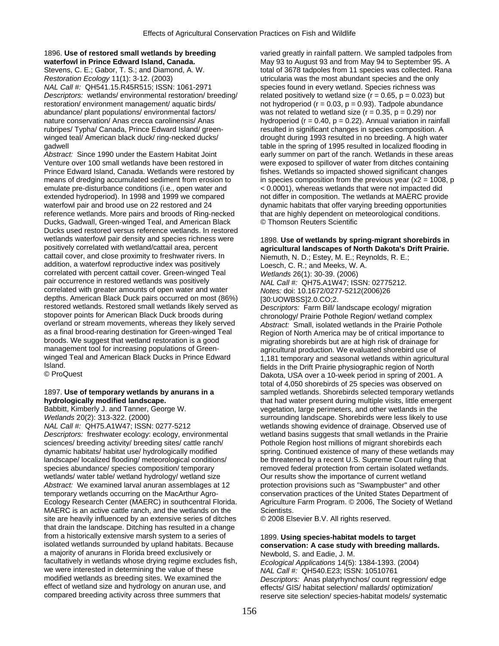*Restoration Ecology* 11(1): 3-12. (2003) utricularia was the most abundant species and the only *NAL Call #:* QH541.15.R45R515; ISSN: 1061-2971 species found in every wetland. Species richness was *Descriptors:* wetlands/ environmental restoration/ breeding/ related positively to wetland size ( $r = 0.65$ ,  $p = 0.023$ ) but restoration/ environment management/ aquatic birds/ not hydroperiod (r = 0.03, p = 0.93). Tadpole abundance abundance/ plant populations/ environmental factors/ was not related to wetland size (r = 0.35, p = 0.29) nor<br>nature conservation/ Anas crecca carolinensis/ Anas hydroperiod (r = 0.40, p = 0.22). Annual variation in rain rubripes/ Typha/ Canada, Prince Edward Island/ green- resulted in significant changes in species composition. A winged teal/ American black duck/ ring-necked ducks/ drought during 1993 resulted in no breeding. A high water gadwell quality is table in the spring of 1995 resulted in localized flooding in

Abstract: Since 1990 under the Eastern Habitat Joint early summer on part of the ranch. Wetlands in these areas Venture over 100 small wetlands have been restored in were exposed to spillover of water from ditches containing Prince Edward Island, Canada. Wetlands were restored by fishes. Wetlands so impacted showed significant changes means of dredging accumulated sediment from erosion to in species composition from the previous year  $(x2 = 1008, p$ emulate pre-disturbance conditions (i.e., open water and  $\leq 0.0001$ ), whereas wetlands that were not impacted did<br>extended hydroperiod). In 1998 and 1999 we compared not differ in composition. The wetlands at MAERC provi extended hydroperiod). In 1998 and 1999 we compared waterfowl pair and brood use on 22 restored and 24 dynamic habitats that offer varying breeding opportunities reference wetlands. More pairs and broods of Ring-necked that are highly dependent on meteorological conditions. Ducks, Gadwall, Green-winged Teal, and American Black © Thomson Reuters Scientific Ducks used restored versus reference wetlands. In restored wetlands waterfowl pair density and species richness were 1898. **Use of wetlands by spring-migrant shorebirds in**<br>
positively correlated with wetland/cattail area, percent **agricultural landscapes of North Dakota's Drift P** cattail cover, and close proximity to freshwater rivers. In Niemuth, N. D.; Estey, M. E.; Reynolds, R. E.; addition, a waterfowl reproductive index was positively Loesch, C. R.; and Meeks, W. A. correlated with percent cattail cover. Green-winged Teal *Wetlands* 26(1): 30-39. (2006) correlated with greater amounts of open water and water *Notes:* doi: 10.1672/0277-5212(2006)26 depths. American Black Duck pairs occurred on most (86%) restored wetlands. Restored small wetlands likely served as restored wetlands. Restored small wetlands likely served as *Descriptors:* Farm Bill/ landscape ecology/ migration overland or stream movements, whereas they likely served *Abstract:* Small, isolated wetlands in the Prairie Pothole as a final brood-rearing destination for Green-winged Teal Region of North America may be of critical importance to<br>broods. We suggest that wetland restoration is a good micrating shorebirds but are at high risk of drainag broods. We suggest that wetland restoration is a good migrating shorebirds but are at high risk of drainage for<br>management tool for increasing populations of Green-<br>agricultural production. We evaluated shorebird use of management tool for increasing populations of Green-<br>winged Teal and American Black Ducks in Prince Edward 1.181 temporary and seasonal wetlands within agriculti winged Teal and American Black Ducks in Prince Edward 1,181 temporary and seasonal wetlands within agricultural<br>Island. tields in the Drift Prairie physiographic region of North

*Descriptors:* freshwater ecology: ecology, environmental wetland basins suggests that small wetlands in the Prairie sciences/ breeding activity/ breeding sites/ cattle ranch/ Pothole Region host millions of migrant shorebirds each landscape/ localized flooding/ meteorological conditions/ be threatened by a recent U.S. Supreme Court ruling that species abundance/ species composition/ temporary removed federal protection from certain isolated wetlands. wetlands/ water table/ wetland hydrology/ wetland size Our results show the importance of current wetland Abstract: We examined larval anuran assemblages at 12 protection provisions such as "Swampbuster" and other temporary wetlands occurring on the MacArthur Agro-<br>
Ecology Research Center (MAERC) in southcentral Florida. Agriculture Farm Program. © 2006, The Society of Wetland MAERC is an active cattle ranch, and the wetlands on the Scientists. site are heavily influenced by an extensive series of ditches  $\heartsuit$  2008 Elsevier B.V. All rights reserved. that drain the landscape. Ditching has resulted in a change from a historically extensive marsh system to a series of 1899. **Using species-habitat models to target**  a majority of anurans in Florida breed exclusively or Newbold, S. and Eadie, J. M. facultatively in wetlands whose drying regime excludes fish, *Ecological Applications* 14(5): 1384-1393. (2004) we were interested in determining the value of these<br>modified wetlands as breeding sites. We examined the effect of wetland size and hydrology on anuran use, and effects/ GIS/ habitat selection/ mallards/ optimization/<br>
compared breeding activity across three summers that reserve site selection/ species-habitat models/ system

1896. **Use of restored small wetlands by breeding** varied greatly in rainfall pattern. We sampled tadpoles from waterfowl in Prince Edward Island, Canada. **May 93 to August 93 and from May 94 to September 95. A** Stevens, C. E.; Gabor, T. S.; and Diamond, A. W. total of 3678 tadpoles from 11 species was collected. Rana hydroperiod ( $r = 0.40$ , p = 0.22). Annual variation in rainfall

# agricultural landscapes of North Dakota's Drift Prairie.

pair occurrence in restored wetlands was positively *NAL Call #:* QH75.A1W47; ISSN: 02775212.

chronology/ Prairie Pothole Region/ wetland complex Island.<br>
C ProQuest C ProQuest C ProQuest C ProQuest C ProQuest C ProQuest C ProQuest C ProQuest C ProQuest C ProQuest Dakota, USA over a 10-week period in spring of 2001. A total of 4,050 shorebirds of 25 species was observed on 1897. **Use of temporary wetlands by anurans in a** sampled wetlands. Shorebirds selected temporary wetlands **hydrologically modified landscape.** that had water present during multiple visits, little emergent Babbitt, Kimberly J. and Tanner, George W. vegetation, large perimeters, and other wetlands in the *Wetlands* 20(2): 313-322. (2000) surrounding landscape. Shorebirds were less likely to use *NAL Call #:* QH75.A1W47; ISSN: 0277-5212 wetlands showing evidence of drainage. Observed use of dynamic habitats/ habitat use/ hydrologically modified spring. Continued existence of many of these wetlands may Agriculture Farm Program. © 2006, The Society of Wetland

# conservation: A case study with breeding mallards.

Descriptors: Anas platyrhynchos/ count regression/ edge reserve site selection/ species-habitat models/ systematic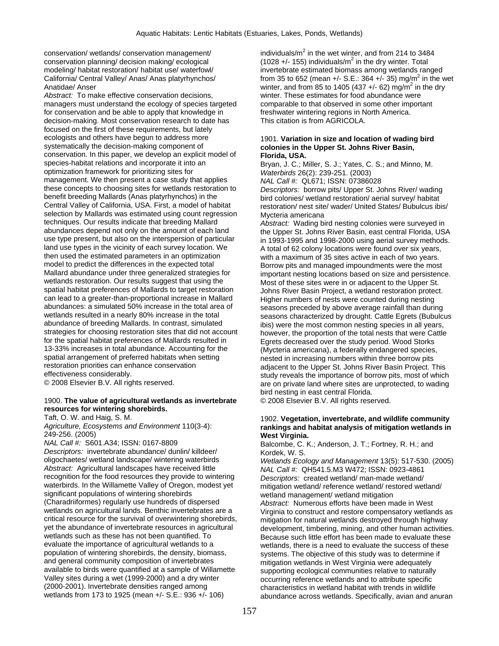conservation/ wetlands/ conservation management/ conservation planning/ decision making/ ecological

*Abstract:* To make effective conservation decisions, winter. These estimates for food abundance were managers must understand the ecology of species targeted comparable to that observed in some other important for conservation and be able to apply that knowledge in freshwater wintering regions in North America.<br>decision-making. Most conservation research to date has This citation is from AGRICOLA. decision-making. Most conservation research to date has focused on the first of these requirements, but lately ecologists and others have begun to address more 1901. **Variation in size and location of wading bird** systematically the decision-making component of **colonies in the Upper St. Johns River Basin.** conservation. In this paper, we develop an explicit model of **Florida, USA.**<br>
species-habitat relations and incorporate it into an **Florida, USA.** Brvan, J. C.: M optimization framework for prioritizing sites for *Waterbirds* 26(2): 239-251. (2003) management. We then present a case study that applies *NAL Call #:* QL671; ISSN: 07386028 these concepts to choosing sites for wetlands restoration to *Descriptors:* borrow pits/ Upper St. Johns River/ wading benefit breeding Mallards (Anas platyrhynchos) in the bird colonies/ wetland restoration/ aerial survey/ habitat<br>Central Valley of California, USA. First, a model of habitat restoration/ nest site/ wader/ United States/ Bu selection by Mallards was estimated using count regression Mycteria americana<br>techniques. Our results indicate that breeding Mallard abstract: Wading bi techniques. Our results indicate that breeding Mallard *Abstract:* Wading bird nesting colonies were surveyed in abundances depend not only on the amount of each land the Upper St. Johns River Basin, east central Florida, USA<br>use type present, but also on the interspersion of particular in 1993-1995 and 1998-2000 using aerial survey land use types in the vicinity of each survey location. We <br>A total of 62 colony locations were found over six years, then used the estimated parameters in an optimization with a maximum of 35 sites active in each of two years.<br>The model to predict the differences in the expected total Borrow pits and managed impoundments were the most model to predict the differences in the expected total Borrow pits and managed impoundments were the most<br>Mallard abundance under three generalized strategies for important nesting locations based on size and persistenc Mallard abundance under three generalized strategies for important nesting locations based on size and persistence.<br>wetlands restoration. Our results suggest that using the Most of these sites were in or adiacent to the Up wetlands restoration. Our results suggest that using the Most of these sites were in or adjacent to the Upper St.<br>Spatial habitat preferences of Mallards to target restoration Johns River Basin Project, a wetland restorati can lead to a greater-than-proportional increase in Mallard Higher numbers of nests were counted during nesting<br>
abundances: a simulated 50% increase in the total area of seasons preceded by above average rainfall than dur abundances: a simulated 50% increase in the total area of seasons preceded by above average rainfall than during<br>wetlands resulted in a nearly 80% increase in the total seasons characterized by drought. Cattle Egrets (Bubu wetlands resulted in a nearly 80% increase in the total seasons characterized by drought. Cattle Egrets (Bubulcus<br>seasons characterized by drought. In contrast, simulated in initial were the most common nesting species in abundance of breeding Mallards. In contrast, simulated ibis) were the most common nesting species in all years,<br>strategies for choosing restoration sites that did not account however, the proportion of the total nests that strategies for choosing restoration sites that did not account however, the proportion of the total nests that were Cattle<br>for the spatial habitat preferences of Mallards resulted in Forets decreased over the study period for the spatial habitat preferences of Mallards resulted in Egrets decreased over the study period. Wood Storks<br>13-33% increases in total abundance. Accounting for the *Mycteria americana)* a federally endangered species 13-33% increases in total abundance. Accounting for the (Mycteria americana), a federally endangered species,<br>spatial arrangement of preferred habitats when setting entially ensing increasing numbers within three borrow pi spatial arrangement of preferred habitats when setting nested in increasing numbers within three borrow pits<br>Festoration priorities can enhance conservation and adiacent to the Upper St. Johns River Basin Project. T restoration priorities can enhance conservation and adjacent to the Upper St. Johns River Basin Project. This<br>effectiveness considerably.<br>study reveals the importance of borrow pits, most of which

## 1900. **The value of agricultural wetlands as invertebrate** © 2008 Elsevier B.V. All rights reserved. **resources for wintering shorebirds.**

249-256. (2005) **West Virginia.** 

*Descriptors:* invertebrate abundance/ dunlin/ killdeer/ Kordek, W. S.<br>
oligochaetes/ wetland landscape/ wintering waterbirds *Wetlands Fco Abstract:* Agricultural landscapes have received little *NAL Call #:* QH541.5.M3 W472; ISSN: 0923-4861 recognition for the food resources they provide to wintering *Descriptors:* created wetland/ man-made wetland/ waterbirds. In the Willamette Valley of Oregon, modest yet mitigation wetland/ reference wetland/ restored wetland/ significant populations of wintering shorebirds wetland management/ wetland mitigation<br>(Charadriiformes) regularly use hundreds of dispersed *Abstract:* Numerous efforts have been m (Charadriiformes) regularly use hundreds of dispersed *Abstract:* Numerous efforts have been made in West wetlands on agricultural lands. Benthic invertebrates are a virginia to construct and restore compensatory wetlands as<br>critical resource for the survival of overwintering shorebirds, we mitigation for natural wetlands dest critical resource for the survival of overwintering shorebirds, example integration for natural wetlands destroyed through highway<br>vet the abundance of invertebrate resources in agricultural example of development timberin yet the abundance of invertebrate resources in agricultural development, timbering, mining, and other human activities.<br>Wetlands such as these has not been quantified. To example of the example effort has been made to eval wetlands such as these has not been quantified. To Because such little effort has been made to evaluate these<br>evaluate the importance of agricultural wetlands to a secure wetlands, there is a need to evaluate the success o evaluate the importance of agricultural wetlands to a wetlands, there is a need to evaluate the success of these<br>population of wintering shorebirds, the density, biomass, systems. The objective of this study was to determi and general community composition of invertebrates mitigation wetlands in West Virginia were adequately available to birds were quantified at a sample of Willamette supporting ecological communities relative to naturally Valley sites during a wet (1999-2000) and a dry winter occurring reference wetlands and to attribute specific<br>
(2000-2001). Invertebrate densities ranged among<br>
characteristics in wetland habitat with trends in wildlife (2000-2001). Invertebrate densities ranged among characteristics in wetland habitat with trends in wildlife<br>wetlands from 173 to 1925 (mean +/- S.E.: 936 +/- 106) abundance across wetlands. Specifically, avian and an

individuals/ $m^2$  in the wet winter, and from 214 to 3484 (1028  $+/-$  155) individuals/ $m<sup>2</sup>$  in the dry winter. Total modeling/ habitat restoration/ habitat use/ waterfowl/ invertebrate estimated biomass among wetlands ranged California/ Central Valley/ Anas/ Anas platyrhynchos/ from 35 to 652 (mean +/- S.E.: 364 +/- 35) mg/m<sup>2</sup> in the wet Anatidae/ Anser **Anatidae/** Anser winter, and from 85 to 1405 (437 +/- 62) mg/m<sup>2</sup> in the dry

# colonies in the Upper St. Johns River Basin,

Bryan, J. C.; Miller, S. J.; Yates, C. S.; and Minno, M.

restoration/ nest site/ wader/ United States/ Bubulcus ibis/

in 1993-1995 and 1998-2000 using aerial survey methods. Johns River Basin Project, a wetland restoration protect. effectiveness considerably.<br>© 2008 Elsevier B.V. All rights reserved. The importance of borrow pits, most of which wading are on private land where sites are unprotected, to wading bird nesting in east central Florida.

## Taft, O. W. and Haig, S. M. 1902. **Vegetation, invertebrate, and wildlife community**  *Agriculture, Ecosystems and Environment* 110(3-4): **rankings and habitat analysis of mitigation wetlands in**

Balcombe, C. K.; Anderson, J. T.; Fortney, R. H.; and

Wetlands Ecology and Management 13(5): 517-530. (2005)

systems. The objective of this study was to determine if abundance across wetlands. Specifically, avian and anuran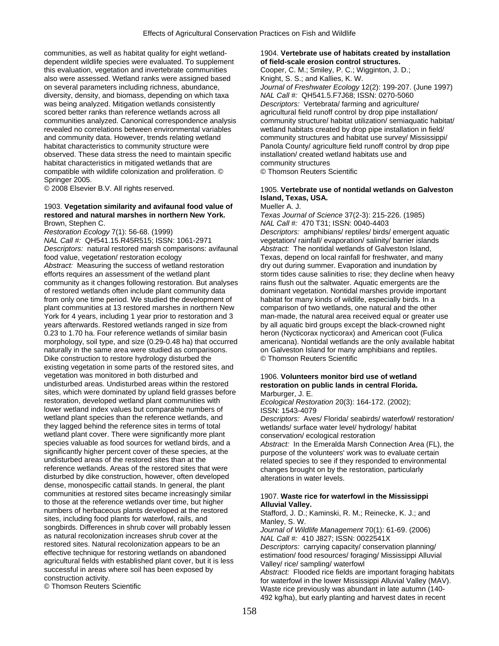communities, as well as habitat quality for eight wetland- 1904. **Vertebrate use of habitats created by installation**  dependent wildlife species were evaluated. To supplement **of field-scale erosion control structures.**<br>
this evaluation, vegetation and invertebrate communities Cooper, C. M.; Smiley, P. C.; Wigginton, J. D.; this evaluation, vegetation and invertebrate communities also were assessed. Wetland ranks were assigned based Knight, S. S.; and Kallies, K. W. on several parameters including richness, abundance, *Journal of Freshwater Ecology* 12(2): 199-207. (June 1997) diversity, density, and biomass, depending on which taxa *NAL Call #:* QH541.5.F7J68; ISSN: 0270-5060 was being analyzed. Mitigation wetlands consistently *Descriptors:* Vertebrata/ farming and agriculture/ scored better ranks than reference wetlands across all agricultural field runoff control by drop pipe installation/<br>
communities analyzed. Canonical correspondence analysis community structure/ habitat utilization/ semiaqu revealed no correlations between environmental variables wetland habitats created by drop pipe installation in field/ and community data. However, trends relating wetland community structures and habitat use survey/ Mississippi/ habitat characteristics to community structure were Panola County/ agriculture field runoff control by drop pipe observed. These data stress the need to maintain specific installation/ created wetland habitats use and habitat characteristics in mitigated wetlands that are community structures compatible with wildlife colonization and proliferation. © © Thomson Reuters Scientific Springer 2005.<br>© 2008 Elsevier B.V. All rights reserved.

## 1903. **Vegetation similarity and avifaunal food value of** Mueller A. J. **restored and natural marshes in northern New York.** *Texas Journal of Science* 37(2-3): 215-226. (1985) Brown, Stephen C. *NAL Call #:* 470 T31; ISSN: 0040-4403

*NAL Call #:* QH541.15.R45R515; ISSN: 1061-2971 vegetation/ rainfall/ evaporation/ salinity/ barrier islands *Descriptors:* natural restored marsh comparisons: avifaunal *Abstract:* The nontidal wetlands of Galveston Island, food value, vegetation/ restoration ecology Texas, depend on local rainfall for freshwater, and many Abstract: Measuring the success of wetland restoration dry out during summer. Evaporation and inundation by efforts requires an assessment of the wetland plant storm tides cause salinities to rise; they decline when heavy community as it changes following restoration. But analyses rains flush out the saltwater. Aquatic emergents are the<br>of restored wetlands often include plant community data dominant vegetation. Nontidal marshes provide imp from only one time period. We studied the development of habitat for many kinds of wildlife, especially birds. In a plant communities at 13 restored marshes in northern New comparison of two wetlands, one natural and the other York for 4 years, including 1 year prior to restoration and 3 man-made, the natural area received equal or greater use years afterwards. Restored wetlands ranged in size from by all aquatic bird groups except the black-crowned night 0.23 to 1.70 ha. Four reference wetlands of similar basin heron (Nycticorax nycticorax) and American coot (Fulica morphology, soil type, and size (0.29-0.48 ha) that occurred americana). Nontidal wetlands are the only available habitat naturally in the same area were studied as comparisons. on Galveston Island for many amphibians and reptiles.<br>Dike construction to restore hydrology disturbed the <br>
© Thomson Reuters Scientific Dike construction to restore hydrology disturbed the existing vegetation in some parts of the restored sites, and vegetation was monitored in both disturbed and **1906. Volunteers monitor bird use of wetland**<br>undisturbed areas. Undisturbed areas within the restored **restoration on public lands in central Florida** sites, which were dominated by upland field grasses before Marburger, J. E. restoration, developed wetland plant communities with *Ecological Restoration* 20(3): 164-172. (2002); lower wetland index values but comparable numbers of ISSN: 1543-4079<br>wetland plant species than the reference wetlands, and *Descriptors:* Aves they lagged behind the reference sites in terms of total wetlands/ surface water level/ hydrology/ habitat wetland plant cover. There were significantly more plant conservation/ ecological restoration wetland plant cover. There were significantly more plant species valuable as food sources for wetland birds, and a species valuable as food sources for wetland birds, and a *Abstract:* In the Emeralda Marsh Connection Area (FL), the significantly higher percent cover of these species, at the *nurnose of the volunteers' work was to eval* significantly higher percent cover of these species, at the purpose of the volunteers' work was to evaluate certain<br>undisturbed areas of the restored sites than at the real related species to see if they responded to envir undisturbed areas of the restored sites than at the related species to see if they responded to environmental<br>
reference wetlands. Areas of the restored sites that were related species to see if they restoration particular disturbed by dike construction, however, often developed alterations in water levels. dense, monospecific cattail stands. In general, the plant communities at restored sites became increasingly similar<br>
to those at the reference wetlands over time, but higher<br>
numbers of herbaceous plants developed at the restored<br>
sites, including food plants for waterfowl, rails

community structure/ habitat utilization/ semiaquatic habitat/

## 1905. Vertebrate use of nontidal wetlands on Galveston **Island, Texas, USA.**

*Restoration Ecology* 7(1): 56-68. (1999) *Descriptors:* amphibians/ reptiles/ birds/ emergent aquatic dominant vegetation. Nontidal marshes provide important

# restoration on public lands in central Florida.

Descriptors: Aves/ Florida/ seabirds/ waterfowl/ restoration/

changes brought on by the restoration, particularly

492 kg/ha), but early planting and harvest dates in recent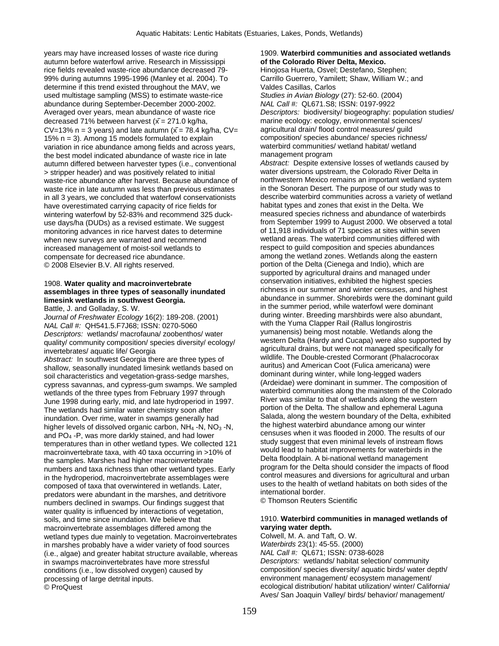years may have increased losses of waste rice during 1909. **Waterbird communities and associated wetlands**  autumn before waterfowl arrive. Research in Mississippi **of the Colorado River Delta, Mexico.**  rice fields revealed waste-rice abundance decreased 79- Hinojosa Huerta, Osvel; Destefano, Stephen; 99% during autumns 1995-1996 (Manley et al. 2004). To Carrillo Guerrero, Yamilett; Shaw, William W.; and determine if this trend existed throughout the MAV, we Valdes Casillas, Carlos used multistage sampling (MSS) to estimate waste-rice *Studies in Avian Biology* (27): 52-60. (2004) abundance during September-December 2000-2002. Averaged over years, mean abundance of waste rice *Descriptors:* biodiversity/ biogeography: population studies/<br>decreased 71% between harvest (x = 271.0 kg/ha, marine ecology: ecology, environmental sciences/ decreased 71% between harvest ( $\bar{x}$  = 271.0 kg/ha, marine ecology: ecology, environmental science<br>CV=13% n = 3 vears) and late autumn ( $\bar{x}$  = 78.4 kg/ha, CV= agricultural drain/ flood control measures/ quild  $CV=13%$  n = 3 years) and late autumn  $(x=78.4 \text{ kg/ha}, CV=$  agricultural drain/flood control measures/ guild<br>15% n = 3). Among 15 models formulated to explain<br>composition/ species abundance/ species richness/ 15% n = 3). Among 15 models formulated to explain composition/ species abundance/ species richnes<br>variation in rice abundance among fields and across vears. Waterbird communities/ wetland habitat/ wetland variation in rice abundance among fields and across years, the best model indicated abundance of waste rice in late management program autumn differed between harvester types (i.e., conventional *Abstract:* Despite extensive losses of wetlands caused by > stripper header) and was positively related to initial water diversions upstream, the Colorado River Delta in waste-rice abundance after harvest. Because abundance of northwestern Mexico remains an important wetland system<br>waste rice in late autumn was less than previous estimates in the Sonoran Desert. The purpose of our study wa waste rice in late autumn was less than previous estimates in the Sonoran Desert. The purpose of our study was to<br>in all 3 years, we concluded that waterfowl conservationists describe waterbird communities across a variety in all 3 years, we concluded that waterfowl conservationists describe waterbird communities across a variety of<br>have overestimated carrying capacity of rice fields for habitat types and zones that exist in the Delta. We have overestimated carrying capacity of rice fields for habitat types and zones that exist in the Delta. We<br>wintering waterfowl by 52-83% and recommend 325 duck-<br>measured species richness and abundance of waterbirds wintering waterfowl by 52-83% and recommend 325 duck- measured species richness and abundance of waterbirds<br>use days/ha (DUDs) as a revised estimate. We suggest from September 1999 to August 2000. We observed a total use days/ha (DUDs) as a revised estimate. We suggest from September 1999 to August 2000. We observed a to<br>monitoring advances in rice harvest dates to determine of 11.918 individuals of 71 species at sites within seven monitoring advances in rice harvest dates to determine when new surveys are warranted and recommend wetland areas. The waterbird communities differed with increased management of moist-soil wetlands to respect to guild composition and species abundances compensate for decreased rice abundance.  $\Box$  among the wetland zones. Wetlands along the eastern © 2008 Elsevier B.V. All rights reserved. portion of the Delta (Cienega and Indio), which are ̄ ̄

# assemblages in three types of seasonally inundated

*Journal of Freshwater Ecology* 16(2): 189-208. (2001) during winter. Breeding marshbirds were also a<br>MAL CalL#: OH541 5 F7 I68: ISSN: 0270-5060 *NAL Call #:* QH541.5.F7J68; ISSN: 0270-5060 with the Yuma Clapper Rail (Rallus longirostris *Descriptors:* wetlands/ macrofauna/ zoobenthos/ water yumanensis) being most notable. Wetlands along the quality/ community composition/ species diversity/ ecology/ invertebrates/ aquatic life/ Georgia and the test of agricultural drains, but were not managed specifically for<br>
Abstract: In southwest Georgia there are three types of wildlife. The Double-crested Cormorant (Phalacrocorax Abstract: In southwest Georgia there are three types of wildlife. The Double-crested Cormorant (Phalacrocora<br>shallow, seasonally inundated limesink wetlands based on auritus) and American Coot (Fulica americana) were shallow, seasonally inundated limesink wetlands based on auritus) and American Coot (Fulica americana) we<br>soil characteristics and vegetation-grass-sedge marshes dominant during winter, while long-legged waders soil characteristics and vegetation-grass-sedge marshes, and a dominant during winter, while long-legged waders<br>Curress savannas, and curress-gum swamps, We sampled (Ardeidae) were dominant in summer. The composition of cypress savannas, and cypress-gum swamps. We sampled June 1998 during early, mid, and late hydroperiod in 1997. The wetlands had similar water chemistry soon after portion of the Delta. The shallow and ephemeral Laguna inundation. Over rime, water in swamps generally had Salada, along the western boundary of the Delta, exhibited<br>higher levels of discolved croanic carbon. NH, NO. N the highest waterbird abundance among our winter higher levels of dissolved organic carbon, NH<sub>4</sub> -N, NO<sub>3</sub> -N, the highest waterbird abundance among our winter<br>censuses when it was flooded in 2000. The results of our and PO<sub>4</sub> -P, was more darkly stained, and had lower censuses when it was flooded in 2000. The results of our<br>temperatures than in other wetland types. We collected 121 study suggest that even minimal levels of instream fl temperatures than in other wetland types. We collected 121 study suggest that even minimal levels of instream flows<br>macroinvertebrate taxa, with 40 taxa occurring in >10% of would lead to habitat improvements for waterbird macroinvertebrate taxa, with 40 taxa occurring in  $>10\%$  of the samples. Marshes had higher macroinvertebrate Delta floodplain. A bi-national wetland management numbers and taxa richness than other wetland types. Early program for the Delta should consider the impacts of flood<br>in the hydroneriod macroinvertebrate assemblages were control measures and diversions for agricultural an in the hydroperiod, macroinvertebrate assemblages were composed of taxa that overwintered in wetlands. Later, uses to the health of wetland habitats on both sides of the composed of taxa that overwintered in wetlands. Later, uses to the health of wetland habitats on both sides predators were abundant in the marshes, and detritivore international border.<br>purphers declined in swamps. Our findings suggest that Carl Common Reuters Scientific numbers declined in swamps. Our findings suggest that water quality is influenced by interactions of vegetation, soils, and time since inundation. We believe that **1910. Waterbird communities in managed wetlands of macroinvertebrate assemblages** differed among the **and all all varying water depth.** macroinvertebrate assemblages differed among the **varying water depth.**<br>
wetland types due mainly to vegetation. Macroinvertebrates Colwell, M. A. and Taft, O. W. wetland types due mainly to vegetation. Macroinvertebrates in marshes probably have a wider variety of food sources *Waterbirds* 23(1): 45-55. (2000) (i.e., algae) and greater habitat structure available, whereas *NAL Call #:* QL671; ISSN: 0738-6028 in swamps macroinvertebrates have more stressful conditions (i.e., low dissolved oxygen) caused by composition/ species diversity/ aquatic birds/ water depth/ processing of large detrital inputs. environment management/ ecosystem management/

supported by agricultural drains and managed under 1908. **Water quality and macroinvertebrate** conservation initiatives, exhibited the highest species **limesink wetlands in southwest Georgia.** abundance in summer. Shorebirds were the dominant guild Battle, J. and Golladay, S. W. in the summer period, while waterfowl were dominant<br>
lournal of Freshwater Ecology 16(2): 189-208 (2001) during winter. Breeding marshbirds were also abundant, wetlands of the three types from February 1997 through waterbird communities along the mainstem of the Colorado<br>Lune 1998 during early mid and late hydroneriod in 1997 River was similar to that of wetlands along the wester

© ProQuest ecological distribution/ habitat utilization/ winter/ California/ Aves/ San Joaquin Valley/ birds/ behavior/ management/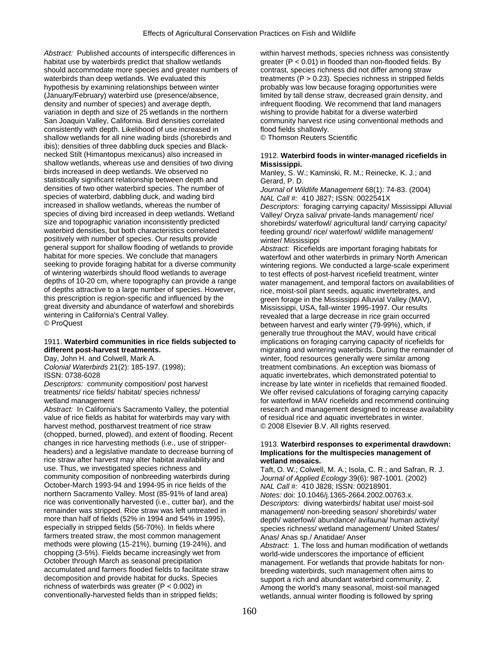*Abstract:* Published accounts of interspecific differences in within harvest methods, species richness was consistently habitat use by waterbirds predict that shallow wetlands greater (P < 0.01) in flooded than non-flooded fields. By should accommodate more species and greater numbers of contrast, species richness did not differ among straw waterbirds than deep wetlands. We evaluated this treatments (P > 0.23). Species richness in stripped fields hypothesis by examining relationships between winter probably was low because foraging opportunities were (January/February) waterbird use (presence/absence, limited by tall dense straw, decreased grain density, and density and number of species) and average depth, infrequent flooding. We recommend that land managers variation in depth and size of 25 wetlands in the northern wishing to provide habitat for a diverse waterbird San Joaquin Valley, California. Bird densities correlated community harvest rice using conventional methods and consistently with depth. Likelihood of use increased in flood fields shallowly. shallow wetlands for all nine wading birds (shorebirds and  $\Box$  Thomson Reuters Scientific ibis); densities of three dabbling duck species and Blacknecked Stilt (Himantopus mexicanus) also increased in 1912. **Waterbird foods in winter-managed ricefields in**  shallow wetlands, whereas use and densities of two diving **Mississippi.**<br>
birds increased in deep wetlands. We observed no **Manley S** W statistically significant relationship between depth and Gerard, P. D. densities of two other waterbird species. The number of *Journal of Wildlife Management* 68(1): 74-83. (2004) species of waterbird, dabbling duck, and wading bird<br>increased in shallow wetlands, whereas the number of *Descriptors:* foraging carrying capacity/ increased in shallow wetlands, whereas the number of *Descriptors:* foraging carrying capacity/ Mississippi Alluvial species of diving bird increased in deep wetlands. Wetland Valley/ Oryza saliva/ private-lands management/ rice/<br>Size and topographic variation inconsistently predicted shorebirds/ waterfowl/ agricultural land/ carrying ca size and topographic variation inconsistently predicted shorebirds/ waterfowl/ agricultural land/ carrying capacity/<br>waterbird densities, but both characteristics correlated feeding ground/ rice/ waterfowl/ wildlife manage positively with number of species. Our results provide winter/ Mississippi general support for shallow flooding of wetlands to provide *Abstract:* Ricefields are important foraging habitats for habitat for more species. We conclude that managers waterfowl and other waterbirds in primary North American<br>seeking to provide foraging habitat for a diverse community wintering regions. We conducted a large-scale experim seeking to provide foraging habitat for a diverse community wintering regions. We conducted a large-scale experiment<br>of wintering waterbirds should flood wetlands to average the state of post-harvest ricefield treatment wi of wintering waterbirds should flood wetlands to average to test effects of post-harvest ricefield treatment, winter<br>depths of 10-20 cm, where topography can provide a range water management, and temporal factors on availa depths of 10-20 cm, where topography can provide a range water management, and temporal factors on availabilities of<br>of depths attractive to a large number of species. However, rice, moist-soil plant seeds, aquatic inverte of depths attractive to a large number of species. However, rice, moist-soil plant seeds, aquatic invertebrates, and<br>this prescription is region-specific and influenced by the and organ forage in the Mississippi Alluvial V great diversity and abundance of waterfowl and shorebirds Mississippi, USA, fall-winter 1995-1997. Our results<br>wintering in California's Central Valley. wintering in California's Central Valley.<br>© ProQuest and early winter (79-99%), which, if

## 1911. **Waterbird communities in rice fields subjected to** implications on foraging carrying capacity of ricefields for

value of rice fields as habitat for waterbirds may vary with of residual rice and aquatic invertebrates in winter. harvest method, postharvest treatment of rice straw  $\heartsuit$  2008 Elsevier B.V. All rights reserved. (chopped, burned, plowed), and extent of flooding. Recent changes in rice harvesting methods (i.e., use of stripper- 1913. Waterbird responses to experimental drawdown:<br>
headers) and a legislative mandate to decrease burning of **Implications for the multispecies management of** rice straw after harvest may alter habitat availability and **wetland mosaics.**  use. Thus, we investigated species richness and Taft, O. W.; Colwell, M. A.; Isola, C. R.; and Safran, R. J. community composition of nonbreeding waterbirds during Journal of Applied Fcology 39(6): 987-1001 (2002) October-March 1993-94 and 1994-95 in rice fields of the *NAL Call #:* 410 J828; ISSN: 00218901. northern Sacramento Valley. Most (85-91% of land area) *Notes:* doi: 10.1046/j.1365-2664.2002.00763.x. rice was conventionally harvested (i.e., cutter bar), and the *Descriptors:* diving waterbirds/ habitat use/ moist-soil remainder was stripped. Rice straw was left untreated in example management/ non-breeding season/ shorebirds/ water<br>more than half of fields (52% in 1994 and 54% in 1995), example of depth/ waterfowl/ abundance/ avifauna/ more than half of fields (52% in 1994 and 54% in 1995), depth/ waterfowl/ abundance/ avifauna/ human activity/<br>especially in stripped fields (56-70%). In fields where species richness/ wetland management/ United States/ farmers treated straw, the most common management Anas/ Anas sp./ Anatidae/ Anser<br>methods were plowing (15-21%), burning (19-24%), and Abstract: 1. The loss and human chopping (3-5%). Fields became increasingly wet from world-wide underscores the importance of efficient<br>October through March as seasonal precipitation management. For wetlands that provide habitats fo accumulated and farmers flooded fields to facilitate straw breeding waterbirds, such management often aims to decomposition and provide habitat for ducks. Species support a rich and abundant waterbird community. 2. decomposition and provide habitat for ducks. Species support a rich and abundant waterbird community. 2.<br>
richness of waterbirds was greater (P < 0.002) in Among the world's many seasonal, moist-soil manage richness of waterbirds was greater (P < 0.002) in Among the world's many seasonal, moist-soil managed<br>
conventionally-harvested fields than in stripped fields;<br>
wetlands, annual winter flooding is followed by spring

Manley, S. W.; Kaminski, R. M.; Reinecke, K. J.; and

feeding ground/ rice/ waterfowl/ wildlife management/

green forage in the Mississippi Alluvial Valley (MAV), between harvest and early winter (79-99%), which, if generally true throughout the MAV, would have critical **different post-harvest treatments.** migrating and wintering waterbirds. During the remainder of Day, John H. and Colwell, Mark A. winter, food resources generally were similar among<br>Colonial Waterbirds 21(2): 185-197. (1998);<br>colonial Waterbirds 21(2): 185-197. (1998);<br>colonial treatment combinations. An exception wa treatment combinations. An exception was biomass of ISSN: 0738-6028 aquatic invertebrates, which demonstrated potential to *Descriptors:* community composition/ post harvest increase by late winter in ricefields that remained flooded. treatments/ rice fields/ habitat/ species richness/ We offer revised calculations of foraging carrying capacity wetland management **for waterfowl in MAV ricefields and recommend continuing** Abstract: In California's Sacramento Valley, the potential research and management designed to increase availability

# Implications for the multispecies management of

Journal of Applied Ecology 39(6): 987-1001. (2002)

species richness/ wetland management/ United States/

Abstract: 1. The loss and human modification of wetlands management. For wetlands that provide habitats for nonwetlands, annual winter flooding is followed by spring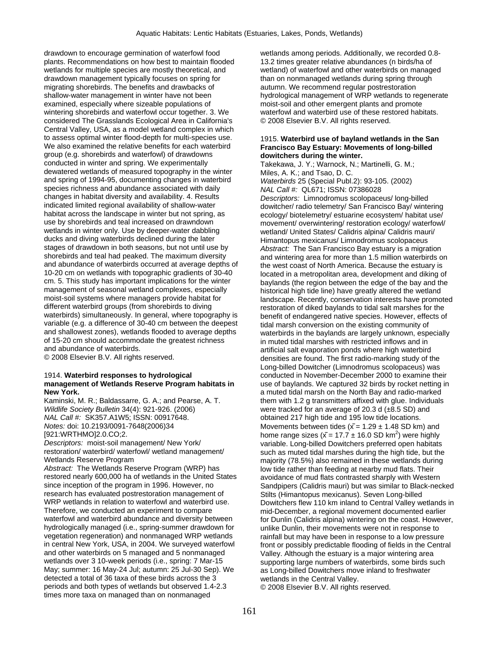plants. Recommendations on how best to maintain flooded 13.2 times greater relative abundances (n birds/ha of wetlands for multiple species are mostly theoretical, and wetland) of waterfowl and other waterbirds on managed drawdown management typically focuses on spring for than on nonmanaged wetlands during spring through migrating shorebirds. The benefits and drawbacks of autumn. We recommend regular postrestoration shallow-water management in winter have not been hydrological management of WRP wetlands to regenerate examined, especially where sizeable populations of moist-soil and other emergent plants and promote<br>wintering shorebirds and waterfowl occur together. 3. We waterfowl and waterbird use of these restored habitats. wintering shorebirds and waterfowl occur together. 3. We waterfowl and waterbird use of these res<br>considered The Grasslands Ecological Area in California's © 2008 Elsevier B.V. All rights reserved. considered The Grasslands Ecological Area in California's Central Valley, USA, as a model wetland complex in which to assess optimal winter flood-depth for multi-species use. 1915. **Waterbird use of bayland wetlands in the San**  group (e.g. shorebirds and waterfowl) of drawdowns **dowitchers during the winter.**<br>
conducted in winter and spring. We experimentally **the conducted in winter** and spring. We experimentally dewatered wetlands of measured topography in the winter Miles, A. K.; and Tsao, D. C. and spring of 1994-95, documenting changes in waterbird *Waterbirds* 25 (Special Publ.2): 93-105. (2002) species richness and abundance associated with daily *NAL Call #:* QL671; ISSN: 07386028 changes in habitat diversity and availability. 4. Results *Descriptors:* Limnodromus scolopaceus/ long-billed indicated limited regional availability of shallow-water dowitcher/ radio telemetry/ San Francisco Bay/ wintering<br>habitat across the landscape in winter but not spring, as ecology/ biotelemetry/ estuarine ecosystem/ habita habitat across the landscape in winter but not spring, as ecology/ biotelemetry/ estuarine ecosystem/ habitat use/<br>use by shorebirds and teal increased on drawndown<br>movement/ overwintering/ restoration ecology/ waterfowl use by shorebirds and teal increased on drawndown movement/ overwintering/ restoration ecology/ waterfowl/<br>wetlands in winter only. Use by deeper-water dabbling wetland/ United States/ Calidris alpina/ Calidris mauri/ ducks and diving waterbirds declined during the later **Himantopus mexicanus/ Limnodromus scolopaceus** stages of drawdown in both seasons, but not until use by *Abstract:* The San Francisco Bay estuary is a migration shorebirds and teal had peaked. The maximum diversity and wintering area for more than 1.5 million waterbirds on<br>And abundance of waterbirds occurred at average depths of the west coast of North America. Because the estuar and abundance of waterbirds occurred at average depths of the west coast of North America. Because the estuary is<br>10-20 cm on wetlands with topographic gradients of 30-40 located in a metropolitan area, development and dik 10-20 cm on wetlands with topographic gradients of 30-40 located in a metropolitan area, development and diking of<br>cm. 5. This study has important implications for the winter baylands (the region between the edge of the ba cm. 5. This study has important implications for the winter baylands (the region between the edge of the bay and the management of seasonal wetland complexes, especially bistorical high tide line) have greatly altered the management of seasonal wetland complexes, especially historical high tide line) have greatly altered the wetland<br>moist-soil systems where managers provide habitat for a landscape. Recently, conservation interests have prom moist-soil systems where managers provide habitat for landscape. Recently, conservation interests have promoted<br>different waterbird groups (from shorebirds to diving restoration of diked baylands to tidal salt marshes for different waterbird groups (from shorebirds to diving restoration of diked baylands to tidal salt marshes for the<br>waterbirds) simultaneously. In general, where topography is represent of endangered pative species. However, variable (e.g. a difference of 30-40 cm between the deepest tidal marsh conversion on the existing community of and shallowest zones), wetlands flooded to average depths waterbirds in the baylands are largely unknown, especially<br>of 15-20 cm should accommodate the greatest richness in muted tidal marshes with restricted inflows and i of 15-20 cm should accommodate the greatest richness in muted tidal marshes with restricted inflows and in<br>and abundance of waterbirds.

# **New York.** a muted tidal marsh on the North Bay and radio-marked

*Wildlife Society Bulletin* 34(4): 921-926. (2006) were tracked for an average of 20.3 d (±8.5 SD) and *NAL Call #:* SK357.A1W5; ISSN: 00917648. obtained 217 high tide and 195 low tide locations.

Abstract: The Wetlands Reserve Program (WRP) has low tide rather than feeding at nearby mud flats. Their<br>restored nearly 600,000 ha of wetlands in the United States avoidance of mud flats contrasted sharply with Wester restored nearly 600,000 ha of wetlands in the United States avoidance of mud flats contrasted sharply with Western<br>since inception of the program in 1996. However, no Sandpipers (Calidris mauri) but was similar to Black-ne research has evaluated postrestoration management of Stilts (Himantopus mexicanus). Seven Long-billed<br>WRP wetlands in relation to waterfowl and waterbird use. Dowitchers flew 110 km inland to Central Valley w Therefore, we conducted an experiment to compare mid-December, a regional movement documented earlier<br>waterfowl and waterbird abundance and diversity between for Dunlin (Calidris alpina) wintering on the coast. However hydrologically managed (i.e., spring-summer drawdown for examplike Dunlin, their movements were not in response to<br>vegetation regeneration) and nonmanaged WRP wetlands example and rainfall but may have been in response to in central New York, USA, in 2004. We surveyed waterfowl front or possibly predictable flooding of fields in the Central and other waterbirds on 5 managed and 5 nonmanaged<br>
wetlands over 3 10-week periods (i.e., spring: 7 Mar-15 supporting large numbers of waterbirds, some birds su May; summer: 16 May-24 Jul; autumn: 25 Jul-30 Sep). We as Long-billed Dowitchers move inland to freshwater detected a total of 36 taxa of these birds across the 3 wetlands in the Central Valley. periods and both types of wetlands but observed 1.4-2.3 © 2008 Elsevier B.V. All rights reserved. times more taxa on managed than on nonmanaged

drawdown to encourage germination of waterfowl food wetlands among periods. Additionally, we recorded 0.8-

# **Francisco Bay Estuary: Movements of long-billed**

Takekawa, J. Y.; Warnock, N.; Martinelli, G. M.; wetland/ United States/ Calidris alpina/ Calidris mauri/ benefit of endangered native species. However, effects of and abundance of waterbirds.<br>
© 2008 Elsevier B.V. All rights reserved. The state of the state of the first radio-marking study of the 2008 densities are found. The first radio-marking study of the Long-billed Dowitcher (Limnodromus scolopaceus) was 1914. **Waterbird responses to hydrological** conducted in November-December 2000 to examine their **management of Wetlands Reserve Program habitats in** use of baylands. We captured 32 birds by rocket netting in Kaminski, M. R.; Baldassarre, G. A.; and Pearse, A. T. them with 1.2 g transmitters affixed with glue. Individuals *Notes:* doi: 10.2193/0091-7648(2006)34 Movements between tides  $(\bar{x} = 1.29 \pm 1.48 \text{ SD km})$  and [921:WRTHMO]2.0.CO;2.  $\blacksquare$  home range sizes ( $\bar{x} = 17.7 \pm 16.0$  SD km<sup>2</sup>) were highly *Descriptors:* moist-soil management/ New York/ variable. Long-billed Dowitchers preferred open habitats such as muted tidal marshes during the high tide, but the Wetlands Reserve Program majority (78.5%) also remained in these wetlands during Sandpipers (Calidris mauri) but was similar to Black-necked WRP wetlands in relation to waterfowl and waterbird use.<br>Therefore, we conducted an experiment to compare mid-December, a regional movement documented earlier waterfowl and waterbird abundance and diversity between for Dunlin (Calidris alpina) wintering on the coast. However,<br>hydrologically managed (i.e., spring-summer drawdown for unlike Dunlin, their movements were not in resp rainfall but may have been in response to a low pressure supporting large numbers of waterbirds, some birds such ̄ ̄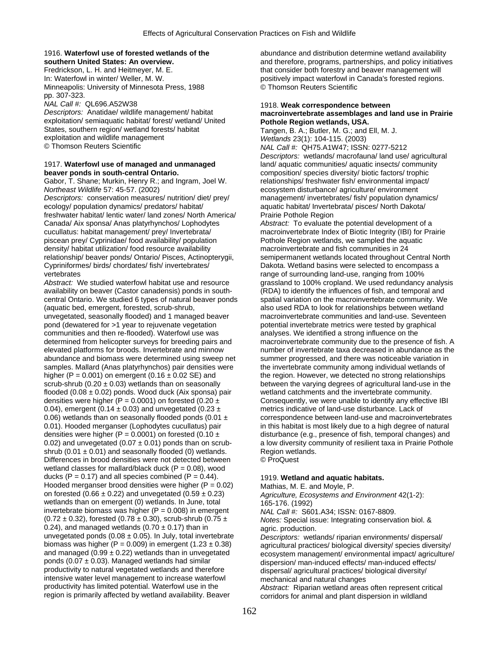Minneapolis: University of Minnesota Press, 1988 © Thomson Reuters Scientific pp. 307-323.

*NAL Call #:* QL696.A52W38 1918. **Weak correspondence between**  exploitation/ semiaquatic habitat/ forest/ wetland/ United States, southern region/ wetland forests/ habitat States, southern region/ wetland forests/ habitat Tangen, B. A.; Butler, M. G.; and Ell, M. J.<br>
exploitation and wildlife management button that Metlands 23(1): 104-115 (2003) exploitation and wildlife management *Wetlands* 23(1): 104-115. (2003)

## **beaver ponds in south-central Ontario. composition** composition/ species diversity/ biotic factors/ trophic

*Northeast Wildlife* 57: 45-57. (2002) ecosystem disturbance/ agriculture/ environment

*Descriptors:* conservation measures/ nutrition/ diet/ prey/ management/ invertebrates/ fish/ population dynamics/ ecology/ population dynamics/ predators/ habitat/ aquatic habitat/ Invertebrata/ pisces/ North Dakota/ freshwater habitat/ lentic water/ land zones/ North America/ Prairie Pothole Region Canada/ Aix sponsa/ Anas platyrhynchos/ Lophodytes *Abstract:* To evaluate the potential development of a cucullatus: habitat management/ prey/ Invertebrata/ macroinvertebrate Index of Biotic Integrity (IBI) for Prairie piscean prey/ Cyprinidae/ food availability/ population Pothole Region wetlands, we sampled the aquatic density/ habitat utilization/ food resource availability macroinvertebrate and fish communities in 24 density/ habitat utilization/ food resource availability<br>relationship/ beaver ponds/ Ontario/ Pisces, Actinopterygii, Cypriniformes/ birds/ chordates/ fish/ invertebrates/ Dakota. Wetland basins were selected to encompass a

availability on beaver (Castor canadensis) ponds in south- (RDA) to identify the influences of fish, and temporal and<br>
central Ontario. We studied 6 types of natural beaver ponds spatial variation on the macroinvertebrate central Ontario. We studied 6 types of natural beaver ponds (aquatic bed, emergent, forested, scrub-shrub, also used RDA to look for relationships between wetland unvegetated, seasonally flooded) and 1 managed beaver macroinvertebrate communities and land-use. Seventeen pond (dewatered for >1 year to rejuvenate vegetation potential invertebrate metrics were tested by graphical communities and then re-flooded). Waterfowl use was analyses. We identified a strong influence on the determined from helicopter surveys for breeding pairs and macroinvertebrate community due to the presence of fish. A elevated platforms for broods. Invertebrate and minnow number of invertebrate taxa decreased in abundance as the abundance and biomass were determined using sweep net summer progressed, and there was noticeable variation in<br>samples. Mallard (Anas platyrhynchos) pair densities were the invertebrate community among individual wetlands samples. Mallard (Anas platyrhynchos) pair densities were higher (P = 0.001) on emergent (0.16  $\pm$  0.02 SE) and the region. However, we detected no strong relationships scrub-shrub  $(0.20 \pm 0.03)$  wetlands than on seasonally between the varying degrees of agricultural land-use in the flooded  $(0.08 \pm 0.02)$  ponds. Wood duck (Aix sponsa) pair wetland catchments and the invertebrate community. densities were higher ( $P = 0.0001$ ) on forested (0.20  $\pm$  Consequently, we were unable to identify any effective IBI 0.04), emergent (0.14  $\pm$  0.03) and unvegetated (0.23  $\pm$  metrics indicative of land-use disturbance. Lack of 0.06) wetlands than on seasonally flooded ponds  $(0.01 + \text{correspondence between land-use and macroinvertebrates})$ 0.01). Hooded merganser (Lophodytes cucullatus) pair in this habitat is most likely due to a high degree of natural densities were higher (P = 0.0001) on forested (0.10  $\pm$  disturbance (e.g., presence of fish, temporal changes) and 0.02) and unvegetated  $(0.07 \pm 0.01)$  ponds than on scrub-<br>a low diversity community of resilient taxa in Prairie Pothole shrub  $(0.01 \pm 0.01)$  and seasonally flooded  $(0)$  wetlands. Region wetlands. Differences in brood densities were not detected between © ProQuest wetland classes for mallard/black duck  $(P = 0.08)$ , wood ducks  $(P = 0.17)$  and all species combined  $(P = 0.44)$ . 1919. **Wetland and aquatic habitats.** Hooded merganser brood densities were higher  $(P = 0.02)$  Mathias, M. E. and Moyle, P. on forested (0.66 ± 0.22) and unvegetated (0.59 ± 0.23) *Agriculture, Ecosystems and Environment* 42(1-2): wetlands than on emergent (0) wetlands. In June, total 165-176. (1992) invertebrate biomass was higher (P = 0.008) in emergent *NAL Call #:* S601.A34; ISSN: 0167-8809. 0.24), and managed wetlands (0.70  $\pm$  0.17) than in agric. production.<br>unvegetated ponds (0.08  $\pm$  0.05). In July, total invertebrate *Descriptors:* wetla unvegetated ponds (0.08 ± 0.05). In July, total invertebrate *Descriptors:* wetlands/ riparian environments/ dispersal/ biomass was higher (P = 0.009) in emergent (1.23  $\pm$  0.38) agricultural practices/ biological diversity/ species diversity/<br>and managed (0.99  $\pm$  0.22) wetlands than in unvegetated ecosystem management/ environmental im ponds (0.07  $\pm$  0.03). Managed wetlands had similar dispersion/ man-induced effects/ man-induced effects/ productivity to natural vegetated wetlands and therefore dispersal/ agricultural practices/ biological diversity/ intensive water level management to increase waterfowl mechanical and natural changes<br>productivity has limited potential. Waterfowl use in the *Abstract:* Riparian wetland areas region is primarily affected by wetland availability. Beaver corridors for animal and plant dispersion in wildland

1916. **Waterfowl use of forested wetlands of the** abundance and distribution determine wetland availability **southern United States: An overview.** and therefore, programs, partnerships, and policy initiatives Fredrickson, L. H. and Heitmeyer, M. E. that consider both forestry and beaver management will In: Waterfowl in winter/ Weller, M. W. **process and a set of the controller in Canada's forested regions.** 

# macroinvertebrate assemblages and land use in Prairie Pothole Region wetlands, USA.

© Thomson Reuters Scientific *NAL Call #:* QH75.A1W47; ISSN: 0277-5212 *Descriptors:* wetlands/ macrofauna/ land use/ agricultural 1917. **Waterfowl use of managed and unmanaged** land/ aquatic communities/ aquatic insects/ community Gabor, T. Shane; Murkin, Henry R.; and Ingram, Joel W. relationships/ freshwater fish/ environmental impact/

semipermanent wetlands located throughout Central North vertebrates<br>Abstract: We studied waterfowl habitat use and resource arassland to 100% cropland. We used redundancy grassland to 100% cropland. We used redundancy analysis

(0.72 ± 0.32), forested (0.78 ± 0.30), scrub-shrub (0.75 ± *Notes:* Special issue: Integrating conservation biol. &

and managed (0.99  $\pm$  0.22) wetlands than in unvegetated ecosystem management/ environmental impact/ agriculture/<br>
ponds (0.07  $\pm$  0.03). Managed wetlands had similar example also dispersion/ man-induced effects/ man-in dispersal/ agricultural practices/ biological diversity/

Abstract: Riparian wetland areas often represent critical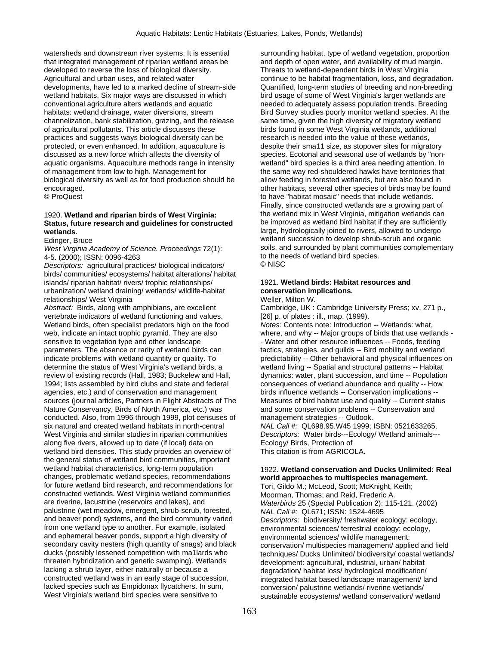watersheds and downstream river systems. It is essential surrounding habitat, type of wetland vegetation, proportion that integrated management of riparian wetland areas be and depth of open water, and availability of mud margin. developed to reverse the loss of biological diversity. Threats to wetland-dependent birds in West Virginia Agricultural and urban uses, and related water continue to be habitat fragmentation, loss, and degradation. developments, have led to a marked decline of stream-side Quantified, long-term studies of breeding and non-breeding wetland habitats. Six major ways are discussed in which bird usage of some of West Virginia's larger wetlands are conventional agriculture alters wetlands and aquatic needed to adequately assess population trends. Breeding habitats: wetland drainage, water diversions, stream Bird Survey studies poorly monitor wetland species. At the channelization, bank stabilization, grazing, and the release same time, given the high diversity of migratory channelization, bank stabilization, grazing, and the release of agricultural pollutants. This article discusses these birds found in some West Virginia wetlands, additional practices and suggests ways biological diversity can be research is needed into the value of these wetlands, protected, or even enhanced. In addition, aquaculture is despite their sma11 size, as stopover sites for migratory discussed as a new force which affects the diversity of species. Ecotonal and seasonal use of wetlands by "nonaquatic organisms. Aquaculture methods range in intensity wetland" bird species is a third area needing attention. In of management from low to high. Management for the same way red-shouldered hawks have territories that biological diversity as well as for food production should be allow feeding in forested wetlands, but are also found in

## **Status, future research and guidelines for constructed wetlands. large, hydrologically joined to rivers, allowed to undergo** large, hydrologically joined to rivers, allowed to undergo

4-5. (2000); ISSN: 0096-4263 to the needs of wetland bird species.<br>Descriptors: agricultural practices/ biological indicators/ © NISC

*Descriptors:* agricultural practices/ biological indicators/ birds/ communities/ ecosystems/ habitat alterations/ habitat islands/ riparian habitat/ rivers/ trophic relationships/ 1921. **Wetland birds: Habitat resources and**  urbanization/ wetland draining/ wetlands/ wildlife-habitat **conservation implications.**  relationships/ West Virginia

Abstract: Birds, along with amphibians, are excellent Cambridge, UK : Cambridge University Press; xv, 271 p., vertebrate indicators of wetland functioning and values. [26] p. of plates : ill., map. (1999). Wetland birds, often specialist predators high on the food *Notes:* Contents note: Introduction -- Wetlands: what, web, indicate an intact trophic pyramid. They are also where, and why -- Major groups of birds that use wetlands sensitive to vegetation type and other landscape - Water and other resource influences -- Foods, feeding parameters. The absence or rarity of wetland birds can tactics, strategies, and guilds -- Bird mobility and wetland indicate problems with wetland quantity or quality. To predictability -- Other behavioral and physical influences on determine the status of West Virginia's wetland birds, a vertland living -- Spatial and structural patter review of existing records (Hall, 1983; Buckelew and Hall, dynamics: water, plant succession, and time -- Population 1994; lists assembled by bird clubs and state and federal consequences of wetland abundance and quality -- How agencies, etc.) and of conservation and management birds influence wetlands -- Conservation implications -sources (journal articles, Partners in Flight Abstracts of The Measures of bird habitat use and quality -- Current status Nature Conservancy, Birds of North America, etc.) was and some conservation problems -- Conservation and conducted. Also, from 1996 through 1999, plot censuses of management strategies -- Outlook. six natural and created wetland habitats in north-central *NAL Call #:* QL698.95.W45 1999; ISBN: 0521633265. West Virginia and similar studies in riparian communities *Descriptors:* Water birds---Ecology/ Wetland animals-- along five rivers, allowed up to date (if local) data on Ecology/ Birds, Protection of wetland bird densities. This study provides an overview of This citation is from AGRICOLA. the general status of wetland bird communities, important wetland habitat characteristics, long-term population 1922. **Wetland conservation and Ducks Unlimited: Real**  changes, problematic wetland species, recommendations **world approaches to multispecies management.**  for future wetland bird research, and recommendations for Tori, Gildo M.; McLeod, Scott; McKnight, Keith; constructed wetlands. West Virginia wetland communities Moorman, Thomas; and Reid, Frederic A.<br>are riverine. lacustrine (reservoirs and lakes), and Materbirds 25 (Special Publication 2): 115 palustrine (wet meadow, emergent, shrub-scrub, forested, *NAL Call #: QL671*; ISSN: 1524-4695<br>and beaver pond) systems, and the bird community varied *Descriptors:* biodiversity/ freshwater e and beaver pond) systems, and the bird community varied *Descriptors:* biodiversity/ freshwater ecology: ecology, from one wetland type to another. For example, isolated environmental sciences/ terrestrial ecology: ecology, and ephemeral beaver ponds, support a high diversity of environmental sciences/ wildlife management: and ephemeral beaver ponds, support a high diversity of environmental sciences/ wildlife management:<br>secondary cavity nesters (high quantity of snags) and black conservation/ multispecies management/ appli secondary cavity nesters (high quantity of snags) and black conservation/ multispecies management/ applied and field<br>ducks (possibly lessened competition with ma1lards who techniques/ Ducks Unlimited/ biodiversity/ coastal threaten hybridization and genetic swamping). Wetlands development: agricultural, industrial, urban/ habitat<br>
lacking a shrub layer, either naturally or because a degradation/ habitat loss/ hydrological modification/ constructed wetland was in an early stage of succession, integrated habitat based landscape management/ land lacked species such as Empidonax flycatchers. In sum, conversion/ palustrine wetlands/ riverine wetlands/<br>West Virginia's wetland bird species were sensitive to sustainable ecosystems/ wetland conservation/ we

encouraged. encouraged.  $\bullet$  contracts, several other species of birds may be found to have "habitats, several other species of birds may be found  $\circ$  ProQuest to have "habitat mosaic" needs that include wetlands. Finally, since constructed wetlands are a growing part of 1920. **Wetland and riparian birds of West Virginia:** the wetland mix in West Virginia, mitigation wetlands can Edinger, Bruce wetland succession to develop shrub-scrub and organic *West Virginia Academy of Science. Proceedings* 72(1): soils, and surrounded by plant communities complementary

wetland living -- Spatial and structural patterns -- Habitat

Waterbirds 25 (Special Publication 2): 115-121. (2002) techniques/ Ducks Unlimited/ biodiversity/ coastal wetlands/ degradation/ habitat loss/ hydrological modification/ sustainable ecosystems/ wetland conservation/ wetland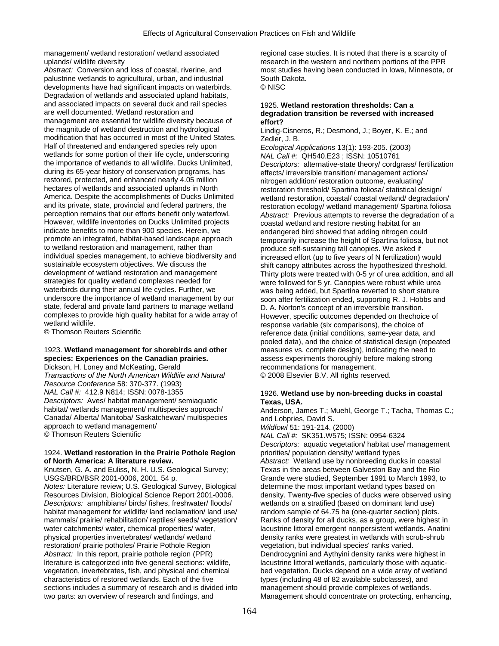*Abstract:* Conversion and loss of coastal, riverine, and most studies having been conducted in Iowa, Minnesota, or palustrine wetlands to agricultural, urban, and industrial South Dakota. developments have had significant impacts on waterbirds. © NISC Degradation of wetlands and associated upland habitats, and associated impacts on several duck and rail species 1925. **Wetland restoration thresholds: Can a**  management are essential for wildlife diversity because of **effort?**<br>
the magnitude of wetland destruction and hydrological **indig**modification that has occurred in most of the United States. Zedler, J. B.<br>Half of threatened and endangered species rely upon Freelogical A wetlands for some portion of their life cycle, underscoring *NAL Call #:* QH540.E23 ; ISSN: 10510761<br>the importance of wetlands to all wildlife. Ducks Unlimited, *Descriptors: alternative-state theory/ cordo* during its 65-year history of conservation programs, has effects/ irreversible transition/ management actions/ restored, protected, and enhanced nearly 4.05 million nitrogen addition/ restoration outcome, evaluating/<br>hectares of wetlands and associated uplands in North restoration threshold/ Spartina foliosa/ statistical de hectares of wetlands and associated uplands in North restoration threshold/ Spartina foliosa/ statistical design/<br>America. Despite the accomplishments of Ducks Unlimited wetland restoration, coastal/ coastal wetland/ degra America. Despite the accomplishments of Ducks Unlimited wetland restoration, coastal/ coastal wetland/ degradation/<br>and its private, state, provincial and federal partners, the restoration ecology/ wetland management/ Spar and its private, state, provincial and federal partners, the restoration ecology/ wetland management/ Spartina foliosa<br>perception remains that our efforts benefit only waterfowl. Abstract: Previous attempts to reverse the However, wildlife inventories on Ducks Unlimited projects coastal wetland and restore nesting habitat for an<br>indicate benefits to more than 900 species. Herein, we andengered bird showed that adding pitrogen cou indicate benefits to more than 900 species. Herein, we endangered bird showed that adding nitrogen could<br>promote an integrated, habitat-based landscape approach emporarily increase the height of Spartina foliosa, b promote an integrated, habitat-based landscape approach temporarily increase the height of Spartina foliosa, but not<br>to wetland restoration and management, rather than than the original self-sustaining tall canopies. We as to wetland restoration and management, rather than endoting produce self-sustaining tall canopies. We asked if<br>individual species management, to achieve biodiversity and increased effort (up to five vears of N fertilizatio individual species management, to achieve biodiversity and increased effort (up to five years of N fertilization) would<br>sustainable ecosystem objectives. We discuss the same shift canopy attributes across the hypothesized sustainable ecosystem objectives. We discuss the shift canopy attributes across the hypothesized threshold.<br>Shift canopy attributes across the hypothesized threshold.<br>Thirty plots were treated with 0-5 yr of urea addition development of wetland restoration and management Thirty plots were treated with 0-5 yr of urea addition, and all<br>strategies for quality wetland complexes needed for were followed for 5 yr. Canopies were robust while urea strategies for quality wetland complexes needed for were followed for 5 yr. Canopies were robust while urea<br>waterbirds during their annual life cycles. Further, we was being added, but Spartina reverted to short stature underscore the importance of wetland management by our soon after fertilization ended, supporting R. J. Hobbs and state, federal and private land partners to manage wetland D. A. Norton's concept of an irreversible transition. complexes to provide high quality habitat for a wide array of However, specific outcomes depended on thechoice of vertland wildlife.

## 1923. **Wetland management for shorebirds and other** measures vs. complete design), indicating the need to

Dickson, H. Loney and McKeating, Gerald *Transactions of the North American Wildlife and Natural* © 2008 Elsevier B.V. All rights reserved. *Resource Conference* 58: 370-377. (1993) *NAL Call #:* 412.9 N814; ISSN: 0078-1355 1926. **Wetland use by non-breeding ducks in coastal Descriptors:** Aves/ habitat management/ semiaquatic **Texas, USA.**<br>
habitat/ wetlands management/ multispecies approach/ **Anderson** Canada/ Alberta/ Manitoba/ Saskatchewan/ multispecies and Lobpries, David S. approach to wetland management/ *Wildfowl* 51: 191-214. (2000)

## 1924. **Wetland restoration in the Prairie Pothole Region** priorities/ population density/ wetland types **of North America: A literature review.** *Abstract:* **Wetland use by nonbreeding ducks in coastal**

USGS/BRD/BSR 2001-0006, 2001. 54 p. Grande were studied, September 1991 to March 1993, to *Notes:* Literature review; U.S. Geological Survey, Biological determine the most important wetland types based on Resources Division, Biological Science Report 2001-0006. density. Twenty-five species of ducks were observed using *Descriptors:* amphibians/ birds/ fishes, freshwater/ floods/ wetlands on a stratified (based on dominant land use) habitat management for wildlife/ land reclamation/ land use/ random sample of 64.75 ha (one-quarter section) plots. mammals/ prairie/ rehabilitation/ reptiles/ seeds/ vegetation/ Ranks of density for all ducks, as a group, were highest in water catchments/ water, chemical properties/ water, lacustrine littoral emergent nonpersistent wetlands. Anatini physical properties invertebrates/ wetlands/ wetland density ranks were greatest in wetlands with scrub-shrub restoration/ prairie potholes/ Prairie Pothole Region vegetation, but individual species' ranks varied. *Abstract:* In this report, prairie pothole region (PPR) Dendrocygnini and Aythyini density ranks were highest in literature is categorized into five general sections: wildlife, a lacustrine littoral wetlands, particularly those with aquaticvegetation, invertebrates, fish, and physical and chemical bed vegetation. Ducks depend on a wide array of wetland characteristics of restored wetlands. Each of the five types (including 48 of 82 available subclasses), and sections includes a summary of research and is divided into management should provide complexes of wetlands. two parts: an overview of research and findings, and Management should concentrate on protecting, enhancing,

management/ wetland restoration/ wetland associated regional case studies. It is noted that there is a scarcity of uplands/ wildlife diversity research in the western and northern portions of the PPR

# degradation transition be reversed with increased

Lindig-Cisneros, R.; Desmond, J.; Boyer, K. E.; and

Ecological Applications 13(1): 193-205. (2003) Descriptors: alternative-state theory/ cordgrass/ fertilization perception remains that our efforts benefit only waterfowl. *Abstract:* Previous attempts to reverse the degradation of a was being added, but Spartina reverted to short stature wetland wildlife. response variable (six comparisons), the choice of reference data (initial conditions, same-year data, and pooled data), and the choice of statistical design (repeated assess experiments thoroughly before making strong recommendations for management.

Anderson, James T.; Muehl, George T.; Tacha, Thomas C.;

© Thomson Reuters Scientific *NAL Call #:* SK351.W575; ISSN: 0954-6324 *Descriptors:* aquatic vegetation/ habitat use/ management Knutsen, G. A. and Euliss, N. H. U.S. Geological Survey; Texas in the areas between Galveston Bay and the Rio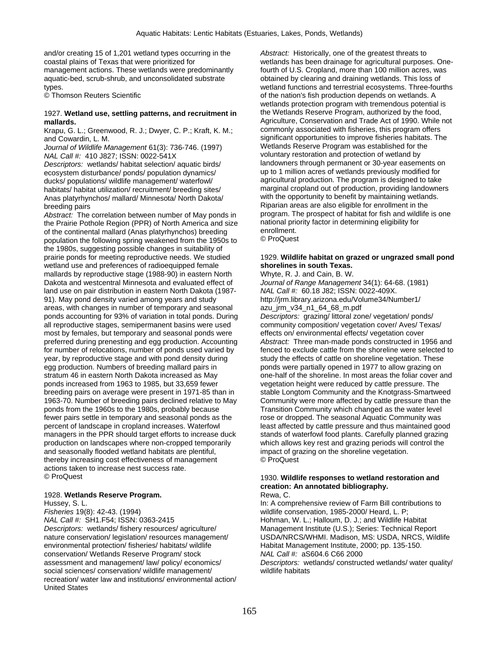and/or creating 15 of 1,201 wetland types occurring in the *Abstract:* Historically, one of the greatest threats to management actions. These wetlands were predominantly fourth of U.S. Cropland, more than 100 million acres, was aquatic-bed, scrub-shrub, and unconsolidated substrate obtained by clearing and draining wetlands. This loss of

## 1927. Wetland use, settling patterns, and recruitment in

Krapu, G. L.; Greenwood, R. J.; Dwyer, C. P.; Kraft, K. M.;

*Journal of Wildlife Management* 61(3): 736-746. (1997) *NAL Call #:* 410 J827; ISSN: 0022-541X voluntary restoration and protection of wetland by ecosystem disturbance/ ponds/ population dynamics/ ducks/ populations/ wildlife management/ waterfowl/ agricultural production. The program is designed to take Anas platyrhynchos/ mallard/ Minnesota/ North Dakota/

*Abstract:* The correlation between number of May ponds in program. The prospect of habitat for fish and wildl<br>the Prairie Pothole Region (PPR) of North America and size and priority factor in determining eligibility for the Prairie Pothole Region (PPR) of North America and size national priority factor in determining the continental mallard (Anas platyrhynchos) breeding eligibility for the continent. of the continental mallard (Anas platyrhynchos) breeding enrollment.<br>
nopulation the following spring weakened from the 1950s to C ProQuest population the following spring weakened from the 1950s to the 1980s, suggesting possible changes in suitability of prairie ponds for meeting reproductive needs. We studied 1929. **Wildlife habitat on grazed or ungrazed small pond**  wetland use and preferences of radioequipped female **shorelines in south Texas.**  mallards by reproductive stage (1988-90) in eastern North Whyte, R. J. and Cain, B. W.<br>Dakota and westcentral Minnesota and evaluated effect of Journal of Range Management 34(1): 64-68. (1981) Dakota and westcentral Minnesota and evaluated effect of *Journal of Range Management* 34(1): 64-6<br>Iand use on pair distribution in eastern North Dakota (1987- *NAL Call #: 60.18 J82: ISSN: 0022-409X*. land use on pair distribution in eastern North Dakota (1987-91). May pond density varied among years and study http://jrm.library.arizona.edu/Volume34/Number1/ areas, with changes in number of temporary and seasonal azu jrm v34 n1 64 68 m.pdf ponds accounting for 93% of variation in total ponds. During *Descriptors:* grazing/ littoral zone/ vegetation/ ponds/ all reproductive stages, semipermanent basins were used community composition/ vegetation cover/ Aves/ Texas/ most by females, but temporary and seasonal ponds were effects on/ environmental effects/ vegetation cover<br>preferred during prenesting and egg production. Accounting *Abstract:* Three man-made ponds constructed in 1956 and preferred during prenesting and egg production. Accounting for number of relocations, number of ponds used varied by fenced to exclude cattle from the shoreline were selected to year, by reproductive stage and with pond density during study the effects of cattle on shoreline veget year, by reproductive stage and with pond density during egg production. Numbers of breeding mallard pairs in stratum 46 in eastern North Dakota increased as May one-half of the shoreline. In most areas the foliar cover and<br>
ponds increased from 1963 to 1985, but 33,659 fewer vegetation height were reduced by cattle pressure. The breeding pairs on average were present in 1971-85 than in stable Longtom Community and the Knotgrass-Smartweed 1963-70. Number of breeding pairs declined relative to May Community were more affected by cattle pressure than the ponds from the 1960s to the 1980s, probably because Transition Community which changed as the water level fewer pairs settle in temporary and seasonal ponds as the rose or dropped. The seasonal Aquatic Community was percent of landscape in cropland increases. Waterfowl least affected by cattle pressure and thus maintained good managers in the PPR should target efforts to increase duck stands of waterfowl food plants. Carefully planned grazing production on landscapes where non-cropped temporarily which allows key rest and grazing periods will control the and seasonally flooded wetland habitats are plentiful, impact of grazing on the shoreline vegetation.<br>thereby increasing cost effectiveness of management  $\textcircled{$  ProQuest thereby increasing cost effectiveness of management actions taken to increase nest success rate. © ProQuest 1930. **Wildlife responses to wetland restoration and** 

## 1928. Wetlands Reserve Program. **Example 20 Your Street Avenue** Rewa, C.

*Fisheries* 19(8): 42-43. (1994)<br>*NAL Call #:* SH1.F54; ISSN: 0363-2415 Wildlife Mohman, W. L.; Halloum, D. J.; and Wildlife H *Descriptors:* wetlands/ fishery resources/ agriculture/ Management Institute (U.S.); Series: Technical Report nature conservation/ legislation/ resources management/ USDA/NRCS/WHMI. Madison, MS: USDA, NRCS, Wildlife environmental protection/ fisheries/ habitats/ wildlife Habitat Management Institute, 2000; pp. 135-150. conservation/ Wetlands Reserve Program/ stock *NAL Call #:* aS604.6 C66 2000 assessment and management/ law/ policy/ economics/ *Descriptors:* wetlands/ constructed wetlands/ water quality/ social sciences/ conservation/ wildlife management/ wildlife habitats recreation/ water law and institutions/ environmental action/ United States

coastal plains of Texas that were prioritized for wetlands has been drainage for agricultural purposes. Onetypes.<br>  $\bullet$  Thomson Reuters Scientific external external external external external external external external exter<br>  $\bullet$  Thomson Reuters Scientific external external external external external external external external of the nation's fish production depends on wetlands. A wetlands protection program with tremendous potential is<br>the Wetlands Reserve Program, authorized by the food, **mallards.**<br> **Agriculture, Conservation and Trade Act of 1990. While not<br>
Krapu G. L. Greenwood R. L. Dwyer, C. P. Kraft K. M. Commonly associated with fisheries, this program offers** and Cowardin, L. M.<br>*Journal of Wildlife Management* 61(3): 736-746 (1997) Wetlands Reserve Program was established for the *Descriptors:* wetlands/ habitat selection/ aquatic birds/ landowners through permanent or 30-year easements on habitats/ habitat utilization/ recruitment/ breeding sites/ marginal cropland out of production, providing landowners<br>Anas platyrhynchos/ mallard/ Minnesota/ North Dakota/ with the opportunity to benefit by maintaining wet breeding pairs<br>
Abstract: The correlation between number of May ponds in Program. The prospect of habitat for fish and wildlife is one

ponds were partially opened in 1977 to allow grazing on vegetation height were reduced by cattle pressure. The

## **creation: An annotated bibliography.**

Hussey, S. L. In: A comprehensive review of Farm Bill contributions to *Hohman, W. L.; Halloum, D. J.; and Wildlife Habitat*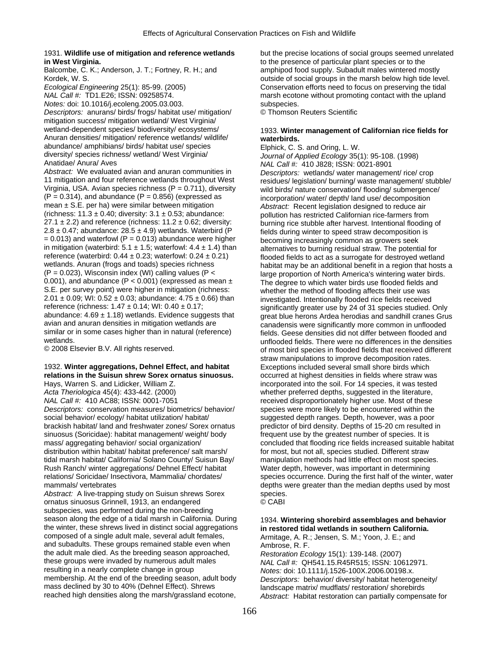## **in West Virginia.** to the presence of particular plant species or to the

*Notes:* doi: 10.1016/j.ecoleng.2005.03.003.<br> *Descriptors:* anurans/ birds/ frogs/ habitat use/ mitigation/ © Thomson Reuters Scientific *Descriptors:* anurans/ birds/ frogs/ habitat use/ mitigation/ mitigation success/ mitigation wetland/ West Virginia/ wetland-dependent species/ biodiversity/ ecosystems/ 1933. **Winter management of Californian rice fields for**  Anuran densities/ mitigation/ reference wetlands/ wildlife/ **waterbirds.**  abundance/ amphibians/ birds/ habitat use/ species Elphick, C. S. and Oring, L. W.<br>diversity/ species richness/ wetland/ West Virginia/ (and all all all and in an all all all all all all all al diversity/ species richness/ wetland/ West Virginia/ *Journal of Applied Ecology* 35(1): 95-108. (1998)

*Abstract:* We evaluated avian and anuran communities in *Descriptors:* wetlands/ water management/ rice/ crop Virginia, USA. Avian species richness (P = 0.711), diversity wild birds/ nature conservation/ flooding/ submergence/  $(P = 0.314)$ , and abundance  $(P = 0.856)$  (expressed as incorporation/ water/ depth/ land use/ decomposition mean  $\pm$  S.E. per ha) were similar between mitigation mean ± S.E. per ha) were similar between mitigation *Abstract:* Recent legislation designed to reduce air<br>(richness: 11.3 ± 0.40; diversity: 3.1 ± 0.53; abundance: pollution has restricted Californian rice-farmers from (richness: 11.3 ± 0.40; diversity:  $3.1 \pm 0.53$ ; abundance: pollution has restricted Californian rice-farmers from<br>27.1 ± 2.2) and reference (richness: 11.2 ± 0.62; diversity: purning rice stubble after harvest Intentiona 27.1  $\pm$  2.2) and reference (richness: 11.2  $\pm$  0.62; diversity:<br>2.8  $\pm$  0.47; abundance: 28.5  $\pm$  4.9) wetlands. Waterbird (P fields during winter to speed straw decomposition is = 0.013) and waterfowl (P = 0.013) abundance were higher becoming increasingly common as growers seek<br>in mitigation (waterbird: 5.1 ± 1.5; waterfowl: 4.4 ± 1.4) than alternatives to burning residual straw. The potenti in mitigation (waterbird:  $5.1 \pm 1.5$ ; waterfowl:  $4.4 \pm 1.4$ ) than alternatives to burning residual straw. The potential for reference (waterbird:  $0.44 \pm 0.23$ ; waterfowl:  $0.24 \pm 0.21$ ) flooded fields to act as a surro reference (waterbird: 0.44 ± 0.23; waterfowl: 0.24 ± 0.21) flooded fields to act as a surrogate for destroyed wetland<br>wetlands. Anuran (frogs and toads) species richness healties habitat may be an additional benefit in a wetlands. Anuran (frogs and toads) species richness habitat may be an additional benefit in a region that hosts a<br>(P = 0.023), Wisconsin index (WI) calling values (P < see that have proportion of North America's wintering (P = 0.023), Wisconsin index (WI) calling values (P < large proportion of North America's wintering water birds.<br>0.001), and abundance (P < 0.001) (expressed as mean  $\pm$  The degree to which water birds use flooded fields 0.001), and abundance (P < 0.001) (expressed as mean  $\pm$  The degree to which water birds use flooded fields and S.E. per survey point) were higher in mitigation (richness: whether the method of flooding affects their use  $2.01 \pm 0.09$ ; WI:  $0.52 \pm 0.03$ ; abundance:  $4.75 \pm 0.66$ ) than investigated. Intentionally flooded rice fields received reference (richness:  $1.47 \pm 0.14$ ; WI:  $0.40 \pm 0.17$ ; significantly greater use by 24 of 31 specie reference (richness: 1.47  $\pm$  0.14; WI: 0.40  $\pm$  0.17; significantly greater use by 24 of 31 species studied. Only<br>abundance: 4.69  $\pm$  1.18) wetlands. Evidence suggests that areat blue berons Ardea berodias and sandbil abundance: 4.69 ± 1.18) wetlands. Evidence suggests that great blue herons Ardea herodias and sandhill cranes Grus<br>avian and anuran densities in mitigation wetlands are granadensis were significantly more common in unflood avian and anuran densities in mitigation wetlands are expandensis were significantly more common in unflooded<br>similar or in some cases higher than in natural (reference) fields. Geese densities did not differ between flood similar or in some cases higher than in natural (reference) fields. Geese densities did not differ between flooded and<br>unflooded fields. There were no differences in the densitie

## 1932. **Winter aggregations, Dehnel Effect, and habitat** Exceptions included several small shore birds which **relations in the Suisun shrew Sorex ornatus sinuosus.** occurred at highest densities in fields where straw was

*Descriptors:* conservation measures/ biometrics/ behavior/ species were more likely to be encountered within the social behavior/ ecology/ habitat utilization/ habitat/ suggested depth ranges. Depth, however, was a poor brackish habitat/ land and freshwater zones/ Sorex ornatus predictor of bird density. Depths of 15-20 cm resulted in sinuosus (Soricidae): habitat management/ weight/ body frequent use by the greatest number of species. It is distribution within habitat/ habitat preference/ salt marsh/ for most, but not all, species studied. Different straw tidal marsh habitat/ California/ Solano County/ Suisun Bay/ manipulation methods had little effect on most species. Rush Ranch/ winter aggregations/ Dehnel Effect/ habitat Water depth, however, was important in determining mammals/ vertebrates matches are depths were greater than the median depths used by most

*Abstract:* A live-trapping study on Suisun shrews Sorex species. ornatus sinuosus Grinnell, 1913, an endangered subspecies, was performed during the non-breeding season along the edge of a tidal marsh in California. During 1934. **Wintering shorebird assemblages and behavior**<br>
the winter, these shrews lived in distinct social aggregations **in restored tidal wetlands in southern Cali** the winter, these shrews lived in distinct social aggregations **in restored tidal wetlands in southern California.**  and subadults. These groups remained stable even when Ambrose, R. F. the adult male died. As the breeding season approached, *Restoration Ecology* 15(1): 139-148. (2007) these groups were invaded by numerous adult males *NAL Call #:* QH541.15.R45R515; ISSN: 10612971.<br> *Notes:* doi: 10.1111/i.1526-100X.2006.00198.x. membership. At the end of the breeding season, adult body *Descriptors:* behavior/ diversity/ habitat heterogeneity/ mass declined by 30 to 40% (Dehnel Effect). Shrews landscape matrix/ mudflats/ restoration/ shorebirds reached high densities along the marsh/grassland ecotone, a abstract: Habitat restoration can partially compens

1931. **Wildlife use of mitigation and reference wetlands** but the precise locations of social groups seemed unrelated Balcombe, C. K.; Anderson, J. T.; Fortney, R. H.; and amphipod food supply. Subadult males wintered mostly Kordek, W. S. **Example 20 Inc.** outside of social groups in the marsh below high tide level. *Ecological Engineering* 25(1): 85-99. (2005) Conservation efforts need to focus on preserving the tidal *NAL Call #:* TD1.E26; ISSN: 09258574. marsh ecotone without promoting contact with the upland

Anatidae/ Anura/ Aves *NAL Call #:* 410 J828; ISSN: 0021-8901 residues/ legislation/ burning/ waste management/ stubble/ fields during winter to speed straw decomposition is whether the method of flooding affects their use was wetlands. unflooded fields. There were no differences in the densities of most bird species in flooded fields that received different straw manipulations to improve decomposition rates. Hays, Warren S. and Lidicker, William Z. incorporated into the soil. For 14 species, it was tested *Acta Theriologica* 45(4): 433-442. (2000) whether preferred depths, suggested in the literature, *NAL Call #:* 410 AC88; ISSN: 0001-7051 received disproportionately higher use. Most of these mass/ aggregating behavior/ social organization/ concluded that flooding rice fields increased suitable habitat relations/ Soricidae/ Insectivora, Mammalia/ chordates/ species occurrence. During the first half of the winter, water

# Armitage, A. R.; Jensen, S. M.; Yoon, J. E.; and

*Notes: doi: 10.1111/j.1526-100X.2006.00198.x.* Abstract: Habitat restoration can partially compensate for